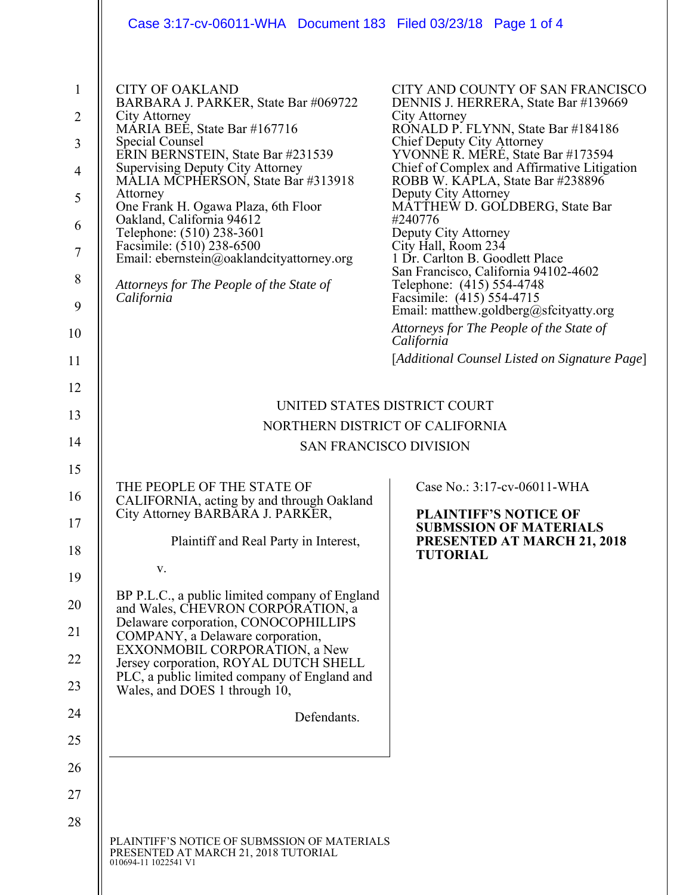|                | Case 3:17-cv-06011-WHA  Document 183  Filed 03/23/18  Page 1 of 4                                                      |                                                                                                                                          |  |  |
|----------------|------------------------------------------------------------------------------------------------------------------------|------------------------------------------------------------------------------------------------------------------------------------------|--|--|
| $\mathbf{1}$   | <b>CITY OF OAKLAND</b>                                                                                                 | CITY AND COUNTY OF SAN FRANCISCO                                                                                                         |  |  |
| $\overline{2}$ | BARBARA J. PARKER, State Bar #069722<br>City Attorney<br>MÁRIA BEÉ, State Bar #167716                                  | DENNIS J. HERRERA, State Bar #139669<br>City Attorney<br>RONALD P. FLYNN, State Bar #184186                                              |  |  |
| 3              | <b>Special Counsel</b><br>ERIN BERNSTEIN, State Bar #231539                                                            | Chief Deputy City Attorney<br>YVONNE R. MERÉ, State Bar #173594                                                                          |  |  |
| $\overline{4}$ | <b>Supervising Deputy City Attorney</b><br>MALIA MCPHERSON, State Bar #313918                                          | Chief of Complex and Affirmative Litigation<br>ROBB W. KAPLA, State Bar #238896                                                          |  |  |
| 5              | Attorney<br>One Frank H. Ogawa Plaza, 6th Floor                                                                        | Deputy City Attorney<br>MATTHEW D. GOLDBERG, State Bar                                                                                   |  |  |
| 6              | Oakland, California 94612<br>Telephone: (510) 238-3601                                                                 | #240776<br>Deputy City Attorney                                                                                                          |  |  |
| $\tau$         | Facsimile: (510) 238-6500<br>Email: ebernstein@oaklandcityattorney.org                                                 | City Hall, Room 234<br>1 Dr. Carlton B. Goodlett Place                                                                                   |  |  |
| 8<br>9         | Attorneys for The People of the State of<br>California                                                                 | San Francisco, California 94102-4602<br>Telephone: (415) 554-4748<br>Facsimile: (415) 554-4715<br>Email: matthew.goldberg@sfcityatty.org |  |  |
| 10             |                                                                                                                        | Attorneys for The People of the State of<br>California                                                                                   |  |  |
| 11             |                                                                                                                        | [Additional Counsel Listed on Signature Page]                                                                                            |  |  |
| 12             |                                                                                                                        |                                                                                                                                          |  |  |
| 13             | UNITED STATES DISTRICT COURT<br>NORTHERN DISTRICT OF CALIFORNIA                                                        |                                                                                                                                          |  |  |
| 14             | <b>SAN FRANCISCO DIVISION</b>                                                                                          |                                                                                                                                          |  |  |
| 15             |                                                                                                                        |                                                                                                                                          |  |  |
| 16             | THE PEOPLE OF THE STATE OF<br>CALIFORNIA, acting by and through Oakland<br>City Attorney BARBARA J. PARKER,            | Case No.: 3:17-cv-06011-WHA<br><b>PLAINTIFF'S NOTICE OF</b>                                                                              |  |  |
| 17             | Plaintiff and Real Party in Interest,                                                                                  | <b>SUBMSSION OF MATERIALS</b><br><b>PRESENTED AT MARCH 21, 2018</b>                                                                      |  |  |
| 18             | V.                                                                                                                     | <b>TUTORIAL</b>                                                                                                                          |  |  |
| 19             | BP P.L.C., a public limited company of England                                                                         |                                                                                                                                          |  |  |
| 20             | and Wales, CHEVRON CORPORATION, a<br>Delaware corporation, CONOCOPHILLIPS                                              |                                                                                                                                          |  |  |
| 21             | COMPANY, a Delaware corporation,<br>EXXONMOBIL CORPORATION, a New                                                      |                                                                                                                                          |  |  |
| 22<br>23       | Jersey corporation, ROYAL DUTCH SHELL<br>PLC, a public limited company of England and<br>Wales, and DOES 1 through 10, |                                                                                                                                          |  |  |
| 24             | Defendants.                                                                                                            |                                                                                                                                          |  |  |
| 25             |                                                                                                                        |                                                                                                                                          |  |  |
| 26             |                                                                                                                        |                                                                                                                                          |  |  |
| 27             |                                                                                                                        |                                                                                                                                          |  |  |
| 28             |                                                                                                                        |                                                                                                                                          |  |  |
|                | PLAINTIFF'S NOTICE OF SUBMSSION OF MATERIALS<br>PRESENTED AT MARCH 21, 2018 TUTORIAL<br>010694-11 1022541 V1           |                                                                                                                                          |  |  |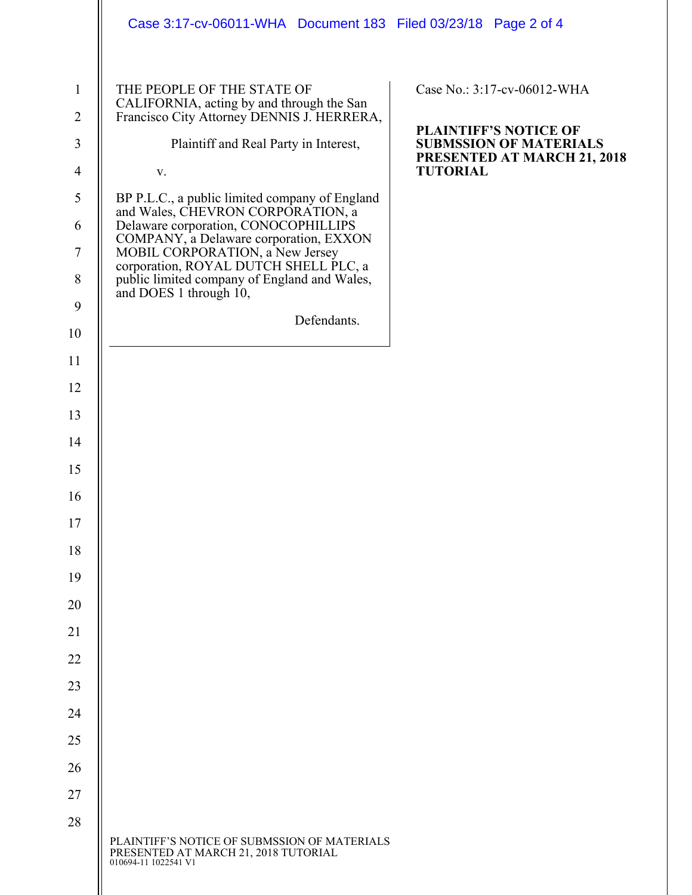|                                                                                                      | Case 3:17-cv-06011-WHA  Document 183  Filed 03/23/18  Page 2 of 4                                                                                                                                                                                                                                                                                                                                                                                                                                   |                                                                                                                                                |
|------------------------------------------------------------------------------------------------------|-----------------------------------------------------------------------------------------------------------------------------------------------------------------------------------------------------------------------------------------------------------------------------------------------------------------------------------------------------------------------------------------------------------------------------------------------------------------------------------------------------|------------------------------------------------------------------------------------------------------------------------------------------------|
| $\mathbf{1}$<br>$\overline{2}$<br>$\mathfrak{Z}$<br>$\overline{4}$<br>5<br>6<br>$\tau$<br>$8\,$<br>9 | THE PEOPLE OF THE STATE OF<br>CALIFORNIA, acting by and through the San<br>Francisco City Attorney DENNIS J. HERRERA,<br>Plaintiff and Real Party in Interest,<br>V.<br>BP P.L.C., a public limited company of England<br>and Wales, CHEVRON CORPORATION, a<br>Delaware corporation, CONOCOPHILLIPS<br>COMPANY, a Delaware corporation, EXXON<br>MOBIL CORPORATION, a New Jersey<br>corporation, ROYAL DUTCH SHELL PLC, a<br>public limited company of England and Wales,<br>and DOES 1 through 10, | Case No.: 3:17-cv-06012-WHA<br><b>PLAINTIFF'S NOTICE OF</b><br><b>SUBMSSION OF MATERIALS</b><br>PRESENTED AT MARCH 21, 2018<br><b>TUTORIAL</b> |
| 10                                                                                                   | Defendants.                                                                                                                                                                                                                                                                                                                                                                                                                                                                                         |                                                                                                                                                |
| 11                                                                                                   |                                                                                                                                                                                                                                                                                                                                                                                                                                                                                                     |                                                                                                                                                |
| 12                                                                                                   |                                                                                                                                                                                                                                                                                                                                                                                                                                                                                                     |                                                                                                                                                |
| 13                                                                                                   |                                                                                                                                                                                                                                                                                                                                                                                                                                                                                                     |                                                                                                                                                |
| 14                                                                                                   |                                                                                                                                                                                                                                                                                                                                                                                                                                                                                                     |                                                                                                                                                |
| 15                                                                                                   |                                                                                                                                                                                                                                                                                                                                                                                                                                                                                                     |                                                                                                                                                |
| 16                                                                                                   |                                                                                                                                                                                                                                                                                                                                                                                                                                                                                                     |                                                                                                                                                |
| 17                                                                                                   |                                                                                                                                                                                                                                                                                                                                                                                                                                                                                                     |                                                                                                                                                |
| 18                                                                                                   |                                                                                                                                                                                                                                                                                                                                                                                                                                                                                                     |                                                                                                                                                |
| 19                                                                                                   |                                                                                                                                                                                                                                                                                                                                                                                                                                                                                                     |                                                                                                                                                |
| 20                                                                                                   |                                                                                                                                                                                                                                                                                                                                                                                                                                                                                                     |                                                                                                                                                |
| 21                                                                                                   |                                                                                                                                                                                                                                                                                                                                                                                                                                                                                                     |                                                                                                                                                |
| 22                                                                                                   |                                                                                                                                                                                                                                                                                                                                                                                                                                                                                                     |                                                                                                                                                |
| 23                                                                                                   |                                                                                                                                                                                                                                                                                                                                                                                                                                                                                                     |                                                                                                                                                |
| 24                                                                                                   |                                                                                                                                                                                                                                                                                                                                                                                                                                                                                                     |                                                                                                                                                |
| 25                                                                                                   |                                                                                                                                                                                                                                                                                                                                                                                                                                                                                                     |                                                                                                                                                |
| 26                                                                                                   |                                                                                                                                                                                                                                                                                                                                                                                                                                                                                                     |                                                                                                                                                |
| 27                                                                                                   |                                                                                                                                                                                                                                                                                                                                                                                                                                                                                                     |                                                                                                                                                |
| 28                                                                                                   | PLAINTIFF'S NOTICE OF SUBMSSION OF MATERIALS<br>PRESENTED AT MARCH 21, 2018 TUTORIAL<br>010694-11 1022541 V1                                                                                                                                                                                                                                                                                                                                                                                        |                                                                                                                                                |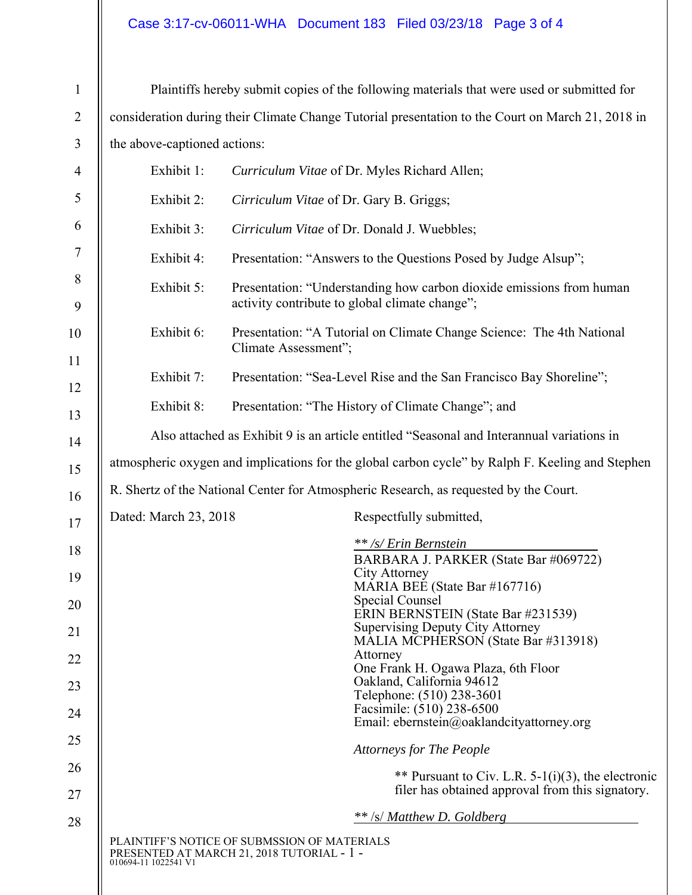# Case 3:17-cv-06011-WHA Document 183 Filed 03/23/18 Page 3 of 4

| $\mathbf{1}$   | Plaintiffs hereby submit copies of the following materials that were used or submitted for                      |                                                                                                                        |  |  |
|----------------|-----------------------------------------------------------------------------------------------------------------|------------------------------------------------------------------------------------------------------------------------|--|--|
| $\overline{2}$ | consideration during their Climate Change Tutorial presentation to the Court on March 21, 2018 in               |                                                                                                                        |  |  |
| 3              | the above-captioned actions:                                                                                    |                                                                                                                        |  |  |
| 4              | Exhibit 1:                                                                                                      | Curriculum Vitae of Dr. Myles Richard Allen;                                                                           |  |  |
| 5              | Exhibit 2:                                                                                                      | Cirriculum Vitae of Dr. Gary B. Griggs;                                                                                |  |  |
| 6              | Exhibit 3:                                                                                                      | Cirriculum Vitae of Dr. Donald J. Wuebbles;                                                                            |  |  |
| 7              | Exhibit 4:                                                                                                      | Presentation: "Answers to the Questions Posed by Judge Alsup";                                                         |  |  |
| 8<br>9         | Exhibit 5:                                                                                                      | Presentation: "Understanding how carbon dioxide emissions from human<br>activity contribute to global climate change"; |  |  |
| 10             | Exhibit 6:                                                                                                      | Presentation: "A Tutorial on Climate Change Science: The 4th National<br>Climate Assessment";                          |  |  |
| 11             | Exhibit 7:                                                                                                      | Presentation: "Sea-Level Rise and the San Francisco Bay Shoreline";                                                    |  |  |
| 12<br>13       | Exhibit 8:                                                                                                      | Presentation: "The History of Climate Change"; and                                                                     |  |  |
| 14             | Also attached as Exhibit 9 is an article entitled "Seasonal and Interannual variations in                       |                                                                                                                        |  |  |
| 15             |                                                                                                                 | atmospheric oxygen and implications for the global carbon cycle" by Ralph F. Keeling and Stephen                       |  |  |
| 16             |                                                                                                                 | R. Shertz of the National Center for Atmospheric Research, as requested by the Court.                                  |  |  |
| 17             | Dated: March 23, 2018                                                                                           | Respectfully submitted,                                                                                                |  |  |
| 18             |                                                                                                                 | ** /s/ Erin Bernstein                                                                                                  |  |  |
| 19             |                                                                                                                 | BARBARA J. PARKER (State Bar #069722)<br>City Attorney                                                                 |  |  |
| 20             |                                                                                                                 | MARIA BEE (State Bar #167716)<br><b>Special Counsel</b><br>ERIN BERNSTEIN (State Bar #231539)                          |  |  |
| 21             |                                                                                                                 | Supervising Deputy City Attorney<br>MALIA MCPHERSON (State Bar #313918)                                                |  |  |
| 22             |                                                                                                                 | Attorney<br>One Frank H. Ogawa Plaza, 6th Floor                                                                        |  |  |
| 23             |                                                                                                                 | Oakland, California 94612<br>Telephone: (510) 238-3601                                                                 |  |  |
| 24             |                                                                                                                 | Facsimile: (510) 238-6500<br>Email: ebernstein@oaklandcityattorney.org                                                 |  |  |
| 25             |                                                                                                                 | <b>Attorneys for The People</b>                                                                                        |  |  |
| 26<br>27       | ** Pursuant to Civ. L.R. 5-1(i)(3), the electronic<br>filer has obtained approval from this signatory.          |                                                                                                                        |  |  |
| 28             |                                                                                                                 | ** /s/ Matthew D. Goldberg                                                                                             |  |  |
|                | PLAINTIFF'S NOTICE OF SUBMSSION OF MATERIALS<br>PRESENTED AT MARCH 21, 2018 TUTORIAL - 1 - 010694-11 1022541 V1 |                                                                                                                        |  |  |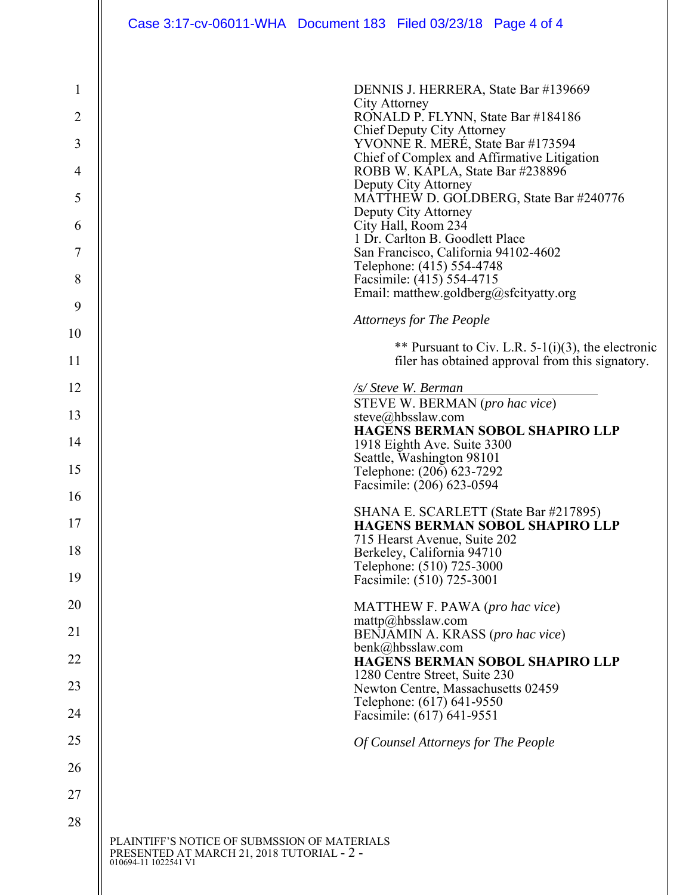| 1  | DENNIS J. HERRERA, State Bar #139669<br>City Attorney                                                                        |
|----|------------------------------------------------------------------------------------------------------------------------------|
| 2  | RONALD P. FLYNN, State Bar #184186<br>Chief Deputy City Attorney                                                             |
| 3  | YVONNE R. MERÉ, State Bar #173594<br>Chief of Complex and Affirmative Litigation                                             |
| 4  | ROBB W. KAPLA, State Bar #238896                                                                                             |
| 5  | Deputy City Attorney<br>MATTHEW D. GOLDBERG, State Bar #240776                                                               |
| 6  | Deputy City Attorney<br>City Hall, Room 234                                                                                  |
| 7  | 1 Dr. Carlton B. Goodlett Place<br>San Francisco, California 94102-4602                                                      |
| 8  | Telephone: (415) 554-4748<br>Facsimile: (415) 554-4715                                                                       |
| 9  | Email: matthew.goldberg@sfcityatty.org                                                                                       |
| 10 | <b>Attorneys for The People</b>                                                                                              |
| 11 | ** Pursuant to Civ. L.R. 5-1(i)(3), the electronic<br>filer has obtained approval from this signatory.                       |
| 12 | <u>/s/ Steve W. Berman</u>                                                                                                   |
| 13 | STEVE W. BERMAN (pro hac vice)<br>steve@hbsslaw.com                                                                          |
| 14 | <b>HAGENS BERMAN SOBOL SHAPIRO LLP</b><br>1918 Eighth Ave. Suite 3300                                                        |
| 15 | Seattle, Washington 98101<br>Telephone: (206) 623-7292                                                                       |
| 16 | Facsimile: (206) 623-0594                                                                                                    |
| 17 | SHANA E. SCARLETT (State Bar #217895)<br><b>HAGENS BERMAN SOBOL SHAPIRO LLP</b>                                              |
| 18 | 715 Hearst Avenue, Suite 202<br>Berkeley, California 94710                                                                   |
| 19 | Telephone: (510) 725-3000<br>Facsimile: (510) 725-3001                                                                       |
| 20 | MATTHEW F. PAWA (pro hac vice)<br>$\text{mattp}(a)$ hbsslaw.com                                                              |
| 21 | BENJAMIN A. KRASS (pro hac vice)<br>benk@hbsslaw.com                                                                         |
| 22 | HAGENS BERMAN SOBOL SHAPIRO LLP<br>1280 Centre Street, Suite 230                                                             |
| 23 | Newton Centre, Massachusetts 02459<br>Telephone: (617) 641-9550                                                              |
| 24 | Facsimile: (617) 641-9551                                                                                                    |
| 25 | Of Counsel Attorneys for The People                                                                                          |
| 26 |                                                                                                                              |
| 27 |                                                                                                                              |
| 28 |                                                                                                                              |
|    | PLAINTIFF'S NOTICE OF SUBMSSION OF MATERIALS<br>PRESENTED AT MARCH 21, 2018 TUTORIAL - $2$ - $010694\hbox{-}11$ $1022541$ V1 |
|    |                                                                                                                              |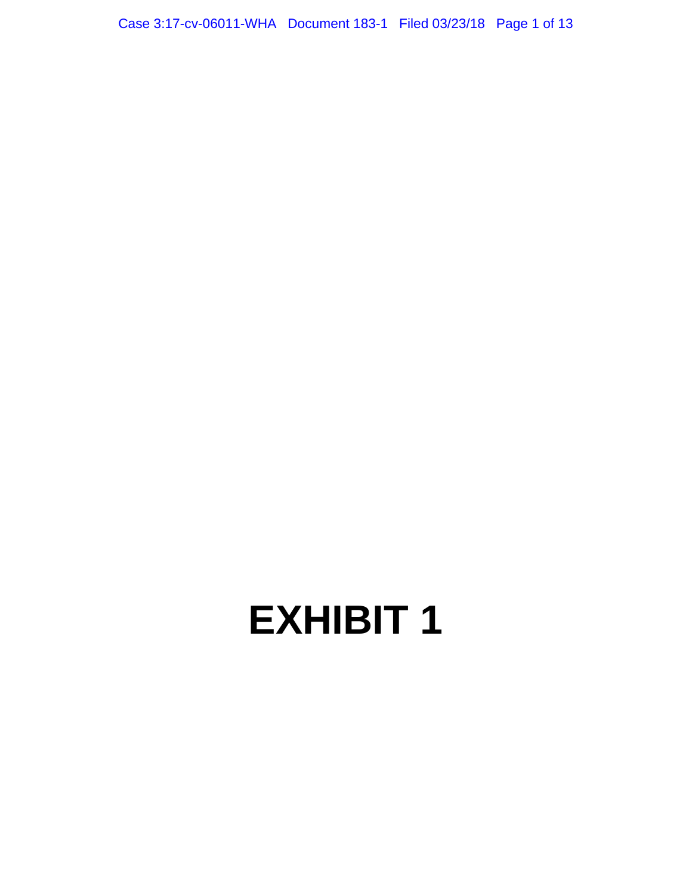Case 3:17-cv-06011-WHA Document 183-1 Filed 03/23/18 Page 1 of 13

# **EXHIBIT 1**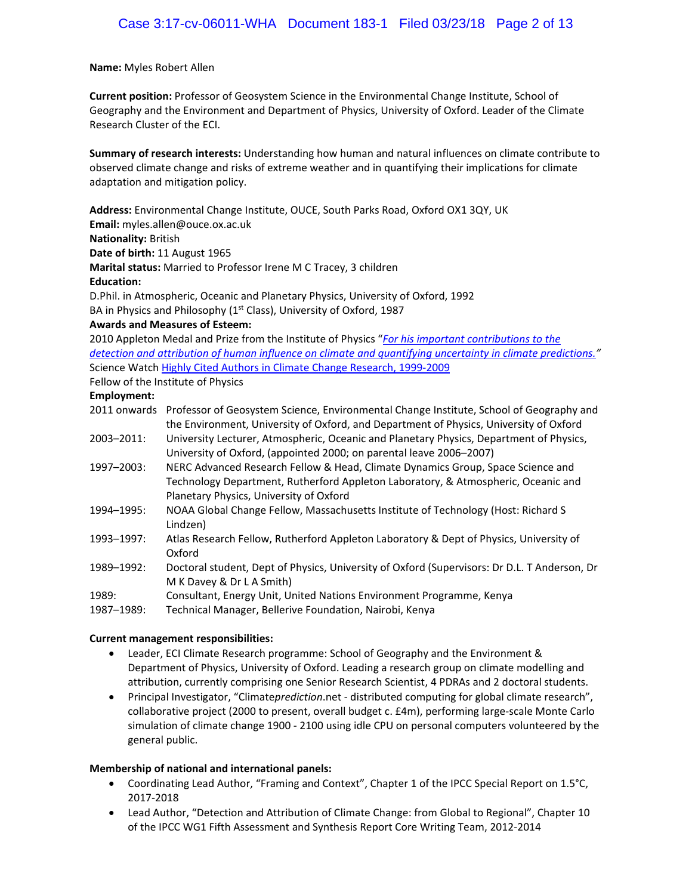**Name:** Myles Robert Allen

**Current position:** Professor of Geosystem Science in the Environmental Change Institute, School of Geography and the Environment and Department of Physics, University of Oxford. Leader of the Climate Research Cluster of the ECI.

**Summary of research interests:** Understanding how human and natural influences on climate contribute to observed climate change and risks of extreme weather and in quantifying their implications for climate adaptation and mitigation policy.

**Address:** Environmental Change Institute, OUCE, South Parks Road, Oxford OX1 3QY, UK **Email:** myles.allen@ouce.ox.ac.uk **Nationality:** British **Date of birth:** 11 August 1965 **Marital status:** Married to Professor Irene M C Tracey, 3 children **Education:**  D.Phil. in Atmospheric, Oceanic and Planetary Physics, University of Oxford, 1992 BA in Physics and Philosophy (1<sup>st</sup> Class), University of Oxford, 1987 **Awards and Measures of Esteem:**  2010 Appleton Medal and Prize from the Institute of Physics "*For his important contributions to the detection and attribution of human influence on climate and quantifying uncertainty in climate predictions."* Science Watch Highly Cited Authors in Climate Change Research, 1999‐2009 Fellow of the Institute of Physics **Employment:**  2011 onwards Professor of Geosystem Science, Environmental Change Institute, School of Geography and the Environment, University of Oxford, and Department of Physics, University of Oxford 2003–2011: University Lecturer, Atmospheric, Oceanic and Planetary Physics, Department of Physics, University of Oxford, (appointed 2000; on parental leave 2006–2007) 1997–2003: NERC Advanced Research Fellow & Head, Climate Dynamics Group, Space Science and Technology Department, Rutherford Appleton Laboratory, & Atmospheric, Oceanic and Planetary Physics, University of Oxford 1994–1995: NOAA Global Change Fellow, Massachusetts Institute of Technology (Host: Richard S Lindzen) 1993–1997: Atlas Research Fellow, Rutherford Appleton Laboratory & Dept of Physics, University of Oxford 1989–1992: Doctoral student, Dept of Physics, University of Oxford (Supervisors: Dr D.L. T Anderson, Dr M K Davey & Dr L A Smith) 1989: Consultant, Energy Unit, United Nations Environment Programme, Kenya 1987–1989: Technical Manager, Bellerive Foundation, Nairobi, Kenya

# **Current management responsibilities:**

- Leader, ECI Climate Research programme: School of Geography and the Environment & Department of Physics, University of Oxford. Leading a research group on climate modelling and attribution, currently comprising one Senior Research Scientist, 4 PDRAs and 2 doctoral students.
- Principal Investigator, "Climate*prediction*.net ‐ distributed computing for global climate research", collaborative project (2000 to present, overall budget c. £4m), performing large‐scale Monte Carlo simulation of climate change 1900 ‐ 2100 using idle CPU on personal computers volunteered by the general public.

# **Membership of national and international panels:**

- Coordinating Lead Author, "Framing and Context", Chapter 1 of the IPCC Special Report on 1.5°C, 2017‐2018
- Lead Author, "Detection and Attribution of Climate Change: from Global to Regional", Chapter 10 of the IPCC WG1 Fifth Assessment and Synthesis Report Core Writing Team, 2012‐2014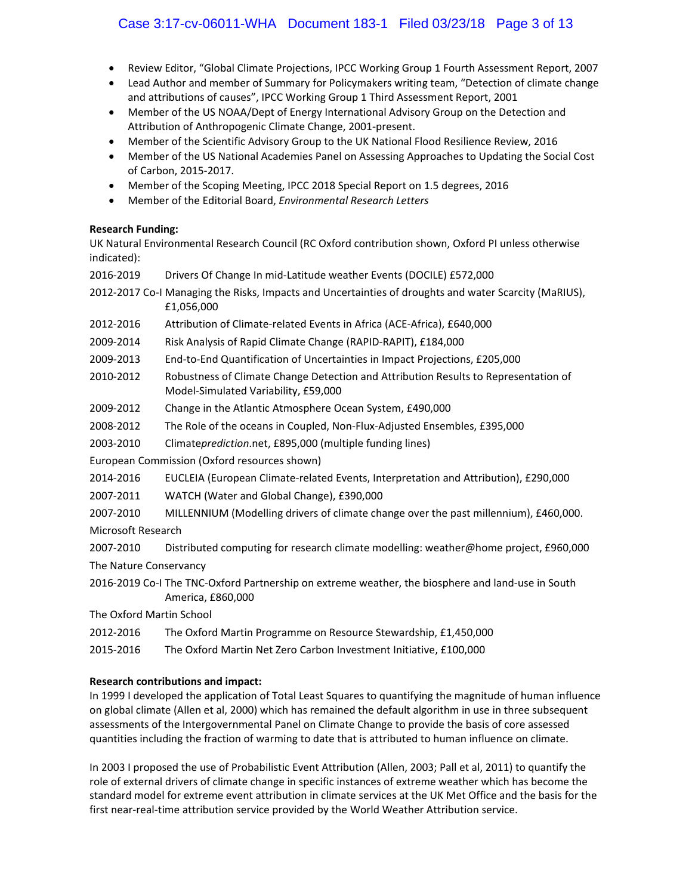- Review Editor, "Global Climate Projections, IPCC Working Group 1 Fourth Assessment Report, 2007
- Lead Author and member of Summary for Policymakers writing team, "Detection of climate change and attributions of causes", IPCC Working Group 1 Third Assessment Report, 2001
- Member of the US NOAA/Dept of Energy International Advisory Group on the Detection and Attribution of Anthropogenic Climate Change, 2001‐present.
- Member of the Scientific Advisory Group to the UK National Flood Resilience Review, 2016
- Member of the US National Academies Panel on Assessing Approaches to Updating the Social Cost of Carbon, 2015‐2017.
- Member of the Scoping Meeting, IPCC 2018 Special Report on 1.5 degrees, 2016
- Member of the Editorial Board, *Environmental Research Letters*

# **Research Funding:**

UK Natural Environmental Research Council (RC Oxford contribution shown, Oxford PI unless otherwise indicated):

- 2016‐2019 Drivers Of Change In mid‐Latitude weather Events (DOCILE) £572,000
- 2012-2017 Co-I Managing the Risks, Impacts and Uncertainties of droughts and water Scarcity (MaRIUS), £1,056,000
- 2012-2016 Attribution of Climate-related Events in Africa (ACE-Africa), £640,000
- 2009‐2014 Risk Analysis of Rapid Climate Change (RAPID‐RAPIT), £184,000
- 2009‐2013 End‐to‐End Quantification of Uncertainties in Impact Projections, £205,000
- 2010-2012 Robustness of Climate Change Detection and Attribution Results to Representation of Model‐Simulated Variability, £59,000
- 2009‐2012 Change in the Atlantic Atmosphere Ocean System, £490,000
- 2008‐2012 The Role of the oceans in Coupled, Non‐Flux‐Adjusted Ensembles, £395,000
- 2003‐2010 Climate*prediction*.net, £895,000 (multiple funding lines)
- European Commission (Oxford resources shown)
- 2014-2016 EUCLEIA (European Climate-related Events, Interpretation and Attribution), £290,000
- 2007‐2011 WATCH (Water and Global Change), £390,000
- 2007‐2010 MILLENNIUM (Modelling drivers of climate change over the past millennium), £460,000.
- Microsoft Research
- 2007‐2010 Distributed computing for research climate modelling: weather*@*home project, £960,000
- The Nature Conservancy
- 2016‐2019 Co‐I The TNC‐Oxford Partnership on extreme weather, the biosphere and land‐use in South America, £860,000

The Oxford Martin School

- 2012‐2016 The Oxford Martin Programme on Resource Stewardship, £1,450,000
- 2015‐2016 The Oxford Martin Net Zero Carbon Investment Initiative, £100,000

# **Research contributions and impact:**

In 1999 I developed the application of Total Least Squares to quantifying the magnitude of human influence on global climate (Allen et al, 2000) which has remained the default algorithm in use in three subsequent assessments of the Intergovernmental Panel on Climate Change to provide the basis of core assessed quantities including the fraction of warming to date that is attributed to human influence on climate.

In 2003 I proposed the use of Probabilistic Event Attribution (Allen, 2003; Pall et al, 2011) to quantify the role of external drivers of climate change in specific instances of extreme weather which has become the standard model for extreme event attribution in climate services at the UK Met Office and the basis for the first near-real-time attribution service provided by the World Weather Attribution service.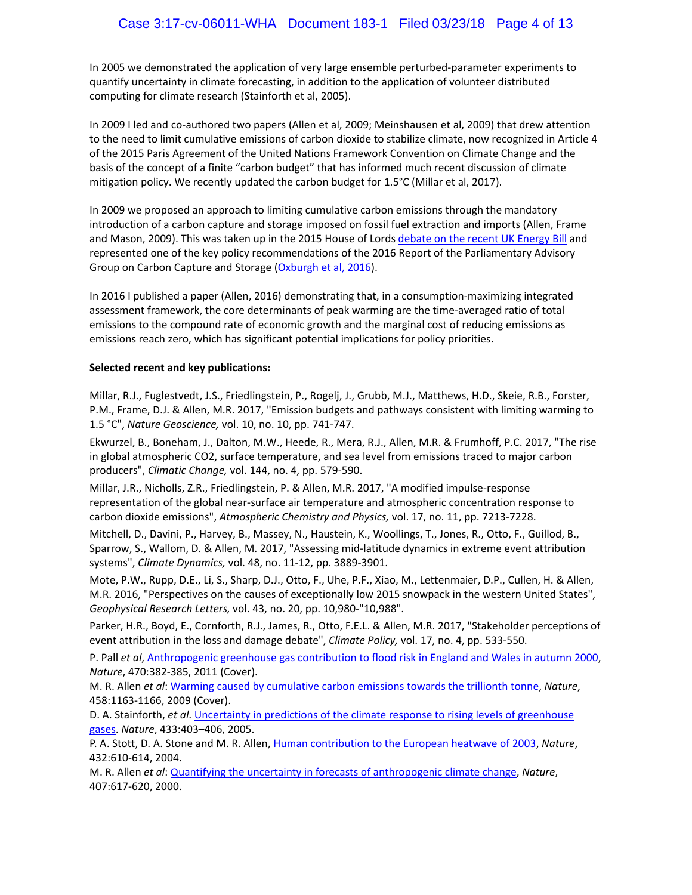In 2005 we demonstrated the application of very large ensemble perturbed‐parameter experiments to quantify uncertainty in climate forecasting, in addition to the application of volunteer distributed computing for climate research (Stainforth et al, 2005).

In 2009 I led and co-authored two papers (Allen et al, 2009; Meinshausen et al, 2009) that drew attention to the need to limit cumulative emissions of carbon dioxide to stabilize climate, now recognized in Article 4 of the 2015 Paris Agreement of the United Nations Framework Convention on Climate Change and the basis of the concept of a finite "carbon budget" that has informed much recent discussion of climate mitigation policy. We recently updated the carbon budget for 1.5°C (Millar et al, 2017).

In 2009 we proposed an approach to limiting cumulative carbon emissions through the mandatory introduction of a carbon capture and storage imposed on fossil fuel extraction and imports (Allen, Frame and Mason, 2009). This was taken up in the 2015 House of Lords debate on the recent UK Energy Bill and represented one of the key policy recommendations of the 2016 Report of the Parliamentary Advisory Group on Carbon Capture and Storage (Oxburgh et al, 2016).

In 2016 I published a paper (Allen, 2016) demonstrating that, in a consumption‐maximizing integrated assessment framework, the core determinants of peak warming are the time‐averaged ratio of total emissions to the compound rate of economic growth and the marginal cost of reducing emissions as emissions reach zero, which has significant potential implications for policy priorities.

#### **Selected recent and key publications:**

Millar, R.J., Fuglestvedt, J.S., Friedlingstein, P., Rogelj, J., Grubb, M.J., Matthews, H.D., Skeie, R.B., Forster, P.M., Frame, D.J. & Allen, M.R. 2017, "Emission budgets and pathways consistent with limiting warming to 1.5 °C", *Nature Geoscience,* vol. 10, no. 10, pp. 741‐747.

Ekwurzel, B., Boneham, J., Dalton, M.W., Heede, R., Mera, R.J., Allen, M.R. & Frumhoff, P.C. 2017, "The rise in global atmospheric CO2, surface temperature, and sea level from emissions traced to major carbon producers", *Climatic Change,* vol. 144, no. 4, pp. 579‐590.

Millar, J.R., Nicholls, Z.R., Friedlingstein, P. & Allen, M.R. 2017, "A modified impulse‐response representation of the global near‐surface air temperature and atmospheric concentration response to carbon dioxide emissions", *Atmospheric Chemistry and Physics,* vol. 17, no. 11, pp. 7213‐7228.

Mitchell, D., Davini, P., Harvey, B., Massey, N., Haustein, K., Woollings, T., Jones, R., Otto, F., Guillod, B., Sparrow, S., Wallom, D. & Allen, M. 2017, "Assessing mid‐latitude dynamics in extreme event attribution systems", *Climate Dynamics,* vol. 48, no. 11‐12, pp. 3889‐3901.

Mote, P.W., Rupp, D.E., Li, S., Sharp, D.J., Otto, F., Uhe, P.F., Xiao, M., Lettenmaier, D.P., Cullen, H. & Allen, M.R. 2016, "Perspectives on the causes of exceptionally low 2015 snowpack in the western United States", *Geophysical Research Letters,* vol. 43, no. 20, pp. 10,980‐"10,988".

Parker, H.R., Boyd, E., Cornforth, R.J., James, R., Otto, F.E.L. & Allen, M.R. 2017, "Stakeholder perceptions of event attribution in the loss and damage debate", *Climate Policy,* vol. 17, no. 4, pp. 533‐550.

P. Pall *et al*, Anthropogenic greenhouse gas contribution to flood risk in England and Wales in autumn 2000, *Nature*, 470:382‐385, 2011 (Cover).

M. R. Allen *et al*: Warming caused by cumulative carbon emissions towards the trillionth tonne, *Nature*, 458:1163‐1166, 2009 (Cover).

D. A. Stainforth, *et al*. Uncertainty in predictions of the climate response to rising levels of greenhouse gases. *Nature*, 433:403–406, 2005.

P. A. Stott, D. A. Stone and M. R. Allen, Human contribution to the European heatwave of 2003, *Nature*, 432:610‐614, 2004.

M. R. Allen *et al*: Quantifying the uncertainty in forecasts of anthropogenic climate change, *Nature*, 407:617‐620, 2000.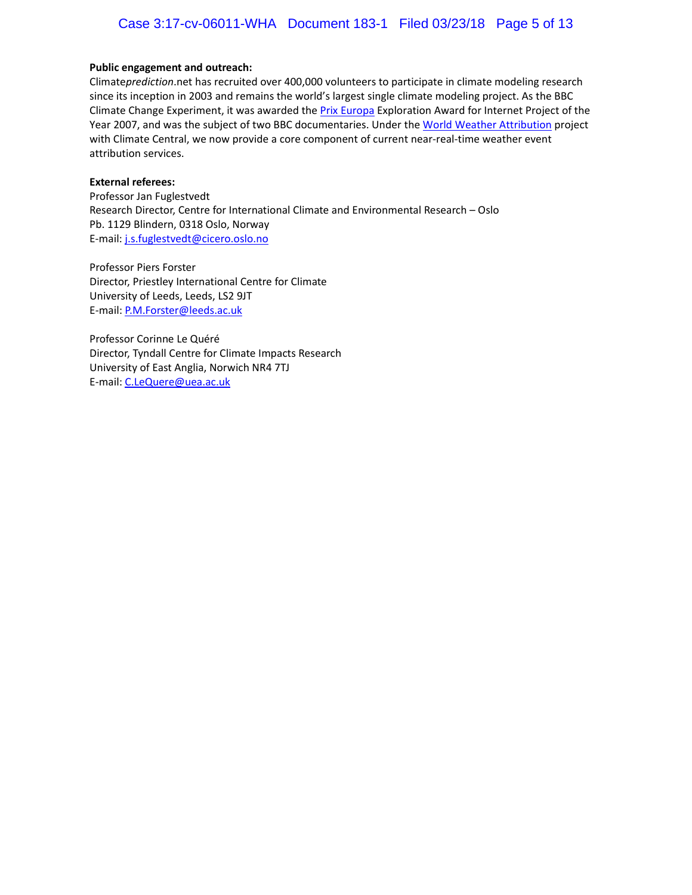#### **Public engagement and outreach:**

Climate*prediction*.net has recruited over 400,000 volunteers to participate in climate modeling research since its inception in 2003 and remains the world's largest single climate modeling project. As the BBC Climate Change Experiment, it was awarded the Prix Europa Exploration Award for Internet Project of the Year 2007, and was the subject of two BBC documentaries. Under the World Weather Attribution project with Climate Central, we now provide a core component of current near-real-time weather event attribution services.

#### **External referees:**

Professor Jan Fuglestvedt Research Director, Centre for International Climate and Environmental Research – Oslo Pb. 1129 Blindern, 0318 Oslo, Norway E‐mail: j.s.fuglestvedt@cicero.oslo.no

Professor Piers Forster Director, Priestley International Centre for Climate University of Leeds, Leeds, LS2 9JT E‐mail: P.M.Forster@leeds.ac.uk

Professor Corinne Le Quéré Director, Tyndall Centre for Climate Impacts Research University of East Anglia, Norwich NR4 7TJ E‐mail: C.LeQuere@uea.ac.uk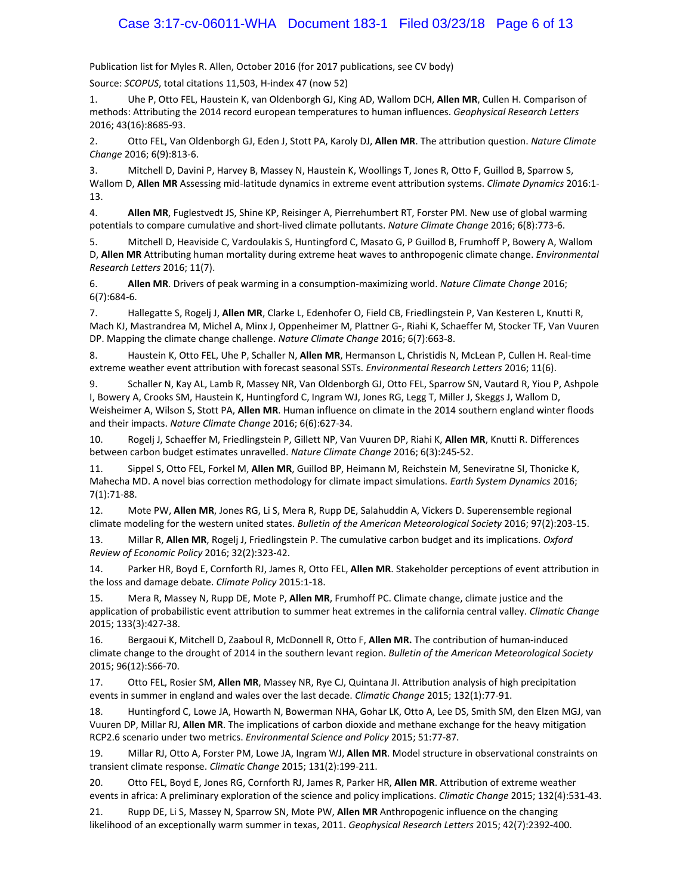Publication list for Myles R. Allen, October 2016 (for 2017 publications, see CV body)

Source: *SCOPUS*, total citations 11,503, H‐index 47 (now 52)

1. Uhe P, Otto FEL, Haustein K, van Oldenborgh GJ, King AD, Wallom DCH, **Allen MR**, Cullen H. Comparison of methods: Attributing the 2014 record european temperatures to human influences. *Geophysical Research Letters*  2016; 43(16):8685‐93.

2. Otto FEL, Van Oldenborgh GJ, Eden J, Stott PA, Karoly DJ, **Allen MR**. The attribution question. *Nature Climate Change* 2016; 6(9):813‐6.

3. Mitchell D, Davini P, Harvey B, Massey N, Haustein K, Woollings T, Jones R, Otto F, Guillod B, Sparrow S, Wallom D, **Allen MR** Assessing mid‐latitude dynamics in extreme event attribution systems. *Climate Dynamics* 2016:1‐ 13.

4. **Allen MR**, Fuglestvedt JS, Shine KP, Reisinger A, Pierrehumbert RT, Forster PM. New use of global warming potentials to compare cumulative and short‐lived climate pollutants. *Nature Climate Change* 2016; 6(8):773‐6.

5. Mitchell D, Heaviside C, Vardoulakis S, Huntingford C, Masato G, P Guillod B, Frumhoff P, Bowery A, Wallom D, **Allen MR** Attributing human mortality during extreme heat waves to anthropogenic climate change. *Environmental Research Letters* 2016; 11(7).

6. **Allen MR**. Drivers of peak warming in a consumption‐maximizing world. *Nature Climate Change* 2016; 6(7):684‐6.

7. Hallegatte S, Rogelj J, **Allen MR**, Clarke L, Edenhofer O, Field CB, Friedlingstein P, Van Kesteren L, Knutti R, Mach KJ, Mastrandrea M, Michel A, Minx J, Oppenheimer M, Plattner G‐, Riahi K, Schaeffer M, Stocker TF, Van Vuuren DP. Mapping the climate change challenge. *Nature Climate Change* 2016; 6(7):663‐8.

8. Haustein K, Otto FEL, Uhe P, Schaller N, **Allen MR**, Hermanson L, Christidis N, McLean P, Cullen H. Real‐time extreme weather event attribution with forecast seasonal SSTs. *Environmental Research Letters* 2016; 11(6).

9. Schaller N, Kay AL, Lamb R, Massey NR, Van Oldenborgh GJ, Otto FEL, Sparrow SN, Vautard R, Yiou P, Ashpole I, Bowery A, Crooks SM, Haustein K, Huntingford C, Ingram WJ, Jones RG, Legg T, Miller J, Skeggs J, Wallom D, Weisheimer A, Wilson S, Stott PA, **Allen MR**. Human influence on climate in the 2014 southern england winter floods and their impacts. *Nature Climate Change* 2016; 6(6):627‐34.

10. Rogelj J, Schaeffer M, Friedlingstein P, Gillett NP, Van Vuuren DP, Riahi K, **Allen MR**, Knutti R. Differences between carbon budget estimates unravelled. *Nature Climate Change* 2016; 6(3):245‐52.

11. Sippel S, Otto FEL, Forkel M, **Allen MR**, Guillod BP, Heimann M, Reichstein M, Seneviratne SI, Thonicke K, Mahecha MD. A novel bias correction methodology for climate impact simulations. *Earth System Dynamics* 2016; 7(1):71‐88.

12. Mote PW, **Allen MR**, Jones RG, Li S, Mera R, Rupp DE, Salahuddin A, Vickers D. Superensemble regional climate modeling for the western united states. *Bulletin of the American Meteorological Society* 2016; 97(2):203‐15.

13. Millar R, **Allen MR**, Rogelj J, Friedlingstein P. The cumulative carbon budget and its implications. *Oxford Review of Economic Policy* 2016; 32(2):323‐42.

14. Parker HR, Boyd E, Cornforth RJ, James R, Otto FEL, **Allen MR**. Stakeholder perceptions of event attribution in the loss and damage debate. *Climate Policy* 2015:1‐18.

15. Mera R, Massey N, Rupp DE, Mote P, **Allen MR**, Frumhoff PC. Climate change, climate justice and the application of probabilistic event attribution to summer heat extremes in the california central valley. *Climatic Change* 2015; 133(3):427‐38.

16. Bergaoui K, Mitchell D, Zaaboul R, McDonnell R, Otto F, **Allen MR.** The contribution of human‐induced climate change to the drought of 2014 in the southern levant region. *Bulletin of the American Meteorological Society* 2015; 96(12):S66‐70.

17. Otto FEL, Rosier SM, **Allen MR**, Massey NR, Rye CJ, Quintana JI. Attribution analysis of high precipitation events in summer in england and wales over the last decade. *Climatic Change* 2015; 132(1):77‐91.

18. Huntingford C, Lowe JA, Howarth N, Bowerman NHA, Gohar LK, Otto A, Lee DS, Smith SM, den Elzen MGJ, van Vuuren DP, Millar RJ, **Allen MR**. The implications of carbon dioxide and methane exchange for the heavy mitigation RCP2.6 scenario under two metrics. *Environmental Science and Policy* 2015; 51:77‐87.

19. Millar RJ, Otto A, Forster PM, Lowe JA, Ingram WJ, **Allen MR**. Model structure in observational constraints on transient climate response. *Climatic Change* 2015; 131(2):199‐211.

20. Otto FEL, Boyd E, Jones RG, Cornforth RJ, James R, Parker HR, **Allen MR**. Attribution of extreme weather events in africa: A preliminary exploration of the science and policy implications. *Climatic Change* 2015; 132(4):531‐43.

21. Rupp DE, Li S, Massey N, Sparrow SN, Mote PW, **Allen MR** Anthropogenic influence on the changing likelihood of an exceptionally warm summer in texas, 2011. *Geophysical Research Letters* 2015; 42(7):2392‐400.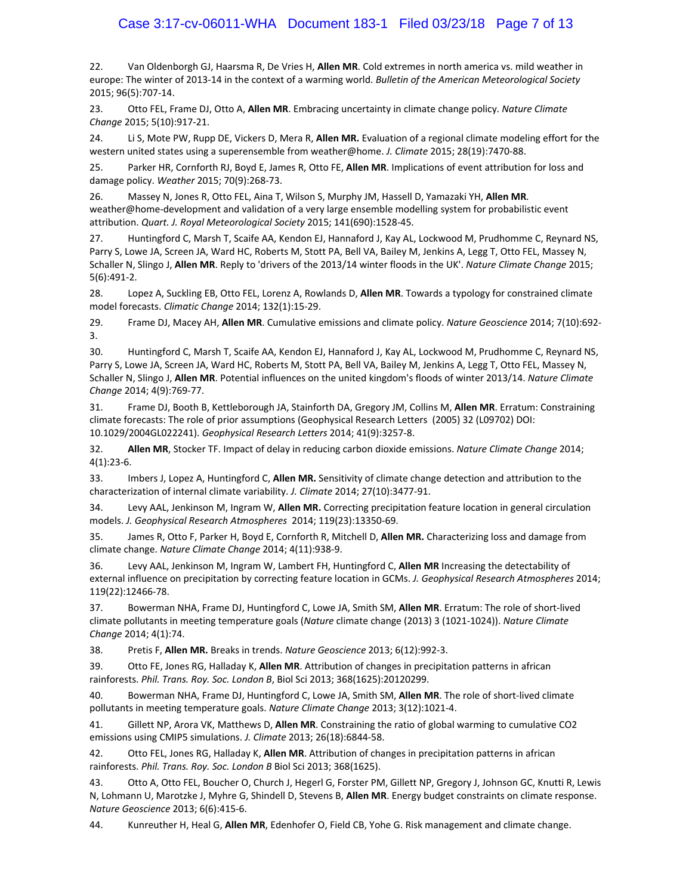22. Van Oldenborgh GJ, Haarsma R, De Vries H, **Allen MR**. Cold extremes in north america vs. mild weather in europe: The winter of 2013‐14 in the context of a warming world. *Bulletin of the American Meteorological Society* 2015; 96(5):707‐14.

23. Otto FEL, Frame DJ, Otto A, **Allen MR**. Embracing uncertainty in climate change policy. *Nature Climate Change* 2015; 5(10):917‐21.

24. Li S, Mote PW, Rupp DE, Vickers D, Mera R, **Allen MR.** Evaluation of a regional climate modeling effort for the western united states using a superensemble from weather@home. *J. Climate* 2015; 28(19):7470‐88.

25. Parker HR, Cornforth RJ, Boyd E, James R, Otto FE, **Allen MR**. Implications of event attribution for loss and damage policy. *Weather* 2015; 70(9):268‐73.

26. Massey N, Jones R, Otto FEL, Aina T, Wilson S, Murphy JM, Hassell D, Yamazaki YH, **Allen MR**. weather@home‐development and validation of a very large ensemble modelling system for probabilistic event attribution. *Quart. J. Royal Meteorological Society* 2015; 141(690):1528‐45.

27. Huntingford C, Marsh T, Scaife AA, Kendon EJ, Hannaford J, Kay AL, Lockwood M, Prudhomme C, Reynard NS, Parry S, Lowe JA, Screen JA, Ward HC, Roberts M, Stott PA, Bell VA, Bailey M, Jenkins A, Legg T, Otto FEL, Massey N, Schaller N, Slingo J, **Allen MR**. Reply to 'drivers of the 2013/14 winter floods in the UK'. *Nature Climate Change* 2015; 5(6):491‐2.

28. Lopez A, Suckling EB, Otto FEL, Lorenz A, Rowlands D, **Allen MR**. Towards a typology for constrained climate model forecasts. *Climatic Change* 2014; 132(1):15‐29.

29. Frame DJ, Macey AH, **Allen MR**. Cumulative emissions and climate policy. *Nature Geoscience* 2014; 7(10):692‐ 3.

30. Huntingford C, Marsh T, Scaife AA, Kendon EJ, Hannaford J, Kay AL, Lockwood M, Prudhomme C, Reynard NS, Parry S, Lowe JA, Screen JA, Ward HC, Roberts M, Stott PA, Bell VA, Bailey M, Jenkins A, Legg T, Otto FEL, Massey N, Schaller N, Slingo J, **Allen MR**. Potential influences on the united kingdom's floods of winter 2013/14. *Nature Climate Change* 2014; 4(9):769‐77.

31. Frame DJ, Booth B, Kettleborough JA, Stainforth DA, Gregory JM, Collins M, **Allen MR**. Erratum: Constraining climate forecasts: The role of prior assumptions (Geophysical Research Letters (2005) 32 (L09702) DOI: 10.1029/2004GL022241). *Geophysical Research Letters* 2014; 41(9):3257‐8.

32. **Allen MR**, Stocker TF. Impact of delay in reducing carbon dioxide emissions. *Nature Climate Change* 2014; 4(1):23‐6.

33. Imbers J, Lopez A, Huntingford C, **Allen MR.** Sensitivity of climate change detection and attribution to the characterization of internal climate variability. *J. Climate* 2014; 27(10):3477‐91.

34. Levy AAL, Jenkinson M, Ingram W, **Allen MR.** Correcting precipitation feature location in general circulation models. *J. Geophysical Research Atmospheres* 2014; 119(23):13350‐69.

35. James R, Otto F, Parker H, Boyd E, Cornforth R, Mitchell D, **Allen MR.** Characterizing loss and damage from climate change. *Nature Climate Change* 2014; 4(11):938‐9.

36. Levy AAL, Jenkinson M, Ingram W, Lambert FH, Huntingford C, **Allen MR** Increasing the detectability of external influence on precipitation by correcting feature location in GCMs. *J. Geophysical Research Atmospheres* 2014; 119(22):12466‐78.

37. Bowerman NHA, Frame DJ, Huntingford C, Lowe JA, Smith SM, **Allen MR**. Erratum: The role of short‐lived climate pollutants in meeting temperature goals (*Nature* climate change (2013) 3 (1021‐1024)). *Nature Climate Change* 2014; 4(1):74.

38. Pretis F, **Allen MR.** Breaks in trends. *Nature Geoscience* 2013; 6(12):992‐3.

39. Otto FE, Jones RG, Halladay K, **Allen MR**. Attribution of changes in precipitation patterns in african rainforests. *Phil. Trans. Roy. Soc. London B*, Biol Sci 2013; 368(1625):20120299.

40. Bowerman NHA, Frame DJ, Huntingford C, Lowe JA, Smith SM, **Allen MR**. The role of short‐lived climate pollutants in meeting temperature goals. *Nature Climate Change* 2013; 3(12):1021‐4.

41. Gillett NP, Arora VK, Matthews D, **Allen MR**. Constraining the ratio of global warming to cumulative CO2 emissions using CMIP5 simulations. *J. Climate* 2013; 26(18):6844‐58.

42. Otto FEL, Jones RG, Halladay K, **Allen MR**. Attribution of changes in precipitation patterns in african rainforests. *Phil. Trans. Roy. Soc. London B* Biol Sci 2013; 368(1625).

43. Otto A, Otto FEL, Boucher O, Church J, Hegerl G, Forster PM, Gillett NP, Gregory J, Johnson GC, Knutti R, Lewis N, Lohmann U, Marotzke J, Myhre G, Shindell D, Stevens B, **Allen MR**. Energy budget constraints on climate response. *Nature Geoscience* 2013; 6(6):415‐6.

44. Kunreuther H, Heal G, **Allen MR**, Edenhofer O, Field CB, Yohe G. Risk management and climate change.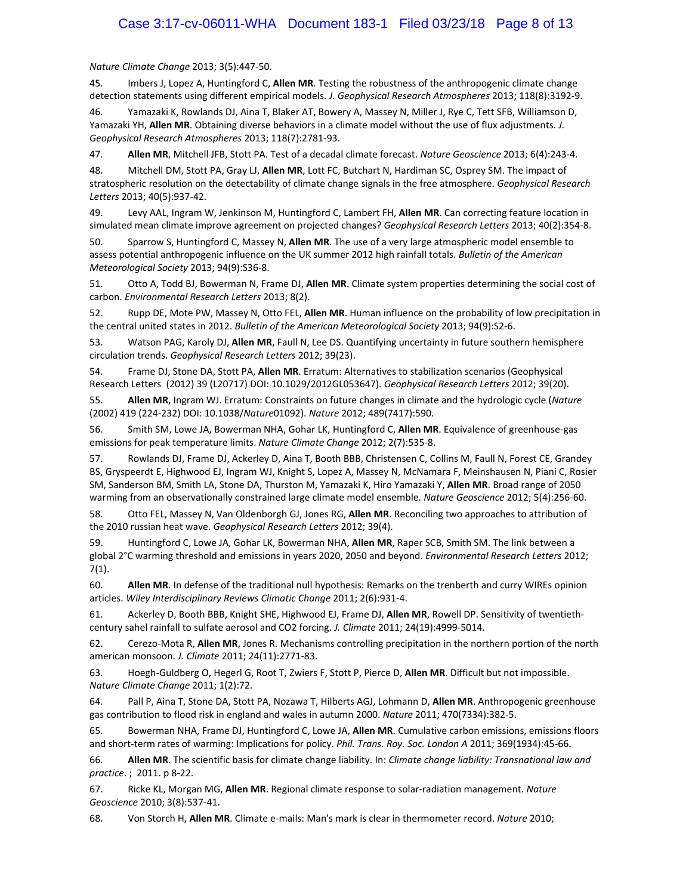*Nature Climate Change* 2013; 3(5):447‐50.

45. Imbers J, Lopez A, Huntingford C, **Allen MR**. Testing the robustness of the anthropogenic climate change detection statements using different empirical models. *J. Geophysical Research Atmospheres* 2013; 118(8):3192‐9.

46. Yamazaki K, Rowlands DJ, Aina T, Blaker AT, Bowery A, Massey N, Miller J, Rye C, Tett SFB, Williamson D, Yamazaki YH, **Allen MR**. Obtaining diverse behaviors in a climate model without the use of flux adjustments. *J. Geophysical Research Atmospheres* 2013; 118(7):2781‐93.

47. **Allen MR**, Mitchell JFB, Stott PA. Test of a decadal climate forecast. *Nature Geoscience* 2013; 6(4):243‐4.

48. Mitchell DM, Stott PA, Gray LJ, **Allen MR**, Lott FC, Butchart N, Hardiman SC, Osprey SM. The impact of stratospheric resolution on the detectability of climate change signals in the free atmosphere. *Geophysical Research Letters* 2013; 40(5):937‐42.

49. Levy AAL, Ingram W, Jenkinson M, Huntingford C, Lambert FH, **Allen MR**. Can correcting feature location in simulated mean climate improve agreement on projected changes? *Geophysical Research Letters* 2013; 40(2):354‐8.

50. Sparrow S, Huntingford C, Massey N, **Allen MR**. The use of a very large atmospheric model ensemble to assess potential anthropogenic influence on the UK summer 2012 high rainfall totals. *Bulletin of the American Meteorological Society* 2013; 94(9):S36‐8.

51. Otto A, Todd BJ, Bowerman N, Frame DJ, **Allen MR**. Climate system properties determining the social cost of carbon. *Environmental Research Letters* 2013; 8(2).

52. Rupp DE, Mote PW, Massey N, Otto FEL, **Allen MR**. Human influence on the probability of low precipitation in the central united states in 2012. *Bulletin of the American Meteorological Society* 2013; 94(9):S2‐6.

53. Watson PAG, Karoly DJ, **Allen MR**, Faull N, Lee DS. Quantifying uncertainty in future southern hemisphere circulation trends. *Geophysical Research Letters* 2012; 39(23).

54. Frame DJ, Stone DA, Stott PA, **Allen MR**. Erratum: Alternatives to stabilization scenarios (Geophysical Research Letters (2012) 39 (L20717) DOI: 10.1029/2012GL053647). *Geophysical Research Letters* 2012; 39(20).

55. **Allen MR**, Ingram WJ. Erratum: Constraints on future changes in climate and the hydrologic cycle (*Nature* (2002) 419 (224‐232) DOI: 10.1038/*Nature*01092). *Nature* 2012; 489(7417):590.

56. Smith SM, Lowe JA, Bowerman NHA, Gohar LK, Huntingford C, **Allen MR**. Equivalence of greenhouse‐gas emissions for peak temperature limits. *Nature Climate Change* 2012; 2(7):535‐8.

57. Rowlands DJ, Frame DJ, Ackerley D, Aina T, Booth BBB, Christensen C, Collins M, Faull N, Forest CE, Grandey BS, Gryspeerdt E, Highwood EJ, Ingram WJ, Knight S, Lopez A, Massey N, McNamara F, Meinshausen N, Piani C, Rosier SM, Sanderson BM, Smith LA, Stone DA, Thurston M, Yamazaki K, Hiro Yamazaki Y, **Allen MR**. Broad range of 2050 warming from an observationally constrained large climate model ensemble. *Nature Geoscience* 2012; 5(4):256‐60.

58. Otto FEL, Massey N, Van Oldenborgh GJ, Jones RG, **Allen MR**. Reconciling two approaches to attribution of the 2010 russian heat wave. *Geophysical Research Letters* 2012; 39(4).

59. Huntingford C, Lowe JA, Gohar LK, Bowerman NHA, **Allen MR**, Raper SCB, Smith SM. The link between a global 2°C warming threshold and emissions in years 2020, 2050 and beyond. *Environmental Research Letters* 2012; 7(1).

60. **Allen MR**. In defense of the traditional null hypothesis: Remarks on the trenberth and curry WIREs opinion articles. *Wiley Interdisciplinary Reviews Climatic Change* 2011; 2(6):931‐4.

61. Ackerley D, Booth BBB, Knight SHE, Highwood EJ, Frame DJ, **Allen MR**, Rowell DP. Sensitivity of twentieth‐ century sahel rainfall to sulfate aerosol and CO2 forcing. *J. Climate* 2011; 24(19):4999‐5014.

62. Cerezo‐Mota R, **Allen MR**, Jones R. Mechanisms controlling precipitation in the northern portion of the north american monsoon. *J. Climate* 2011; 24(11):2771‐83.

63. Hoegh‐Guldberg O, Hegerl G, Root T, Zwiers F, Stott P, Pierce D, **Allen MR**. Difficult but not impossible. *Nature Climate Change* 2011; 1(2):72.

64. Pall P, Aina T, Stone DA, Stott PA, Nozawa T, Hilberts AGJ, Lohmann D, **Allen MR**. Anthropogenic greenhouse gas contribution to flood risk in england and wales in autumn 2000. *Nature* 2011; 470(7334):382‐5.

65. Bowerman NHA, Frame DJ, Huntingford C, Lowe JA, **Allen MR**. Cumulative carbon emissions, emissions floors and short‐term rates of warming: Implications for policy. *Phil. Trans. Roy. Soc. London A* 2011; 369(1934):45‐66.

66. **Allen MR**. The scientific basis for climate change liability. In: *Climate change liability: Transnational law and practice*. ; 2011. p 8‐22.

67. Ricke KL, Morgan MG, **Allen MR**. Regional climate response to solar‐radiation management. *Nature Geoscience* 2010; 3(8):537‐41.

68. Von Storch H, **Allen MR**. Climate e‐mails: Man's mark is clear in thermometer record. *Nature* 2010;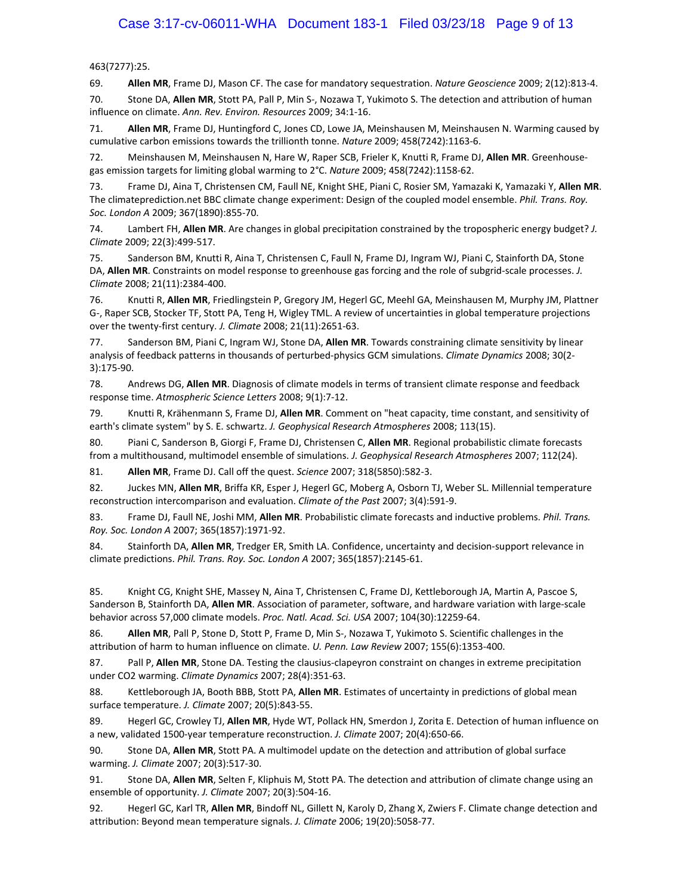463(7277):25.

69. **Allen MR**, Frame DJ, Mason CF. The case for mandatory sequestration. *Nature Geoscience* 2009; 2(12):813‐4.

70. Stone DA, Allen MR, Stott PA, Pall P, Min S-, Nozawa T, Yukimoto S. The detection and attribution of human influence on climate. *Ann. Rev. Environ. Resources* 2009; 34:1‐16.

71. **Allen MR**, Frame DJ, Huntingford C, Jones CD, Lowe JA, Meinshausen M, Meinshausen N. Warming caused by cumulative carbon emissions towards the trillionth tonne. *Nature* 2009; 458(7242):1163‐6.

72. Meinshausen M, Meinshausen N, Hare W, Raper SCB, Frieler K, Knutti R, Frame DJ, **Allen MR**. Greenhouse‐ gas emission targets for limiting global warming to 2°C. *Nature* 2009; 458(7242):1158‐62.

73. Frame DJ, Aina T, Christensen CM, Faull NE, Knight SHE, Piani C, Rosier SM, Yamazaki K, Yamazaki Y, **Allen MR**. The climateprediction.net BBC climate change experiment: Design of the coupled model ensemble. *Phil. Trans. Roy. Soc. London A* 2009; 367(1890):855‐70.

74. Lambert FH, **Allen MR**. Are changes in global precipitation constrained by the tropospheric energy budget? *J. Climate* 2009; 22(3):499‐517.

75. Sanderson BM, Knutti R, Aina T, Christensen C, Faull N, Frame DJ, Ingram WJ, Piani C, Stainforth DA, Stone DA, **Allen MR**. Constraints on model response to greenhouse gas forcing and the role of subgrid-scale processes. *J. Climate* 2008; 21(11):2384‐400.

76. Knutti R, **Allen MR**, Friedlingstein P, Gregory JM, Hegerl GC, Meehl GA, Meinshausen M, Murphy JM, Plattner G‐, Raper SCB, Stocker TF, Stott PA, Teng H, Wigley TML. A review of uncertainties in global temperature projections over the twenty‐first century. *J. Climate* 2008; 21(11):2651‐63.

77. Sanderson BM, Piani C, Ingram WJ, Stone DA, **Allen MR**. Towards constraining climate sensitivity by linear analysis of feedback patterns in thousands of perturbed‐physics GCM simulations. *Climate Dynamics* 2008; 30(2‐ 3):175‐90.

78. Andrews DG, **Allen MR**. Diagnosis of climate models in terms of transient climate response and feedback response time. *Atmospheric Science Letters* 2008; 9(1):7‐12.

79. Knutti R, Krähenmann S, Frame DJ, **Allen MR**. Comment on "heat capacity, time constant, and sensitivity of earth's climate system" by S. E. schwartz. *J. Geophysical Research Atmospheres* 2008; 113(15).

80. Piani C, Sanderson B, Giorgi F, Frame DJ, Christensen C, **Allen MR**. Regional probabilistic climate forecasts from a multithousand, multimodel ensemble of simulations. *J. Geophysical Research Atmospheres* 2007; 112(24).

81. **Allen MR**, Frame DJ. Call off the quest. *Science* 2007; 318(5850):582‐3.

82. Juckes MN, **Allen MR**, Briffa KR, Esper J, Hegerl GC, Moberg A, Osborn TJ, Weber SL. Millennial temperature reconstruction intercomparison and evaluation. *Climate of the Past* 2007; 3(4):591‐9.

83. Frame DJ, Faull NE, Joshi MM, **Allen MR**. Probabilistic climate forecasts and inductive problems. *Phil. Trans. Roy. Soc. London A* 2007; 365(1857):1971‐92.

84. Stainforth DA, Allen MR, Tredger ER, Smith LA. Confidence, uncertainty and decision-support relevance in climate predictions. *Phil. Trans. Roy. Soc. London A* 2007; 365(1857):2145‐61.

85. Knight CG, Knight SHE, Massey N, Aina T, Christensen C, Frame DJ, Kettleborough JA, Martin A, Pascoe S, Sanderson B, Stainforth DA, **Allen MR**. Association of parameter, software, and hardware variation with large‐scale behavior across 57,000 climate models. *Proc. Natl. Acad. Sci. USA* 2007; 104(30):12259‐64.

86. **Allen MR**, Pall P, Stone D, Stott P, Frame D, Min S-, Nozawa T, Yukimoto S. Scientific challenges in the attribution of harm to human influence on climate. *U. Penn. Law Review* 2007; 155(6):1353‐400.

87. Pall P, **Allen MR**, Stone DA. Testing the clausius-clapeyron constraint on changes in extreme precipitation under CO2 warming. *Climate Dynamics* 2007; 28(4):351‐63.

88. Kettleborough JA, Booth BBB, Stott PA, **Allen MR**. Estimates of uncertainty in predictions of global mean surface temperature. *J. Climate* 2007; 20(5):843‐55.

89. Hegerl GC, Crowley TJ, **Allen MR**, Hyde WT, Pollack HN, Smerdon J, Zorita E. Detection of human influence on a new, validated 1500‐year temperature reconstruction. *J. Climate* 2007; 20(4):650‐66.

90. Stone DA, **Allen MR**, Stott PA. A multimodel update on the detection and attribution of global surface warming. *J. Climate* 2007; 20(3):517‐30.

91. Stone DA, **Allen MR**, Selten F, Kliphuis M, Stott PA. The detection and attribution of climate change using an ensemble of opportunity. *J. Climate* 2007; 20(3):504‐16.

92. Hegerl GC, Karl TR, **Allen MR**, Bindoff NL, Gillett N, Karoly D, Zhang X, Zwiers F. Climate change detection and attribution: Beyond mean temperature signals. *J. Climate* 2006; 19(20):5058‐77.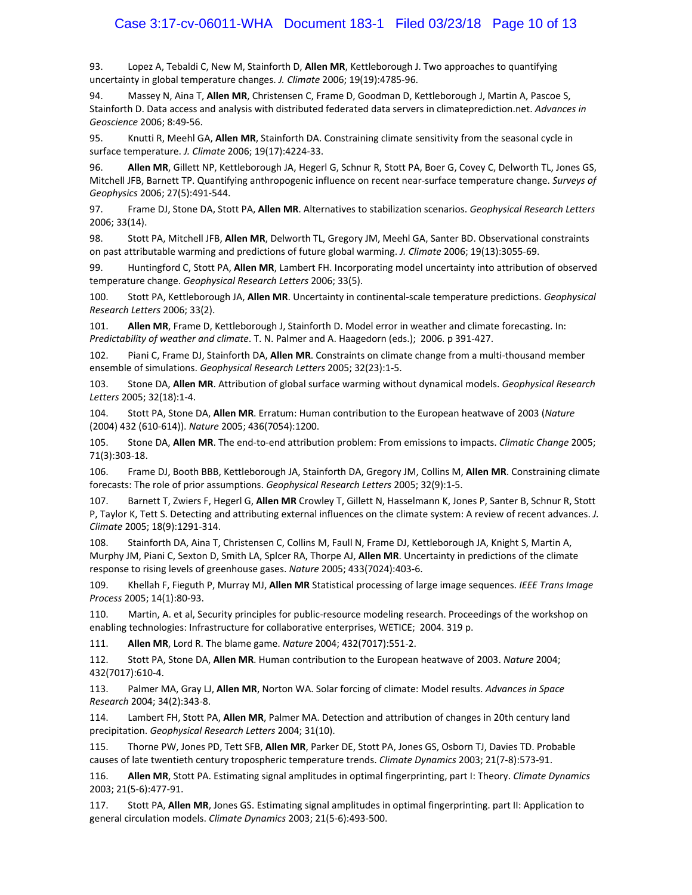93. Lopez A, Tebaldi C, New M, Stainforth D, **Allen MR**, Kettleborough J. Two approaches to quantifying uncertainty in global temperature changes. *J. Climate* 2006; 19(19):4785‐96.

94. Massey N, Aina T, **Allen MR**, Christensen C, Frame D, Goodman D, Kettleborough J, Martin A, Pascoe S, Stainforth D. Data access and analysis with distributed federated data servers in climateprediction.net. *Advances in Geoscience* 2006; 8:49‐56.

95. Knutti R, Meehl GA, **Allen MR**, Stainforth DA. Constraining climate sensitivity from the seasonal cycle in surface temperature. *J. Climate* 2006; 19(17):4224‐33.

96. **Allen MR**, Gillett NP, Kettleborough JA, Hegerl G, Schnur R, Stott PA, Boer G, Covey C, Delworth TL, Jones GS, Mitchell JFB, Barnett TP. Quantifying anthropogenic influence on recent near‐surface temperature change. *Surveys of Geophysics* 2006; 27(5):491‐544.

97. Frame DJ, Stone DA, Stott PA, **Allen MR**. Alternatives to stabilization scenarios. *Geophysical Research Letters*  2006; 33(14).

98. Stott PA, Mitchell JFB, **Allen MR**, Delworth TL, Gregory JM, Meehl GA, Santer BD. Observational constraints on past attributable warming and predictions of future global warming. *J. Climate* 2006; 19(13):3055‐69.

99. Huntingford C, Stott PA, **Allen MR**, Lambert FH. Incorporating model uncertainty into attribution of observed temperature change. *Geophysical Research Letters* 2006; 33(5).

100. Stott PA, Kettleborough JA, **Allen MR**. Uncertainty in continental‐scale temperature predictions. *Geophysical Research Letters* 2006; 33(2).

101. **Allen MR**, Frame D, Kettleborough J, Stainforth D. Model error in weather and climate forecasting. In: *Predictability of weather and climate*. T. N. Palmer and A. Haagedorn (eds.); 2006. p 391‐427.

102. Piani C, Frame DJ, Stainforth DA, Allen MR. Constraints on climate change from a multi-thousand member ensemble of simulations. *Geophysical Research Letters* 2005; 32(23):1‐5.

103. Stone DA, **Allen MR**. Attribution of global surface warming without dynamical models. *Geophysical Research Letters* 2005; 32(18):1‐4.

104. Stott PA, Stone DA, **Allen MR**. Erratum: Human contribution to the European heatwave of 2003 (*Nature* (2004) 432 (610‐614)). *Nature* 2005; 436(7054):1200.

105. Stone DA, **Allen MR**. The end‐to‐end attribution problem: From emissions to impacts. *Climatic Change* 2005; 71(3):303‐18.

106. Frame DJ, Booth BBB, Kettleborough JA, Stainforth DA, Gregory JM, Collins M, **Allen MR**. Constraining climate forecasts: The role of prior assumptions. *Geophysical Research Letters* 2005; 32(9):1‐5.

107. Barnett T, Zwiers F, Hegerl G, **Allen MR** Crowley T, Gillett N, Hasselmann K, Jones P, Santer B, Schnur R, Stott P, Taylor K, Tett S. Detecting and attributing external influences on the climate system: A review of recent advances. *J. Climate* 2005; 18(9):1291‐314.

108. Stainforth DA, Aina T, Christensen C, Collins M, Faull N, Frame DJ, Kettleborough JA, Knight S, Martin A, Murphy JM, Piani C, Sexton D, Smith LA, Splcer RA, Thorpe AJ, **Allen MR**. Uncertainty in predictions of the climate response to rising levels of greenhouse gases. *Nature* 2005; 433(7024):403‐6.

109. Khellah F, Fieguth P, Murray MJ, **Allen MR** Statistical processing of large image sequences. *IEEE Trans Image Process* 2005; 14(1):80‐93.

110. Martin, A. et al, Security principles for public‐resource modeling research. Proceedings of the workshop on enabling technologies: Infrastructure for collaborative enterprises, WETICE; 2004. 319 p.

111. **Allen MR**, Lord R. The blame game. *Nature* 2004; 432(7017):551‐2.

112. Stott PA, Stone DA, **Allen MR**. Human contribution to the European heatwave of 2003. *Nature* 2004; 432(7017):610‐4.

113. Palmer MA, Gray LJ, **Allen MR**, Norton WA. Solar forcing of climate: Model results. *Advances in Space Research* 2004; 34(2):343‐8.

114. Lambert FH, Stott PA, **Allen MR**, Palmer MA. Detection and attribution of changes in 20th century land precipitation. *Geophysical Research Letters* 2004; 31(10).

115. Thorne PW, Jones PD, Tett SFB, **Allen MR**, Parker DE, Stott PA, Jones GS, Osborn TJ, Davies TD. Probable causes of late twentieth century tropospheric temperature trends. *Climate Dynamics* 2003; 21(7‐8):573‐91.

116. **Allen MR**, Stott PA. Estimating signal amplitudes in optimal fingerprinting, part I: Theory. *Climate Dynamics* 2003; 21(5‐6):477‐91.

117. Stott PA, **Allen MR**, Jones GS. Estimating signal amplitudes in optimal fingerprinting. part II: Application to general circulation models. *Climate Dynamics* 2003; 21(5‐6):493‐500.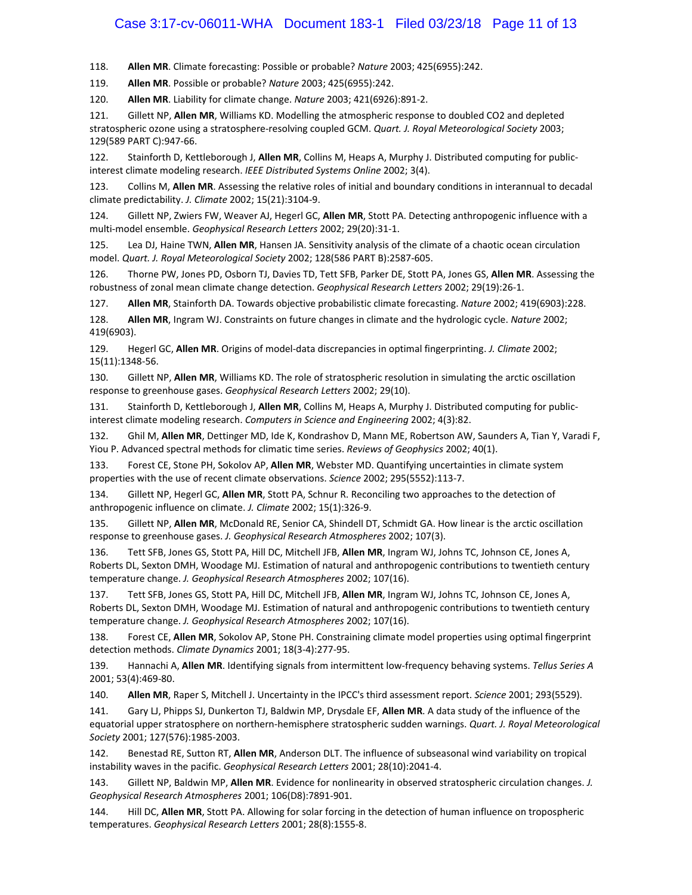# Case 3:17-cv-06011-WHA Document 183-1 Filed 03/23/18 Page 11 of 13

118. **Allen MR**. Climate forecasting: Possible or probable? *Nature* 2003; 425(6955):242.

119. **Allen MR**. Possible or probable? *Nature* 2003; 425(6955):242.

120. **Allen MR**. Liability for climate change. *Nature* 2003; 421(6926):891‐2.

121. Gillett NP, **Allen MR**, Williams KD. Modelling the atmospheric response to doubled CO2 and depleted stratospheric ozone using a stratosphere‐resolving coupled GCM. *Quart. J. Royal Meteorological Society* 2003; 129(589 PART C):947‐66.

122. Stainforth D, Kettleborough J, **Allen MR**, Collins M, Heaps A, Murphy J. Distributed computing for public‐ interest climate modeling research. *IEEE Distributed Systems Online* 2002; 3(4).

123. Collins M, **Allen MR**. Assessing the relative roles of initial and boundary conditions in interannual to decadal climate predictability. *J. Climate* 2002; 15(21):3104‐9.

124. Gillett NP, Zwiers FW, Weaver AJ, Hegerl GC, **Allen MR**, Stott PA. Detecting anthropogenic influence with a multi‐model ensemble. *Geophysical Research Letters* 2002; 29(20):31‐1.

125. Lea DJ, Haine TWN, **Allen MR**, Hansen JA. Sensitivity analysis of the climate of a chaotic ocean circulation model. *Quart. J. Royal Meteorological Society* 2002; 128(586 PART B):2587‐605.

126. Thorne PW, Jones PD, Osborn TJ, Davies TD, Tett SFB, Parker DE, Stott PA, Jones GS, **Allen MR**. Assessing the robustness of zonal mean climate change detection. *Geophysical Research Letters* 2002; 29(19):26‐1.

127. **Allen MR**, Stainforth DA. Towards objective probabilistic climate forecasting. *Nature* 2002; 419(6903):228.

128. **Allen MR**, Ingram WJ. Constraints on future changes in climate and the hydrologic cycle. *Nature* 2002; 419(6903).

129. Hegerl GC, **Allen MR**. Origins of model‐data discrepancies in optimal fingerprinting. *J. Climate* 2002; 15(11):1348‐56.

130. Gillett NP, **Allen MR**, Williams KD. The role of stratospheric resolution in simulating the arctic oscillation response to greenhouse gases. *Geophysical Research Letters* 2002; 29(10).

131. Stainforth D, Kettleborough J, **Allen MR**, Collins M, Heaps A, Murphy J. Distributed computing for public‐ interest climate modeling research. *Computers in Science and Engineering* 2002; 4(3):82.

132. Ghil M, **Allen MR**, Dettinger MD, Ide K, Kondrashov D, Mann ME, Robertson AW, Saunders A, Tian Y, Varadi F, Yiou P. Advanced spectral methods for climatic time series. *Reviews of Geophysics* 2002; 40(1).

133. Forest CE, Stone PH, Sokolov AP, **Allen MR**, Webster MD. Quantifying uncertainties in climate system properties with the use of recent climate observations. *Science* 2002; 295(5552):113‐7.

134. Gillett NP, Hegerl GC, **Allen MR**, Stott PA, Schnur R. Reconciling two approaches to the detection of anthropogenic influence on climate. *J. Climate* 2002; 15(1):326‐9.

135. Gillett NP, **Allen MR**, McDonald RE, Senior CA, Shindell DT, Schmidt GA. How linear is the arctic oscillation response to greenhouse gases. *J. Geophysical Research Atmospheres* 2002; 107(3).

136. Tett SFB, Jones GS, Stott PA, Hill DC, Mitchell JFB, **Allen MR**, Ingram WJ, Johns TC, Johnson CE, Jones A, Roberts DL, Sexton DMH, Woodage MJ. Estimation of natural and anthropogenic contributions to twentieth century temperature change. *J. Geophysical Research Atmospheres* 2002; 107(16).

137. Tett SFB, Jones GS, Stott PA, Hill DC, Mitchell JFB, **Allen MR**, Ingram WJ, Johns TC, Johnson CE, Jones A, Roberts DL, Sexton DMH, Woodage MJ. Estimation of natural and anthropogenic contributions to twentieth century temperature change. *J. Geophysical Research Atmospheres* 2002; 107(16).

138. Forest CE, **Allen MR**, Sokolov AP, Stone PH. Constraining climate model properties using optimal fingerprint detection methods. *Climate Dynamics* 2001; 18(3‐4):277‐95.

139. Hannachi A, **Allen MR**. Identifying signals from intermittent low‐frequency behaving systems. *Tellus Series A* 2001; 53(4):469‐80.

140. **Allen MR**, Raper S, Mitchell J. Uncertainty in the IPCC's third assessment report. *Science* 2001; 293(5529).

141. Gary LJ, Phipps SJ, Dunkerton TJ, Baldwin MP, Drysdale EF, **Allen MR**. A data study of the influence of the equatorial upper stratosphere on northern‐hemisphere stratospheric sudden warnings. *Quart. J. Royal Meteorological Society* 2001; 127(576):1985‐2003.

142. Benestad RE, Sutton RT, **Allen MR**, Anderson DLT. The influence of subseasonal wind variability on tropical instability waves in the pacific. *Geophysical Research Letters* 2001; 28(10):2041‐4.

143. Gillett NP, Baldwin MP, **Allen MR**. Evidence for nonlinearity in observed stratospheric circulation changes. *J. Geophysical Research Atmospheres* 2001; 106(D8):7891‐901.

144. Hill DC, **Allen MR**, Stott PA. Allowing for solar forcing in the detection of human influence on tropospheric temperatures. *Geophysical Research Letters* 2001; 28(8):1555‐8.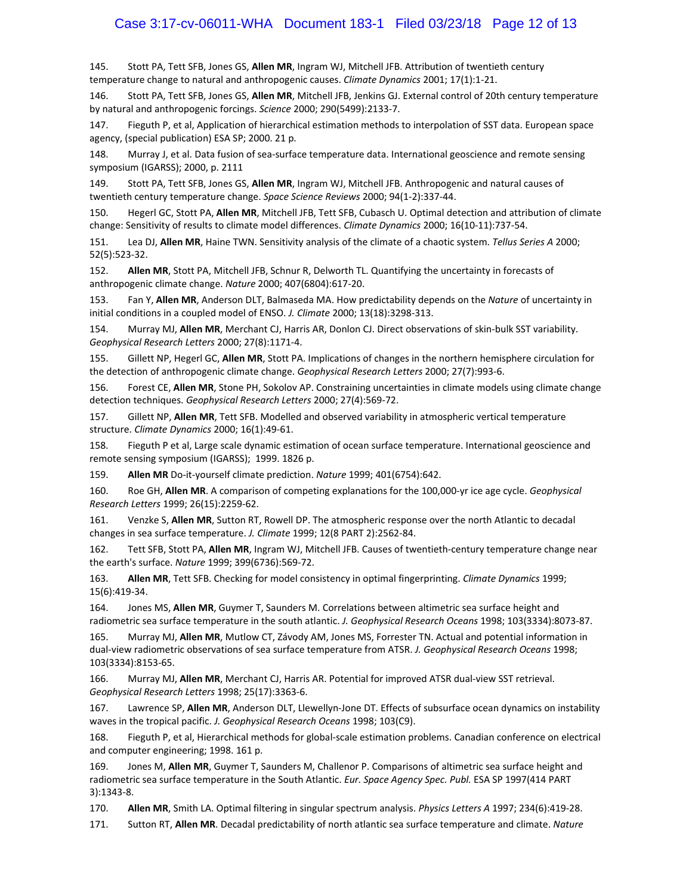145. Stott PA, Tett SFB, Jones GS, **Allen MR**, Ingram WJ, Mitchell JFB. Attribution of twentieth century temperature change to natural and anthropogenic causes. *Climate Dynamics* 2001; 17(1):1‐21.

146. Stott PA, Tett SFB, Jones GS, **Allen MR**, Mitchell JFB, Jenkins GJ. External control of 20th century temperature by natural and anthropogenic forcings. *Science* 2000; 290(5499):2133‐7.

147. Fieguth P, et al, Application of hierarchical estimation methods to interpolation of SST data. European space agency, (special publication) ESA SP; 2000. 21 p.

148. Murray J, et al. Data fusion of sea‐surface temperature data. International geoscience and remote sensing symposium (IGARSS); 2000, p. 2111

149. Stott PA, Tett SFB, Jones GS, **Allen MR**, Ingram WJ, Mitchell JFB. Anthropogenic and natural causes of twentieth century temperature change. *Space Science Reviews* 2000; 94(1‐2):337‐44.

150. Hegerl GC, Stott PA, **Allen MR**, Mitchell JFB, Tett SFB, Cubasch U. Optimal detection and attribution of climate change: Sensitivity of results to climate model differences. *Climate Dynamics* 2000; 16(10‐11):737‐54.

151. Lea DJ, **Allen MR**, Haine TWN. Sensitivity analysis of the climate of a chaotic system. *Tellus Series A* 2000; 52(5):523‐32.

152. **Allen MR**, Stott PA, Mitchell JFB, Schnur R, Delworth TL. Quantifying the uncertainty in forecasts of anthropogenic climate change. *Nature* 2000; 407(6804):617‐20.

153. Fan Y, **Allen MR**, Anderson DLT, Balmaseda MA. How predictability depends on the *Nature* of uncertainty in initial conditions in a coupled model of ENSO. *J. Climate* 2000; 13(18):3298‐313.

154. Murray MJ, Allen MR, Merchant CJ, Harris AR, Donlon CJ. Direct observations of skin-bulk SST variability. *Geophysical Research Letters* 2000; 27(8):1171‐4.

155. Gillett NP, Hegerl GC, **Allen MR**, Stott PA. Implications of changes in the northern hemisphere circulation for the detection of anthropogenic climate change. *Geophysical Research Letters* 2000; 27(7):993‐6.

156. Forest CE, **Allen MR**, Stone PH, Sokolov AP. Constraining uncertainties in climate models using climate change detection techniques. *Geophysical Research Letters* 2000; 27(4):569‐72.

157. Gillett NP, **Allen MR**, Tett SFB. Modelled and observed variability in atmospheric vertical temperature structure. *Climate Dynamics* 2000; 16(1):49‐61.

158. Fieguth P et al, Large scale dynamic estimation of ocean surface temperature. International geoscience and remote sensing symposium (IGARSS); 1999. 1826 p.

159. **Allen MR** Do‐it‐yourself climate prediction. *Nature* 1999; 401(6754):642.

160. Roe GH, **Allen MR**. A comparison of competing explanations for the 100,000‐yr ice age cycle. *Geophysical Research Letters* 1999; 26(15):2259‐62.

161. Venzke S, **Allen MR**, Sutton RT, Rowell DP. The atmospheric response over the north Atlantic to decadal changes in sea surface temperature. *J. Climate* 1999; 12(8 PART 2):2562‐84.

162. Tett SFB, Stott PA, **Allen MR**, Ingram WJ, Mitchell JFB. Causes of twentieth‐century temperature change near the earth's surface. *Nature* 1999; 399(6736):569‐72.

163. **Allen MR**, Tett SFB. Checking for model consistency in optimal fingerprinting. *Climate Dynamics* 1999; 15(6):419‐34.

164. Jones MS, **Allen MR**, Guymer T, Saunders M. Correlations between altimetric sea surface height and radiometric sea surface temperature in the south atlantic. *J. Geophysical Research Oceans* 1998; 103(3334):8073‐87.

165. Murray MJ, **Allen MR**, Mutlow CT, Závody AM, Jones MS, Forrester TN. Actual and potential information in dual‐view radiometric observations of sea surface temperature from ATSR. *J. Geophysical Research Oceans* 1998; 103(3334):8153‐65.

166. Murray MJ, **Allen MR**, Merchant CJ, Harris AR. Potential for improved ATSR dual‐view SST retrieval. *Geophysical Research Letters* 1998; 25(17):3363‐6.

167. Lawrence SP, **Allen MR**, Anderson DLT, Llewellyn‐Jone DT. Effects of subsurface ocean dynamics on instability waves in the tropical pacific. *J. Geophysical Research Oceans* 1998; 103(C9).

168. Fieguth P, et al, Hierarchical methods for global‐scale estimation problems. Canadian conference on electrical and computer engineering; 1998. 161 p.

169. Jones M, **Allen MR**, Guymer T, Saunders M, Challenor P. Comparisons of altimetric sea surface height and radiometric sea surface temperature in the South Atlantic. *Eur. Space Agency Spec. Publ.* ESA SP 1997(414 PART 3):1343‐8.

170. **Allen MR**, Smith LA. Optimal filtering in singular spectrum analysis. *Physics Letters A* 1997; 234(6):419‐28.

171. Sutton RT, **Allen MR**. Decadal predictability of north atlantic sea surface temperature and climate. *Nature*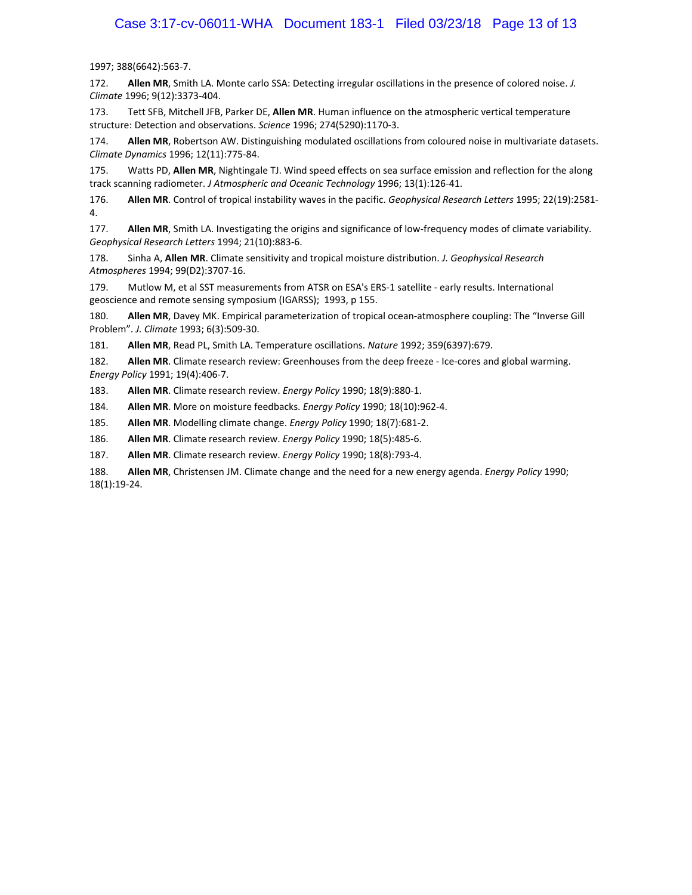1997; 388(6642):563‐7.

172. **Allen MR**, Smith LA. Monte carlo SSA: Detecting irregular oscillations in the presence of colored noise. *J. Climate* 1996; 9(12):3373‐404.

173. Tett SFB, Mitchell JFB, Parker DE, **Allen MR**. Human influence on the atmospheric vertical temperature structure: Detection and observations. *Science* 1996; 274(5290):1170‐3.

174. **Allen MR**, Robertson AW. Distinguishing modulated oscillations from coloured noise in multivariate datasets. *Climate Dynamics* 1996; 12(11):775‐84.

175. Watts PD, **Allen MR**, Nightingale TJ. Wind speed effects on sea surface emission and reflection for the along track scanning radiometer. *J Atmospheric and Oceanic Technology* 1996; 13(1):126‐41.

176. **Allen MR**. Control of tropical instability waves in the pacific. *Geophysical Research Letters* 1995; 22(19):2581‐ 4.

177. **Allen MR**, Smith LA. Investigating the origins and significance of low-frequency modes of climate variability. *Geophysical Research Letters* 1994; 21(10):883‐6.

178. Sinha A, **Allen MR**. Climate sensitivity and tropical moisture distribution. *J. Geophysical Research Atmospheres* 1994; 99(D2):3707‐16.

179. Mutlow M, et al SST measurements from ATSR on ESA's ERS‐1 satellite ‐ early results. International geoscience and remote sensing symposium (IGARSS); 1993, p 155.

180. **Allen MR**, Davey MK. Empirical parameterization of tropical ocean-atmosphere coupling: The "Inverse Gill Problem". *J. Climate* 1993; 6(3):509‐30.

181. **Allen MR**, Read PL, Smith LA. Temperature oscillations. *Nature* 1992; 359(6397):679.

182. **Allen MR**. Climate research review: Greenhouses from the deep freeze - Ice-cores and global warming. *Energy Policy* 1991; 19(4):406‐7.

183. **Allen MR**. Climate research review. *Energy Policy* 1990; 18(9):880‐1.

184. **Allen MR**. More on moisture feedbacks. *Energy Policy* 1990; 18(10):962‐4.

185. **Allen MR**. Modelling climate change. *Energy Policy* 1990; 18(7):681‐2.

186. **Allen MR**. Climate research review. *Energy Policy* 1990; 18(5):485‐6.

187. **Allen MR**. Climate research review. *Energy Policy* 1990; 18(8):793‐4.

188. **Allen MR**, Christensen JM. Climate change and the need for a new energy agenda. *Energy Policy* 1990; 18(1):19‐24.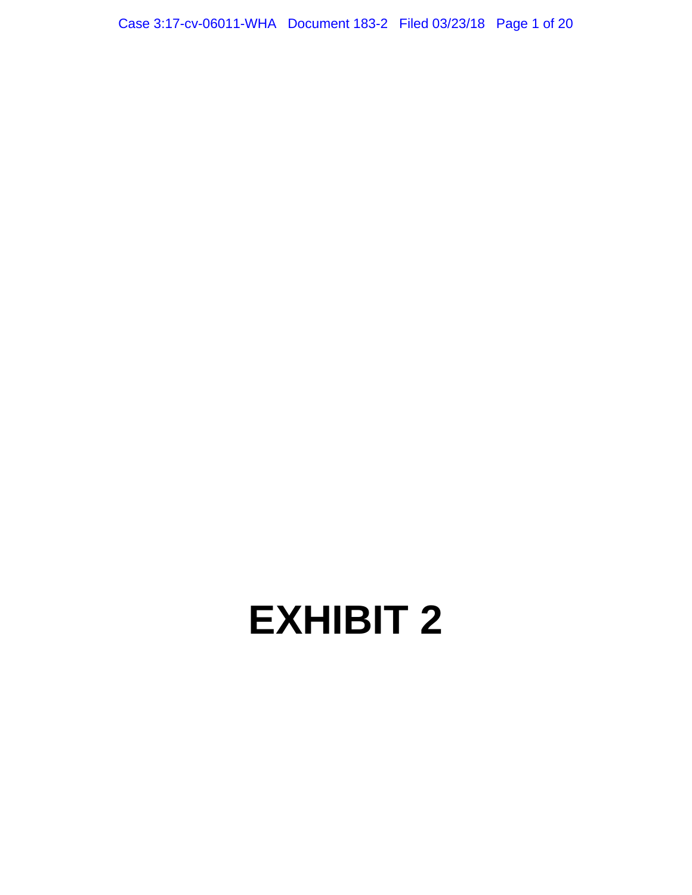Case 3:17-cv-06011-WHA Document 183-2 Filed 03/23/18 Page 1 of 20

# **EXHIBIT 2**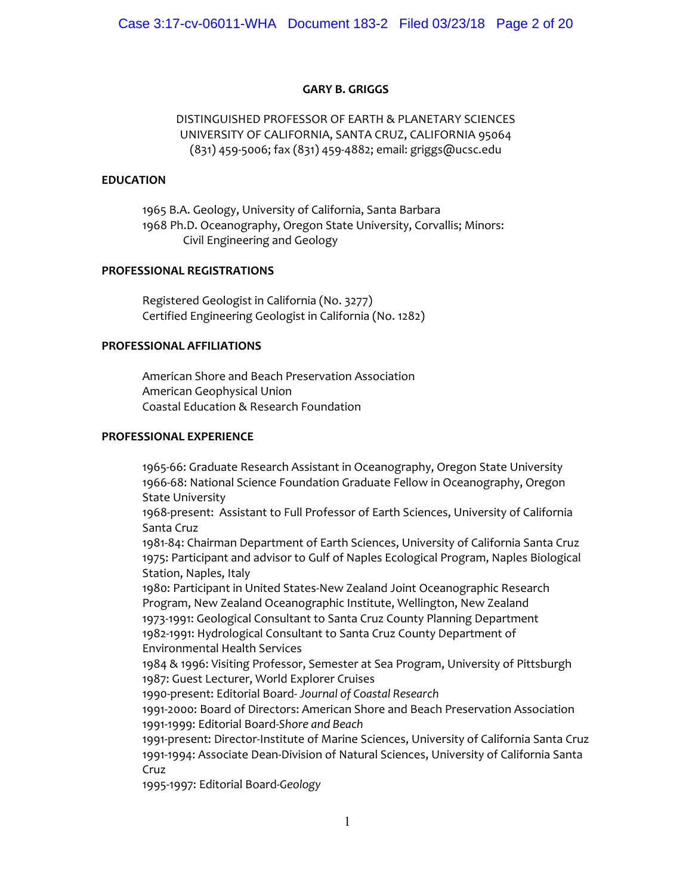# **GARY B. GRIGGS**

DISTINGUISHED PROFESSOR OF EARTH & PLANETARY SCIENCES UNIVERSITY OF CALIFORNIA, SANTA CRUZ, CALIFORNIA 95064 (831) 459‐5006; fax (831) 459‐4882; email: griggs@ucsc.edu

#### **EDUCATION**

1965 B.A. Geology, University of California, Santa Barbara 1968 Ph.D. Oceanography, Oregon State University, Corvallis; Minors: Civil Engineering and Geology

## **PROFESSIONAL REGISTRATIONS**

Registered Geologist in California (No. 3277) Certified Engineering Geologist in California (No. 1282)

#### **PROFESSIONAL AFFILIATIONS**

American Shore and Beach Preservation Association American Geophysical Union Coastal Education & Research Foundation

# **PROFESSIONAL EXPERIENCE**

1965‐66: Graduate Research Assistant in Oceanography, Oregon State University 1966‐68: National Science Foundation Graduate Fellow in Oceanography, Oregon State University

1968‐present: Assistant to Full Professor of Earth Sciences, University of California Santa Cruz

1981‐84: Chairman Department of Earth Sciences, University of California Santa Cruz 1975: Participant and advisor to Gulf of Naples Ecological Program, Naples Biological Station, Naples, Italy

1980: Participant in United States‐New Zealand Joint Oceanographic Research Program, New Zealand Oceanographic Institute, Wellington, New Zealand 1973‐1991: Geological Consultant to Santa Cruz County Planning Department 1982‐1991: Hydrological Consultant to Santa Cruz County Department of Environmental Health Services

1984 & 1996: Visiting Professor, Semester at Sea Program, University of Pittsburgh 1987: Guest Lecturer, World Explorer Cruises

1990‐present: Editorial Board‐ *Journal of Coastal Research*

1991‐2000: Board of Directors: American Shore and Beach Preservation Association 1991‐1999: Editorial Board‐*Shore and Beach*

1991‐present: Director‐Institute of Marine Sciences, University of California Santa Cruz 1991‐1994: Associate Dean‐Division of Natural Sciences, University of California Santa Cruz

1995‐1997: Editorial Board‐*Geology*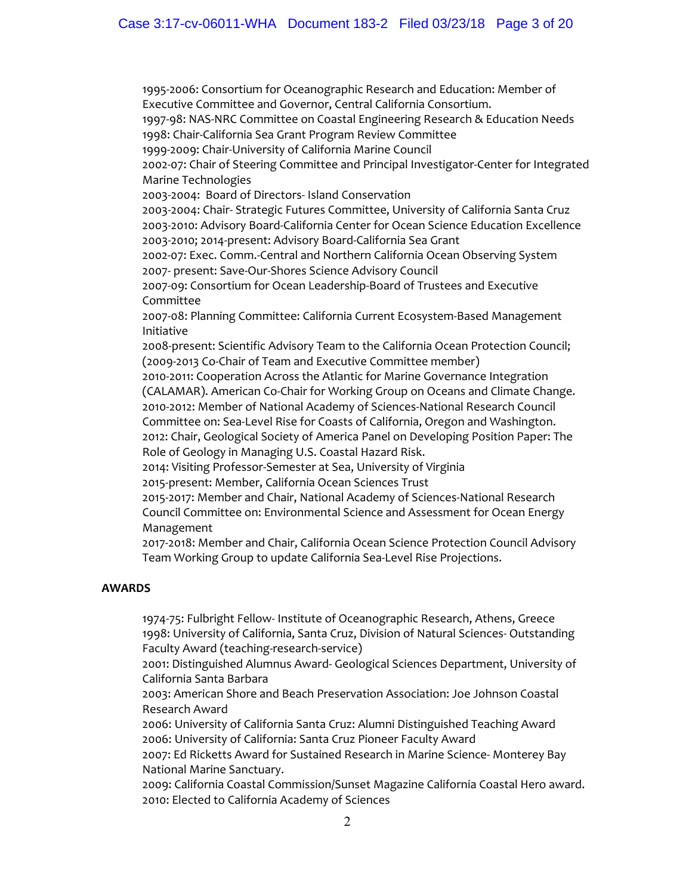1995‐2006: Consortium for Oceanographic Research and Education: Member of Executive Committee and Governor, Central California Consortium. 1997‐98: NAS‐NRC Committee on Coastal Engineering Research & Education Needs 1998: Chair‐California Sea Grant Program Review Committee 1999‐2009: Chair‐University of California Marine Council 2002‐07: Chair of Steering Committee and Principal Investigator‐Center for Integrated Marine Technologies 2003‐2004: Board of Directors‐ Island Conservation 2003‐2004: Chair‐ Strategic Futures Committee, University of California Santa Cruz 2003‐2010: Advisory Board‐California Center for Ocean Science Education Excellence 2003‐2010; 2014‐present: Advisory Board‐California Sea Grant 2002‐07: Exec. Comm.‐Central and Northern California Ocean Observing System 2007‐ present: Save‐Our‐Shores Science Advisory Council 2007‐09: Consortium for Ocean Leadership‐Board of Trustees and Executive Committee 2007‐08: Planning Committee: California Current Ecosystem‐Based Management Initiative 2008‐present: Scientific Advisory Team to the California Ocean Protection Council; (2009‐2013 Co‐Chair of Team and Executive Committee member) 2010‐2011: Cooperation Across the Atlantic for Marine Governance Integration (CALAMAR). American Co‐Chair for Working Group on Oceans and Climate Change. 2010‐2012: Member of National Academy of Sciences‐National Research Council Committee on: Sea‐Level Rise for Coasts of California, Oregon and Washington. 2012: Chair, Geological Society of America Panel on Developing Position Paper: The Role of Geology in Managing U.S. Coastal Hazard Risk. 2014: Visiting Professor‐Semester at Sea, University of Virginia 2015‐present: Member, California Ocean Sciences Trust 2015‐2017: Member and Chair, National Academy of Sciences‐National Research Council Committee on: Environmental Science and Assessment for Ocean Energy Management

2017‐2018: Member and Chair, California Ocean Science Protection Council Advisory Team Working Group to update California Sea‐Level Rise Projections.

# **AWARDS**

1974‐75: Fulbright Fellow‐ Institute of Oceanographic Research, Athens, Greece 1998: University of California, Santa Cruz, Division of Natural Sciences‐ Outstanding Faculty Award (teaching‐research‐service)

2001: Distinguished Alumnus Award‐ Geological Sciences Department, University of California Santa Barbara

2003: American Shore and Beach Preservation Association: Joe Johnson Coastal Research Award

2006: University of California Santa Cruz: Alumni Distinguished Teaching Award 2006: University of California: Santa Cruz Pioneer Faculty Award

2007: Ed Ricketts Award for Sustained Research in Marine Science‐ Monterey Bay National Marine Sanctuary.

2009: California Coastal Commission/Sunset Magazine California Coastal Hero award. 2010: Elected to California Academy of Sciences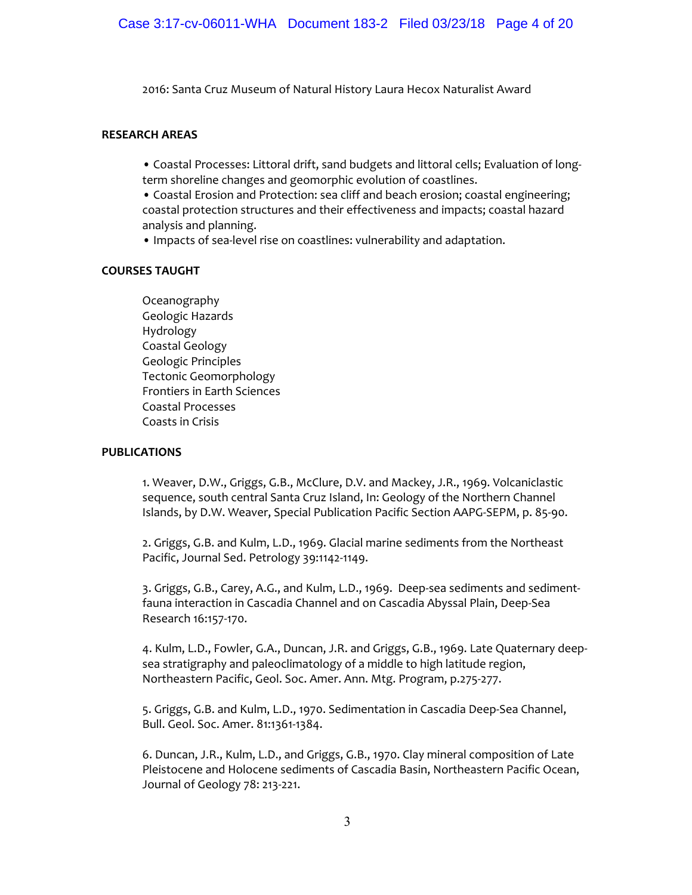2016: Santa Cruz Museum of Natural History Laura Hecox Naturalist Award

#### **RESEARCH AREAS**

• Coastal Processes: Littoral drift, sand budgets and littoral cells; Evaluation of long‐ term shoreline changes and geomorphic evolution of coastlines.

• Coastal Erosion and Protection: sea cliff and beach erosion; coastal engineering; coastal protection structures and their effectiveness and impacts; coastal hazard analysis and planning.

• Impacts of sea‐level rise on coastlines: vulnerability and adaptation.

#### **COURSES TAUGHT**

Oceanography Geologic Hazards Hydrology Coastal Geology Geologic Principles Tectonic Geomorphology Frontiers in Earth Sciences Coastal Processes Coasts in Crisis

#### **PUBLICATIONS**

1. Weaver, D.W., Griggs, G.B., McClure, D.V. and Mackey, J.R., 1969. Volcaniclastic sequence, south central Santa Cruz Island, In: Geology of the Northern Channel Islands, by D.W. Weaver, Special Publication Pacific Section AAPG‐SEPM, p. 85‐90.

2. Griggs, G.B. and Kulm, L.D., 1969. Glacial marine sediments from the Northeast Pacific, Journal Sed. Petrology 39:1142‐1149.

3. Griggs, G.B., Carey, A.G., and Kulm, L.D., 1969. Deep‐sea sediments and sediment‐ fauna interaction in Cascadia Channel and on Cascadia Abyssal Plain, Deep‐Sea Research 16:157‐170.

4. Kulm, L.D., Fowler, G.A., Duncan, J.R. and Griggs, G.B., 1969. Late Quaternary deep‐ sea stratigraphy and paleoclimatology of a middle to high latitude region, Northeastern Pacific, Geol. Soc. Amer. Ann. Mtg. Program, p.275‐277.

5. Griggs, G.B. and Kulm, L.D., 1970. Sedimentation in Cascadia Deep‐Sea Channel, Bull. Geol. Soc. Amer. 81:1361‐1384.

6. Duncan, J.R., Kulm, L.D., and Griggs, G.B., 1970. Clay mineral composition of Late Pleistocene and Holocene sediments of Cascadia Basin, Northeastern Pacific Ocean, Journal of Geology 78: 213‐221.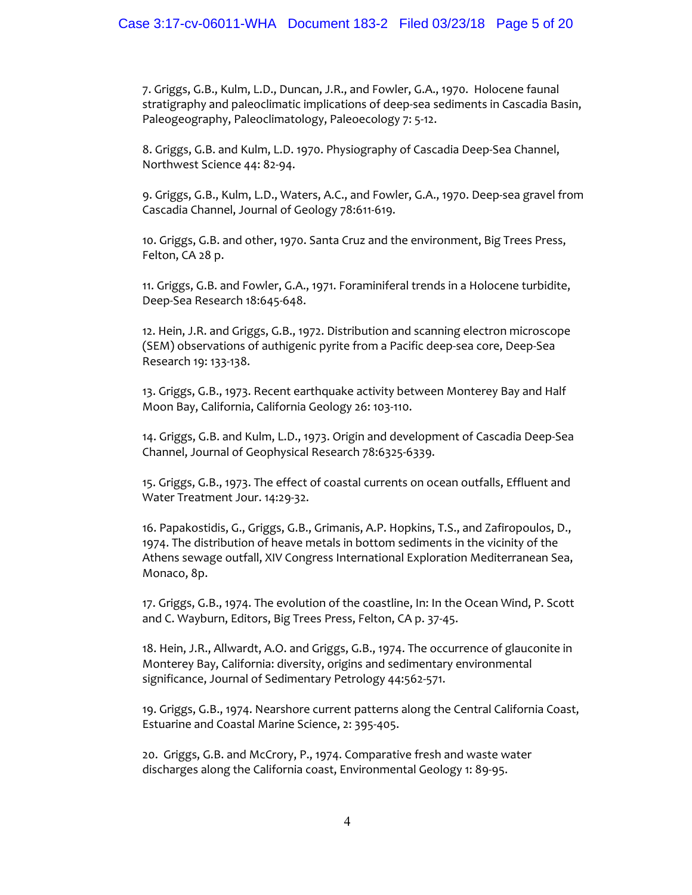7. Griggs, G.B., Kulm, L.D., Duncan, J.R., and Fowler, G.A., 1970. Holocene faunal stratigraphy and paleoclimatic implications of deep‐sea sediments in Cascadia Basin, Paleogeography, Paleoclimatology, Paleoecology 7: 5‐12.

8. Griggs, G.B. and Kulm, L.D. 1970. Physiography of Cascadia Deep‐Sea Channel, Northwest Science 44: 82‐94.

9. Griggs, G.B., Kulm, L.D., Waters, A.C., and Fowler, G.A., 1970. Deep‐sea gravel from Cascadia Channel, Journal of Geology 78:611‐619.

10. Griggs, G.B. and other, 1970. Santa Cruz and the environment, Big Trees Press, Felton, CA 28 p.

11. Griggs, G.B. and Fowler, G.A., 1971. Foraminiferal trends in a Holocene turbidite, Deep‐Sea Research 18:645‐648.

12. Hein, J.R. and Griggs, G.B., 1972. Distribution and scanning electron microscope (SEM) observations of authigenic pyrite from a Pacific deep‐sea core, Deep‐Sea Research 19: 133‐138.

13. Griggs, G.B., 1973. Recent earthquake activity between Monterey Bay and Half Moon Bay, California, California Geology 26: 103‐110.

14. Griggs, G.B. and Kulm, L.D., 1973. Origin and development of Cascadia Deep‐Sea Channel, Journal of Geophysical Research 78:6325‐6339.

15. Griggs, G.B., 1973. The effect of coastal currents on ocean outfalls, Effluent and Water Treatment Jour. 14:29‐32.

16. Papakostidis, G., Griggs, G.B., Grimanis, A.P. Hopkins, T.S., and Zafiropoulos, D., 1974. The distribution of heave metals in bottom sediments in the vicinity of the Athens sewage outfall, XIV Congress International Exploration Mediterranean Sea, Monaco, 8p.

17. Griggs, G.B., 1974. The evolution of the coastline, In: In the Ocean Wind, P. Scott and C. Wayburn, Editors, Big Trees Press, Felton, CA p. 37‐45.

18. Hein, J.R., Allwardt, A.O. and Griggs, G.B., 1974. The occurrence of glauconite in Monterey Bay, California: diversity, origins and sedimentary environmental significance, Journal of Sedimentary Petrology 44:562‐571.

19. Griggs, G.B., 1974. Nearshore current patterns along the Central California Coast, Estuarine and Coastal Marine Science, 2: 395‐405.

20. Griggs, G.B. and McCrory, P., 1974. Comparative fresh and waste water discharges along the California coast, Environmental Geology 1: 89‐95.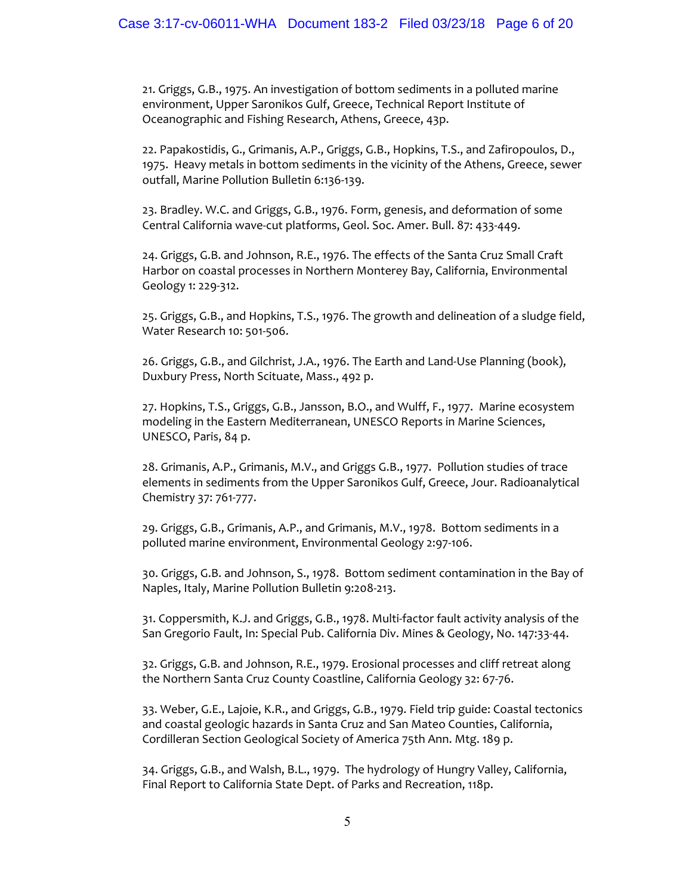21. Griggs, G.B., 1975. An investigation of bottom sediments in a polluted marine environment, Upper Saronikos Gulf, Greece, Technical Report Institute of Oceanographic and Fishing Research, Athens, Greece, 43p.

22. Papakostidis, G., Grimanis, A.P., Griggs, G.B., Hopkins, T.S., and Zafiropoulos, D., 1975. Heavy metals in bottom sediments in the vicinity of the Athens, Greece, sewer outfall, Marine Pollution Bulletin 6:136‐139.

23. Bradley. W.C. and Griggs, G.B., 1976. Form, genesis, and deformation of some Central California wave‐cut platforms, Geol. Soc. Amer. Bull. 87: 433‐449.

24. Griggs, G.B. and Johnson, R.E., 1976. The effects of the Santa Cruz Small Craft Harbor on coastal processes in Northern Monterey Bay, California, Environmental Geology 1: 229‐312.

25. Griggs, G.B., and Hopkins, T.S., 1976. The growth and delineation of a sludge field, Water Research 10: 501-506.

26. Griggs, G.B., and Gilchrist, J.A., 1976. The Earth and Land‐Use Planning (book), Duxbury Press, North Scituate, Mass., 492 p.

27. Hopkins, T.S., Griggs, G.B., Jansson, B.O., and Wulff, F., 1977. Marine ecosystem modeling in the Eastern Mediterranean, UNESCO Reports in Marine Sciences, UNESCO, Paris, 84 p.

28. Grimanis, A.P., Grimanis, M.V., and Griggs G.B., 1977. Pollution studies of trace elements in sediments from the Upper Saronikos Gulf, Greece, Jour. Radioanalytical Chemistry 37: 761‐777.

29. Griggs, G.B., Grimanis, A.P., and Grimanis, M.V., 1978. Bottom sediments in a polluted marine environment, Environmental Geology 2:97‐106.

30. Griggs, G.B. and Johnson, S., 1978. Bottom sediment contamination in the Bay of Naples, Italy, Marine Pollution Bulletin 9:208‐213.

31. Coppersmith, K.J. and Griggs, G.B., 1978. Multi‐factor fault activity analysis of the San Gregorio Fault, In: Special Pub. California Div. Mines & Geology, No. 147:33‐44.

32. Griggs, G.B. and Johnson, R.E., 1979. Erosional processes and cliff retreat along the Northern Santa Cruz County Coastline, California Geology 32: 67‐76.

33. Weber, G.E., Lajoie, K.R., and Griggs, G.B., 1979. Field trip guide: Coastal tectonics and coastal geologic hazards in Santa Cruz and San Mateo Counties, California, Cordilleran Section Geological Society of America 75th Ann. Mtg. 189 p.

34. Griggs, G.B., and Walsh, B.L., 1979. The hydrology of Hungry Valley, California, Final Report to California State Dept. of Parks and Recreation, 118p.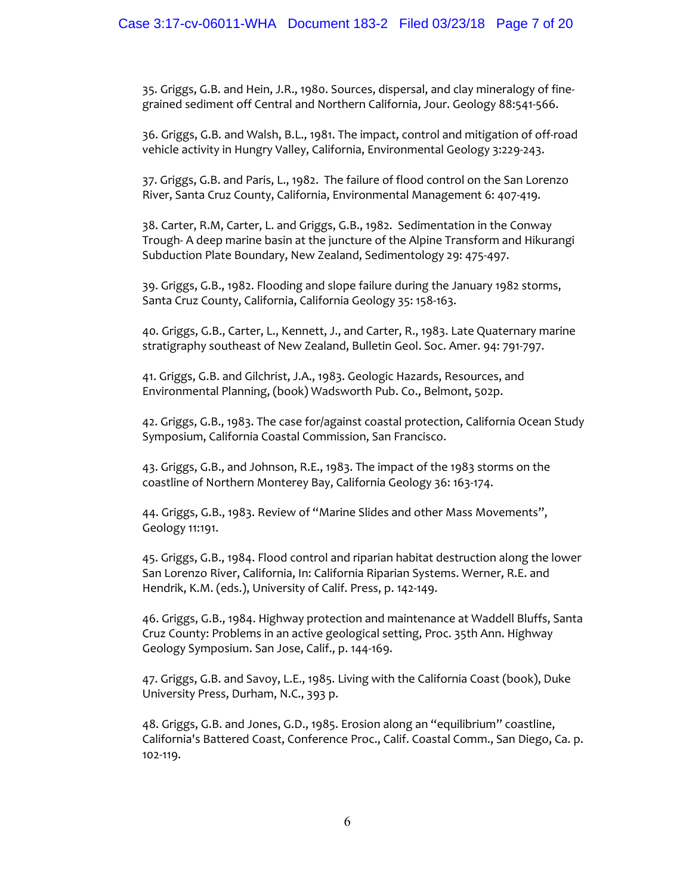35. Griggs, G.B. and Hein, J.R., 1980. Sources, dispersal, and clay mineralogy of fine‐ grained sediment off Central and Northern California, Jour. Geology 88:541‐566.

36. Griggs, G.B. and Walsh, B.L., 1981. The impact, control and mitigation of off‐road vehicle activity in Hungry Valley, California, Environmental Geology 3:229‐243.

37. Griggs, G.B. and Paris, L., 1982. The failure of flood control on the San Lorenzo River, Santa Cruz County, California, Environmental Management 6: 407‐419.

38. Carter, R.M, Carter, L. and Griggs, G.B., 1982. Sedimentation in the Conway Trough‐ A deep marine basin at the juncture of the Alpine Transform and Hikurangi Subduction Plate Boundary, New Zealand, Sedimentology 29: 475‐497.

39. Griggs, G.B., 1982. Flooding and slope failure during the January 1982 storms, Santa Cruz County, California, California Geology 35: 158‐163.

40. Griggs, G.B., Carter, L., Kennett, J., and Carter, R., 1983. Late Quaternary marine stratigraphy southeast of New Zealand, Bulletin Geol. Soc. Amer. 94: 791‐797.

41. Griggs, G.B. and Gilchrist, J.A., 1983. Geologic Hazards, Resources, and Environmental Planning, (book) Wadsworth Pub. Co., Belmont, 502p.

42. Griggs, G.B., 1983. The case for/against coastal protection, California Ocean Study Symposium, California Coastal Commission, San Francisco.

43. Griggs, G.B., and Johnson, R.E., 1983. The impact of the 1983 storms on the coastline of Northern Monterey Bay, California Geology 36: 163‐174.

44. Griggs, G.B., 1983. Review of "Marine Slides and other Mass Movements", Geology 11:191.

45. Griggs, G.B., 1984. Flood control and riparian habitat destruction along the lower San Lorenzo River, California, In: California Riparian Systems. Werner, R.E. and Hendrik, K.M. (eds.), University of Calif. Press, p. 142‐149.

46. Griggs, G.B., 1984. Highway protection and maintenance at Waddell Bluffs, Santa Cruz County: Problems in an active geological setting, Proc. 35th Ann. Highway Geology Symposium. San Jose, Calif., p. 144‐169.

47. Griggs, G.B. and Savoy, L.E., 1985. Living with the California Coast (book), Duke University Press, Durham, N.C., 393 p.

48. Griggs, G.B. and Jones, G.D., 1985. Erosion along an "equilibrium" coastline, California's Battered Coast, Conference Proc., Calif. Coastal Comm., San Diego, Ca. p. 102‐119.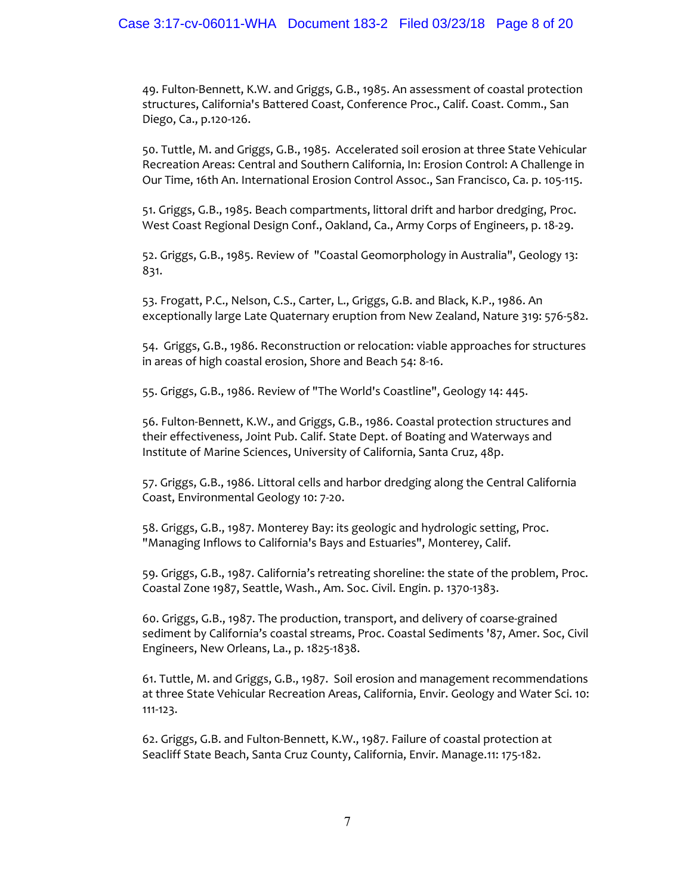49. Fulton‐Bennett, K.W. and Griggs, G.B., 1985. An assessment of coastal protection structures, California's Battered Coast, Conference Proc., Calif. Coast. Comm., San Diego, Ca., p.120‐126.

50. Tuttle, M. and Griggs, G.B., 1985. Accelerated soil erosion at three State Vehicular Recreation Areas: Central and Southern California, In: Erosion Control: A Challenge in Our Time, 16th An. International Erosion Control Assoc., San Francisco, Ca. p. 105‐115.

51. Griggs, G.B., 1985. Beach compartments, littoral drift and harbor dredging, Proc. West Coast Regional Design Conf., Oakland, Ca., Army Corps of Engineers, p. 18‐29.

52. Griggs, G.B., 1985. Review of "Coastal Geomorphology in Australia", Geology 13: 831.

53. Frogatt, P.C., Nelson, C.S., Carter, L., Griggs, G.B. and Black, K.P., 1986. An exceptionally large Late Quaternary eruption from New Zealand, Nature 319: 576‐582.

54. Griggs, G.B., 1986. Reconstruction or relocation: viable approaches for structures in areas of high coastal erosion, Shore and Beach 54: 8‐16.

55. Griggs, G.B., 1986. Review of "The World's Coastline", Geology 14: 445.

56. Fulton‐Bennett, K.W., and Griggs, G.B., 1986. Coastal protection structures and their effectiveness, Joint Pub. Calif. State Dept. of Boating and Waterways and Institute of Marine Sciences, University of California, Santa Cruz, 48p.

57. Griggs, G.B., 1986. Littoral cells and harbor dredging along the Central California Coast, Environmental Geology 10: 7‐20.

58. Griggs, G.B., 1987. Monterey Bay: its geologic and hydrologic setting, Proc. "Managing Inflows to California's Bays and Estuaries", Monterey, Calif.

59. Griggs, G.B., 1987. California's retreating shoreline: the state of the problem, Proc. Coastal Zone 1987, Seattle, Wash., Am. Soc. Civil. Engin. p. 1370‐1383.

60. Griggs, G.B., 1987. The production, transport, and delivery of coarse‐grained sediment by California's coastal streams, Proc. Coastal Sediments '87, Amer. Soc, Civil Engineers, New Orleans, La., p. 1825‐1838.

61. Tuttle, M. and Griggs, G.B., 1987. Soil erosion and management recommendations at three State Vehicular Recreation Areas, California, Envir. Geology and Water Sci. 10: 111‐123.

62. Griggs, G.B. and Fulton‐Bennett, K.W., 1987. Failure of coastal protection at Seacliff State Beach, Santa Cruz County, California, Envir. Manage.11: 175‐182.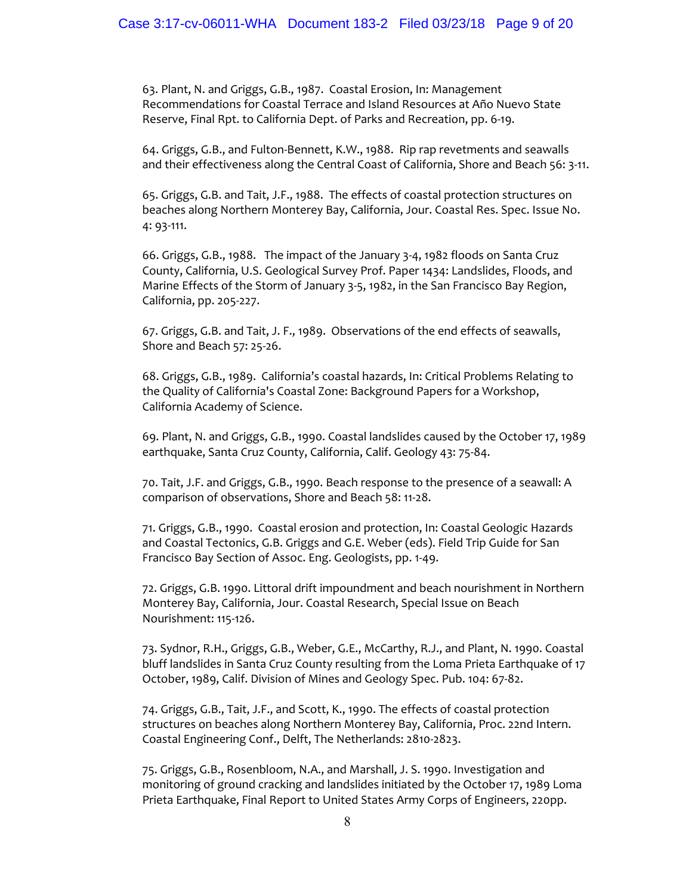63. Plant, N. and Griggs, G.B., 1987. Coastal Erosion, In: Management Recommendations for Coastal Terrace and Island Resources at Año Nuevo State Reserve, Final Rpt. to California Dept. of Parks and Recreation, pp. 6‐19.

64. Griggs, G.B., and Fulton‐Bennett, K.W., 1988. Rip rap revetments and seawalls and their effectiveness along the Central Coast of California, Shore and Beach 56: 3‐11.

65. Griggs, G.B. and Tait, J.F., 1988. The effects of coastal protection structures on beaches along Northern Monterey Bay, California, Jour. Coastal Res. Spec. Issue No. 4: 93‐111.

66. Griggs, G.B., 1988. The impact of the January 3‐4, 1982 floods on Santa Cruz County, California, U.S. Geological Survey Prof. Paper 1434: Landslides, Floods, and Marine Effects of the Storm of January 3‐5, 1982, in the San Francisco Bay Region, California, pp. 205‐227.

67. Griggs, G.B. and Tait, J. F., 1989. Observations of the end effects of seawalls, Shore and Beach 57: 25‐26.

68. Griggs, G.B., 1989. California's coastal hazards, In: Critical Problems Relating to the Quality of California's Coastal Zone: Background Papers for a Workshop, California Academy of Science.

69. Plant, N. and Griggs, G.B., 1990. Coastal landslides caused by the October 17, 1989 earthquake, Santa Cruz County, California, Calif. Geology 43: 75‐84.

70. Tait, J.F. and Griggs, G.B., 1990. Beach response to the presence of a seawall: A comparison of observations, Shore and Beach 58: 11‐28.

71. Griggs, G.B., 1990. Coastal erosion and protection, In: Coastal Geologic Hazards and Coastal Tectonics, G.B. Griggs and G.E. Weber (eds). Field Trip Guide for San Francisco Bay Section of Assoc. Eng. Geologists, pp. 1‐49.

72. Griggs, G.B. 1990. Littoral drift impoundment and beach nourishment in Northern Monterey Bay, California, Jour. Coastal Research, Special Issue on Beach Nourishment: 115‐126.

73. Sydnor, R.H., Griggs, G.B., Weber, G.E., McCarthy, R.J., and Plant, N. 1990. Coastal bluff landslides in Santa Cruz County resulting from the Loma Prieta Earthquake of 17 October, 1989, Calif. Division of Mines and Geology Spec. Pub. 104: 67‐82.

74. Griggs, G.B., Tait, J.F., and Scott, K., 1990. The effects of coastal protection structures on beaches along Northern Monterey Bay, California, Proc. 22nd Intern. Coastal Engineering Conf., Delft, The Netherlands: 2810‐2823.

75. Griggs, G.B., Rosenbloom, N.A., and Marshall, J. S. 1990. Investigation and monitoring of ground cracking and landslides initiated by the October 17, 1989 Loma Prieta Earthquake, Final Report to United States Army Corps of Engineers, 220pp.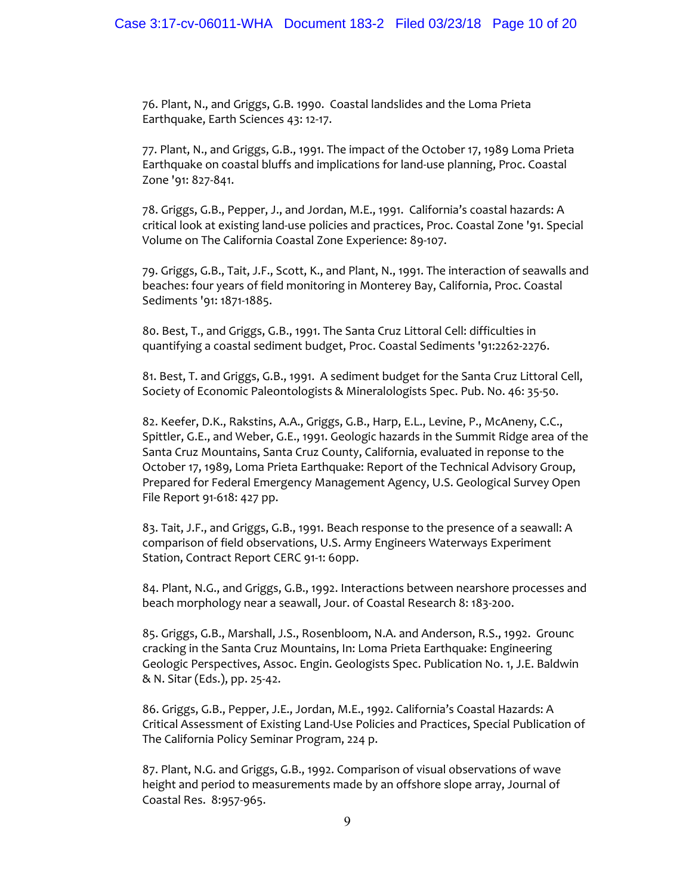76. Plant, N., and Griggs, G.B. 1990. Coastal landslides and the Loma Prieta Earthquake, Earth Sciences 43: 12‐17.

77. Plant, N., and Griggs, G.B., 1991. The impact of the October 17, 1989 Loma Prieta Earthquake on coastal bluffs and implications for land‐use planning, Proc. Coastal Zone '91: 827‐841.

78. Griggs, G.B., Pepper, J., and Jordan, M.E., 1991. California's coastal hazards: A critical look at existing land‐use policies and practices, Proc. Coastal Zone '91. Special Volume on The California Coastal Zone Experience: 89‐107.

79. Griggs, G.B., Tait, J.F., Scott, K., and Plant, N., 1991. The interaction of seawalls and beaches: four years of field monitoring in Monterey Bay, California, Proc. Coastal Sediments '91: 1871‐1885.

80. Best, T., and Griggs, G.B., 1991. The Santa Cruz Littoral Cell: difficulties in quantifying a coastal sediment budget, Proc. Coastal Sediments '91:2262‐2276.

81. Best, T. and Griggs, G.B., 1991. A sediment budget for the Santa Cruz Littoral Cell, Society of Economic Paleontologists & Mineralologists Spec. Pub. No. 46: 35‐50.

82. Keefer, D.K., Rakstins, A.A., Griggs, G.B., Harp, E.L., Levine, P., McAneny, C.C., Spittler, G.E., and Weber, G.E., 1991. Geologic hazards in the Summit Ridge area of the Santa Cruz Mountains, Santa Cruz County, California, evaluated in reponse to the October 17, 1989, Loma Prieta Earthquake: Report of the Technical Advisory Group, Prepared for Federal Emergency Management Agency, U.S. Geological Survey Open File Report 91‐618: 427 pp.

83. Tait, J.F., and Griggs, G.B., 1991. Beach response to the presence of a seawall: A comparison of field observations, U.S. Army Engineers Waterways Experiment Station, Contract Report CERC 91‐1: 60pp.

84. Plant, N.G., and Griggs, G.B., 1992. Interactions between nearshore processes and beach morphology near a seawall, Jour. of Coastal Research 8: 183‐200.

85. Griggs, G.B., Marshall, J.S., Rosenbloom, N.A. and Anderson, R.S., 1992. Grounc cracking in the Santa Cruz Mountains, In: Loma Prieta Earthquake: Engineering Geologic Perspectives, Assoc. Engin. Geologists Spec. Publication No. 1, J.E. Baldwin & N. Sitar (Eds.), pp. 25‐42.

86. Griggs, G.B., Pepper, J.E., Jordan, M.E., 1992. California's Coastal Hazards: A Critical Assessment of Existing Land‐Use Policies and Practices, Special Publication of The California Policy Seminar Program, 224 p.

87. Plant, N.G. and Griggs, G.B., 1992. Comparison of visual observations of wave height and period to measurements made by an offshore slope array, Journal of Coastal Res. 8:957‐965.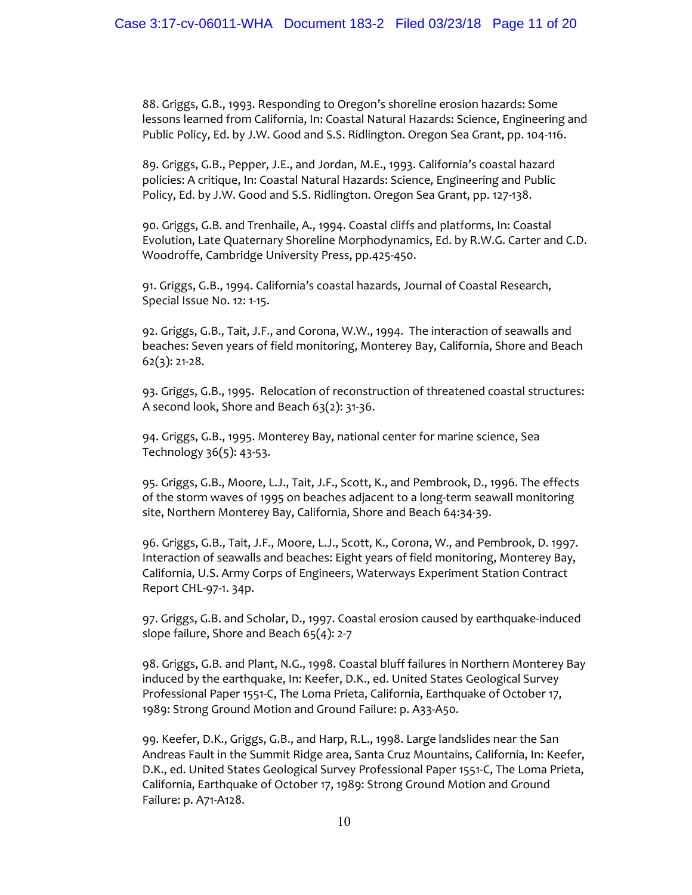88. Griggs, G.B., 1993. Responding to Oregon's shoreline erosion hazards: Some lessons learned from California, In: Coastal Natural Hazards: Science, Engineering and Public Policy, Ed. by J.W. Good and S.S. Ridlington. Oregon Sea Grant, pp. 104‐116.

89. Griggs, G.B., Pepper, J.E., and Jordan, M.E., 1993. California's coastal hazard policies: A critique, In: Coastal Natural Hazards: Science, Engineering and Public Policy, Ed. by J.W. Good and S.S. Ridlington. Oregon Sea Grant, pp. 127‐138.

90. Griggs, G.B. and Trenhaile, A., 1994. Coastal cliffs and platforms, In: Coastal Evolution, Late Quaternary Shoreline Morphodynamics, Ed. by R.W.G. Carter and C.D. Woodroffe, Cambridge University Press, pp.425‐450.

91. Griggs, G.B., 1994. California's coastal hazards, Journal of Coastal Research, Special Issue No. 12: 1‐15.

92. Griggs, G.B., Tait, J.F., and Corona, W.W., 1994. The interaction of seawalls and beaches: Seven years of field monitoring, Monterey Bay, California, Shore and Beach 62(3): 21‐28.

93. Griggs, G.B., 1995. Relocation of reconstruction of threatened coastal structures: A second look, Shore and Beach 63(2): 31‐36.

94. Griggs, G.B., 1995. Monterey Bay, national center for marine science, Sea Technology 36(5): 43‐53.

95. Griggs, G.B., Moore, L.J., Tait, J.F., Scott, K., and Pembrook, D., 1996. The effects of the storm waves of 1995 on beaches adjacent to a long‐term seawall monitoring site, Northern Monterey Bay, California, Shore and Beach 64:34‐39.

96. Griggs, G.B., Tait, J.F., Moore, L.J., Scott, K., Corona, W., and Pembrook, D. 1997. Interaction of seawalls and beaches: Eight years of field monitoring, Monterey Bay, California, U.S. Army Corps of Engineers, Waterways Experiment Station Contract Report CHL‐97‐1. 34p.

97. Griggs, G.B. and Scholar, D., 1997. Coastal erosion caused by earthquake‐induced slope failure, Shore and Beach 65(4): 2-7

98. Griggs, G.B. and Plant, N.G., 1998. Coastal bluff failures in Northern Monterey Bay induced by the earthquake, In: Keefer, D.K., ed. United States Geological Survey Professional Paper 1551‐C, The Loma Prieta, California, Earthquake of October 17, 1989: Strong Ground Motion and Ground Failure: p. A33‐A50.

99. Keefer, D.K., Griggs, G.B., and Harp, R.L., 1998. Large landslides near the San Andreas Fault in the Summit Ridge area, Santa Cruz Mountains, California, In: Keefer, D.K., ed. United States Geological Survey Professional Paper 1551‐C, The Loma Prieta, California, Earthquake of October 17, 1989: Strong Ground Motion and Ground Failure: p. A71‐A128.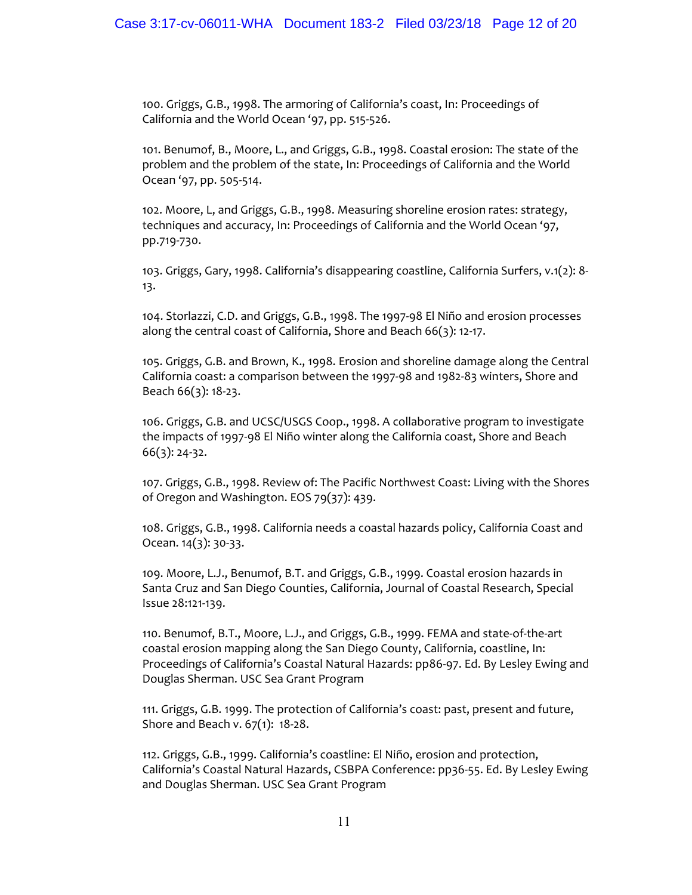100. Griggs, G.B., 1998. The armoring of California's coast, In: Proceedings of California and the World Ocean '97, pp. 515‐526.

101. Benumof, B., Moore, L., and Griggs, G.B., 1998. Coastal erosion: The state of the problem and the problem of the state, In: Proceedings of California and the World Ocean '97, pp. 505‐514.

102. Moore, L, and Griggs, G.B., 1998. Measuring shoreline erosion rates: strategy, techniques and accuracy, In: Proceedings of California and the World Ocean '97, pp.719‐730.

103. Griggs, Gary, 1998. California's disappearing coastline, California Surfers, v.1(2): 8‐ 13.

104. Storlazzi, C.D. and Griggs, G.B., 1998. The 1997‐98 El Niño and erosion processes along the central coast of California, Shore and Beach 66(3): 12‐17.

105. Griggs, G.B. and Brown, K., 1998. Erosion and shoreline damage along the Central California coast: a comparison between the 1997‐98 and 1982‐83 winters, Shore and Beach 66(3): 18‐23.

106. Griggs, G.B. and UCSC/USGS Coop., 1998. A collaborative program to investigate the impacts of 1997‐98 El Niño winter along the California coast, Shore and Beach 66(3): 24‐32.

107. Griggs, G.B., 1998. Review of: The Pacific Northwest Coast: Living with the Shores of Oregon and Washington. EOS 79(37): 439.

108. Griggs, G.B., 1998. California needs a coastal hazards policy, California Coast and Ocean. 14(3): 30‐33.

109. Moore, L.J., Benumof, B.T. and Griggs, G.B., 1999. Coastal erosion hazards in Santa Cruz and San Diego Counties, California, Journal of Coastal Research, Special Issue 28:121‐139.

110. Benumof, B.T., Moore, L.J., and Griggs, G.B., 1999. FEMA and state‐of‐the‐art coastal erosion mapping along the San Diego County, California, coastline, In: Proceedings of California's Coastal Natural Hazards: pp86‐97. Ed. By Lesley Ewing and Douglas Sherman. USC Sea Grant Program

111. Griggs, G.B. 1999. The protection of California's coast: past, present and future, Shore and Beach v. 67(1): 18‐28.

112. Griggs, G.B., 1999. California's coastline: El Niño, erosion and protection, California's Coastal Natural Hazards, CSBPA Conference: pp36‐55. Ed. By Lesley Ewing and Douglas Sherman. USC Sea Grant Program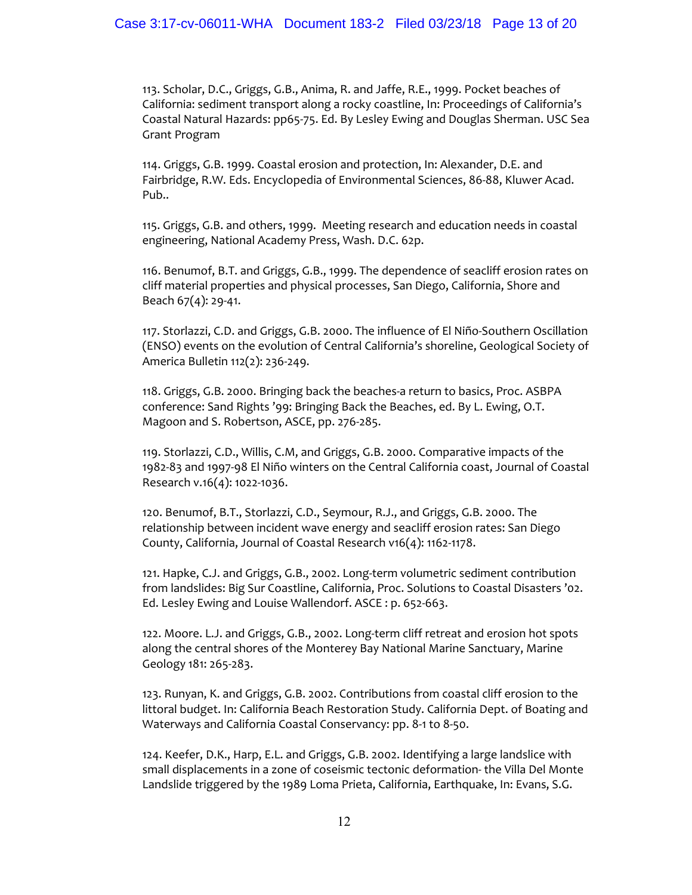113. Scholar, D.C., Griggs, G.B., Anima, R. and Jaffe, R.E., 1999. Pocket beaches of California: sediment transport along a rocky coastline, In: Proceedings of California's Coastal Natural Hazards: pp65‐75. Ed. By Lesley Ewing and Douglas Sherman. USC Sea Grant Program

114. Griggs, G.B. 1999. Coastal erosion and protection, In: Alexander, D.E. and Fairbridge, R.W. Eds. Encyclopedia of Environmental Sciences, 86‐88, Kluwer Acad. Pub..

115. Griggs, G.B. and others, 1999. Meeting research and education needs in coastal engineering, National Academy Press, Wash. D.C. 62p.

116. Benumof, B.T. and Griggs, G.B., 1999. The dependence of seacliff erosion rates on cliff material properties and physical processes, San Diego, California, Shore and Beach 67(4): 29‐41.

117. Storlazzi, C.D. and Griggs, G.B. 2000. The influence of El Niño‐Southern Oscillation (ENSO) events on the evolution of Central California's shoreline, Geological Society of America Bulletin 112(2): 236‐249.

118. Griggs, G.B. 2000. Bringing back the beaches‐a return to basics, Proc. ASBPA conference: Sand Rights '99: Bringing Back the Beaches, ed. By L. Ewing, O.T. Magoon and S. Robertson, ASCE, pp. 276‐285.

119. Storlazzi, C.D., Willis, C.M, and Griggs, G.B. 2000. Comparative impacts of the 1982‐83 and 1997‐98 El Niño winters on the Central California coast, Journal of Coastal Research v.16(4): 1022‐1036.

120. Benumof, B.T., Storlazzi, C.D., Seymour, R.J., and Griggs, G.B. 2000. The relationship between incident wave energy and seacliff erosion rates: San Diego County, California, Journal of Coastal Research v16(4): 1162‐1178.

121. Hapke, C.J. and Griggs, G.B., 2002. Long‐term volumetric sediment contribution from landslides: Big Sur Coastline, California, Proc. Solutions to Coastal Disasters '02. Ed. Lesley Ewing and Louise Wallendorf. ASCE : p. 652‐663.

122. Moore. L.J. and Griggs, G.B., 2002. Long-term cliff retreat and erosion hot spots along the central shores of the Monterey Bay National Marine Sanctuary, Marine Geology 181: 265‐283.

123. Runyan, K. and Griggs, G.B. 2002. Contributions from coastal cliff erosion to the littoral budget. In: California Beach Restoration Study. California Dept. of Boating and Waterways and California Coastal Conservancy: pp. 8‐1 to 8‐50.

124. Keefer, D.K., Harp, E.L. and Griggs, G.B. 2002. Identifying a large landslice with small displacements in a zone of coseismic tectonic deformation‐ the Villa Del Monte Landslide triggered by the 1989 Loma Prieta, California, Earthquake, In: Evans, S.G.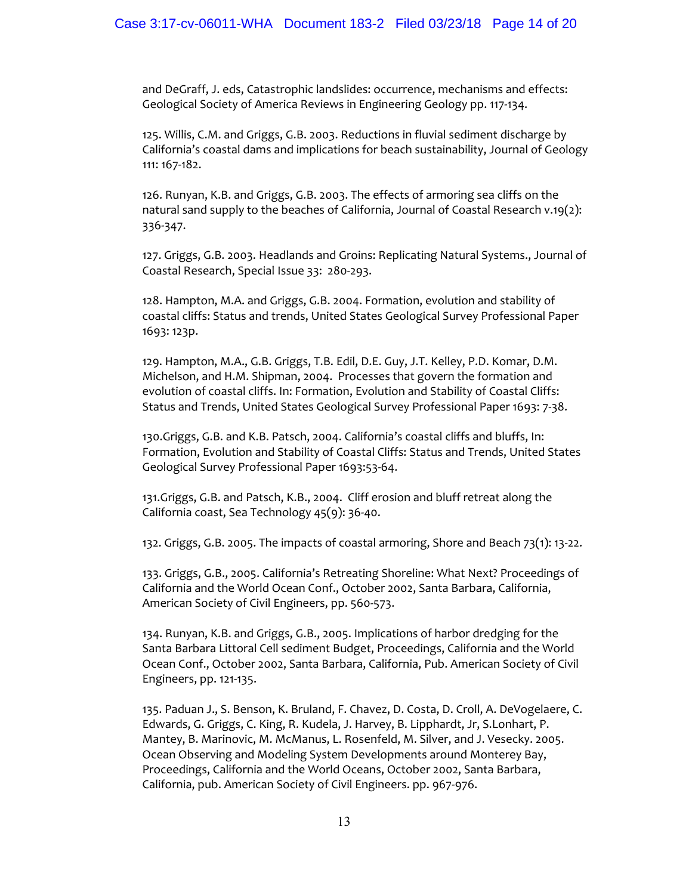and DeGraff, J. eds, Catastrophic landslides: occurrence, mechanisms and effects: Geological Society of America Reviews in Engineering Geology pp. 117‐134.

125. Willis, C.M. and Griggs, G.B. 2003. Reductions in fluvial sediment discharge by California's coastal dams and implications for beach sustainability, Journal of Geology 111: 167‐182.

126. Runyan, K.B. and Griggs, G.B. 2003. The effects of armoring sea cliffs on the natural sand supply to the beaches of California, Journal of Coastal Research v.19(2): 336‐347.

127. Griggs, G.B. 2003. Headlands and Groins: Replicating Natural Systems., Journal of Coastal Research, Special Issue 33: 280‐293.

128. Hampton, M.A. and Griggs, G.B. 2004. Formation, evolution and stability of coastal cliffs: Status and trends, United States Geological Survey Professional Paper 1693: 123p.

129. Hampton, M.A., G.B. Griggs, T.B. Edil, D.E. Guy, J.T. Kelley, P.D. Komar, D.M. Michelson, and H.M. Shipman, 2004. Processes that govern the formation and evolution of coastal cliffs. In: Formation, Evolution and Stability of Coastal Cliffs: Status and Trends, United States Geological Survey Professional Paper 1693: 7‐38.

130.Griggs, G.B. and K.B. Patsch, 2004. California's coastal cliffs and bluffs, In: Formation, Evolution and Stability of Coastal Cliffs: Status and Trends, United States Geological Survey Professional Paper 1693:53‐64.

131.Griggs, G.B. and Patsch, K.B., 2004. Cliff erosion and bluff retreat along the California coast, Sea Technology 45(9): 36‐40.

132. Griggs, G.B. 2005. The impacts of coastal armoring, Shore and Beach 73(1): 13‐22.

133. Griggs, G.B., 2005. California's Retreating Shoreline: What Next? Proceedings of California and the World Ocean Conf., October 2002, Santa Barbara, California, American Society of Civil Engineers, pp. 560‐573.

134. Runyan, K.B. and Griggs, G.B., 2005. Implications of harbor dredging for the Santa Barbara Littoral Cell sediment Budget, Proceedings, California and the World Ocean Conf., October 2002, Santa Barbara, California, Pub. American Society of Civil Engineers, pp. 121‐135.

135. Paduan J., S. Benson, K. Bruland, F. Chavez, D. Costa, D. Croll, A. DeVogelaere, C. Edwards, G. Griggs, C. King, R. Kudela, J. Harvey, B. Lipphardt, Jr, S.Lonhart, P. Mantey, B. Marinovic, M. McManus, L. Rosenfeld, M. Silver, and J. Vesecky. 2005. Ocean Observing and Modeling System Developments around Monterey Bay, Proceedings, California and the World Oceans, October 2002, Santa Barbara, California, pub. American Society of Civil Engineers. pp. 967‐976.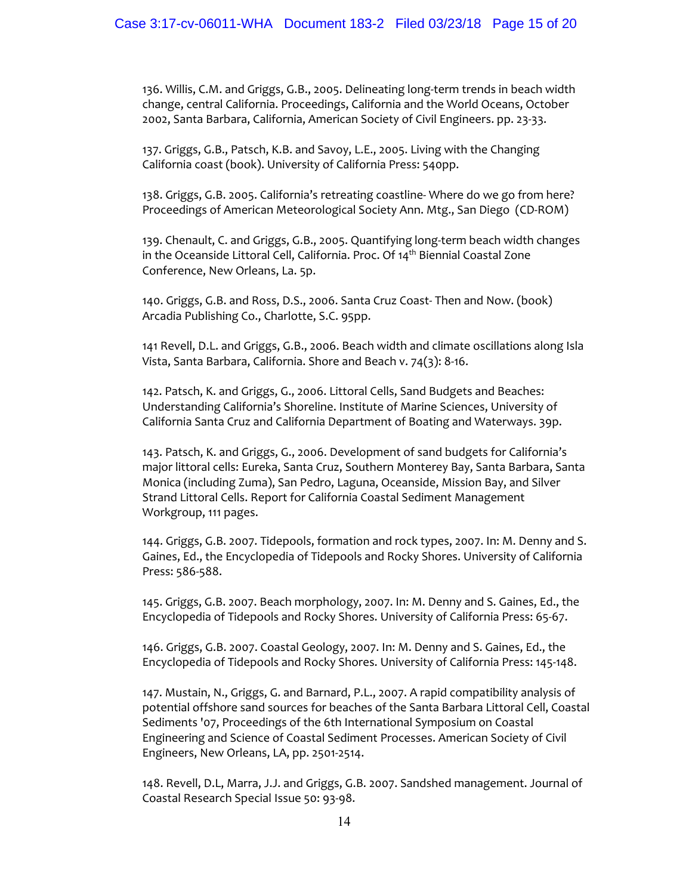136. Willis, C.M. and Griggs, G.B., 2005. Delineating long‐term trends in beach width change, central California. Proceedings, California and the World Oceans, October 2002, Santa Barbara, California, American Society of Civil Engineers. pp. 23‐33.

137. Griggs, G.B., Patsch, K.B. and Savoy, L.E., 2005. Living with the Changing California coast (book). University of California Press: 540pp.

138. Griggs, G.B. 2005. California's retreating coastline‐ Where do we go from here? Proceedings of American Meteorological Society Ann. Mtg., San Diego (CD‐ROM)

139. Chenault, C. and Griggs, G.B., 2005. Quantifying long‐term beach width changes in the Oceanside Littoral Cell, California. Proc. Of 14<sup>th</sup> Biennial Coastal Zone Conference, New Orleans, La. 5p.

140. Griggs, G.B. and Ross, D.S., 2006. Santa Cruz Coast‐ Then and Now. (book) Arcadia Publishing Co., Charlotte, S.C. 95pp.

141 Revell, D.L. and Griggs, G.B., 2006. Beach width and climate oscillations along Isla Vista, Santa Barbara, California. Shore and Beach v. 74(3): 8‐16.

142. Patsch, K. and Griggs, G., 2006. Littoral Cells, Sand Budgets and Beaches: Understanding California's Shoreline. Institute of Marine Sciences, University of California Santa Cruz and California Department of Boating and Waterways. 39p.

143. Patsch, K. and Griggs, G., 2006. Development of sand budgets for California's major littoral cells: Eureka, Santa Cruz, Southern Monterey Bay, Santa Barbara, Santa Monica (including Zuma), San Pedro, Laguna, Oceanside, Mission Bay, and Silver Strand Littoral Cells. Report for California Coastal Sediment Management Workgroup, 111 pages.

144. Griggs, G.B. 2007. Tidepools, formation and rock types, 2007. In: M. Denny and S. Gaines, Ed., the Encyclopedia of Tidepools and Rocky Shores. University of California Press: 586‐588.

145. Griggs, G.B. 2007. Beach morphology, 2007. In: M. Denny and S. Gaines, Ed., the Encyclopedia of Tidepools and Rocky Shores. University of California Press: 65‐67.

146. Griggs, G.B. 2007. Coastal Geology, 2007. In: M. Denny and S. Gaines, Ed., the Encyclopedia of Tidepools and Rocky Shores. University of California Press: 145‐148.

147. Mustain, N., Griggs, G. and Barnard, P.L., 2007. A rapid compatibility analysis of potential offshore sand sources for beaches of the Santa Barbara Littoral Cell, Coastal Sediments '07, Proceedings of the 6th International Symposium on Coastal Engineering and Science of Coastal Sediment Processes. American Society of Civil Engineers, New Orleans, LA, pp. 2501‐2514.

148. Revell, D.L, Marra, J.J. and Griggs, G.B. 2007. Sandshed management. Journal of Coastal Research Special Issue 50: 93‐98.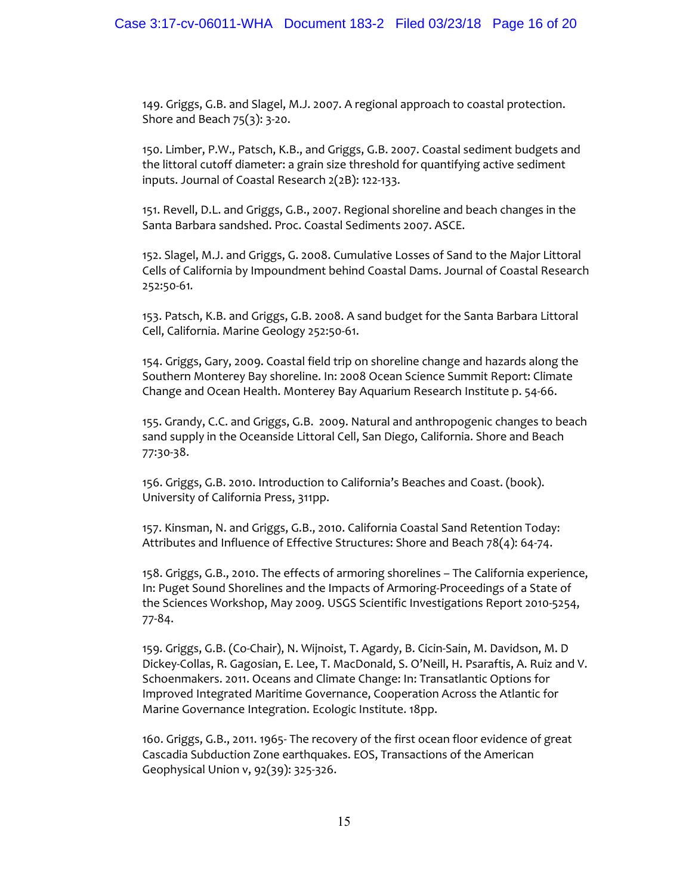149. Griggs, G.B. and Slagel, M.J. 2007. A regional approach to coastal protection. Shore and Beach 75(3): 3‐20.

150. Limber, P.W., Patsch, K.B., and Griggs, G.B. 2007. Coastal sediment budgets and the littoral cutoff diameter: a grain size threshold for quantifying active sediment inputs. Journal of Coastal Research 2(2B): 122‐133.

151. Revell, D.L. and Griggs, G.B., 2007. Regional shoreline and beach changes in the Santa Barbara sandshed. Proc. Coastal Sediments 2007. ASCE.

152. Slagel, M.J. and Griggs, G. 2008. Cumulative Losses of Sand to the Major Littoral Cells of California by Impoundment behind Coastal Dams. Journal of Coastal Research 252:50‐61*.*

153. Patsch, K.B. and Griggs, G.B. 2008. A sand budget for the Santa Barbara Littoral Cell, California. Marine Geology 252:50‐61.

154. Griggs, Gary, 2009. Coastal field trip on shoreline change and hazards along the Southern Monterey Bay shoreline. In: 2008 Ocean Science Summit Report: Climate Change and Ocean Health. Monterey Bay Aquarium Research Institute p. 54‐66.

155. Grandy, C.C. and Griggs, G.B. 2009. Natural and anthropogenic changes to beach sand supply in the Oceanside Littoral Cell, San Diego, California. Shore and Beach 77:30‐38.

156. Griggs, G.B. 2010. Introduction to California's Beaches and Coast. (book). University of California Press, 311pp.

157. Kinsman, N. and Griggs, G.B., 2010. California Coastal Sand Retention Today: Attributes and Influence of Effective Structures: Shore and Beach 78(4): 64‐74.

158. Griggs, G.B., 2010. The effects of armoring shorelines – The California experience, In: Puget Sound Shorelines and the Impacts of Armoring‐Proceedings of a State of the Sciences Workshop, May 2009. USGS Scientific Investigations Report 2010‐5254, 77‐84.

159. Griggs, G.B. (Co‐Chair), N. Wijnoist, T. Agardy, B. Cicin‐Sain, M. Davidson, M. D Dickey‐Collas, R. Gagosian, E. Lee, T. MacDonald, S. O'Neill, H. Psaraftis, A. Ruiz and V. Schoenmakers. 2011. Oceans and Climate Change: In: Transatlantic Options for Improved Integrated Maritime Governance, Cooperation Across the Atlantic for Marine Governance Integration. Ecologic Institute. 18pp.

160. Griggs, G.B., 2011. 1965‐ The recovery of the first ocean floor evidence of great Cascadia Subduction Zone earthquakes. EOS, Transactions of the American Geophysical Union v, 92(39): 325‐326.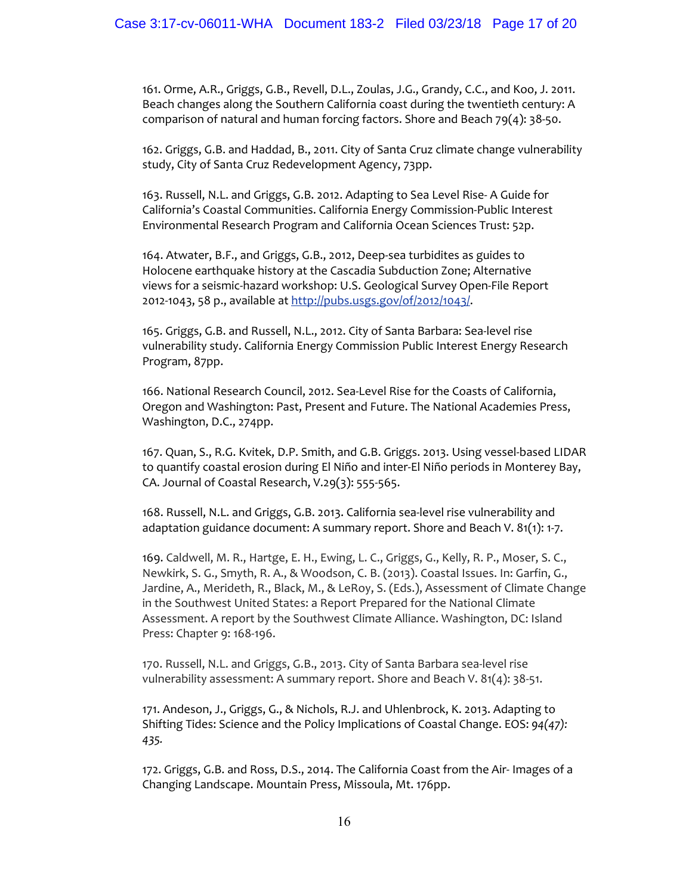161. Orme, A.R., Griggs, G.B., Revell, D.L., Zoulas, J.G., Grandy, C.C., and Koo, J. 2011. Beach changes along the Southern California coast during the twentieth century: A comparison of natural and human forcing factors. Shore and Beach 79(4): 38‐50.

162. Griggs, G.B. and Haddad, B., 2011. City of Santa Cruz climate change vulnerability study, City of Santa Cruz Redevelopment Agency, 73pp.

163. Russell, N.L. and Griggs, G.B. 2012. Adapting to Sea Level Rise‐ A Guide for California's Coastal Communities. California Energy Commission‐Public Interest Environmental Research Program and California Ocean Sciences Trust: 52p.

164. Atwater, B.F., and Griggs, G.B., 2012, Deep‐sea turbidites as guides to Holocene earthquake history at the Cascadia Subduction Zone; Alternative views for a seismic‐hazard workshop: U.S. Geological Survey Open‐File Report 2012-1043, 58 p., available at http://pubs.usgs.gov/of/2012/1043/.

165. Griggs, G.B. and Russell, N.L., 2012. City of Santa Barbara: Sea‐level rise vulnerability study. California Energy Commission Public Interest Energy Research Program, 87pp.

166. National Research Council, 2012. Sea‐Level Rise for the Coasts of California, Oregon and Washington: Past, Present and Future. The National Academies Press, Washington, D.C., 274pp.

167. Quan, S., R.G. Kvitek, D.P. Smith, and G.B. Griggs. 2013. Using vessel‐based LIDAR to quantify coastal erosion during El Niño and inter‐El Niño periods in Monterey Bay, CA. Journal of Coastal Research, V.29(3): 555‐565.

168. Russell, N.L. and Griggs, G.B. 2013. California sea‐level rise vulnerability and adaptation guidance document: A summary report. Shore and Beach V. 81(1): 1‐7.

169. Caldwell, M. R., Hartge, E. H., Ewing, L. C., Griggs, G., Kelly, R. P., Moser, S. C., Newkirk, S. G., Smyth, R. A., & Woodson, C. B. (2013). Coastal Issues. In: Garfin, G., Jardine, A., Merideth, R., Black, M., & LeRoy, S. (Eds.), Assessment of Climate Change in the Southwest United States: a Report Prepared for the National Climate Assessment. A report by the Southwest Climate Alliance. Washington, DC: Island Press: Chapter 9: 168‐196.

170. Russell, N.L. and Griggs, G.B., 2013. City of Santa Barbara sea‐level rise vulnerability assessment: A summary report. Shore and Beach V. 81(4): 38‐51.

171. Andeson, J., Griggs, G., & Nichols, R.J. and Uhlenbrock, K. 2013. Adapting to Shifting Tides: Science and the Policy Implications of Coastal Change. EOS: *94(47): 435.*

172. Griggs, G.B. and Ross, D.S., 2014. The California Coast from the Air‐ Images of a Changing Landscape. Mountain Press, Missoula, Mt. 176pp.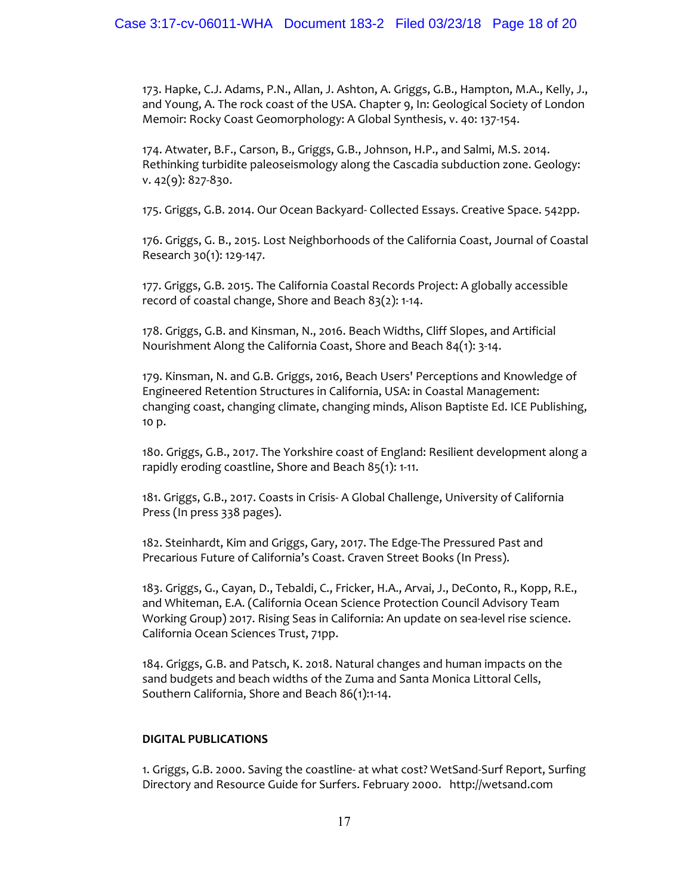173. Hapke, C.J. Adams, P.N., Allan, J. Ashton, A. Griggs, G.B., Hampton, M.A., Kelly, J., and Young, A. The rock coast of the USA. Chapter 9, In: Geological Society of London Memoir: Rocky Coast Geomorphology: A Global Synthesis, v. 40: 137‐154.

174. Atwater, B.F., Carson, B., Griggs, G.B., Johnson, H.P., and Salmi, M.S. 2014. Rethinking turbidite paleoseismology along the Cascadia subduction zone. Geology: v. 42(9): 827‐830.

175. Griggs, G.B. 2014. Our Ocean Backyard‐ Collected Essays. Creative Space. 542pp.

176. Griggs, G. B., 2015. Lost Neighborhoods of the California Coast, Journal of Coastal Research 30(1): 129‐147.

177. Griggs, G.B. 2015. The California Coastal Records Project: A globally accessible record of coastal change, Shore and Beach 83(2): 1‐14.

178. Griggs, G.B. and Kinsman, N., 2016. Beach Widths, Cliff Slopes, and Artificial Nourishment Along the California Coast, Shore and Beach 84(1): 3‐14.

179. Kinsman, N. and G.B. Griggs, 2016, Beach Users' Perceptions and Knowledge of Engineered Retention Structures in California, USA: in Coastal Management: changing coast, changing climate, changing minds, Alison Baptiste Ed. ICE Publishing, 10 p.

180. Griggs, G.B., 2017. The Yorkshire coast of England: Resilient development along a rapidly eroding coastline, Shore and Beach 85(1): 1‐11.

181. Griggs, G.B., 2017. Coasts in Crisis‐ A Global Challenge, University of California Press (In press 338 pages).

182. Steinhardt, Kim and Griggs, Gary, 2017. The Edge-The Pressured Past and Precarious Future of California's Coast. Craven Street Books (In Press).

183. Griggs, G., Cayan, D., Tebaldi, C., Fricker, H.A., Arvai, J., DeConto, R., Kopp, R.E., and Whiteman, E.A. (California Ocean Science Protection Council Advisory Team Working Group) 2017. Rising Seas in California: An update on sea-level rise science. California Ocean Sciences Trust, 71pp.

184. Griggs, G.B. and Patsch, K. 2018. Natural changes and human impacts on the sand budgets and beach widths of the Zuma and Santa Monica Littoral Cells, Southern California, Shore and Beach 86(1):1‐14.

# **DIGITAL PUBLICATIONS**

1. Griggs, G.B. 2000. Saving the coastline‐ at what cost? WetSand‐Surf Report, Surfing Directory and Resource Guide for Surfers. February 2000. http://wetsand.com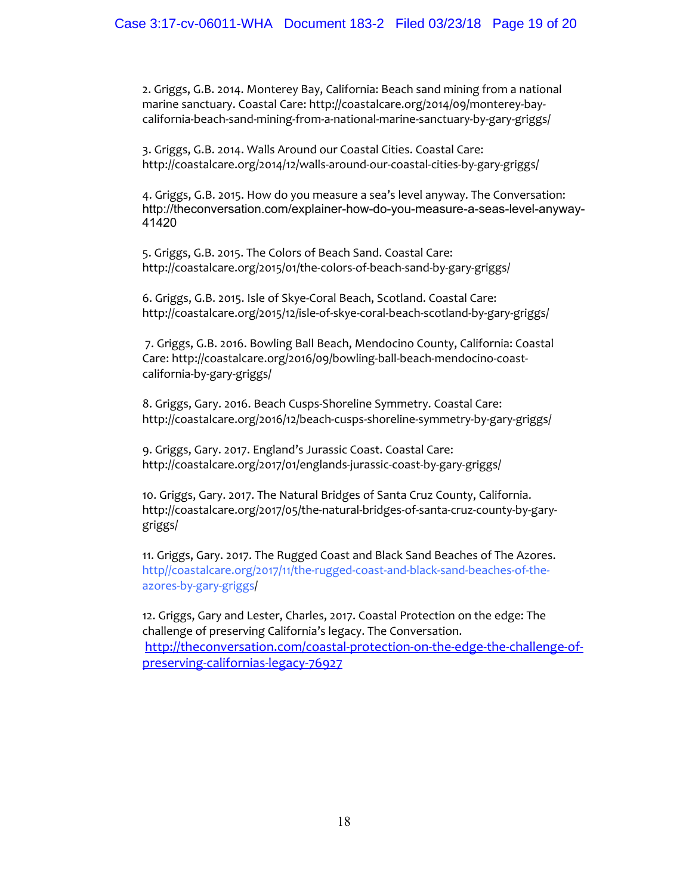2. Griggs, G.B. 2014. Monterey Bay, California: Beach sand mining from a national marine sanctuary. Coastal Care: http://coastalcare.org/2014/09/monterey‐bay‐ california‐beach‐sand‐mining‐from‐a‐national‐marine‐sanctuary‐by‐gary‐griggs/

3. Griggs, G.B. 2014. Walls Around our Coastal Cities. Coastal Care: http://coastalcare.org/2014/12/walls‐around‐our‐coastal‐cities‐by‐gary‐griggs/

4. Griggs, G.B. 2015. How do you measure a sea's level anyway. The Conversation: http://theconversation.com/explainer-how-do-you-measure-a-seas-level-anyway-41420

5. Griggs, G.B. 2015. The Colors of Beach Sand. Coastal Care: http://coastalcare.org/2015/01/the‐colors‐of‐beach‐sand‐by‐gary‐griggs/

6. Griggs, G.B. 2015. Isle of Skye‐Coral Beach, Scotland. Coastal Care: http://coastalcare.org/2015/12/isle‐of‐skye‐coral‐beach‐scotland‐by‐gary‐griggs/

 7. Griggs, G.B. 2016. Bowling Ball Beach, Mendocino County, California: Coastal Care: http://coastalcare.org/2016/09/bowling‐ball‐beach‐mendocino‐coast‐ california‐by‐gary‐griggs/

8. Griggs, Gary. 2016. Beach Cusps‐Shoreline Symmetry. Coastal Care: http://coastalcare.org/2016/12/beach-cusps-shoreline-symmetry-by-gary-griggs/

9. Griggs, Gary. 2017. England's Jurassic Coast. Coastal Care: http://coastalcare.org/2017/01/englands‐jurassic‐coast‐by‐gary‐griggs/

10. Griggs, Gary. 2017. The Natural Bridges of Santa Cruz County, California. http://coastalcare.org/2017/05/the‐natural‐bridges‐of‐santa‐cruz‐county‐by‐gary‐ griggs/

11. Griggs, Gary. 2017. The Rugged Coast and Black Sand Beaches of The Azores. http//coastalcare.org/2017/11/the-rugged-coast-and-black-sand-beaches-of-theazores‐by‐gary‐griggs/

12. Griggs, Gary and Lester, Charles, 2017. Coastal Protection on the edge: The challenge of preserving California's legacy. The Conversation. http://theconversation.com/coastal-protection-on-the-edge-the-challenge-ofpreserving‐californias‐legacy‐76927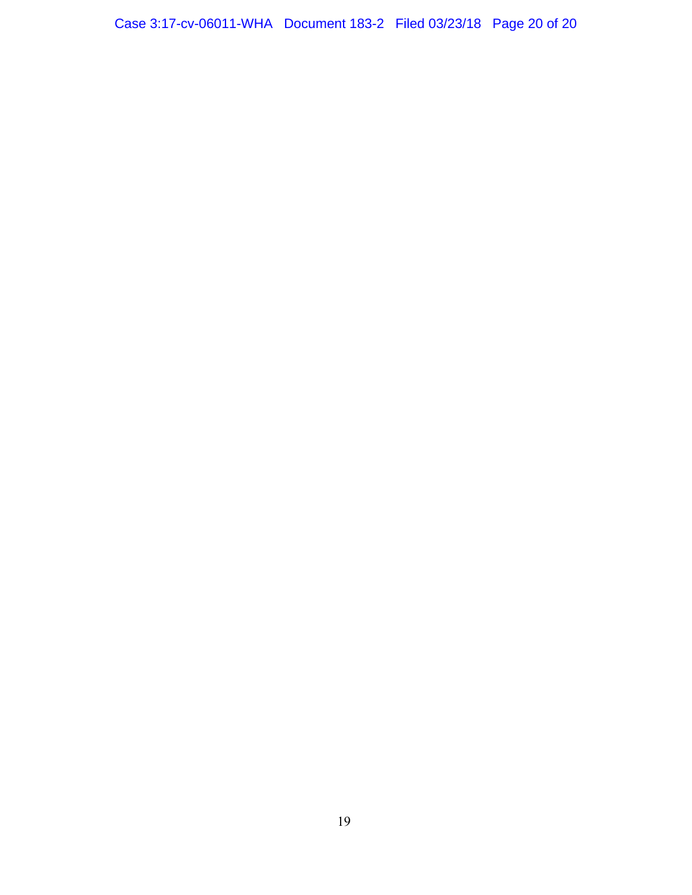Case 3:17-cv-06011-WHA Document 183-2 Filed 03/23/18 Page 20 of 20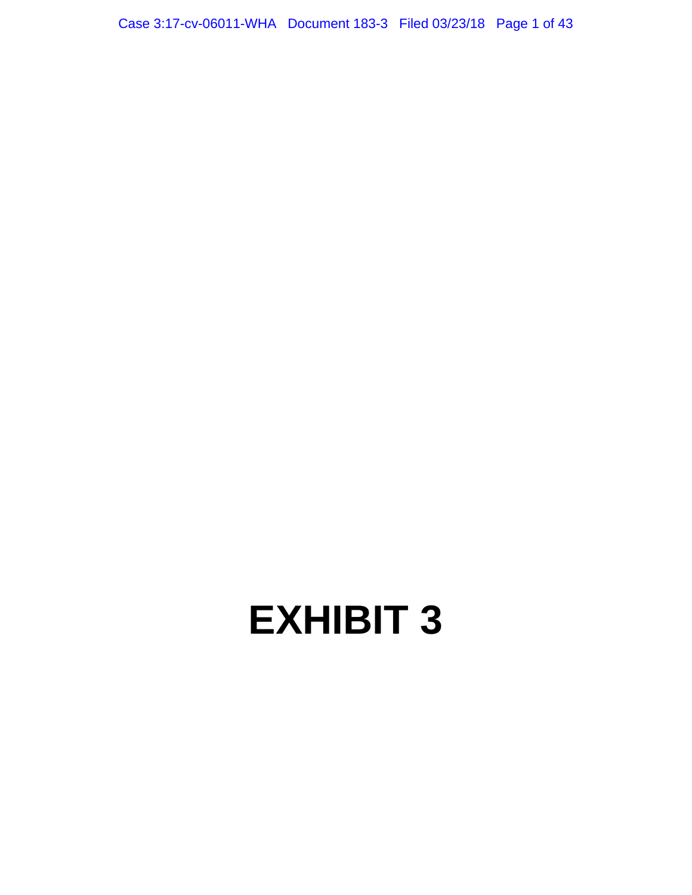Case 3:17-cv-06011-WHA Document 183-3 Filed 03/23/18 Page 1 of 43

# **EXHIBIT 3**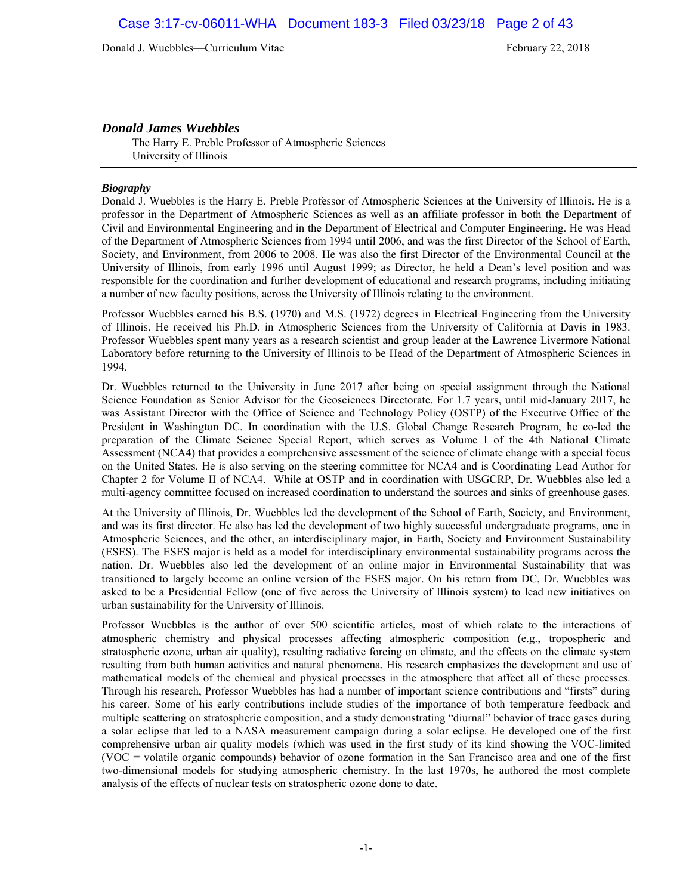# *Donald James Wuebbles*

 The Harry E. Preble Professor of Atmospheric Sciences University of Illinois

## *Biography*

Donald J. Wuebbles is the Harry E. Preble Professor of Atmospheric Sciences at the University of Illinois. He is a professor in the Department of Atmospheric Sciences as well as an affiliate professor in both the Department of Civil and Environmental Engineering and in the Department of Electrical and Computer Engineering. He was Head of the Department of Atmospheric Sciences from 1994 until 2006, and was the first Director of the School of Earth, Society, and Environment, from 2006 to 2008. He was also the first Director of the Environmental Council at the University of Illinois, from early 1996 until August 1999; as Director, he held a Dean's level position and was responsible for the coordination and further development of educational and research programs, including initiating a number of new faculty positions, across the University of Illinois relating to the environment.

Professor Wuebbles earned his B.S. (1970) and M.S. (1972) degrees in Electrical Engineering from the University of Illinois. He received his Ph.D. in Atmospheric Sciences from the University of California at Davis in 1983. Professor Wuebbles spent many years as a research scientist and group leader at the Lawrence Livermore National Laboratory before returning to the University of Illinois to be Head of the Department of Atmospheric Sciences in 1994.

Dr. Wuebbles returned to the University in June 2017 after being on special assignment through the National Science Foundation as Senior Advisor for the Geosciences Directorate. For 1.7 years, until mid-January 2017, he was Assistant Director with the Office of Science and Technology Policy (OSTP) of the Executive Office of the President in Washington DC. In coordination with the U.S. Global Change Research Program, he co-led the preparation of the Climate Science Special Report, which serves as Volume I of the 4th National Climate Assessment (NCA4) that provides a comprehensive assessment of the science of climate change with a special focus on the United States. He is also serving on the steering committee for NCA4 and is Coordinating Lead Author for Chapter 2 for Volume II of NCA4. While at OSTP and in coordination with USGCRP, Dr. Wuebbles also led a multi-agency committee focused on increased coordination to understand the sources and sinks of greenhouse gases.

At the University of Illinois, Dr. Wuebbles led the development of the School of Earth, Society, and Environment, and was its first director. He also has led the development of two highly successful undergraduate programs, one in Atmospheric Sciences, and the other, an interdisciplinary major, in Earth, Society and Environment Sustainability (ESES). The ESES major is held as a model for interdisciplinary environmental sustainability programs across the nation. Dr. Wuebbles also led the development of an online major in Environmental Sustainability that was transitioned to largely become an online version of the ESES major. On his return from DC, Dr. Wuebbles was asked to be a Presidential Fellow (one of five across the University of Illinois system) to lead new initiatives on urban sustainability for the University of Illinois.

Professor Wuebbles is the author of over 500 scientific articles, most of which relate to the interactions of atmospheric chemistry and physical processes affecting atmospheric composition (e.g., tropospheric and stratospheric ozone, urban air quality), resulting radiative forcing on climate, and the effects on the climate system resulting from both human activities and natural phenomena. His research emphasizes the development and use of mathematical models of the chemical and physical processes in the atmosphere that affect all of these processes. Through his research, Professor Wuebbles has had a number of important science contributions and "firsts" during his career. Some of his early contributions include studies of the importance of both temperature feedback and multiple scattering on stratospheric composition, and a study demonstrating "diurnal" behavior of trace gases during a solar eclipse that led to a NASA measurement campaign during a solar eclipse. He developed one of the first comprehensive urban air quality models (which was used in the first study of its kind showing the VOC-limited (VOC = volatile organic compounds) behavior of ozone formation in the San Francisco area and one of the first two-dimensional models for studying atmospheric chemistry. In the last 1970s, he authored the most complete analysis of the effects of nuclear tests on stratospheric ozone done to date.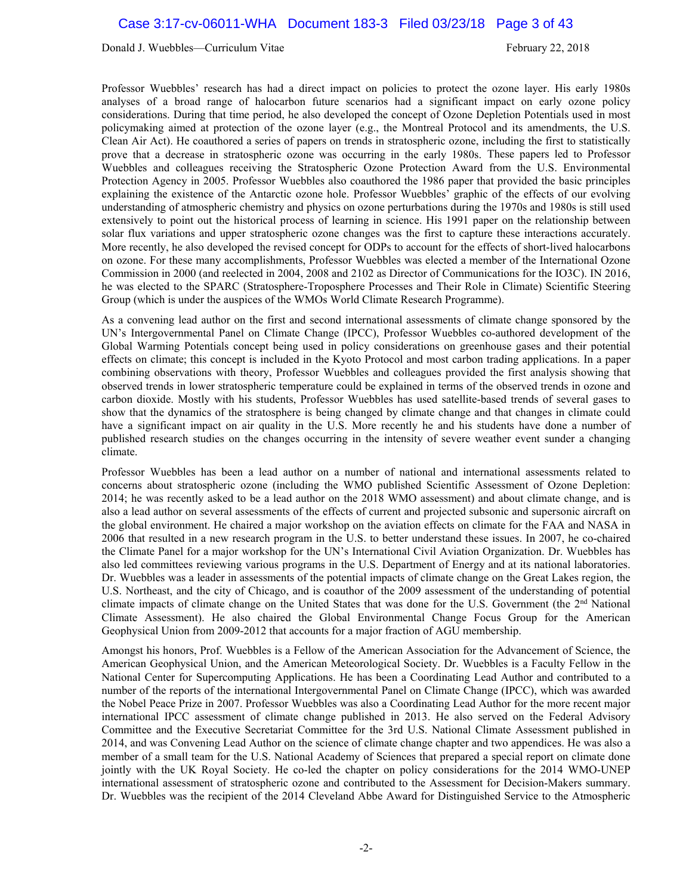Professor Wuebbles' research has had a direct impact on policies to protect the ozone layer. His early 1980s analyses of a broad range of halocarbon future scenarios had a significant impact on early ozone policy considerations. During that time period, he also developed the concept of Ozone Depletion Potentials used in most policymaking aimed at protection of the ozone layer (e.g., the Montreal Protocol and its amendments, the U.S. Clean Air Act). He coauthored a series of papers on trends in stratospheric ozone, including the first to statistically prove that a decrease in stratospheric ozone was occurring in the early 1980s. These papers led to Professor Wuebbles and colleagues receiving the Stratospheric Ozone Protection Award from the U.S. Environmental Protection Agency in 2005. Professor Wuebbles also coauthored the 1986 paper that provided the basic principles explaining the existence of the Antarctic ozone hole. Professor Wuebbles' graphic of the effects of our evolving understanding of atmospheric chemistry and physics on ozone perturbations during the 1970s and 1980s is still used extensively to point out the historical process of learning in science. His 1991 paper on the relationship between solar flux variations and upper stratospheric ozone changes was the first to capture these interactions accurately. More recently, he also developed the revised concept for ODPs to account for the effects of short-lived halocarbons on ozone. For these many accomplishments, Professor Wuebbles was elected a member of the International Ozone Commission in 2000 (and reelected in 2004, 2008 and 2102 as Director of Communications for the IO3C). IN 2016, he was elected to the SPARC (Stratosphere-Troposphere Processes and Their Role in Climate) Scientific Steering Group (which is under the auspices of the WMOs World Climate Research Programme).

As a convening lead author on the first and second international assessments of climate change sponsored by the UN's Intergovernmental Panel on Climate Change (IPCC), Professor Wuebbles co-authored development of the Global Warming Potentials concept being used in policy considerations on greenhouse gases and their potential effects on climate; this concept is included in the Kyoto Protocol and most carbon trading applications. In a paper combining observations with theory, Professor Wuebbles and colleagues provided the first analysis showing that observed trends in lower stratospheric temperature could be explained in terms of the observed trends in ozone and carbon dioxide. Mostly with his students, Professor Wuebbles has used satellite-based trends of several gases to show that the dynamics of the stratosphere is being changed by climate change and that changes in climate could have a significant impact on air quality in the U.S. More recently he and his students have done a number of published research studies on the changes occurring in the intensity of severe weather event sunder a changing climate.

Professor Wuebbles has been a lead author on a number of national and international assessments related to concerns about stratospheric ozone (including the WMO published Scientific Assessment of Ozone Depletion: 2014; he was recently asked to be a lead author on the 2018 WMO assessment) and about climate change, and is also a lead author on several assessments of the effects of current and projected subsonic and supersonic aircraft on the global environment. He chaired a major workshop on the aviation effects on climate for the FAA and NASA in 2006 that resulted in a new research program in the U.S. to better understand these issues. In 2007, he co-chaired the Climate Panel for a major workshop for the UN's International Civil Aviation Organization. Dr. Wuebbles has also led committees reviewing various programs in the U.S. Department of Energy and at its national laboratories. Dr. Wuebbles was a leader in assessments of the potential impacts of climate change on the Great Lakes region, the U.S. Northeast, and the city of Chicago, and is coauthor of the 2009 assessment of the understanding of potential climate impacts of climate change on the United States that was done for the U.S. Government (the  $2<sup>nd</sup>$  National Climate Assessment). He also chaired the Global Environmental Change Focus Group for the American Geophysical Union from 2009-2012 that accounts for a major fraction of AGU membership.

Amongst his honors, Prof. Wuebbles is a Fellow of the American Association for the Advancement of Science, the American Geophysical Union, and the American Meteorological Society. Dr. Wuebbles is a Faculty Fellow in the National Center for Supercomputing Applications. He has been a Coordinating Lead Author and contributed to a number of the reports of the international Intergovernmental Panel on Climate Change (IPCC), which was awarded the Nobel Peace Prize in 2007. Professor Wuebbles was also a Coordinating Lead Author for the more recent major international IPCC assessment of climate change published in 2013. He also served on the Federal Advisory Committee and the Executive Secretariat Committee for the 3rd U.S. National Climate Assessment published in 2014, and was Convening Lead Author on the science of climate change chapter and two appendices. He was also a member of a small team for the U.S. National Academy of Sciences that prepared a special report on climate done jointly with the UK Royal Society. He co-led the chapter on policy considerations for the 2014 WMO-UNEP international assessment of stratospheric ozone and contributed to the Assessment for Decision-Makers summary. Dr. Wuebbles was the recipient of the 2014 Cleveland Abbe Award for Distinguished Service to the Atmospheric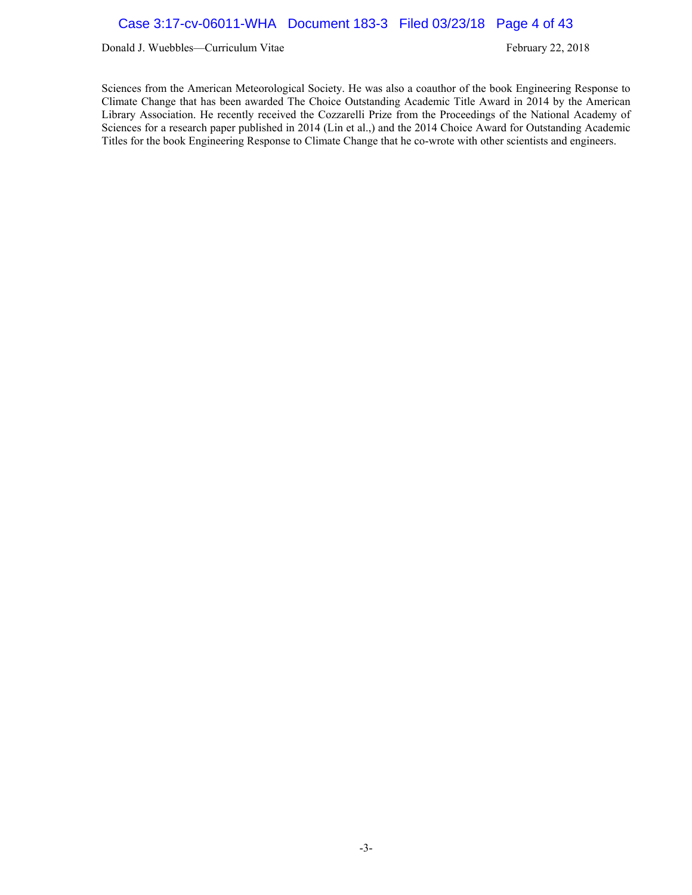Sciences from the American Meteorological Society. He was also a coauthor of the book Engineering Response to Climate Change that has been awarded The Choice Outstanding Academic Title Award in 2014 by the American Library Association. He recently received the Cozzarelli Prize from the Proceedings of the National Academy of Sciences for a research paper published in 2014 (Lin et al.,) and the 2014 Choice Award for Outstanding Academic Titles for the book Engineering Response to Climate Change that he co-wrote with other scientists and engineers.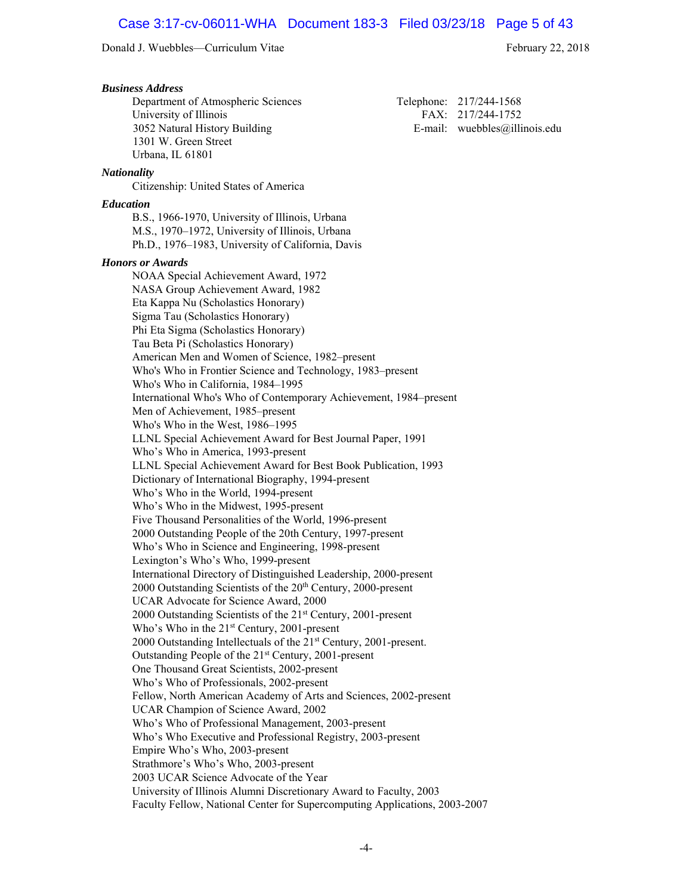#### *Business Address*

 Department of Atmospheric Sciences Telephone: 217/244-1568 University of Illinois FAX: 217/244-1752 3052 Natural History Building 1301 W. Green Street Urbana, IL 61801

#### *Nationality*

Citizenship: United States of America

## *Education*

 B.S., 1966-1970, University of Illinois, Urbana M.S., 1970–1972, University of Illinois, Urbana Ph.D., 1976–1983, University of California, Davis

#### *Honors or Awards*

NOAA Special Achievement Award, 1972 NASA Group Achievement Award, 1982 Eta Kappa Nu (Scholastics Honorary) Sigma Tau (Scholastics Honorary) Phi Eta Sigma (Scholastics Honorary) Tau Beta Pi (Scholastics Honorary) American Men and Women of Science, 1982–present Who's Who in Frontier Science and Technology, 1983–present Who's Who in California, 1984–1995 International Who's Who of Contemporary Achievement, 1984–present Men of Achievement, 1985–present Who's Who in the West, 1986–1995 LLNL Special Achievement Award for Best Journal Paper, 1991 Who's Who in America, 1993-present LLNL Special Achievement Award for Best Book Publication, 1993 Dictionary of International Biography, 1994-present Who's Who in the World, 1994-present Who's Who in the Midwest, 1995-present Five Thousand Personalities of the World, 1996-present 2000 Outstanding People of the 20th Century, 1997-present Who's Who in Science and Engineering, 1998-present Lexington's Who's Who, 1999-present International Directory of Distinguished Leadership, 2000-present 2000 Outstanding Scientists of the  $20<sup>th</sup>$  Century, 2000-present UCAR Advocate for Science Award, 2000 2000 Outstanding Scientists of the 21st Century, 2001-present Who's Who in the 21<sup>st</sup> Century, 2001-present 2000 Outstanding Intellectuals of the 21<sup>st</sup> Century, 2001-present. Outstanding People of the 21<sup>st</sup> Century, 2001-present One Thousand Great Scientists, 2002-present Who's Who of Professionals, 2002-present Fellow, North American Academy of Arts and Sciences, 2002-present UCAR Champion of Science Award, 2002 Who's Who of Professional Management, 2003-present Who's Who Executive and Professional Registry, 2003-present Empire Who's Who, 2003-present Strathmore's Who's Who, 2003-present 2003 UCAR Science Advocate of the Year University of Illinois Alumni Discretionary Award to Faculty, 2003 Faculty Fellow, National Center for Supercomputing Applications, 2003-2007

E-mail: wuebbles@illinois.edu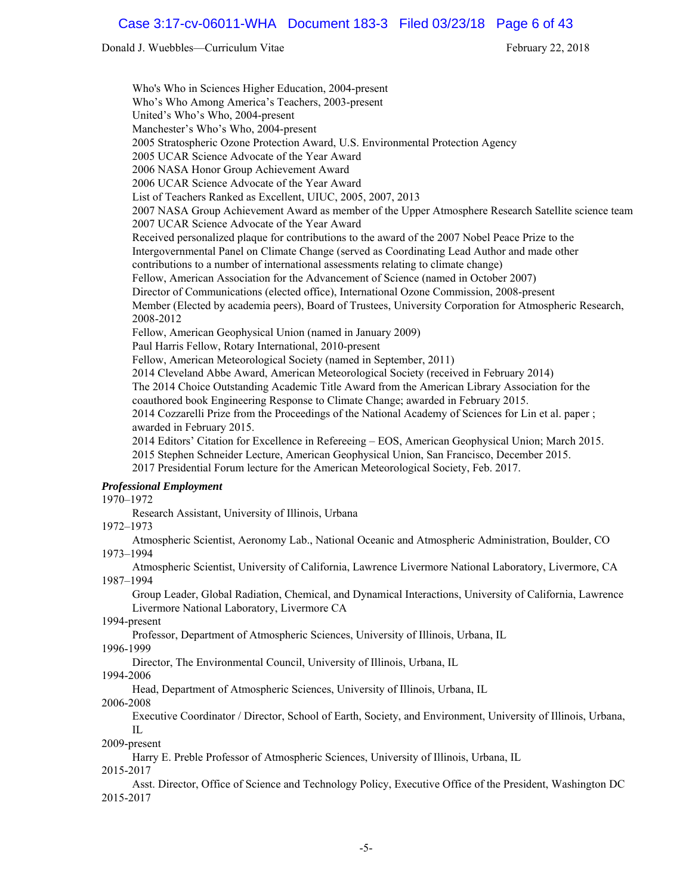Who's Who in Sciences Higher Education, 2004-present Who's Who Among America's Teachers, 2003-present United's Who's Who, 2004-present Manchester's Who's Who, 2004-present 2005 Stratospheric Ozone Protection Award, U.S. Environmental Protection Agency 2005 UCAR Science Advocate of the Year Award 2006 NASA Honor Group Achievement Award 2006 UCAR Science Advocate of the Year Award List of Teachers Ranked as Excellent, UIUC, 2005, 2007, 2013 2007 NASA Group Achievement Award as member of the Upper Atmosphere Research Satellite science team 2007 UCAR Science Advocate of the Year Award Received personalized plaque for contributions to the award of the 2007 Nobel Peace Prize to the Intergovernmental Panel on Climate Change (served as Coordinating Lead Author and made other contributions to a number of international assessments relating to climate change) Fellow, American Association for the Advancement of Science (named in October 2007) Director of Communications (elected office), International Ozone Commission, 2008-present Member (Elected by academia peers), Board of Trustees, University Corporation for Atmospheric Research, 2008-2012 Fellow, American Geophysical Union (named in January 2009) Paul Harris Fellow, Rotary International, 2010-present Fellow, American Meteorological Society (named in September, 2011) 2014 Cleveland Abbe Award, American Meteorological Society (received in February 2014) The 2014 Choice Outstanding Academic Title Award from the American Library Association for the coauthored book Engineering Response to Climate Change; awarded in February 2015. 2014 Cozzarelli Prize from the Proceedings of the National Academy of Sciences for Lin et al. paper ; awarded in February 2015. 2014 Editors' Citation for Excellence in Refereeing – EOS, American Geophysical Union; March 2015. 2015 Stephen Schneider Lecture, American Geophysical Union, San Francisco, December 2015. 2017 Presidential Forum lecture for the American Meteorological Society, Feb. 2017.

#### *Professional Employment*

1970–1972

Research Assistant, University of Illinois, Urbana

1972–1973

 Atmospheric Scientist, Aeronomy Lab., National Oceanic and Atmospheric Administration, Boulder, CO 1973–1994

 Atmospheric Scientist, University of California, Lawrence Livermore National Laboratory, Livermore, CA 1987–1994

 Group Leader, Global Radiation, Chemical, and Dynamical Interactions, University of California, Lawrence Livermore National Laboratory, Livermore CA

1994-present

Professor, Department of Atmospheric Sciences, University of Illinois, Urbana, IL

1996-1999

Director, The Environmental Council, University of Illinois, Urbana, IL

#### 1994-2006

Head, Department of Atmospheric Sciences, University of Illinois, Urbana, IL

## 2006-2008

 Executive Coordinator / Director, School of Earth, Society, and Environment, University of Illinois, Urbana, IL

2009-present

Harry E. Preble Professor of Atmospheric Sciences, University of Illinois, Urbana, IL

#### 2015-2017

 Asst. Director, Office of Science and Technology Policy, Executive Office of the President, Washington DC 2015-2017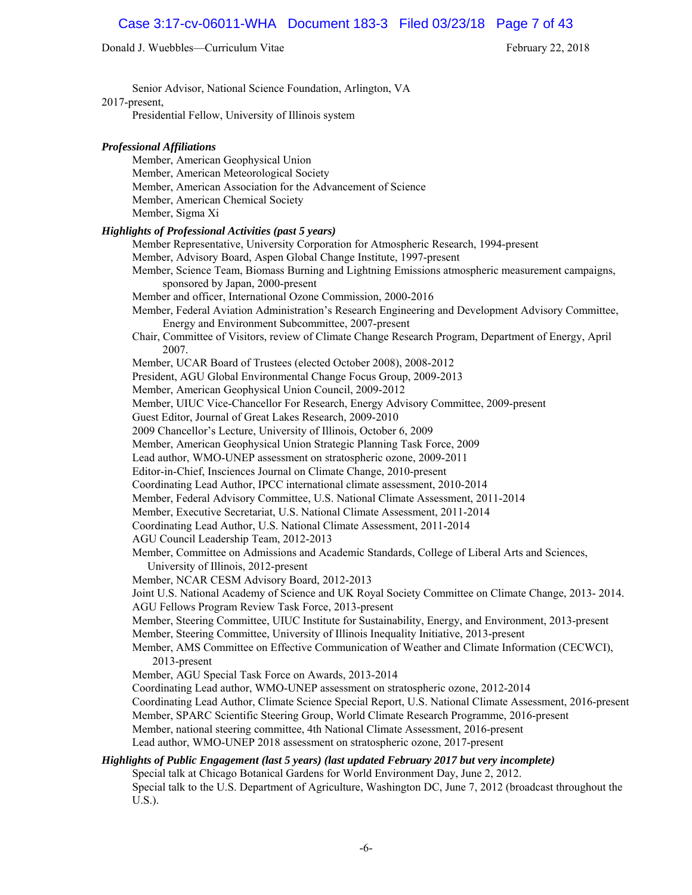Donald J. Wuebbles—Curriculum Vitae **February 22, 2018** February 22, 2018

Senior Advisor, National Science Foundation, Arlington, VA

2017-present,

Presidential Fellow, University of Illinois system

#### *Professional Affiliations*

 Member, American Geophysical Union Member, American Meteorological Society Member, American Association for the Advancement of Science Member, American Chemical Society Member, Sigma Xi

## *Highlights of Professional Activities (past 5 years)*

 Member Representative, University Corporation for Atmospheric Research, 1994-present Member, Advisory Board, Aspen Global Change Institute, 1997-present Member, Science Team, Biomass Burning and Lightning Emissions atmospheric measurement campaigns, sponsored by Japan, 2000-present Member and officer, International Ozone Commission, 2000-2016 Member, Federal Aviation Administration's Research Engineering and Development Advisory Committee, Energy and Environment Subcommittee, 2007-present Chair, Committee of Visitors, review of Climate Change Research Program, Department of Energy, April 2007. Member, UCAR Board of Trustees (elected October 2008), 2008-2012 President, AGU Global Environmental Change Focus Group, 2009-2013 Member, American Geophysical Union Council, 2009-2012 Member, UIUC Vice-Chancellor For Research, Energy Advisory Committee, 2009-present Guest Editor, Journal of Great Lakes Research, 2009-2010 2009 Chancellor's Lecture, University of Illinois, October 6, 2009 Member, American Geophysical Union Strategic Planning Task Force, 2009 Lead author, WMO-UNEP assessment on stratospheric ozone, 2009-2011 Editor-in-Chief, Insciences Journal on Climate Change, 2010-present Coordinating Lead Author, IPCC international climate assessment, 2010-2014 Member, Federal Advisory Committee, U.S. National Climate Assessment, 2011-2014 Member, Executive Secretariat, U.S. National Climate Assessment, 2011-2014 Coordinating Lead Author, U.S. National Climate Assessment, 2011-2014 AGU Council Leadership Team, 2012-2013 Member, Committee on Admissions and Academic Standards, College of Liberal Arts and Sciences, University of Illinois, 2012-present Member, NCAR CESM Advisory Board, 2012-2013 Joint U.S. National Academy of Science and UK Royal Society Committee on Climate Change, 2013- 2014. AGU Fellows Program Review Task Force, 2013-present Member, Steering Committee, UIUC Institute for Sustainability, Energy, and Environment, 2013-present Member, Steering Committee, University of Illinois Inequality Initiative, 2013-present Member, AMS Committee on Effective Communication of Weather and Climate Information (CECWCI), 2013-present Member, AGU Special Task Force on Awards, 2013-2014 Coordinating Lead author, WMO-UNEP assessment on stratospheric ozone, 2012-2014 Coordinating Lead Author, Climate Science Special Report, U.S. National Climate Assessment, 2016-present Member, SPARC Scientific Steering Group, World Climate Research Programme, 2016-present Member, national steering committee, 4th National Climate Assessment, 2016-present Lead author, WMO-UNEP 2018 assessment on stratospheric ozone, 2017-present *Highlights of Public Engagement (last 5 years) (last updated February 2017 but very incomplete)*  Special talk at Chicago Botanical Gardens for World Environment Day, June 2, 2012.

Special talk to the U.S. Department of Agriculture, Washington DC, June 7, 2012 (broadcast throughout the U.S.).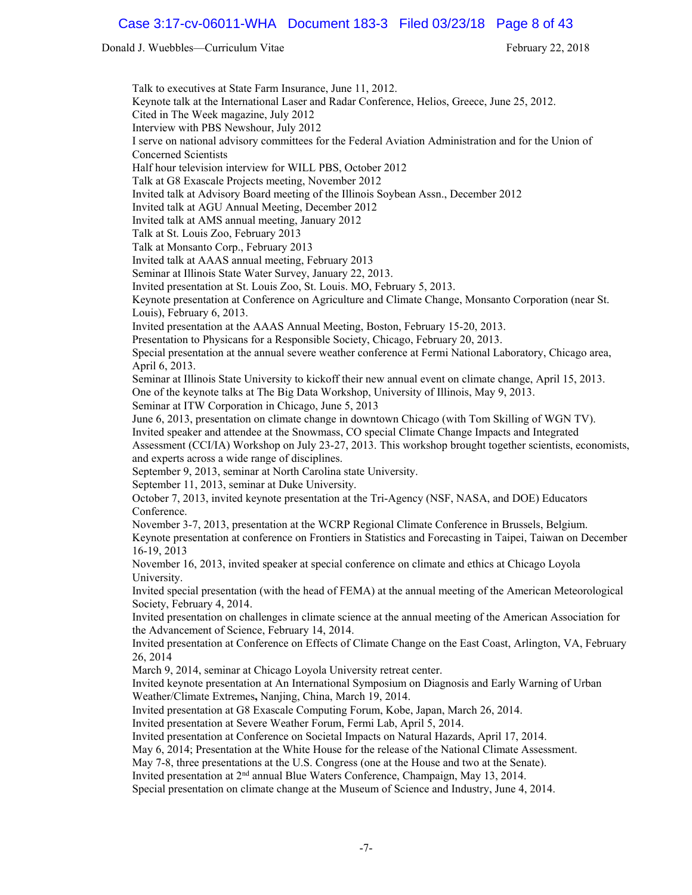Case 3:17-cv-06011-WHA Document 183-3 Filed 03/23/18 Page 8 of 43

Donald J. Wuebbles—Curriculum Vitae February 22, 2018

Talk to executives at State Farm Insurance, June 11, 2012. Keynote talk at the International Laser and Radar Conference, Helios, Greece, June 25, 2012. Cited in The Week magazine, July 2012 Interview with PBS Newshour, July 2012 I serve on national advisory committees for the Federal Aviation Administration and for the Union of Concerned Scientists Half hour television interview for WILL PBS, October 2012 Talk at G8 Exascale Projects meeting, November 2012 Invited talk at Advisory Board meeting of the Illinois Soybean Assn., December 2012 Invited talk at AGU Annual Meeting, December 2012 Invited talk at AMS annual meeting, January 2012 Talk at St. Louis Zoo, February 2013 Talk at Monsanto Corp., February 2013 Invited talk at AAAS annual meeting, February 2013 Seminar at Illinois State Water Survey, January 22, 2013. Invited presentation at St. Louis Zoo, St. Louis. MO, February 5, 2013. Keynote presentation at Conference on Agriculture and Climate Change, Monsanto Corporation (near St. Louis), February 6, 2013. Invited presentation at the AAAS Annual Meeting, Boston, February 15-20, 2013. Presentation to Physicans for a Responsible Society, Chicago, February 20, 2013. Special presentation at the annual severe weather conference at Fermi National Laboratory, Chicago area, April 6, 2013. Seminar at Illinois State University to kickoff their new annual event on climate change, April 15, 2013. One of the keynote talks at The Big Data Workshop, University of Illinois, May 9, 2013. Seminar at ITW Corporation in Chicago, June 5, 2013 June 6, 2013, presentation on climate change in downtown Chicago (with Tom Skilling of WGN TV). Invited speaker and attendee at the Snowmass, CO special Climate Change Impacts and Integrated Assessment (CCI/IA) Workshop on July 23-27, 2013. This workshop brought together scientists, economists, and experts across a wide range of disciplines. September 9, 2013, seminar at North Carolina state University. September 11, 2013, seminar at Duke University. October 7, 2013, invited keynote presentation at the Tri-Agency (NSF, NASA, and DOE) Educators Conference. November 3-7, 2013, presentation at the WCRP Regional Climate Conference in Brussels, Belgium. Keynote presentation at conference on Frontiers in Statistics and Forecasting in Taipei, Taiwan on December 16-19, 2013 November 16, 2013, invited speaker at special conference on climate and ethics at Chicago Loyola University. Invited special presentation (with the head of FEMA) at the annual meeting of the American Meteorological Society, February 4, 2014. Invited presentation on challenges in climate science at the annual meeting of the American Association for the Advancement of Science, February 14, 2014. Invited presentation at Conference on Effects of Climate Change on the East Coast, Arlington, VA, February 26, 2014 March 9, 2014, seminar at Chicago Loyola University retreat center. Invited keynote presentation at An International Symposium on Diagnosis and Early Warning of Urban Weather/Climate Extremes**,** Nanjing, China, March 19, 2014. Invited presentation at G8 Exascale Computing Forum, Kobe, Japan, March 26, 2014. Invited presentation at Severe Weather Forum, Fermi Lab, April 5, 2014. Invited presentation at Conference on Societal Impacts on Natural Hazards, April 17, 2014. May 6, 2014; Presentation at the White House for the release of the National Climate Assessment. May 7-8, three presentations at the U.S. Congress (one at the House and two at the Senate). Invited presentation at 2nd annual Blue Waters Conference, Champaign, May 13, 2014. Special presentation on climate change at the Museum of Science and Industry, June 4, 2014.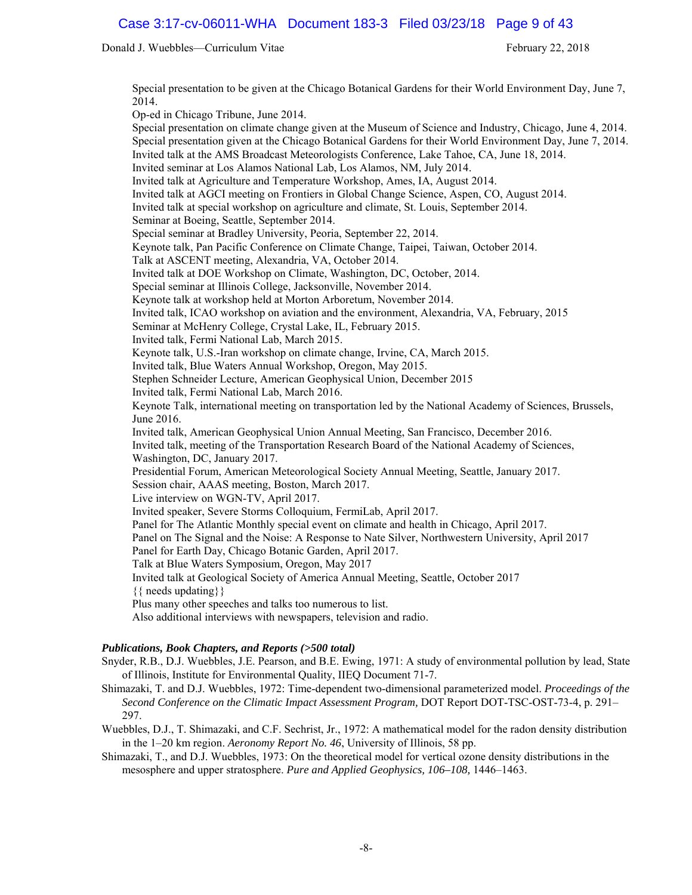Special presentation to be given at the Chicago Botanical Gardens for their World Environment Day, June 7, 2014. Op-ed in Chicago Tribune, June 2014. Special presentation on climate change given at the Museum of Science and Industry, Chicago, June 4, 2014. Special presentation given at the Chicago Botanical Gardens for their World Environment Day, June 7, 2014. Invited talk at the AMS Broadcast Meteorologists Conference, Lake Tahoe, CA, June 18, 2014. Invited seminar at Los Alamos National Lab, Los Alamos, NM, July 2014. Invited talk at Agriculture and Temperature Workshop, Ames, IA, August 2014. Invited talk at AGCI meeting on Frontiers in Global Change Science, Aspen, CO, August 2014. Invited talk at special workshop on agriculture and climate, St. Louis, September 2014. Seminar at Boeing, Seattle, September 2014. Special seminar at Bradley University, Peoria, September 22, 2014. Keynote talk, Pan Pacific Conference on Climate Change, Taipei, Taiwan, October 2014. Talk at ASCENT meeting, Alexandria, VA, October 2014. Invited talk at DOE Workshop on Climate, Washington, DC, October, 2014. Special seminar at Illinois College, Jacksonville, November 2014. Keynote talk at workshop held at Morton Arboretum, November 2014. Invited talk, ICAO workshop on aviation and the environment, Alexandria, VA, February, 2015 Seminar at McHenry College, Crystal Lake, IL, February 2015. Invited talk, Fermi National Lab, March 2015. Keynote talk, U.S.-Iran workshop on climate change, Irvine, CA, March 2015. Invited talk, Blue Waters Annual Workshop, Oregon, May 2015. Stephen Schneider Lecture, American Geophysical Union, December 2015 Invited talk, Fermi National Lab, March 2016. Keynote Talk, international meeting on transportation led by the National Academy of Sciences, Brussels, June 2016. Invited talk, American Geophysical Union Annual Meeting, San Francisco, December 2016. Invited talk, meeting of the Transportation Research Board of the National Academy of Sciences, Washington, DC, January 2017. Presidential Forum, American Meteorological Society Annual Meeting, Seattle, January 2017. Session chair, AAAS meeting, Boston, March 2017. Live interview on WGN-TV, April 2017. Invited speaker, Severe Storms Colloquium, FermiLab, April 2017. Panel for The Atlantic Monthly special event on climate and health in Chicago, April 2017. Panel on The Signal and the Noise: A Response to Nate Silver, Northwestern University, April 2017 Panel for Earth Day, Chicago Botanic Garden, April 2017. Talk at Blue Waters Symposium, Oregon, May 2017 Invited talk at Geological Society of America Annual Meeting, Seattle, October 2017 {{ needs updating}} Plus many other speeches and talks too numerous to list. Also additional interviews with newspapers, television and radio.

#### *Publications, Book Chapters, and Reports (>500 total)*

- Snyder, R.B., D.J. Wuebbles, J.E. Pearson, and B.E. Ewing, 1971: A study of environmental pollution by lead, State of Illinois, Institute for Environmental Quality, IIEQ Document 71-7.
- Shimazaki, T. and D.J. Wuebbles, 1972: Time-dependent two-dimensional parameterized model. *Proceedings of the Second Conference on the Climatic Impact Assessment Program,* DOT Report DOT-TSC-OST-73-4, p. 291– 297.
- Wuebbles, D.J., T. Shimazaki, and C.F. Sechrist, Jr., 1972: A mathematical model for the radon density distribution in the 1–20 km region. *Aeronomy Report No. 46*, University of Illinois, 58 pp.
- Shimazaki, T., and D.J. Wuebbles, 1973: On the theoretical model for vertical ozone density distributions in the mesosphere and upper stratosphere. *Pure and Applied Geophysics, 106–108,* 1446–1463.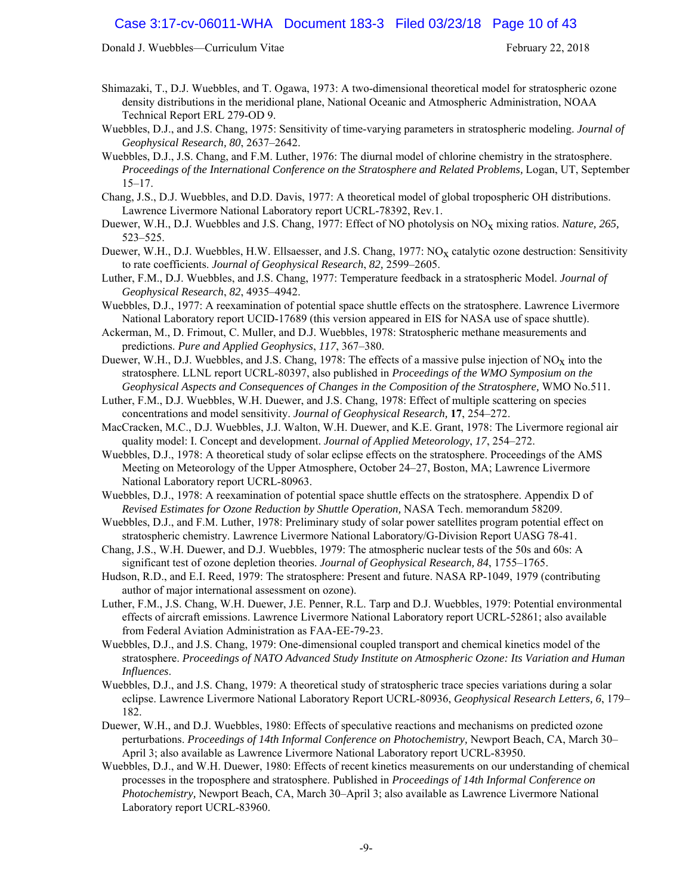- Shimazaki, T., D.J. Wuebbles, and T. Ogawa, 1973: A two-dimensional theoretical model for stratospheric ozone density distributions in the meridional plane, National Oceanic and Atmospheric Administration, NOAA Technical Report ERL 279-OD 9.
- Wuebbles, D.J., and J.S. Chang, 1975: Sensitivity of time-varying parameters in stratospheric modeling. *Journal of Geophysical Research, 80*, 2637–2642.
- Wuebbles, D.J., J.S. Chang, and F.M. Luther, 1976: The diurnal model of chlorine chemistry in the stratosphere. *Proceedings of the International Conference on the Stratosphere and Related Problems,* Logan, UT, September 15–17.
- Chang, J.S., D.J. Wuebbles, and D.D. Davis, 1977: A theoretical model of global tropospheric OH distributions. Lawrence Livermore National Laboratory report UCRL-78392, Rev.1.
- Duewer, W.H., D.J. Wuebbles and J.S. Chang, 1977: Effect of NO photolysis on NOx mixing ratios. *Nature, 265,* 523–525.
- Duewer, W.H., D.J. Wuebbles, H.W. Ellsaesser, and J.S. Chang,  $1977$ :  $NQ_x$  catalytic ozone destruction: Sensitivity to rate coefficients. *Journal of Geophysical Research*, *82,* 2599–2605.
- Luther, F.M., D.J. Wuebbles, and J.S. Chang, 1977: Temperature feedback in a stratospheric Model. *Journal of Geophysical Research*, *82*, 4935–4942.
- Wuebbles, D.J., 1977: A reexamination of potential space shuttle effects on the stratosphere. Lawrence Livermore National Laboratory report UCID-17689 (this version appeared in EIS for NASA use of space shuttle).
- Ackerman, M., D. Frimout, C. Muller, and D.J. Wuebbles, 1978: Stratospheric methane measurements and predictions. *Pure and Applied Geophysics*, *117*, 367–380.
- Duewer, W.H., D.J. Wuebbles, and J.S. Chang, 1978: The effects of a massive pulse injection of  $NO<sub>x</sub>$  into the stratosphere. LLNL report UCRL-80397, also published in *Proceedings of the WMO Symposium on the Geophysical Aspects and Consequences of Changes in the Composition of the Stratosphere,* WMO No.511.
- Luther, F.M., D.J. Wuebbles, W.H. Duewer, and J.S. Chang, 1978: Effect of multiple scattering on species concentrations and model sensitivity. *Journal of Geophysical Research,* **17**, 254–272.
- MacCracken, M.C., D.J. Wuebbles, J.J. Walton, W.H. Duewer, and K.E. Grant, 1978: The Livermore regional air quality model: I. Concept and development. *Journal of Applied Meteorology*, *17*, 254–272.
- Wuebbles, D.J., 1978: A theoretical study of solar eclipse effects on the stratosphere. Proceedings of the AMS Meeting on Meteorology of the Upper Atmosphere, October 24–27, Boston, MA; Lawrence Livermore National Laboratory report UCRL-80963.
- Wuebbles, D.J., 1978: A reexamination of potential space shuttle effects on the stratosphere. Appendix D of *Revised Estimates for Ozone Reduction by Shuttle Operation,* NASA Tech. memorandum 58209.
- Wuebbles, D.J., and F.M. Luther, 1978: Preliminary study of solar power satellites program potential effect on stratospheric chemistry. Lawrence Livermore National Laboratory/G-Division Report UASG 78-41.
- Chang, J.S., W.H. Duewer, and D.J. Wuebbles, 1979: The atmospheric nuclear tests of the 50s and 60s: A significant test of ozone depletion theories. *Journal of Geophysical Research, 84*, 1755–1765.
- Hudson, R.D., and E.I. Reed, 1979: The stratosphere: Present and future. NASA RP-1049, 1979 (contributing author of major international assessment on ozone).
- Luther, F.M., J.S. Chang, W.H. Duewer, J.E. Penner, R.L. Tarp and D.J. Wuebbles, 1979: Potential environmental effects of aircraft emissions. Lawrence Livermore National Laboratory report UCRL-52861; also available from Federal Aviation Administration as FAA-EE-79-23.
- Wuebbles, D.J., and J.S. Chang, 1979: One-dimensional coupled transport and chemical kinetics model of the stratosphere. *Proceedings of NATO Advanced Study Institute on Atmospheric Ozone: Its Variation and Human Influences*.
- Wuebbles, D.J., and J.S. Chang, 1979: A theoretical study of stratospheric trace species variations during a solar eclipse. Lawrence Livermore National Laboratory Report UCRL-80936, *Geophysical Research Letters, 6*, 179– 182.
- Duewer, W.H., and D.J. Wuebbles, 1980: Effects of speculative reactions and mechanisms on predicted ozone perturbations. *Proceedings of 14th Informal Conference on Photochemistry,* Newport Beach, CA, March 30– April 3; also available as Lawrence Livermore National Laboratory report UCRL-83950.
- Wuebbles, D.J., and W.H. Duewer, 1980: Effects of recent kinetics measurements on our understanding of chemical processes in the troposphere and stratosphere. Published in *Proceedings of 14th Informal Conference on Photochemistry,* Newport Beach, CA, March 30–April 3; also available as Lawrence Livermore National Laboratory report UCRL-83960.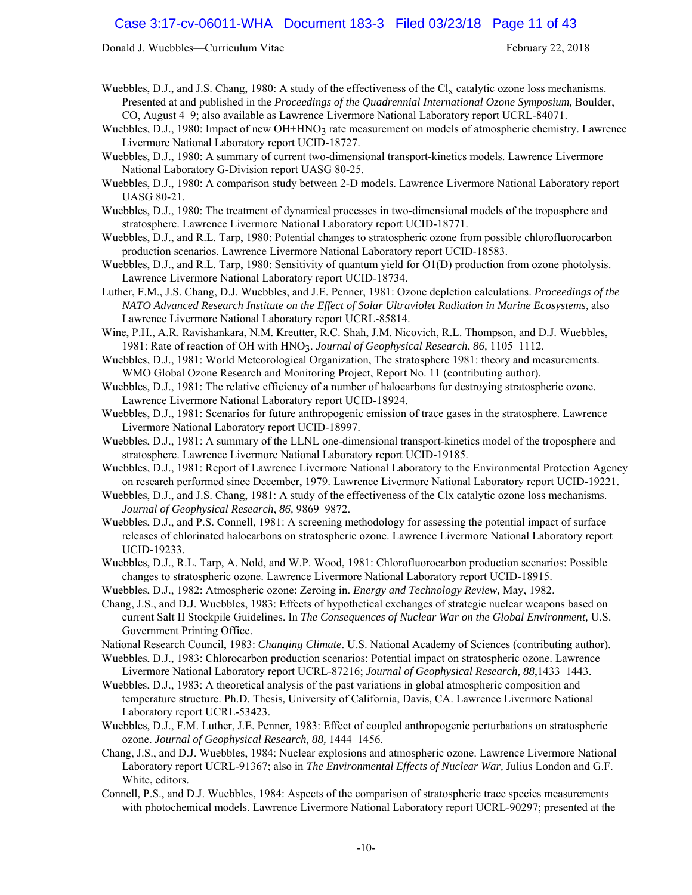# Case 3:17-cv-06011-WHA Document 183-3 Filed 03/23/18 Page 11 of 43

Donald J. Wuebbles—Curriculum Vitae February 22, 2018

Wuebbles, D.J., and J.S. Chang, 1980: A study of the effectiveness of the  $Cl_x$  catalytic ozone loss mechanisms. Presented at and published in the *Proceedings of the Quadrennial International Ozone Symposium,* Boulder, CO, August 4–9; also available as Lawrence Livermore National Laboratory report UCRL-84071.

- Wuebbles, D.J., 1980: Impact of new OH+HNO3 rate measurement on models of atmospheric chemistry. Lawrence Livermore National Laboratory report UCID-18727.
- Wuebbles, D.J., 1980: A summary of current two-dimensional transport-kinetics models. Lawrence Livermore National Laboratory G-Division report UASG 80-25.
- Wuebbles, D.J., 1980: A comparison study between 2-D models. Lawrence Livermore National Laboratory report UASG 80-21.
- Wuebbles, D.J., 1980: The treatment of dynamical processes in two-dimensional models of the troposphere and stratosphere. Lawrence Livermore National Laboratory report UCID-18771.
- Wuebbles, D.J., and R.L. Tarp, 1980: Potential changes to stratospheric ozone from possible chlorofluorocarbon production scenarios. Lawrence Livermore National Laboratory report UCID-18583.
- Wuebbles, D.J., and R.L. Tarp, 1980: Sensitivity of quantum yield for O1(D) production from ozone photolysis. Lawrence Livermore National Laboratory report UCID-18734.
- Luther, F.M., J.S. Chang, D.J. Wuebbles, and J.E. Penner, 1981: Ozone depletion calculations. *Proceedings of the NATO Advanced Research Institute on the Effect of Solar Ultraviolet Radiation in Marine Ecosystems,* also Lawrence Livermore National Laboratory report UCRL-85814.
- Wine, P.H., A.R. Ravishankara, N.M. Kreutter, R.C. Shah, J.M. Nicovich, R.L. Thompson, and D.J. Wuebbles, 1981: Rate of reaction of OH with HNO3. *Journal of Geophysical Research*, *86,* 1105–1112.
- Wuebbles, D.J., 1981: World Meteorological Organization, The stratosphere 1981: theory and measurements. WMO Global Ozone Research and Monitoring Project, Report No. 11 (contributing author).
- Wuebbles, D.J., 1981: The relative efficiency of a number of halocarbons for destroying stratospheric ozone. Lawrence Livermore National Laboratory report UCID-18924.
- Wuebbles, D.J., 1981: Scenarios for future anthropogenic emission of trace gases in the stratosphere. Lawrence Livermore National Laboratory report UCID-18997.
- Wuebbles, D.J., 1981: A summary of the LLNL one-dimensional transport-kinetics model of the troposphere and stratosphere. Lawrence Livermore National Laboratory report UCID-19185.
- Wuebbles, D.J., 1981: Report of Lawrence Livermore National Laboratory to the Environmental Protection Agency on research performed since December, 1979. Lawrence Livermore National Laboratory report UCID-19221.
- Wuebbles, D.J., and J.S. Chang, 1981: A study of the effectiveness of the Clx catalytic ozone loss mechanisms. *Journal of Geophysical Research*, *86,* 9869–9872.
- Wuebbles, D.J., and P.S. Connell, 1981: A screening methodology for assessing the potential impact of surface releases of chlorinated halocarbons on stratospheric ozone. Lawrence Livermore National Laboratory report UCID-19233.
- Wuebbles, D.J., R.L. Tarp, A. Nold, and W.P. Wood, 1981: Chlorofluorocarbon production scenarios: Possible changes to stratospheric ozone. Lawrence Livermore National Laboratory report UCID-18915.
- Wuebbles, D.J., 1982: Atmospheric ozone: Zeroing in. *Energy and Technology Review,* May, 1982.
- Chang, J.S., and D.J. Wuebbles, 1983: Effects of hypothetical exchanges of strategic nuclear weapons based on current Salt II Stockpile Guidelines. In *The Consequences of Nuclear War on the Global Environment,* U.S. Government Printing Office.
- National Research Council, 1983: *Changing Climate*. U.S. National Academy of Sciences (contributing author).
- Wuebbles, D.J., 1983: Chlorocarbon production scenarios: Potential impact on stratospheric ozone. Lawrence Livermore National Laboratory report UCRL-87216; *Journal of Geophysical Research, 88*,1433–1443.
- Wuebbles, D.J., 1983: A theoretical analysis of the past variations in global atmospheric composition and temperature structure. Ph.D. Thesis, University of California, Davis, CA. Lawrence Livermore National Laboratory report UCRL-53423.
- Wuebbles, D.J., F.M. Luther, J.E. Penner, 1983: Effect of coupled anthropogenic perturbations on stratospheric ozone. *Journal of Geophysical Research, 88,* 1444–1456.
- Chang, J.S., and D.J. Wuebbles, 1984: Nuclear explosions and atmospheric ozone. Lawrence Livermore National Laboratory report UCRL-91367; also in *The Environmental Effects of Nuclear War,* Julius London and G.F. White, editors.
- Connell, P.S., and D.J. Wuebbles, 1984: Aspects of the comparison of stratospheric trace species measurements with photochemical models. Lawrence Livermore National Laboratory report UCRL-90297; presented at the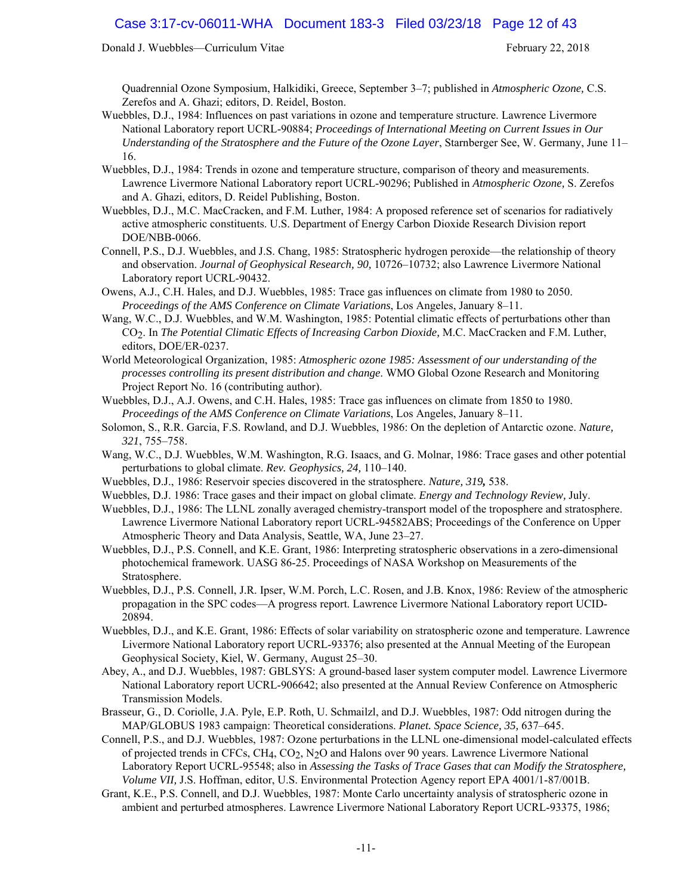Quadrennial Ozone Symposium, Halkidiki, Greece, September 3–7; published in *Atmospheric Ozone,* C.S. Zerefos and A. Ghazi; editors, D. Reidel, Boston.

- Wuebbles, D.J., 1984: Influences on past variations in ozone and temperature structure. Lawrence Livermore National Laboratory report UCRL-90884; *Proceedings of International Meeting on Current Issues in Our Understanding of the Stratosphere and the Future of the Ozone Layer*, Starnberger See, W. Germany, June 11– 16.
- Wuebbles, D.J., 1984: Trends in ozone and temperature structure, comparison of theory and measurements. Lawrence Livermore National Laboratory report UCRL-90296; Published in *Atmospheric Ozone,* S. Zerefos and A. Ghazi, editors, D. Reidel Publishing, Boston.
- Wuebbles, D.J., M.C. MacCracken, and F.M. Luther, 1984: A proposed reference set of scenarios for radiatively active atmospheric constituents. U.S. Department of Energy Carbon Dioxide Research Division report DOE/NBB-0066.
- Connell, P.S., D.J. Wuebbles, and J.S. Chang, 1985: Stratospheric hydrogen peroxide—the relationship of theory and observation. *Journal of Geophysical Research, 90,* 10726–10732; also Lawrence Livermore National Laboratory report UCRL-90432.
- Owens, A.J., C.H. Hales, and D.J. Wuebbles, 1985: Trace gas influences on climate from 1980 to 2050. *Proceedings of the AMS Conference on Climate Variations*, Los Angeles, January 8–11.
- Wang, W.C., D.J. Wuebbles, and W.M. Washington, 1985: Potential climatic effects of perturbations other than CO2. In *The Potential Climatic Effects of Increasing Carbon Dioxide,* M.C. MacCracken and F.M. Luther, editors, DOE/ER-0237.
- World Meteorological Organization, 1985: *Atmospheric ozone 1985: Assessment of our understanding of the processes controlling its present distribution and change*. WMO Global Ozone Research and Monitoring Project Report No. 16 (contributing author).
- Wuebbles, D.J., A.J. Owens, and C.H. Hales, 1985: Trace gas influences on climate from 1850 to 1980. *Proceedings of the AMS Conference on Climate Variations*, Los Angeles, January 8–11.
- Solomon, S., R.R. Garcia, F.S. Rowland, and D.J. Wuebbles, 1986: On the depletion of Antarctic ozone. *Nature, 321*, 755–758.
- Wang, W.C., D.J. Wuebbles, W.M. Washington, R.G. Isaacs, and G. Molnar, 1986: Trace gases and other potential perturbations to global climate. *Rev. Geophysics, 24,* 110–140.
- Wuebbles, D.J., 1986: Reservoir species discovered in the stratosphere. *Nature, 319,* 538.
- Wuebbles, D.J. 1986: Trace gases and their impact on global climate. *Energy and Technology Review,* July.
- Wuebbles, D.J., 1986: The LLNL zonally averaged chemistry-transport model of the troposphere and stratosphere. Lawrence Livermore National Laboratory report UCRL-94582ABS; Proceedings of the Conference on Upper Atmospheric Theory and Data Analysis, Seattle, WA, June 23–27.
- Wuebbles, D.J., P.S. Connell, and K.E. Grant, 1986: Interpreting stratospheric observations in a zero-dimensional photochemical framework. UASG 86-25. Proceedings of NASA Workshop on Measurements of the Stratosphere.
- Wuebbles, D.J., P.S. Connell, J.R. Ipser, W.M. Porch, L.C. Rosen, and J.B. Knox, 1986: Review of the atmospheric propagation in the SPC codes—A progress report. Lawrence Livermore National Laboratory report UCID-20894.
- Wuebbles, D.J., and K.E. Grant, 1986: Effects of solar variability on stratospheric ozone and temperature. Lawrence Livermore National Laboratory report UCRL-93376; also presented at the Annual Meeting of the European Geophysical Society, Kiel, W. Germany, August 25–30.
- Abey, A., and D.J. Wuebbles, 1987: GBLSYS: A ground-based laser system computer model. Lawrence Livermore National Laboratory report UCRL-906642; also presented at the Annual Review Conference on Atmospheric Transmission Models.
- Brasseur, G., D. Coriolle, J.A. Pyle, E.P. Roth, U. Schmailzl, and D.J. Wuebbles, 1987: Odd nitrogen during the MAP/GLOBUS 1983 campaign: Theoretical considerations. *Planet. Space Science, 35,* 637–645.
- Connell, P.S., and D.J. Wuebbles, 1987: Ozone perturbations in the LLNL one-dimensional model-calculated effects of projected trends in CFCs, CH4, CO2, N2O and Halons over 90 years. Lawrence Livermore National Laboratory Report UCRL-95548; also in *Assessing the Tasks of Trace Gases that can Modify the Stratosphere, Volume VII,* J.S. Hoffman, editor, U.S. Environmental Protection Agency report EPA 4001/1-87/001B.
- Grant, K.E., P.S. Connell, and D.J. Wuebbles, 1987: Monte Carlo uncertainty analysis of stratospheric ozone in ambient and perturbed atmospheres. Lawrence Livermore National Laboratory Report UCRL-93375, 1986;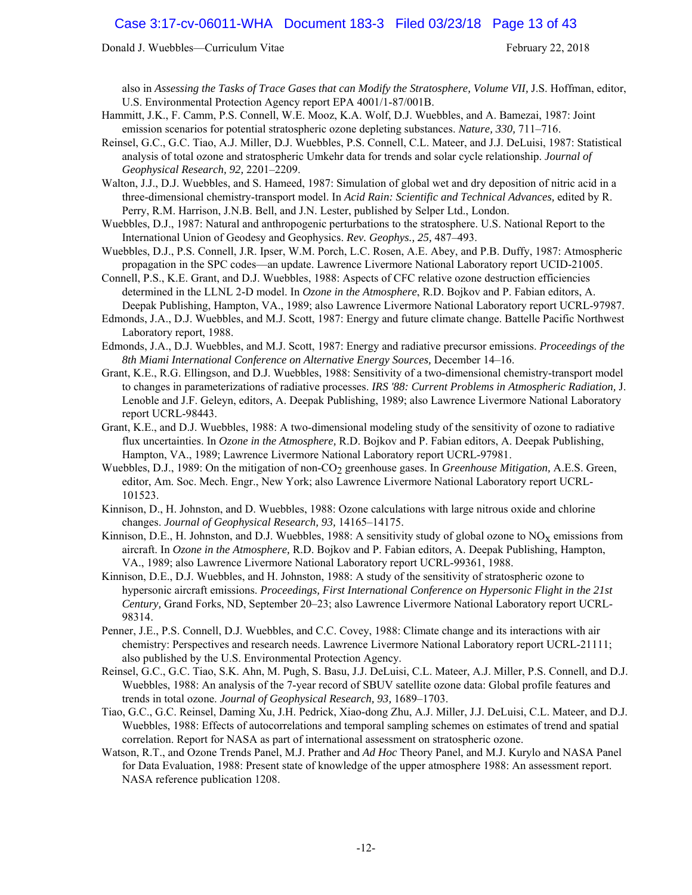# Case 3:17-cv-06011-WHA Document 183-3 Filed 03/23/18 Page 13 of 43

Donald J. Wuebbles—Curriculum Vitae February 22, 2018

also in *Assessing the Tasks of Trace Gases that can Modify the Stratosphere, Volume VII,* J.S. Hoffman, editor, U.S. Environmental Protection Agency report EPA 4001/1-87/001B.

- Hammitt, J.K., F. Camm, P.S. Connell, W.E. Mooz, K.A. Wolf, D.J. Wuebbles, and A. Bamezai, 1987: Joint emission scenarios for potential stratospheric ozone depleting substances. *Nature, 330,* 711–716.
- Reinsel, G.C., G.C. Tiao, A.J. Miller, D.J. Wuebbles, P.S. Connell, C.L. Mateer, and J.J. DeLuisi, 1987: Statistical analysis of total ozone and stratospheric Umkehr data for trends and solar cycle relationship. *Journal of Geophysical Research, 92,* 2201–2209.
- Walton, J.J., D.J. Wuebbles, and S. Hameed, 1987: Simulation of global wet and dry deposition of nitric acid in a three-dimensional chemistry-transport model. In *Acid Rain: Scientific and Technical Advances,* edited by R. Perry, R.M. Harrison, J.N.B. Bell, and J.N. Lester, published by Selper Ltd., London.
- Wuebbles, D.J., 1987: Natural and anthropogenic perturbations to the stratosphere. U.S. National Report to the International Union of Geodesy and Geophysics. *Rev. Geophys., 25,* 487–493.
- Wuebbles, D.J., P.S. Connell, J.R. Ipser, W.M. Porch, L.C. Rosen, A.E. Abey, and P.B. Duffy, 1987: Atmospheric propagation in the SPC codes—an update. Lawrence Livermore National Laboratory report UCID-21005.
- Connell, P.S., K.E. Grant, and D.J. Wuebbles, 1988: Aspects of CFC relative ozone destruction efficiencies determined in the LLNL 2-D model. In *Ozone in the Atmosphere*, R.D. Bojkov and P. Fabian editors, A. Deepak Publishing, Hampton, VA., 1989; also Lawrence Livermore National Laboratory report UCRL-97987.
- Edmonds, J.A., D.J. Wuebbles, and M.J. Scott, 1987: Energy and future climate change. Battelle Pacific Northwest Laboratory report, 1988.
- Edmonds, J.A., D.J. Wuebbles, and M.J. Scott, 1987: Energy and radiative precursor emissions. *Proceedings of the 8th Miami International Conference on Alternative Energy Sources,* December 14–16.
- Grant, K.E., R.G. Ellingson, and D.J. Wuebbles, 1988: Sensitivity of a two-dimensional chemistry-transport model to changes in parameterizations of radiative processes. *IRS '88: Current Problems in Atmospheric Radiation,* J. Lenoble and J.F. Geleyn, editors, A. Deepak Publishing, 1989; also Lawrence Livermore National Laboratory report UCRL-98443.
- Grant, K.E., and D.J. Wuebbles, 1988: A two-dimensional modeling study of the sensitivity of ozone to radiative flux uncertainties. In *Ozone in the Atmosphere,* R.D. Bojkov and P. Fabian editors, A. Deepak Publishing, Hampton, VA., 1989; Lawrence Livermore National Laboratory report UCRL-97981.
- Wuebbles, D.J., 1989: On the mitigation of non-CO<sub>2</sub> greenhouse gases. In *Greenhouse Mitigation*, A.E.S. Green, editor, Am. Soc. Mech. Engr., New York; also Lawrence Livermore National Laboratory report UCRL-101523.
- Kinnison, D., H. Johnston, and D. Wuebbles, 1988: Ozone calculations with large nitrous oxide and chlorine changes. *Journal of Geophysical Research, 93,* 14165–14175.
- Kinnison, D.E., H. Johnston, and D.J. Wuebbles, 1988: A sensitivity study of global ozone to  $NO<sub>x</sub>$  emissions from aircraft. In *Ozone in the Atmosphere,* R.D. Bojkov and P. Fabian editors, A. Deepak Publishing, Hampton, VA., 1989; also Lawrence Livermore National Laboratory report UCRL-99361, 1988.
- Kinnison, D.E., D.J. Wuebbles, and H. Johnston, 1988: A study of the sensitivity of stratospheric ozone to hypersonic aircraft emissions. *Proceedings, First International Conference on Hypersonic Flight in the 21st Century,* Grand Forks, ND, September 20–23; also Lawrence Livermore National Laboratory report UCRL-98314.
- Penner, J.E., P.S. Connell, D.J. Wuebbles, and C.C. Covey, 1988: Climate change and its interactions with air chemistry: Perspectives and research needs. Lawrence Livermore National Laboratory report UCRL-21111; also published by the U.S. Environmental Protection Agency.
- Reinsel, G.C., G.C. Tiao, S.K. Ahn, M. Pugh, S. Basu, J.J. DeLuisi, C.L. Mateer, A.J. Miller, P.S. Connell, and D.J. Wuebbles, 1988: An analysis of the 7-year record of SBUV satellite ozone data: Global profile features and trends in total ozone. *Journal of Geophysical Research, 93,* 1689–1703.
- Tiao, G.C., G.C. Reinsel, Daming Xu, J.H. Pedrick, Xiao-dong Zhu, A.J. Miller, J.J. DeLuisi, C.L. Mateer, and D.J. Wuebbles, 1988: Effects of autocorrelations and temporal sampling schemes on estimates of trend and spatial correlation. Report for NASA as part of international assessment on stratospheric ozone.
- Watson, R.T., and Ozone Trends Panel, M.J. Prather and *Ad Hoc* Theory Panel, and M.J. Kurylo and NASA Panel for Data Evaluation, 1988: Present state of knowledge of the upper atmosphere 1988: An assessment report. NASA reference publication 1208.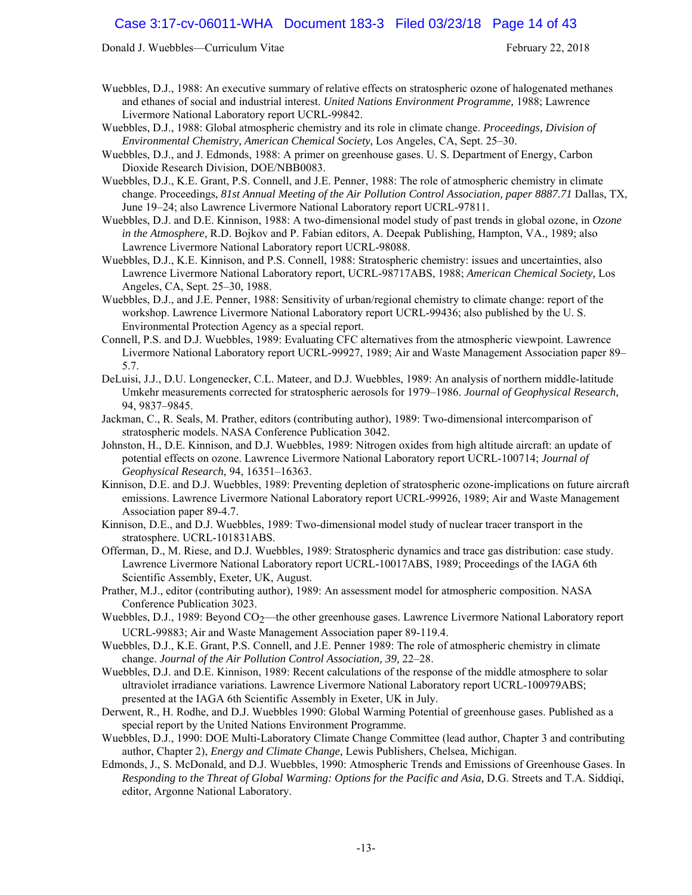# Case 3:17-cv-06011-WHA Document 183-3 Filed 03/23/18 Page 14 of 43

- Wuebbles, D.J., 1988: An executive summary of relative effects on stratospheric ozone of halogenated methanes and ethanes of social and industrial interest. *United Nations Environment Programme,* 1988; Lawrence Livermore National Laboratory report UCRL-99842.
- Wuebbles, D.J., 1988: Global atmospheric chemistry and its role in climate change. *Proceedings, Division of Environmental Chemistry, American Chemical Society,* Los Angeles, CA, Sept. 25–30.
- Wuebbles, D.J., and J. Edmonds, 1988: A primer on greenhouse gases. U. S. Department of Energy, Carbon Dioxide Research Division, DOE/NBB0083.
- Wuebbles, D.J., K.E. Grant, P.S. Connell, and J.E. Penner, 1988: The role of atmospheric chemistry in climate change. Proceedings, *81st Annual Meeting of the Air Pollution Control Association, paper 8887.71* Dallas, TX, June 19–24; also Lawrence Livermore National Laboratory report UCRL-97811.
- Wuebbles, D.J. and D.E. Kinnison, 1988: A two-dimensional model study of past trends in global ozone, in *Ozone in the Atmosphere,* R.D. Bojkov and P. Fabian editors, A. Deepak Publishing, Hampton, VA., 1989; also Lawrence Livermore National Laboratory report UCRL-98088.
- Wuebbles, D.J., K.E. Kinnison, and P.S. Connell, 1988: Stratospheric chemistry: issues and uncertainties, also Lawrence Livermore National Laboratory report, UCRL-98717ABS, 1988; *American Chemical Society,* Los Angeles, CA, Sept. 25–30, 1988.
- Wuebbles, D.J., and J.E. Penner, 1988: Sensitivity of urban/regional chemistry to climate change: report of the workshop. Lawrence Livermore National Laboratory report UCRL-99436; also published by the U. S. Environmental Protection Agency as a special report.
- Connell, P.S. and D.J. Wuebbles, 1989: Evaluating CFC alternatives from the atmospheric viewpoint. Lawrence Livermore National Laboratory report UCRL-99927, 1989; Air and Waste Management Association paper 89– 5.7.
- DeLuisi, J.J., D.U. Longenecker, C.L. Mateer, and D.J. Wuebbles, 1989: An analysis of northern middle-latitude Umkehr measurements corrected for stratospheric aerosols for 1979–1986. *Journal of Geophysical Research,* 94, 9837–9845.
- Jackman, C., R. Seals, M. Prather, editors (contributing author), 1989: Two-dimensional intercomparison of stratospheric models. NASA Conference Publication 3042.
- Johnston, H., D.E. Kinnison, and D.J. Wuebbles, 1989: Nitrogen oxides from high altitude aircraft: an update of potential effects on ozone. Lawrence Livermore National Laboratory report UCRL-100714; *Journal of Geophysical Research,* 94, 16351–16363.
- Kinnison, D.E. and D.J. Wuebbles, 1989: Preventing depletion of stratospheric ozone-implications on future aircraft emissions. Lawrence Livermore National Laboratory report UCRL-99926, 1989; Air and Waste Management Association paper 89-4.7.
- Kinnison, D.E., and D.J. Wuebbles, 1989: Two-dimensional model study of nuclear tracer transport in the stratosphere. UCRL-101831ABS.
- Offerman, D., M. Riese, and D.J. Wuebbles, 1989: Stratospheric dynamics and trace gas distribution: case study. Lawrence Livermore National Laboratory report UCRL-10017ABS, 1989; Proceedings of the IAGA 6th Scientific Assembly, Exeter, UK, August.
- Prather, M.J., editor (contributing author), 1989: An assessment model for atmospheric composition. NASA Conference Publication 3023.
- Wuebbles, D.J., 1989: Beyond CO<sub>2</sub>—the other greenhouse gases. Lawrence Livermore National Laboratory report UCRL-99883; Air and Waste Management Association paper 89-119.4.
- Wuebbles, D.J., K.E. Grant, P.S. Connell, and J.E. Penner 1989: The role of atmospheric chemistry in climate change. *Journal of the Air Pollution Control Association, 39,* 22–28.
- Wuebbles, D.J. and D.E. Kinnison, 1989: Recent calculations of the response of the middle atmosphere to solar ultraviolet irradiance variations. Lawrence Livermore National Laboratory report UCRL-100979ABS; presented at the IAGA 6th Scientific Assembly in Exeter, UK in July.
- Derwent, R., H. Rodhe, and D.J. Wuebbles 1990: Global Warming Potential of greenhouse gases. Published as a special report by the United Nations Environment Programme.
- Wuebbles, D.J., 1990: DOE Multi-Laboratory Climate Change Committee (lead author, Chapter 3 and contributing author, Chapter 2), *Energy and Climate Change,* Lewis Publishers, Chelsea, Michigan.
- Edmonds, J., S. McDonald, and D.J. Wuebbles, 1990: Atmospheric Trends and Emissions of Greenhouse Gases. In *Responding to the Threat of Global Warming: Options for the Pacific and Asia,* D.G. Streets and T.A. Siddiqi, editor, Argonne National Laboratory.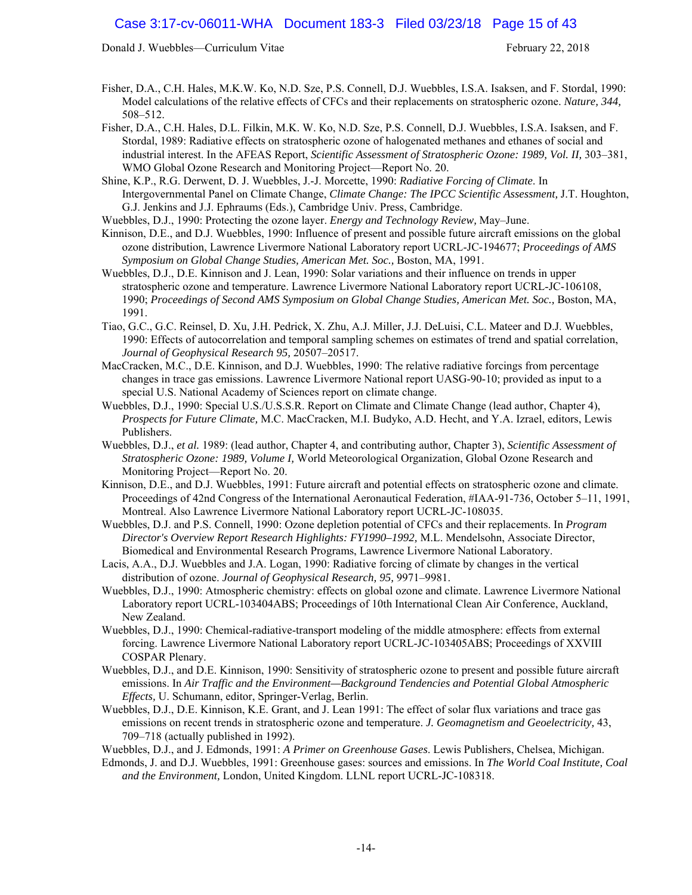- Fisher, D.A., C.H. Hales, M.K.W. Ko, N.D. Sze, P.S. Connell, D.J. Wuebbles, I.S.A. Isaksen, and F. Stordal, 1990: Model calculations of the relative effects of CFCs and their replacements on stratospheric ozone. *Nature, 344,* 508–512.
- Fisher, D.A., C.H. Hales, D.L. Filkin, M.K. W. Ko, N.D. Sze, P.S. Connell, D.J. Wuebbles, I.S.A. Isaksen, and F. Stordal, 1989: Radiative effects on stratospheric ozone of halogenated methanes and ethanes of social and industrial interest. In the AFEAS Report, *Scientific Assessment of Stratospheric Ozone: 1989, Vol. II*, 303–381, WMO Global Ozone Research and Monitoring Project—Report No. 20.
- Shine, K.P., R.G. Derwent, D. J. Wuebbles, J.-J. Morcette, 1990: *Radiative Forcing of Climate*. In Intergovernmental Panel on Climate Change, *Climate Change: The IPCC Scientific Assessment,* J.T. Houghton, G.J. Jenkins and J.J. Ephraums (Eds.), Cambridge Univ. Press, Cambridge.
- Wuebbles, D.J., 1990: Protecting the ozone layer. *Energy and Technology Review,* May–June.
- Kinnison, D.E., and D.J. Wuebbles, 1990: Influence of present and possible future aircraft emissions on the global ozone distribution, Lawrence Livermore National Laboratory report UCRL-JC-194677; *Proceedings of AMS Symposium on Global Change Studies, American Met. Soc.,* Boston, MA, 1991.
- Wuebbles, D.J., D.E. Kinnison and J. Lean, 1990: Solar variations and their influence on trends in upper stratospheric ozone and temperature. Lawrence Livermore National Laboratory report UCRL-JC-106108, 1990; *Proceedings of Second AMS Symposium on Global Change Studies, American Met. Soc.,* Boston, MA, 1991.
- Tiao, G.C., G.C. Reinsel, D. Xu, J.H. Pedrick, X. Zhu, A.J. Miller, J.J. DeLuisi, C.L. Mateer and D.J. Wuebbles, 1990: Effects of autocorrelation and temporal sampling schemes on estimates of trend and spatial correlation, *Journal of Geophysical Research 95,* 20507–20517.
- MacCracken, M.C., D.E. Kinnison, and D.J. Wuebbles, 1990: The relative radiative forcings from percentage changes in trace gas emissions. Lawrence Livermore National report UASG-90-10; provided as input to a special U.S. National Academy of Sciences report on climate change.
- Wuebbles, D.J., 1990: Special U.S./U.S.S.R. Report on Climate and Climate Change (lead author, Chapter 4), *Prospects for Future Climate,* M.C. MacCracken, M.I. Budyko, A.D. Hecht, and Y.A. Izrael, editors, Lewis Publishers.
- Wuebbles, D.J., *et al.* 1989: (lead author, Chapter 4, and contributing author, Chapter 3), *Scientific Assessment of Stratospheric Ozone: 1989, Volume I,* World Meteorological Organization, Global Ozone Research and Monitoring Project—Report No. 20.
- Kinnison, D.E., and D.J. Wuebbles, 1991: Future aircraft and potential effects on stratospheric ozone and climate. Proceedings of 42nd Congress of the International Aeronautical Federation, #IAA-91-736, October 5–11, 1991, Montreal. Also Lawrence Livermore National Laboratory report UCRL-JC-108035.
- Wuebbles, D.J. and P.S. Connell, 1990: Ozone depletion potential of CFCs and their replacements. In *Program Director's Overview Report Research Highlights: FY1990–1992,* M.L. Mendelsohn, Associate Director, Biomedical and Environmental Research Programs, Lawrence Livermore National Laboratory.
- Lacis, A.A., D.J. Wuebbles and J.A. Logan, 1990: Radiative forcing of climate by changes in the vertical distribution of ozone. *Journal of Geophysical Research, 95,* 9971–9981.
- Wuebbles, D.J., 1990: Atmospheric chemistry: effects on global ozone and climate. Lawrence Livermore National Laboratory report UCRL-103404ABS; Proceedings of 10th International Clean Air Conference, Auckland, New Zealand.
- Wuebbles, D.J., 1990: Chemical-radiative-transport modeling of the middle atmosphere: effects from external forcing. Lawrence Livermore National Laboratory report UCRL-JC-103405ABS; Proceedings of XXVIII COSPAR Plenary.
- Wuebbles, D.J., and D.E. Kinnison, 1990: Sensitivity of stratospheric ozone to present and possible future aircraft emissions. In *Air Traffic and the Environment—Background Tendencies and Potential Global Atmospheric Effects,* U. Schumann, editor, Springer-Verlag, Berlin.
- Wuebbles, D.J., D.E. Kinnison, K.E. Grant, and J. Lean 1991: The effect of solar flux variations and trace gas emissions on recent trends in stratospheric ozone and temperature. *J. Geomagnetism and Geoelectricity,* 43, 709–718 (actually published in 1992).

Wuebbles, D.J., and J. Edmonds, 1991: *A Primer on Greenhouse Gases*. Lewis Publishers, Chelsea, Michigan.

Edmonds, J. and D.J. Wuebbles, 1991: Greenhouse gases: sources and emissions. In *The World Coal Institute, Coal and the Environment,* London, United Kingdom. LLNL report UCRL-JC-108318.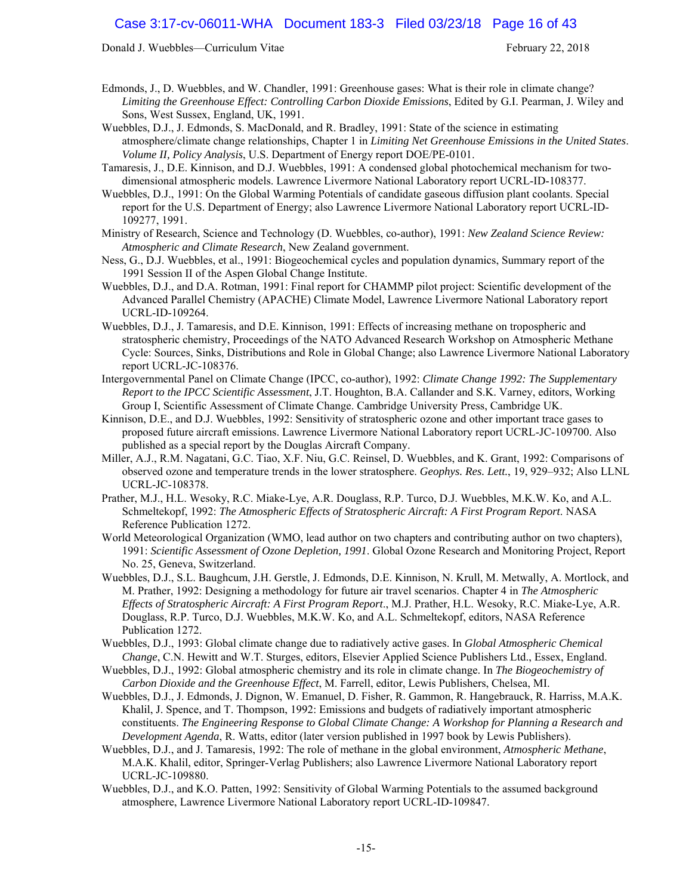- Edmonds, J., D. Wuebbles, and W. Chandler, 1991: Greenhouse gases: What is their role in climate change? *Limiting the Greenhouse Effect: Controlling Carbon Dioxide Emissions*, Edited by G.I. Pearman, J. Wiley and Sons, West Sussex, England, UK, 1991.
- Wuebbles, D.J., J. Edmonds, S. MacDonald, and R. Bradley, 1991: State of the science in estimating atmosphere/climate change relationships, Chapter 1 in *Limiting Net Greenhouse Emissions in the United States*. *Volume II, Policy Analysis*, U.S. Department of Energy report DOE/PE-0101.
- Tamaresis, J., D.E. Kinnison, and D.J. Wuebbles, 1991: A condensed global photochemical mechanism for twodimensional atmospheric models. Lawrence Livermore National Laboratory report UCRL-ID-108377.
- Wuebbles, D.J., 1991: On the Global Warming Potentials of candidate gaseous diffusion plant coolants. Special report for the U.S. Department of Energy; also Lawrence Livermore National Laboratory report UCRL-ID-109277, 1991.
- Ministry of Research, Science and Technology (D. Wuebbles, co-author), 1991: *New Zealand Science Review: Atmospheric and Climate Research*, New Zealand government.
- Ness, G., D.J. Wuebbles, et al., 1991: Biogeochemical cycles and population dynamics, Summary report of the 1991 Session II of the Aspen Global Change Institute.
- Wuebbles, D.J., and D.A. Rotman, 1991: Final report for CHAMMP pilot project: Scientific development of the Advanced Parallel Chemistry (APACHE) Climate Model, Lawrence Livermore National Laboratory report UCRL-ID-109264.
- Wuebbles, D.J., J. Tamaresis, and D.E. Kinnison, 1991: Effects of increasing methane on tropospheric and stratospheric chemistry, Proceedings of the NATO Advanced Research Workshop on Atmospheric Methane Cycle: Sources, Sinks, Distributions and Role in Global Change; also Lawrence Livermore National Laboratory report UCRL-JC-108376.
- Intergovernmental Panel on Climate Change (IPCC, co-author), 1992: *Climate Change 1992: The Supplementary Report to the IPCC Scientific Assessment*, J.T. Houghton, B.A. Callander and S.K. Varney, editors, Working Group I, Scientific Assessment of Climate Change. Cambridge University Press, Cambridge UK.
- Kinnison, D.E., and D.J. Wuebbles, 1992: Sensitivity of stratospheric ozone and other important trace gases to proposed future aircraft emissions. Lawrence Livermore National Laboratory report UCRL-JC-109700. Also published as a special report by the Douglas Aircraft Company.
- Miller, A.J., R.M. Nagatani, G.C. Tiao, X.F. Niu, G.C. Reinsel, D. Wuebbles, and K. Grant, 1992: Comparisons of observed ozone and temperature trends in the lower stratosphere. *Geophys. Res. Lett.*, 19, 929–932; Also LLNL UCRL-JC-108378.
- Prather, M.J., H.L. Wesoky, R.C. Miake-Lye, A.R. Douglass, R.P. Turco, D.J. Wuebbles, M.K.W. Ko, and A.L. Schmeltekopf, 1992: *The Atmospheric Effects of Stratospheric Aircraft: A First Program Report*. NASA Reference Publication 1272.
- World Meteorological Organization (WMO, lead author on two chapters and contributing author on two chapters), 1991: *Scientific Assessment of Ozone Depletion, 1991*. Global Ozone Research and Monitoring Project, Report No. 25, Geneva, Switzerland.
- Wuebbles, D.J., S.L. Baughcum, J.H. Gerstle, J. Edmonds, D.E. Kinnison, N. Krull, M. Metwally, A. Mortlock, and M. Prather, 1992: Designing a methodology for future air travel scenarios. Chapter 4 in *The Atmospheric Effects of Stratospheric Aircraft: A First Program Report*., M.J. Prather, H.L. Wesoky, R.C. Miake-Lye, A.R. Douglass, R.P. Turco, D.J. Wuebbles, M.K.W. Ko, and A.L. Schmeltekopf, editors, NASA Reference Publication 1272.
- Wuebbles, D.J., 1993: Global climate change due to radiatively active gases. In *Global Atmospheric Chemical Change*, C.N. Hewitt and W.T. Sturges, editors, Elsevier Applied Science Publishers Ltd., Essex, England.
- Wuebbles, D.J., 1992: Global atmospheric chemistry and its role in climate change. In *The Biogeochemistry of Carbon Dioxide and the Greenhouse Effect*, M. Farrell, editor, Lewis Publishers, Chelsea, MI.
- Wuebbles, D.J., J. Edmonds, J. Dignon, W. Emanuel, D. Fisher, R. Gammon, R. Hangebrauck, R. Harriss, M.A.K. Khalil, J. Spence, and T. Thompson, 1992: Emissions and budgets of radiatively important atmospheric constituents. *The Engineering Response to Global Climate Change: A Workshop for Planning a Research and Development Agenda*, R. Watts, editor (later version published in 1997 book by Lewis Publishers).
- Wuebbles, D.J., and J. Tamaresis, 1992: The role of methane in the global environment, *Atmospheric Methane*, M.A.K. Khalil, editor, Springer-Verlag Publishers; also Lawrence Livermore National Laboratory report UCRL-JC-109880.
- Wuebbles, D.J., and K.O. Patten, 1992: Sensitivity of Global Warming Potentials to the assumed background atmosphere, Lawrence Livermore National Laboratory report UCRL-ID-109847.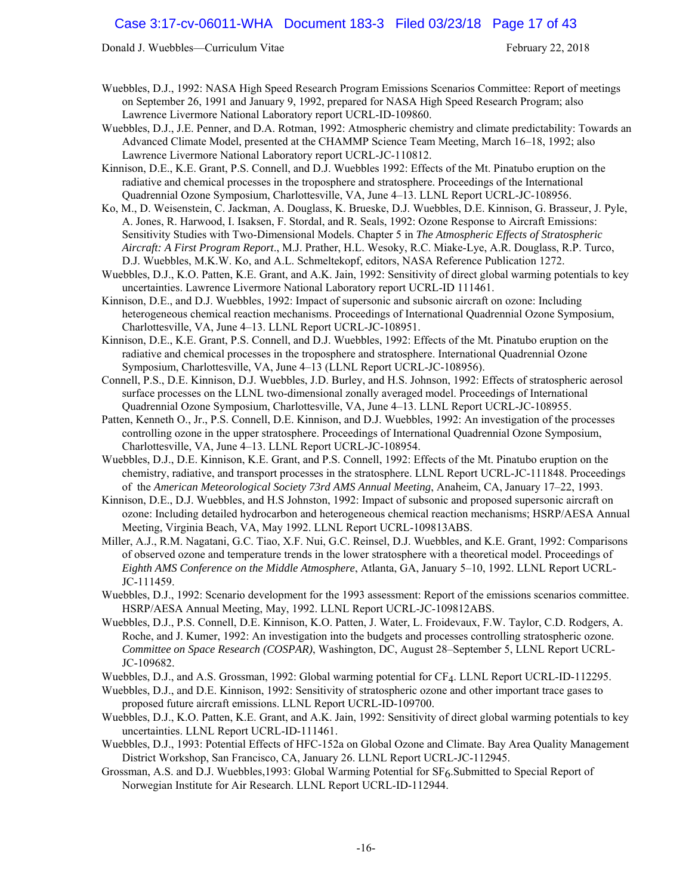- Wuebbles, D.J., 1992: NASA High Speed Research Program Emissions Scenarios Committee: Report of meetings on September 26, 1991 and January 9, 1992, prepared for NASA High Speed Research Program; also Lawrence Livermore National Laboratory report UCRL-ID-109860.
- Wuebbles, D.J., J.E. Penner, and D.A. Rotman, 1992: Atmospheric chemistry and climate predictability: Towards an Advanced Climate Model, presented at the CHAMMP Science Team Meeting, March 16–18, 1992; also Lawrence Livermore National Laboratory report UCRL-JC-110812.
- Kinnison, D.E., K.E. Grant, P.S. Connell, and D.J. Wuebbles 1992: Effects of the Mt. Pinatubo eruption on the radiative and chemical processes in the troposphere and stratosphere. Proceedings of the International Quadrennial Ozone Symposium, Charlottesville, VA, June 4–13. LLNL Report UCRL-JC-108956.
- Ko, M., D. Weisenstein, C. Jackman, A. Douglass, K. Brueske, D.J. Wuebbles, D.E. Kinnison, G. Brasseur, J. Pyle, A. Jones, R. Harwood, I. Isaksen, F. Stordal, and R. Seals, 1992: Ozone Response to Aircraft Emissions: Sensitivity Studies with Two-Dimensional Models. Chapter 5 in *The Atmospheric Effects of Stratospheric Aircraft: A First Program Report*., M.J. Prather, H.L. Wesoky, R.C. Miake-Lye, A.R. Douglass, R.P. Turco, D.J. Wuebbles, M.K.W. Ko, and A.L. Schmeltekopf, editors, NASA Reference Publication 1272.
- Wuebbles, D.J., K.O. Patten, K.E. Grant, and A.K. Jain, 1992: Sensitivity of direct global warming potentials to key uncertainties. Lawrence Livermore National Laboratory report UCRL-ID 111461.
- Kinnison, D.E., and D.J. Wuebbles, 1992: Impact of supersonic and subsonic aircraft on ozone: Including heterogeneous chemical reaction mechanisms. Proceedings of International Quadrennial Ozone Symposium, Charlottesville, VA, June 4–13. LLNL Report UCRL-JC-108951.
- Kinnison, D.E., K.E. Grant, P.S. Connell, and D.J. Wuebbles, 1992: Effects of the Mt. Pinatubo eruption on the radiative and chemical processes in the troposphere and stratosphere. International Quadrennial Ozone Symposium, Charlottesville, VA, June 4–13 (LLNL Report UCRL-JC-108956).
- Connell, P.S., D.E. Kinnison, D.J. Wuebbles, J.D. Burley, and H.S. Johnson, 1992: Effects of stratospheric aerosol surface processes on the LLNL two-dimensional zonally averaged model. Proceedings of International Quadrennial Ozone Symposium, Charlottesville, VA, June 4–13. LLNL Report UCRL-JC-108955.
- Patten, Kenneth O., Jr., P.S. Connell, D.E. Kinnison, and D.J. Wuebbles, 1992: An investigation of the processes controlling ozone in the upper stratosphere. Proceedings of International Quadrennial Ozone Symposium, Charlottesville, VA, June 4–13. LLNL Report UCRL-JC-108954.
- Wuebbles, D.J., D.E. Kinnison, K.E. Grant, and P.S. Connell, 1992: Effects of the Mt. Pinatubo eruption on the chemistry, radiative, and transport processes in the stratosphere. LLNL Report UCRL-JC-111848. Proceedings of the *American Meteorological Society 73rd AMS Annual Meeting*, Anaheim, CA, January 17–22, 1993.
- Kinnison, D.E., D.J. Wuebbles, and H.S Johnston, 1992: Impact of subsonic and proposed supersonic aircraft on ozone: Including detailed hydrocarbon and heterogeneous chemical reaction mechanisms; HSRP/AESA Annual Meeting, Virginia Beach, VA, May 1992. LLNL Report UCRL-109813ABS.
- Miller, A.J., R.M. Nagatani, G.C. Tiao, X.F. Nui, G.C. Reinsel, D.J. Wuebbles, and K.E. Grant, 1992: Comparisons of observed ozone and temperature trends in the lower stratosphere with a theoretical model. Proceedings of *Eighth AMS Conference on the Middle Atmosphere*, Atlanta, GA, January 5–10, 1992. LLNL Report UCRL-JC-111459.
- Wuebbles, D.J., 1992: Scenario development for the 1993 assessment: Report of the emissions scenarios committee. HSRP/AESA Annual Meeting, May, 1992. LLNL Report UCRL-JC-109812ABS.
- Wuebbles, D.J., P.S. Connell, D.E. Kinnison, K.O. Patten, J. Water, L. Froidevaux, F.W. Taylor, C.D. Rodgers, A. Roche, and J. Kumer, 1992: An investigation into the budgets and processes controlling stratospheric ozone. *Committee on Space Research (COSPAR)*, Washington, DC, August 28–September 5, LLNL Report UCRL-JC-109682.
- Wuebbles, D.J., and A.S. Grossman, 1992: Global warming potential for CF4. LLNL Report UCRL-ID-112295.
- Wuebbles, D.J., and D.E. Kinnison, 1992: Sensitivity of stratospheric ozone and other important trace gases to proposed future aircraft emissions. LLNL Report UCRL-ID-109700.
- Wuebbles, D.J., K.O. Patten, K.E. Grant, and A.K. Jain, 1992: Sensitivity of direct global warming potentials to key uncertainties. LLNL Report UCRL-ID-111461.
- Wuebbles, D.J., 1993: Potential Effects of HFC-152a on Global Ozone and Climate. Bay Area Quality Management District Workshop, San Francisco, CA, January 26. LLNL Report UCRL-JC-112945.
- Grossman, A.S. and D.J. Wuebbles,1993: Global Warming Potential for SF6.Submitted to Special Report of Norwegian Institute for Air Research. LLNL Report UCRL-ID-112944.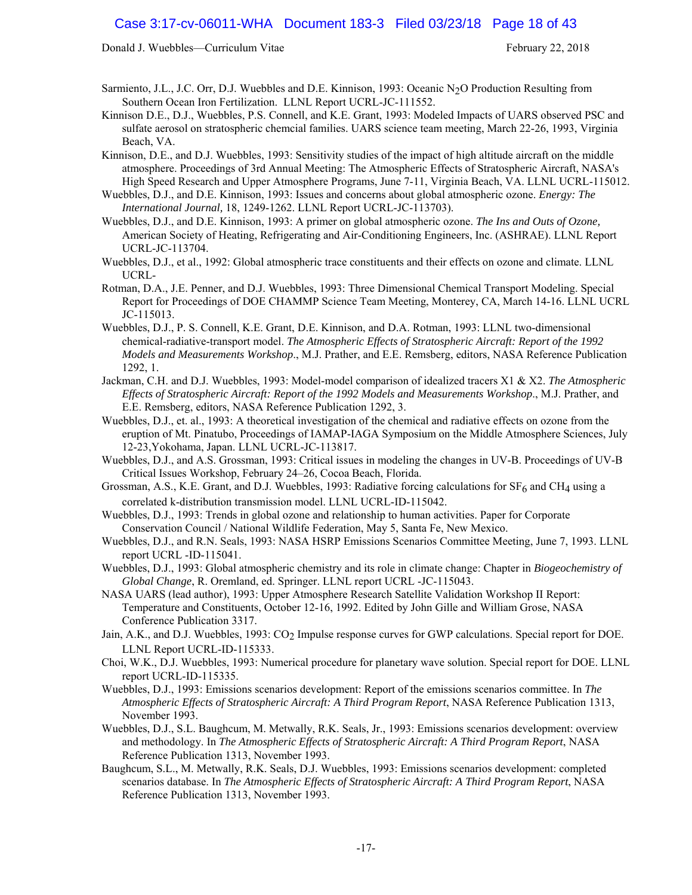- Sarmiento, J.L., J.C. Orr, D.J. Wuebbles and D.E. Kinnison, 1993: Oceanic N<sub>2</sub>O Production Resulting from Southern Ocean Iron Fertilization. LLNL Report UCRL-JC-111552.
- Kinnison D.E., D.J., Wuebbles, P.S. Connell, and K.E. Grant, 1993: Modeled Impacts of UARS observed PSC and sulfate aerosol on stratospheric chemcial families. UARS science team meeting, March 22-26, 1993, Virginia Beach, VA.
- Kinnison, D.E., and D.J. Wuebbles, 1993: Sensitivity studies of the impact of high altitude aircraft on the middle atmosphere. Proceedings of 3rd Annual Meeting: The Atmospheric Effects of Stratospheric Aircraft, NASA's High Speed Research and Upper Atmosphere Programs, June 7-11, Virginia Beach, VA. LLNL UCRL-115012.
- Wuebbles, D.J., and D.E. Kinnison, 1993: Issues and concerns about global atmospheric ozone. *Energy: The International Journal,* 18, 1249-1262. LLNL Report UCRL-JC-113703).
- Wuebbles, D.J., and D.E. Kinnison, 1993: A primer on global atmospheric ozone. *The Ins and Outs of Ozone,*  American Society of Heating, Refrigerating and Air-Conditioning Engineers, Inc. (ASHRAE). LLNL Report UCRL-JC-113704.
- Wuebbles, D.J., et al., 1992: Global atmospheric trace constituents and their effects on ozone and climate. LLNL UCRL-
- Rotman, D.A., J.E. Penner, and D.J. Wuebbles, 1993: Three Dimensional Chemical Transport Modeling. Special Report for Proceedings of DOE CHAMMP Science Team Meeting, Monterey, CA, March 14-16. LLNL UCRL JC-115013.
- Wuebbles, D.J., P. S. Connell, K.E. Grant, D.E. Kinnison, and D.A. Rotman, 1993: LLNL two-dimensional chemical-radiative-transport model. *The Atmospheric Effects of Stratospheric Aircraft: Report of the 1992 Models and Measurements Workshop*., M.J. Prather, and E.E. Remsberg, editors, NASA Reference Publication 1292, 1.
- Jackman, C.H. and D.J. Wuebbles, 1993: Model-model comparison of idealized tracers X1 & X2. *The Atmospheric Effects of Stratospheric Aircraft: Report of the 1992 Models and Measurements Workshop*., M.J. Prather, and E.E. Remsberg, editors, NASA Reference Publication 1292, 3.
- Wuebbles, D.J., et. al., 1993: A theoretical investigation of the chemical and radiative effects on ozone from the eruption of Mt. Pinatubo, Proceedings of IAMAP-IAGA Symposium on the Middle Atmosphere Sciences, July 12-23,Yokohama, Japan. LLNL UCRL-JC-113817.
- Wuebbles, D.J., and A.S. Grossman, 1993: Critical issues in modeling the changes in UV-B. Proceedings of UV-B Critical Issues Workshop, February 24–26, Cocoa Beach, Florida.
- Grossman, A.S., K.E. Grant, and D.J. Wuebbles, 1993: Radiative forcing calculations for  $SF_6$  and CH4 using a correlated k-distribution transmission model. LLNL UCRL-ID-115042.
- Wuebbles, D.J., 1993: Trends in global ozone and relationship to human activities. Paper for Corporate Conservation Council / National Wildlife Federation, May 5, Santa Fe, New Mexico.
- Wuebbles, D.J., and R.N. Seals, 1993: NASA HSRP Emissions Scenarios Committee Meeting, June 7, 1993. LLNL report UCRL -ID-115041.
- Wuebbles, D.J., 1993: Global atmospheric chemistry and its role in climate change: Chapter in *Biogeochemistry of Global Change*, R. Oremland, ed. Springer. LLNL report UCRL -JC-115043.
- NASA UARS (lead author), 1993: Upper Atmosphere Research Satellite Validation Workshop II Report: Temperature and Constituents, October 12-16, 1992. Edited by John Gille and William Grose, NASA Conference Publication 3317.
- Jain, A.K., and D.J. Wuebbles, 1993: CO<sub>2</sub> Impulse response curves for GWP calculations. Special report for DOE. LLNL Report UCRL-ID-115333.
- Choi, W.K., D.J. Wuebbles, 1993: Numerical procedure for planetary wave solution. Special report for DOE. LLNL report UCRL-ID-115335.
- Wuebbles, D.J., 1993: Emissions scenarios development: Report of the emissions scenarios committee. In *The Atmospheric Effects of Stratospheric Aircraft: A Third Program Report*, NASA Reference Publication 1313, November 1993.
- Wuebbles, D.J., S.L. Baughcum, M. Metwally, R.K. Seals, Jr., 1993: Emissions scenarios development: overview and methodology. In *The Atmospheric Effects of Stratospheric Aircraft: A Third Program Report*, NASA Reference Publication 1313, November 1993.
- Baughcum, S.L., M. Metwally, R.K. Seals, D.J. Wuebbles, 1993: Emissions scenarios development: completed scenarios database. In *The Atmospheric Effects of Stratospheric Aircraft: A Third Program Report*, NASA Reference Publication 1313, November 1993.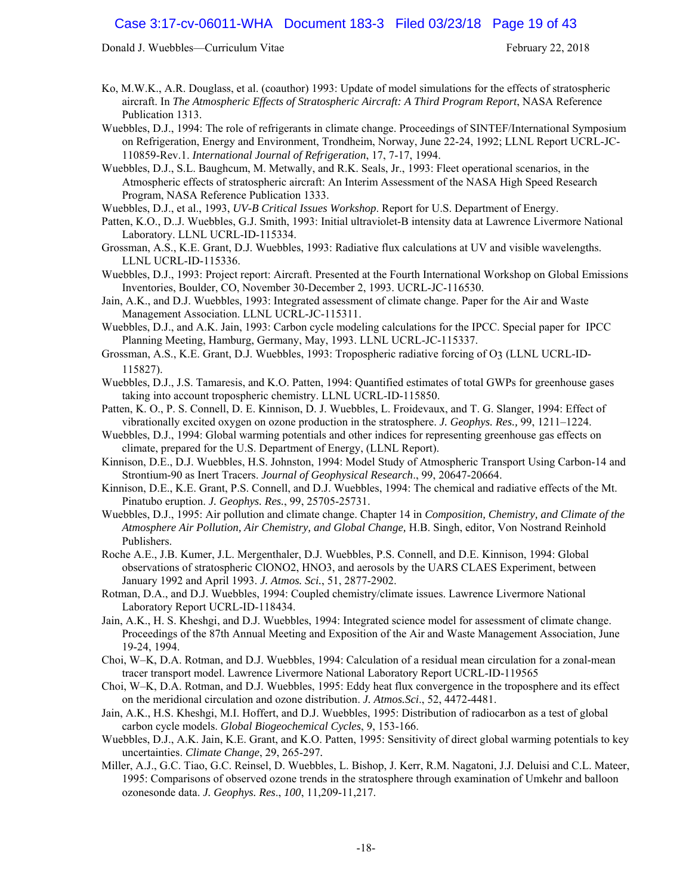- Ko, M.W.K., A.R. Douglass, et al. (coauthor) 1993: Update of model simulations for the effects of stratospheric aircraft. In *The Atmospheric Effects of Stratospheric Aircraft: A Third Program Report*, NASA Reference Publication 1313.
- Wuebbles, D.J., 1994: The role of refrigerants in climate change. Proceedings of SINTEF/International Symposium on Refrigeration, Energy and Environment, Trondheim, Norway, June 22-24, 1992; LLNL Report UCRL-JC-110859-Rev.1. *International Journal of Refrigeration*, 17, 7-17, 1994.
- Wuebbles, D.J., S.L. Baughcum, M. Metwally, and R.K. Seals, Jr., 1993: Fleet operational scenarios, in the Atmospheric effects of stratospheric aircraft: An Interim Assessment of the NASA High Speed Research Program, NASA Reference Publication 1333.
- Wuebbles, D.J., et al., 1993, *UV-B Critical Issues Workshop*. Report for U.S. Department of Energy.
- Patten, K.O., D..J. Wuebbles, G.J. Smith, 1993: Initial ultraviolet-B intensity data at Lawrence Livermore National Laboratory. LLNL UCRL-ID-115334.
- Grossman, A.S., K.E. Grant, D.J. Wuebbles, 1993: Radiative flux calculations at UV and visible wavelengths. LLNL UCRL-ID-115336.
- Wuebbles, D.J., 1993: Project report: Aircraft. Presented at the Fourth International Workshop on Global Emissions Inventories, Boulder, CO, November 30-December 2, 1993. UCRL-JC-116530.
- Jain, A.K., and D.J. Wuebbles, 1993: Integrated assessment of climate change. Paper for the Air and Waste Management Association. LLNL UCRL-JC-115311.
- Wuebbles, D.J., and A.K. Jain, 1993: Carbon cycle modeling calculations for the IPCC. Special paper for IPCC Planning Meeting, Hamburg, Germany, May, 1993. LLNL UCRL-JC-115337.
- Grossman, A.S., K.E. Grant, D.J. Wuebbles, 1993: Tropospheric radiative forcing of O3 (LLNL UCRL-ID-115827).
- Wuebbles, D.J., J.S. Tamaresis, and K.O. Patten, 1994: Quantified estimates of total GWPs for greenhouse gases taking into account tropospheric chemistry. LLNL UCRL-ID-115850.
- Patten, K. O., P. S. Connell, D. E. Kinnison, D. J. Wuebbles, L. Froidevaux, and T. G. Slanger, 1994: Effect of vibrationally excited oxygen on ozone production in the stratosphere. *J. Geophys. Res.,* 99, 1211–1224.
- Wuebbles, D.J., 1994: Global warming potentials and other indices for representing greenhouse gas effects on climate, prepared for the U.S. Department of Energy, (LLNL Report).
- Kinnison, D.E., D.J. Wuebbles, H.S. Johnston, 1994: Model Study of Atmospheric Transport Using Carbon-14 and Strontium-90 as Inert Tracers. *Journal of Geophysical Research*., 99, 20647-20664.
- Kinnison, D.E., K.E. Grant, P.S. Connell, and D.J. Wuebbles, 1994: The chemical and radiative effects of the Mt. Pinatubo eruption. *J. Geophys. Res.*, 99, 25705-25731.
- Wuebbles, D.J., 1995: Air pollution and climate change. Chapter 14 in *Composition, Chemistry, and Climate of the Atmosphere Air Pollution, Air Chemistry, and Global Change,* H.B. Singh, editor, Von Nostrand Reinhold Publishers.
- Roche A.E., J.B. Kumer, J.L. Mergenthaler, D.J. Wuebbles, P.S. Connell, and D.E. Kinnison, 1994: Global observations of stratospheric ClONO2, HNO3, and aerosols by the UARS CLAES Experiment, between January 1992 and April 1993. *J. Atmos. Sci.*, 51, 2877-2902.
- Rotman, D.A., and D.J. Wuebbles, 1994: Coupled chemistry/climate issues. Lawrence Livermore National Laboratory Report UCRL-ID-118434.
- Jain, A.K., H. S. Kheshgi, and D.J. Wuebbles, 1994: Integrated science model for assessment of climate change. Proceedings of the 87th Annual Meeting and Exposition of the Air and Waste Management Association, June 19-24, 1994.
- Choi, W–K, D.A. Rotman, and D.J. Wuebbles, 1994: Calculation of a residual mean circulation for a zonal-mean tracer transport model. Lawrence Livermore National Laboratory Report UCRL-ID-119565
- Choi, W–K, D.A. Rotman, and D.J. Wuebbles, 1995: Eddy heat flux convergence in the troposphere and its effect on the meridional circulation and ozone distribution. *J. Atmos.Sci*., 52, 4472-4481.
- Jain, A.K., H.S. Kheshgi, M.I. Hoffert, and D.J. Wuebbles, 1995: Distribution of radiocarbon as a test of global carbon cycle models. *Global Biogeochemical Cycles*, 9, 153-166.
- Wuebbles, D.J., A.K. Jain, K.E. Grant, and K.O. Patten, 1995: Sensitivity of direct global warming potentials to key uncertainties. *Climate Change*, 29, 265-297*.*
- Miller, A.J., G.C. Tiao, G.C. Reinsel, D. Wuebbles, L. Bishop, J. Kerr, R.M. Nagatoni, J.J. Deluisi and C.L. Mateer, 1995: Comparisons of observed ozone trends in the stratosphere through examination of Umkehr and balloon ozonesonde data. *J. Geophys. Res*., *100*, 11,209-11,217.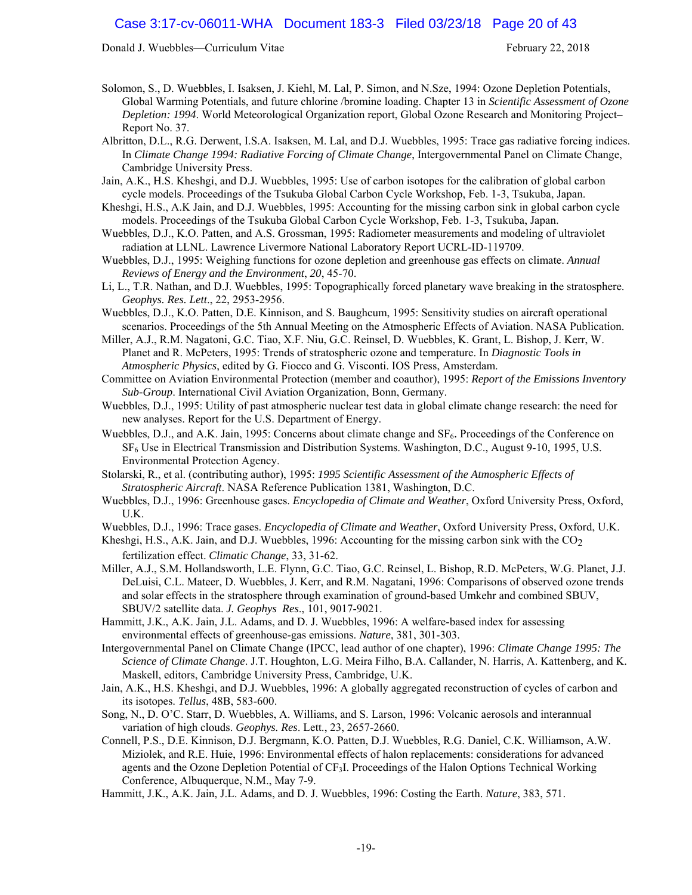- Solomon, S., D. Wuebbles, I. Isaksen, J. Kiehl, M. Lal, P. Simon, and N.Sze, 1994: Ozone Depletion Potentials, Global Warming Potentials, and future chlorine /bromine loading. Chapter 13 in *Scientific Assessment of Ozone Depletion: 1994*. World Meteorological Organization report, Global Ozone Research and Monitoring Project– Report No. 37.
- Albritton, D.L., R.G. Derwent, I.S.A. Isaksen, M. Lal, and D.J. Wuebbles, 1995: Trace gas radiative forcing indices. In *Climate Change 1994: Radiative Forcing of Climate Change*, Intergovernmental Panel on Climate Change, Cambridge University Press.
- Jain, A.K., H.S. Kheshgi, and D.J. Wuebbles, 1995: Use of carbon isotopes for the calibration of global carbon cycle models. Proceedings of the Tsukuba Global Carbon Cycle Workshop, Feb. 1-3, Tsukuba, Japan.
- Kheshgi, H.S., A.K Jain, and D.J. Wuebbles, 1995: Accounting for the missing carbon sink in global carbon cycle models. Proceedings of the Tsukuba Global Carbon Cycle Workshop, Feb. 1-3, Tsukuba, Japan.
- Wuebbles, D.J., K.O. Patten, and A.S. Grossman, 1995: Radiometer measurements and modeling of ultraviolet radiation at LLNL. Lawrence Livermore National Laboratory Report UCRL-ID-119709.
- Wuebbles, D.J., 1995: Weighing functions for ozone depletion and greenhouse gas effects on climate. *Annual Reviews of Energy and the Environment*, *20*, 45-70.
- Li, L., T.R. Nathan, and D.J. Wuebbles, 1995: Topographically forced planetary wave breaking in the stratosphere. *Geophys. Res. Lett*., 22, 2953-2956.
- Wuebbles, D.J., K.O. Patten, D.E. Kinnison, and S. Baughcum, 1995: Sensitivity studies on aircraft operational scenarios. Proceedings of the 5th Annual Meeting on the Atmospheric Effects of Aviation. NASA Publication.
- Miller, A.J., R.M. Nagatoni, G.C. Tiao, X.F. Niu, G.C. Reinsel, D. Wuebbles, K. Grant, L. Bishop, J. Kerr, W. Planet and R. McPeters, 1995: Trends of stratospheric ozone and temperature. In *Diagnostic Tools in Atmospheric Physics*, edited by G. Fiocco and G. Visconti. IOS Press, Amsterdam.
- Committee on Aviation Environmental Protection (member and coauthor), 1995: *Report of the Emissions Inventory Sub-Group*. International Civil Aviation Organization, Bonn, Germany.
- Wuebbles, D.J., 1995: Utility of past atmospheric nuclear test data in global climate change research: the need for new analyses. Report for the U.S. Department of Energy.
- Wuebbles, D.J., and A.K. Jain, 1995: Concerns about climate change and SF<sub>6</sub>. Proceedings of the Conference on SF6 Use in Electrical Transmission and Distribution Systems. Washington, D.C., August 9-10, 1995, U.S. Environmental Protection Agency.
- Stolarski, R., et al. (contributing author), 1995: *1995 Scientific Assessment of the Atmospheric Effects of Stratospheric Aircraft*. NASA Reference Publication 1381, Washington, D.C.
- Wuebbles, D.J., 1996: Greenhouse gases. *Encyclopedia of Climate and Weather*, Oxford University Press, Oxford, U.K.
- Wuebbles, D.J., 1996: Trace gases. *Encyclopedia of Climate and Weather*, Oxford University Press, Oxford, U.K.
- Kheshgi, H.S., A.K. Jain, and D.J. Wuebbles, 1996: Accounting for the missing carbon sink with the  $CO<sub>2</sub>$ fertilization effect. *Climatic Change*, 33, 31-62.
- Miller, A.J., S.M. Hollandsworth, L.E. Flynn, G.C. Tiao, G.C. Reinsel, L. Bishop, R.D. McPeters, W.G. Planet, J.J. DeLuisi, C.L. Mateer, D. Wuebbles, J. Kerr, and R.M. Nagatani, 1996: Comparisons of observed ozone trends and solar effects in the stratosphere through examination of ground-based Umkehr and combined SBUV, SBUV/2 satellite data. *J. Geophys Res*., 101, 9017-9021.
- Hammitt, J.K., A.K. Jain, J.L. Adams, and D. J. Wuebbles, 1996: A welfare-based index for assessing environmental effects of greenhouse-gas emissions. *Nature*, 381, 301-303.
- Intergovernmental Panel on Climate Change (IPCC, lead author of one chapter), 1996: *Climate Change 1995: The Science of Climate Change*. J.T. Houghton, L.G. Meira Filho, B.A. Callander, N. Harris, A. Kattenberg, and K. Maskell, editors, Cambridge University Press, Cambridge, U.K.
- Jain, A.K., H.S. Kheshgi, and D.J. Wuebbles, 1996: A globally aggregated reconstruction of cycles of carbon and its isotopes. *Tellus*, 48B, 583-600.
- Song, N., D. O'C. Starr, D. Wuebbles, A. Williams, and S. Larson, 1996: Volcanic aerosols and interannual variation of high clouds. *Geophys. Res*. Lett., 23, 2657-2660.
- Connell, P.S., D.E. Kinnison, D.J. Bergmann, K.O. Patten, D.J. Wuebbles, R.G. Daniel, C.K. Williamson, A.W. Miziolek, and R.E. Huie, 1996: Environmental effects of halon replacements: considerations for advanced agents and the Ozone Depletion Potential of CF3I. Proceedings of the Halon Options Technical Working Conference, Albuquerque, N.M., May 7-9.
- Hammitt, J.K., A.K. Jain, J.L. Adams, and D. J. Wuebbles, 1996: Costing the Earth. *Nature*, 383, 571.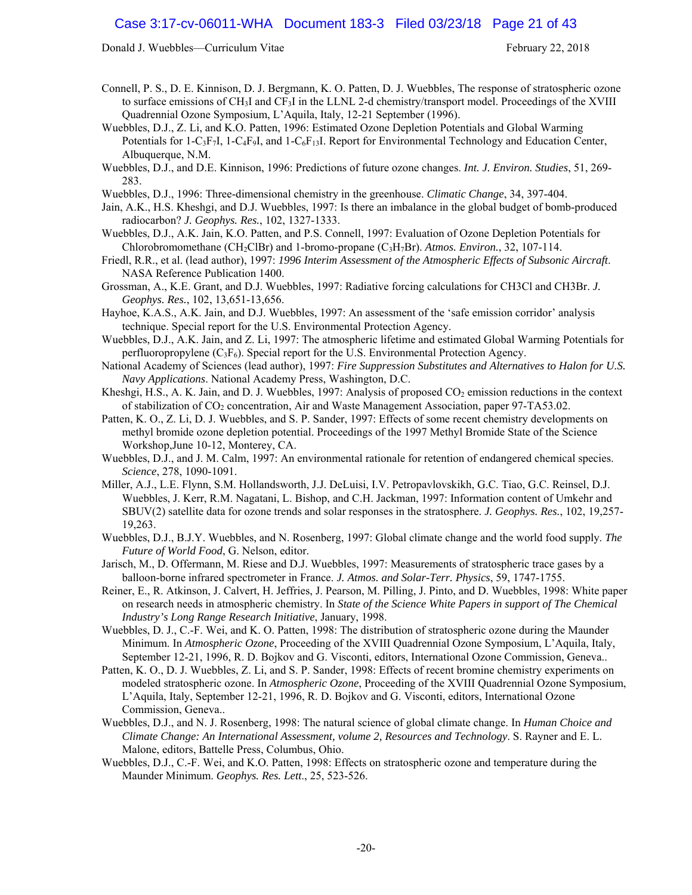- Connell, P. S., D. E. Kinnison, D. J. Bergmann, K. O. Patten, D. J. Wuebbles, The response of stratospheric ozone to surface emissions of  $CH_3I$  and  $CF_3I$  in the LLNL 2-d chemistry/transport model. Proceedings of the XVIII Quadrennial Ozone Symposium, L'Aquila, Italy, 12-21 September (1996).
- Wuebbles, D.J., Z. Li, and K.O. Patten, 1996: Estimated Ozone Depletion Potentials and Global Warming Potentials for  $1-C_3F_7I$ ,  $1-C_4F_9I$ , and  $1-C_6F_{13}I$ . Report for Environmental Technology and Education Center, Albuquerque, N.M.
- Wuebbles, D.J., and D.E. Kinnison, 1996: Predictions of future ozone changes. *Int. J. Environ. Studies*, 51, 269- 283.
- Wuebbles, D.J., 1996: Three-dimensional chemistry in the greenhouse. *Climatic Change*, 34, 397-404.
- Jain, A.K., H.S. Kheshgi, and D.J. Wuebbles, 1997: Is there an imbalance in the global budget of bomb-produced radiocarbon? *J. Geophys. Res.*, 102, 1327-1333.
- Wuebbles, D.J., A.K. Jain, K.O. Patten, and P.S. Connell, 1997: Evaluation of Ozone Depletion Potentials for Chlorobromomethane (CH2ClBr) and 1-bromo-propane (C3H7Br). *Atmos. Environ.*, 32, 107-114.
- Friedl, R.R., et al. (lead author), 1997: *1996 Interim Assessment of the Atmospheric Effects of Subsonic Aircraft*. NASA Reference Publication 1400.
- Grossman, A., K.E. Grant, and D.J. Wuebbles, 1997: Radiative forcing calculations for CH3Cl and CH3Br. *J. Geophys. Res.*, 102, 13,651-13,656.
- Hayhoe, K.A.S., A.K. Jain, and D.J. Wuebbles, 1997: An assessment of the 'safe emission corridor' analysis technique. Special report for the U.S. Environmental Protection Agency.
- Wuebbles, D.J., A.K. Jain, and Z. Li, 1997: The atmospheric lifetime and estimated Global Warming Potentials for perfluoropropylene  $(C_3F_6)$ . Special report for the U.S. Environmental Protection Agency.
- National Academy of Sciences (lead author), 1997: *Fire Suppression Substitutes and Alternatives to Halon for U.S. Navy Applications*. National Academy Press, Washington, D.C.
- Kheshgi, H.S., A. K. Jain, and D. J. Wuebbles, 1997: Analysis of proposed  $CO<sub>2</sub>$  emission reductions in the context of stabilization of CO2 concentration, Air and Waste Management Association, paper 97-TA53.02.
- Patten, K. O., Z. Li, D. J. Wuebbles, and S. P. Sander, 1997: Effects of some recent chemistry developments on methyl bromide ozone depletion potential. Proceedings of the 1997 Methyl Bromide State of the Science Workshop,June 10-12, Monterey, CA.
- Wuebbles, D.J., and J. M. Calm, 1997: An environmental rationale for retention of endangered chemical species. *Science*, 278, 1090-1091.
- Miller, A.J., L.E. Flynn, S.M. Hollandsworth, J.J. DeLuisi, I.V. Petropavlovskikh, G.C. Tiao, G.C. Reinsel, D.J. Wuebbles, J. Kerr, R.M. Nagatani, L. Bishop, and C.H. Jackman, 1997: Information content of Umkehr and SBUV(2) satellite data for ozone trends and solar responses in the stratosphere. *J. Geophys. Res.*, 102, 19,257- 19,263.
- Wuebbles, D.J., B.J.Y. Wuebbles, and N. Rosenberg, 1997: Global climate change and the world food supply. *The Future of World Food*, G. Nelson, editor.
- Jarisch, M., D. Offermann, M. Riese and D.J. Wuebbles, 1997: Measurements of stratospheric trace gases by a balloon-borne infrared spectrometer in France. *J. Atmos. and Solar-Terr. Physics*, 59, 1747-1755.
- Reiner, E., R. Atkinson, J. Calvert, H. Jeffries, J. Pearson, M. Pilling, J. Pinto, and D. Wuebbles, 1998: White paper on research needs in atmospheric chemistry. In *State of the Science White Papers in support of The Chemical Industry's Long Range Research Initiative*, January, 1998.
- Wuebbles, D. J., C.-F. Wei, and K. O. Patten, 1998: The distribution of stratospheric ozone during the Maunder Minimum. In *Atmospheric Ozone*, Proceeding of the XVIII Quadrennial Ozone Symposium, L'Aquila, Italy, September 12-21, 1996, R. D. Bojkov and G. Visconti, editors, International Ozone Commission, Geneva..
- Patten, K. O., D. J. Wuebbles, Z. Li, and S. P. Sander, 1998: Effects of recent bromine chemistry experiments on modeled stratospheric ozone. In *Atmospheric Ozone*, Proceeding of the XVIII Quadrennial Ozone Symposium, L'Aquila, Italy, September 12-21, 1996, R. D. Bojkov and G. Visconti, editors, International Ozone Commission, Geneva..
- Wuebbles, D.J., and N. J. Rosenberg, 1998: The natural science of global climate change. In *Human Choice and Climate Change: An International Assessment, volume 2, Resources and Technology*. S. Rayner and E. L. Malone, editors, Battelle Press, Columbus, Ohio.
- Wuebbles, D.J., C.-F. Wei, and K.O. Patten, 1998: Effects on stratospheric ozone and temperature during the Maunder Minimum. *Geophys. Res. Lett*., 25, 523-526.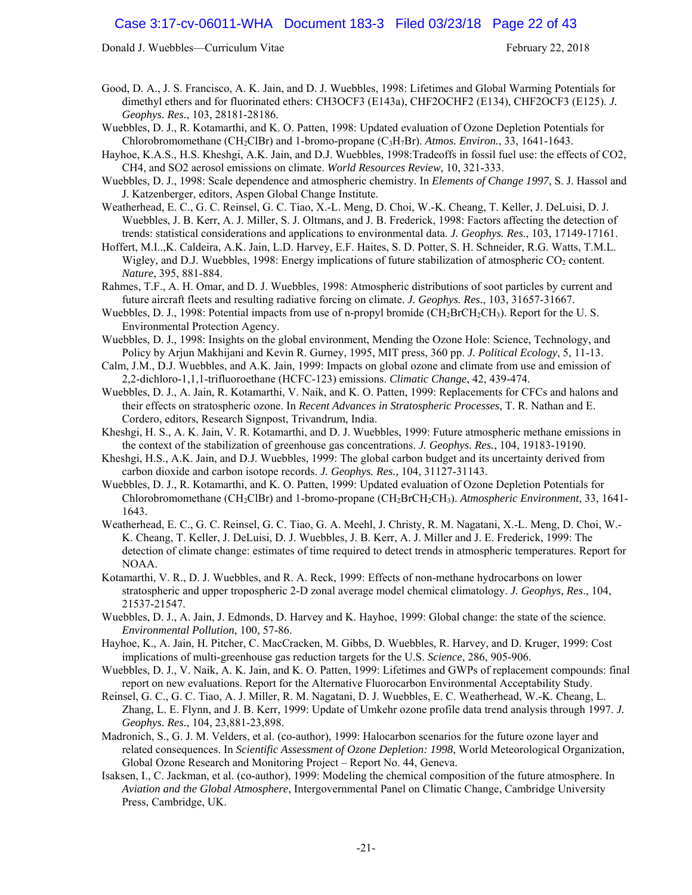- Good, D. A., J. S. Francisco, A. K. Jain, and D. J. Wuebbles, 1998: Lifetimes and Global Warming Potentials for dimethyl ethers and for fluorinated ethers: CH3OCF3 (E143a), CHF2OCHF2 (E134), CHF2OCF3 (E125). *J. Geophys. Res.*, 103, 28181-28186.
- Wuebbles, D. J., R. Kotamarthi, and K. O. Patten, 1998: Updated evaluation of Ozone Depletion Potentials for Chlorobromomethane (CH2ClBr) and 1-bromo-propane (C3H7Br). *Atmos. Environ.*, 33, 1641-1643.
- Hayhoe, K.A.S., H.S. Kheshgi, A.K. Jain, and D.J. Wuebbles, 1998:Tradeoffs in fossil fuel use: the effects of CO2, CH4, and SO2 aerosol emissions on climate. *World Resources Review*, 10, 321-333.
- Wuebbles, D. J., 1998: Scale dependence and atmospheric chemistry. In *Elements of Change 1997*, S. J. Hassol and J. Katzenberger, editors, Aspen Global Change Institute.
- Weatherhead, E. C., G. C. Reinsel, G. C. Tiao, X.-L. Meng, D. Choi, W.-K. Cheang, T. Keller, J. DeLuisi, D. J. Wuebbles, J. B. Kerr, A. J. Miller, S. J. Oltmans, and J. B. Frederick, 1998: Factors affecting the detection of trends: statistical considerations and applications to environmental data. *J. Geophys. Res*., 103, 17149-17161.
- Hoffert, M.I..,K. Caldeira, A.K. Jain, L.D. Harvey, E.F. Haites, S. D. Potter, S. H. Schneider, R.G. Watts, T.M.L. Wigley, and D.J. Wuebbles, 1998: Energy implications of future stabilization of atmospheric CO<sub>2</sub> content. *Nature*, 395, 881-884.
- Rahmes, T.F., A. H. Omar, and D. J. Wuebbles, 1998: Atmospheric distributions of soot particles by current and future aircraft fleets and resulting radiative forcing on climate. *J. Geophys. Res.*, 103, 31657-31667.
- Wuebbles, D. J., 1998: Potential impacts from use of n-propyl bromide (CH<sub>2</sub>BrCH<sub>2</sub>CH<sub>3</sub>). Report for the U.S. Environmental Protection Agency.
- Wuebbles, D. J., 1998: Insights on the global environment, Mending the Ozone Hole: Science, Technology, and Policy by Arjun Makhijani and Kevin R. Gurney, 1995, MIT press, 360 pp. *J. Political Ecology*, 5, 11-13.
- Calm, J.M., D.J. Wuebbles, and A.K. Jain, 1999: Impacts on global ozone and climate from use and emission of 2,2-dichloro-1,1,1-trifluoroethane (HCFC-123) emissions. *Climatic Change*, 42, 439-474.
- Wuebbles, D. J., A. Jain, R. Kotamarthi, V. Naik, and K. O. Patten, 1999: Replacements for CFCs and halons and their effects on stratospheric ozone. In *Recent Advances in Stratospheric Processes*, T. R. Nathan and E. Cordero, editors, Research Signpost, Trivandrum, India.
- Kheshgi, H. S., A. K. Jain, V. R. Kotamarthi, and D. J. Wuebbles, 1999: Future atmospheric methane emissions in the context of the stabilization of greenhouse gas concentrations. *J. Geophys. Res.*, 104, 19183-19190.
- Kheshgi, H.S., A.K. Jain, and D.J. Wuebbles, 1999: The global carbon budget and its uncertainty derived from carbon dioxide and carbon isotope records. *J. Geophys. Res.,* 104, 31127-31143.
- Wuebbles, D. J., R. Kotamarthi, and K. O. Patten, 1999: Updated evaluation of Ozone Depletion Potentials for Chlorobromomethane (CH2ClBr) and 1-bromo-propane (CH2BrCH2CH3). *Atmospheric Environment*, 33, 1641- 1643.
- Weatherhead, E. C., G. C. Reinsel, G. C. Tiao, G. A. Meehl, J. Christy, R. M. Nagatani, X.-L. Meng, D. Choi, W.- K. Cheang, T. Keller, J. DeLuisi, D. J. Wuebbles, J. B. Kerr, A. J. Miller and J. E. Frederick, 1999: The detection of climate change: estimates of time required to detect trends in atmospheric temperatures. Report for NOAA.
- Kotamarthi, V. R., D. J. Wuebbles, and R. A. Reck, 1999: Effects of non-methane hydrocarbons on lower stratospheric and upper tropospheric 2-D zonal average model chemical climatology. *J. Geophys, Res*., 104, 21537-21547.
- Wuebbles, D. J., A. Jain, J. Edmonds, D. Harvey and K. Hayhoe, 1999: Global change: the state of the science. *Environmental Pollution*, 100, 57-86.
- Hayhoe, K., A. Jain, H. Pitcher, C. MacCracken, M. Gibbs, D. Wuebbles, R. Harvey, and D. Kruger, 1999: Cost implications of multi-greenhouse gas reduction targets for the U.S. *Science*, 286, 905-906.
- Wuebbles, D. J., V. Naik, A. K. Jain, and K. O. Patten, 1999: Lifetimes and GWPs of replacement compounds: final report on new evaluations. Report for the Alternative Fluorocarbon Environmental Acceptability Study.
- Reinsel, G. C., G. C. Tiao, A. J. Miller, R. M. Nagatani, D. J. Wuebbles, E. C. Weatherhead, W.-K. Cheang, L. Zhang, L. E. Flynn, and J. B. Kerr, 1999: Update of Umkehr ozone profile data trend analysis through 1997. *J. Geophys. Res.*, 104, 23,881-23,898.
- Madronich, S., G. J. M. Velders, et al. (co-author), 1999: Halocarbon scenarios for the future ozone layer and related consequences. In *Scientific Assessment of Ozone Depletion: 1998*, World Meteorological Organization, Global Ozone Research and Monitoring Project – Report No. 44, Geneva.
- Isaksen, I., C. Jackman, et al. (co-author), 1999: Modeling the chemical composition of the future atmosphere. In *Aviation and the Global Atmosphere*, Intergovernmental Panel on Climatic Change, Cambridge University Press, Cambridge, UK.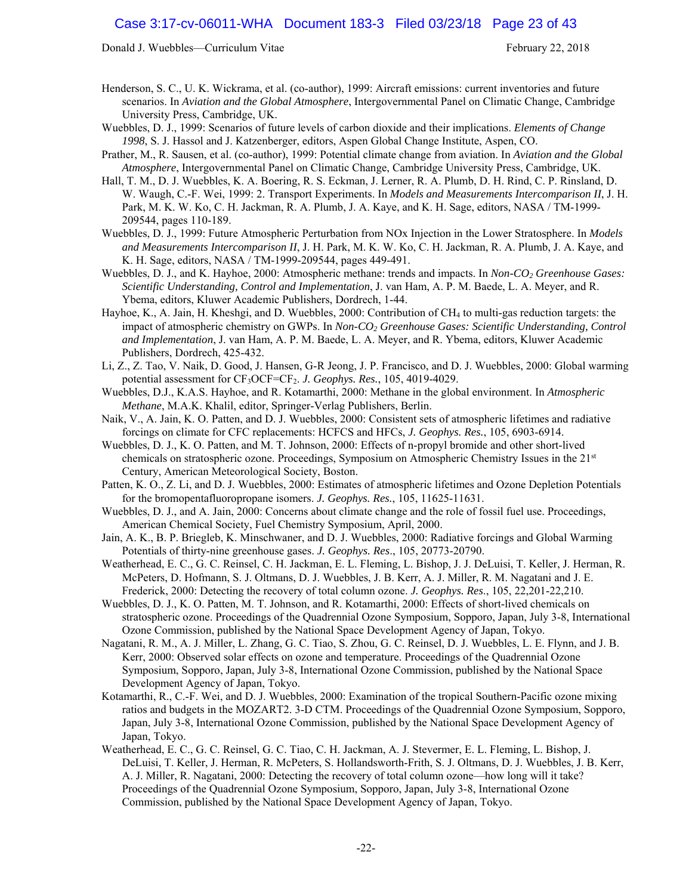- Henderson, S. C., U. K. Wickrama, et al. (co-author), 1999: Aircraft emissions: current inventories and future scenarios. In *Aviation and the Global Atmosphere*, Intergovernmental Panel on Climatic Change, Cambridge University Press, Cambridge, UK.
- Wuebbles, D. J., 1999: Scenarios of future levels of carbon dioxide and their implications. *Elements of Change 1998*, S. J. Hassol and J. Katzenberger, editors, Aspen Global Change Institute, Aspen, CO.
- Prather, M., R. Sausen, et al. (co-author), 1999: Potential climate change from aviation. In *Aviation and the Global Atmosphere*, Intergovernmental Panel on Climatic Change, Cambridge University Press, Cambridge, UK.
- Hall, T. M., D. J. Wuebbles, K. A. Boering, R. S. Eckman, J. Lerner, R. A. Plumb, D. H. Rind, C. P. Rinsland, D. W. Waugh, C.-F. Wei, 1999: 2. Transport Experiments. In *Models and Measurements Intercomparison II*, J. H. Park, M. K. W. Ko, C. H. Jackman, R. A. Plumb, J. A. Kaye, and K. H. Sage, editors, NASA / TM-1999- 209544, pages 110-189.
- Wuebbles, D. J., 1999: Future Atmospheric Perturbation from NOx Injection in the Lower Stratosphere. In *Models and Measurements Intercomparison II*, J. H. Park, M. K. W. Ko, C. H. Jackman, R. A. Plumb, J. A. Kaye, and K. H. Sage, editors, NASA / TM-1999-209544, pages 449-491.
- Wuebbles, D. J., and K. Hayhoe, 2000: Atmospheric methane: trends and impacts. In *Non-CO2 Greenhouse Gases: Scientific Understanding, Control and Implementation*, J. van Ham, A. P. M. Baede, L. A. Meyer, and R. Ybema, editors, Kluwer Academic Publishers, Dordrech, 1-44.
- Hayhoe, K., A. Jain, H. Kheshgi, and D. Wuebbles, 2000: Contribution of CH4 to multi-gas reduction targets: the impact of atmospheric chemistry on GWPs. In *Non-CO2 Greenhouse Gases: Scientific Understanding, Control and Implementation*, J. van Ham, A. P. M. Baede, L. A. Meyer, and R. Ybema, editors, Kluwer Academic Publishers, Dordrech, 425-432.
- Li, Z., Z. Tao, V. Naik, D. Good, J. Hansen, G-R Jeong, J. P. Francisco, and D. J. Wuebbles, 2000: Global warming potential assessment for CF3OCF=CF2. *J. Geophys. Res.*, 105, 4019-4029.
- Wuebbles, D.J., K.A.S. Hayhoe, and R. Kotamarthi, 2000: Methane in the global environment. In *Atmospheric Methane*, M.A.K. Khalil, editor, Springer-Verlag Publishers, Berlin.
- Naik, V., A. Jain, K. O. Patten, and D. J. Wuebbles, 2000: Consistent sets of atmospheric lifetimes and radiative forcings on climate for CFC replacements: HCFCS and HFCs, *J. Geophys. Res.*, 105, 6903-6914.
- Wuebbles, D. J., K. O. Patten, and M. T. Johnson, 2000: Effects of n-propyl bromide and other short-lived chemicals on stratospheric ozone. Proceedings, Symposium on Atmospheric Chemistry Issues in the 21<sup>st</sup> Century, American Meteorological Society, Boston.
- Patten, K. O., Z. Li, and D. J. Wuebbles, 2000: Estimates of atmospheric lifetimes and Ozone Depletion Potentials for the bromopentafluoropropane isomers. *J. Geophys. Res.*, 105, 11625-11631.
- Wuebbles, D. J., and A. Jain, 2000: Concerns about climate change and the role of fossil fuel use. Proceedings, American Chemical Society, Fuel Chemistry Symposium, April, 2000.
- Jain, A. K., B. P. Briegleb, K. Minschwaner, and D. J. Wuebbles, 2000: Radiative forcings and Global Warming Potentials of thirty-nine greenhouse gases. *J. Geophys. Res*., 105, 20773-20790.
- Weatherhead, E. C., G. C. Reinsel, C. H. Jackman, E. L. Fleming, L. Bishop, J. J. DeLuisi, T. Keller, J. Herman, R. McPeters, D. Hofmann, S. J. Oltmans, D. J. Wuebbles, J. B. Kerr, A. J. Miller, R. M. Nagatani and J. E. Frederick, 2000: Detecting the recovery of total column ozone. *J. Geophys. Res*., 105, 22,201-22,210.
- Wuebbles, D. J., K. O. Patten, M. T. Johnson, and R. Kotamarthi, 2000: Effects of short-lived chemicals on stratospheric ozone. Proceedings of the Quadrennial Ozone Symposium, Sopporo, Japan, July 3-8, International Ozone Commission, published by the National Space Development Agency of Japan, Tokyo.
- Nagatani, R. M., A. J. Miller, L. Zhang, G. C. Tiao, S. Zhou, G. C. Reinsel, D. J. Wuebbles, L. E. Flynn, and J. B. Kerr, 2000: Observed solar effects on ozone and temperature. Proceedings of the Quadrennial Ozone Symposium, Sopporo, Japan, July 3-8, International Ozone Commission, published by the National Space Development Agency of Japan, Tokyo.
- Kotamarthi, R., C.-F. Wei, and D. J. Wuebbles, 2000: Examination of the tropical Southern-Pacific ozone mixing ratios and budgets in the MOZART2. 3-D CTM. Proceedings of the Quadrennial Ozone Symposium, Sopporo, Japan, July 3-8, International Ozone Commission, published by the National Space Development Agency of Japan, Tokyo.
- Weatherhead, E. C., G. C. Reinsel, G. C. Tiao, C. H. Jackman, A. J. Stevermer, E. L. Fleming, L. Bishop, J. DeLuisi, T. Keller, J. Herman, R. McPeters, S. Hollandsworth-Frith, S. J. Oltmans, D. J. Wuebbles, J. B. Kerr, A. J. Miller, R. Nagatani, 2000: Detecting the recovery of total column ozone—how long will it take? Proceedings of the Quadrennial Ozone Symposium, Sopporo, Japan, July 3-8, International Ozone Commission, published by the National Space Development Agency of Japan, Tokyo.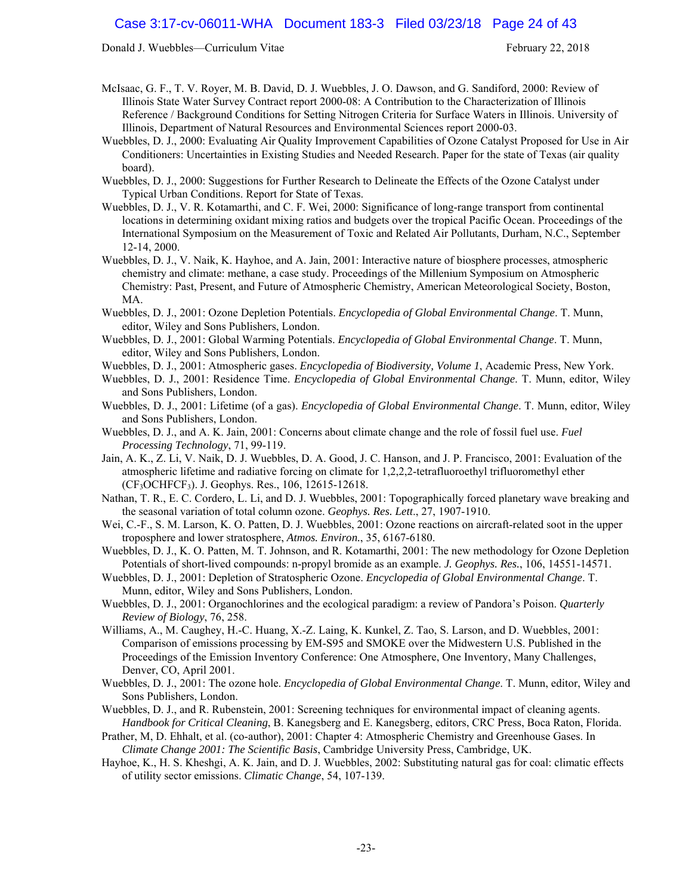- McIsaac, G. F., T. V. Royer, M. B. David, D. J. Wuebbles, J. O. Dawson, and G. Sandiford, 2000: Review of Illinois State Water Survey Contract report 2000-08: A Contribution to the Characterization of Illinois Reference / Background Conditions for Setting Nitrogen Criteria for Surface Waters in Illinois. University of Illinois, Department of Natural Resources and Environmental Sciences report 2000-03.
- Wuebbles, D. J., 2000: Evaluating Air Quality Improvement Capabilities of Ozone Catalyst Proposed for Use in Air Conditioners: Uncertainties in Existing Studies and Needed Research. Paper for the state of Texas (air quality board).
- Wuebbles, D. J., 2000: Suggestions for Further Research to Delineate the Effects of the Ozone Catalyst under Typical Urban Conditions. Report for State of Texas.
- Wuebbles, D. J., V. R. Kotamarthi, and C. F. Wei, 2000: Significance of long-range transport from continental locations in determining oxidant mixing ratios and budgets over the tropical Pacific Ocean. Proceedings of the International Symposium on the Measurement of Toxic and Related Air Pollutants, Durham, N.C., September 12-14, 2000.
- Wuebbles, D. J., V. Naik, K. Hayhoe, and A. Jain, 2001: Interactive nature of biosphere processes, atmospheric chemistry and climate: methane, a case study. Proceedings of the Millenium Symposium on Atmospheric Chemistry: Past, Present, and Future of Atmospheric Chemistry, American Meteorological Society, Boston, MA.
- Wuebbles, D. J., 2001: Ozone Depletion Potentials. *Encyclopedia of Global Environmental Change*. T. Munn, editor, Wiley and Sons Publishers, London.
- Wuebbles, D. J., 2001: Global Warming Potentials. *Encyclopedia of Global Environmental Change*. T. Munn, editor, Wiley and Sons Publishers, London.
- Wuebbles, D. J., 2001: Atmospheric gases. *Encyclopedia of Biodiversity, Volume 1*, Academic Press, New York.
- Wuebbles, D. J., 2001: Residence Time. *Encyclopedia of Global Environmental Change*. T. Munn, editor, Wiley and Sons Publishers, London.
- Wuebbles, D. J., 2001: Lifetime (of a gas). *Encyclopedia of Global Environmental Change*. T. Munn, editor, Wiley and Sons Publishers, London.
- Wuebbles, D. J., and A. K. Jain, 2001: Concerns about climate change and the role of fossil fuel use. *Fuel Processing Technology*, 71, 99-119.
- Jain, A. K., Z. Li, V. Naik, D. J. Wuebbles, D. A. Good, J. C. Hanson, and J. P. Francisco, 2001: Evaluation of the atmospheric lifetime and radiative forcing on climate for 1,2,2,2-tetrafluoroethyl trifluoromethyl ether (CF3OCHFCF3). J. Geophys. Res., 106, 12615-12618.
- Nathan, T. R., E. C. Cordero, L. Li, and D. J. Wuebbles, 2001: Topographically forced planetary wave breaking and the seasonal variation of total column ozone. *Geophys. Res. Lett*., 27, 1907-1910.
- Wei, C.-F., S. M. Larson, K. O. Patten, D. J. Wuebbles, 2001: Ozone reactions on aircraft-related soot in the upper troposphere and lower stratosphere, *Atmos. Environ.*, 35, 6167-6180.
- Wuebbles, D. J., K. O. Patten, M. T. Johnson, and R. Kotamarthi, 2001: The new methodology for Ozone Depletion Potentials of short-lived compounds: n-propyl bromide as an example. *J. Geophys. Res.*, 106, 14551-14571.
- Wuebbles, D. J., 2001: Depletion of Stratospheric Ozone. *Encyclopedia of Global Environmental Change*. T. Munn, editor, Wiley and Sons Publishers, London.
- Wuebbles, D. J., 2001: Organochlorines and the ecological paradigm: a review of Pandora's Poison. *Quarterly Review of Biology*, 76, 258.
- Williams, A., M. Caughey, H.-C. Huang, X.-Z. Laing, K. Kunkel, Z. Tao, S. Larson, and D. Wuebbles, 2001: Comparison of emissions processing by EM-S95 and SMOKE over the Midwestern U.S. Published in the Proceedings of the Emission Inventory Conference: One Atmosphere, One Inventory, Many Challenges, Denver, CO, April 2001.
- Wuebbles, D. J., 2001: The ozone hole. *Encyclopedia of Global Environmental Change*. T. Munn, editor, Wiley and Sons Publishers, London.
- Wuebbles, D. J., and R. Rubenstein, 2001: Screening techniques for environmental impact of cleaning agents. *Handbook for Critical Cleaning*, B. Kanegsberg and E. Kanegsberg, editors, CRC Press, Boca Raton, Florida.
- Prather, M, D. Ehhalt, et al. (co-author), 2001: Chapter 4: Atmospheric Chemistry and Greenhouse Gases. In *Climate Change 2001: The Scientific Basis*, Cambridge University Press, Cambridge, UK.
- Hayhoe, K., H. S. Kheshgi, A. K. Jain, and D. J. Wuebbles, 2002: Substituting natural gas for coal: climatic effects of utility sector emissions. *Climatic Change*, 54, 107-139.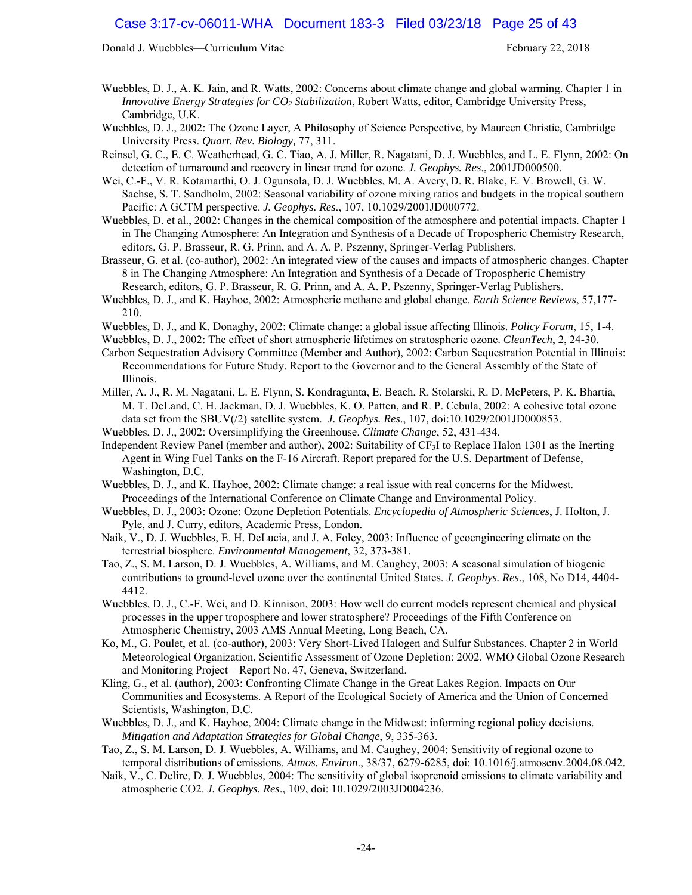- Wuebbles, D. J., A. K. Jain, and R. Watts, 2002: Concerns about climate change and global warming. Chapter 1 in *Innovative Energy Strategies for CO2 Stabilization*, Robert Watts, editor, Cambridge University Press, Cambridge, U.K.
- Wuebbles, D. J., 2002: The Ozone Layer, A Philosophy of Science Perspective, by Maureen Christie, Cambridge University Press. *Quart. Rev. Biology,* 77, 311.
- Reinsel, G. C., E. C. Weatherhead, G. C. Tiao, A. J. Miller, R. Nagatani, D. J. Wuebbles, and L. E. Flynn, 2002: On detection of turnaround and recovery in linear trend for ozone. *J. Geophys. Res*., 2001JD000500.
- Wei, C.-F., V. R. Kotamarthi, O. J. Ogunsola, D. J. Wuebbles, M. A. Avery, D. R. Blake, E. V. Browell, G. W. Sachse, S. T. Sandholm, 2002: Seasonal variability of ozone mixing ratios and budgets in the tropical southern Pacific: A GCTM perspective. *J. Geophys. Res*., 107, 10.1029/2001JD000772.
- Wuebbles, D. et al., 2002: Changes in the chemical composition of the atmosphere and potential impacts. Chapter 1 in The Changing Atmosphere: An Integration and Synthesis of a Decade of Tropospheric Chemistry Research, editors, G. P. Brasseur, R. G. Prinn, and A. A. P. Pszenny, Springer-Verlag Publishers.
- Brasseur, G. et al. (co-author), 2002: An integrated view of the causes and impacts of atmospheric changes. Chapter 8 in The Changing Atmosphere: An Integration and Synthesis of a Decade of Tropospheric Chemistry Research, editors, G. P. Brasseur, R. G. Prinn, and A. A. P. Pszenny, Springer-Verlag Publishers.
- Wuebbles, D. J., and K. Hayhoe, 2002: Atmospheric methane and global change. *Earth Science Reviews*, 57,177- 210.
- Wuebbles, D. J., and K. Donaghy, 2002: Climate change: a global issue affecting Illinois. *Policy Forum*, 15, 1-4.
- Wuebbles, D. J., 2002: The effect of short atmospheric lifetimes on stratospheric ozone. *CleanTech*, 2, 24-30.
- Carbon Sequestration Advisory Committee (Member and Author), 2002: Carbon Sequestration Potential in Illinois: Recommendations for Future Study. Report to the Governor and to the General Assembly of the State of Illinois.
- Miller, A. J., R. M. Nagatani, L. E. Flynn, S. Kondragunta, E. Beach, R. Stolarski, R. D. McPeters, P. K. Bhartia, M. T. DeLand, C. H. Jackman, D. J. Wuebbles, K. O. Patten, and R. P. Cebula, 2002: A cohesive total ozone data set from the SBUV(/2) satellite system. *J. Geophys. Res*., 107, doi:10.1029/2001JD000853.
- Wuebbles, D. J., 2002: Oversimplifying the Greenhouse. *Climate Change*, 52, 431-434.
- Independent Review Panel (member and author), 2002: Suitability of CF3I to Replace Halon 1301 as the Inerting Agent in Wing Fuel Tanks on the F-16 Aircraft. Report prepared for the U.S. Department of Defense, Washington, D.C.
- Wuebbles, D. J., and K. Hayhoe, 2002: Climate change: a real issue with real concerns for the Midwest. Proceedings of the International Conference on Climate Change and Environmental Policy.
- Wuebbles, D. J., 2003: Ozone: Ozone Depletion Potentials. *Encyclopedia of Atmospheric Sciences*, J. Holton, J. Pyle, and J. Curry, editors, Academic Press, London.
- Naik, V., D. J. Wuebbles, E. H. DeLucia, and J. A. Foley, 2003: Influence of geoengineering climate on the terrestrial biosphere. *Environmental Management*, 32, 373-381.
- Tao, Z., S. M. Larson, D. J. Wuebbles, A. Williams, and M. Caughey, 2003: A seasonal simulation of biogenic contributions to ground-level ozone over the continental United States. *J. Geophys. Res*., 108, No D14, 4404- 4412.
- Wuebbles, D. J., C.-F. Wei, and D. Kinnison, 2003: How well do current models represent chemical and physical processes in the upper troposphere and lower stratosphere? Proceedings of the Fifth Conference on Atmospheric Chemistry, 2003 AMS Annual Meeting, Long Beach, CA.
- Ko, M., G. Poulet, et al. (co-author), 2003: Very Short-Lived Halogen and Sulfur Substances. Chapter 2 in World Meteorological Organization, Scientific Assessment of Ozone Depletion: 2002. WMO Global Ozone Research and Monitoring Project – Report No. 47, Geneva, Switzerland.
- Kling, G., et al. (author), 2003: Confronting Climate Change in the Great Lakes Region. Impacts on Our Communities and Ecosystems. A Report of the Ecological Society of America and the Union of Concerned Scientists, Washington, D.C.
- Wuebbles, D. J., and K. Hayhoe, 2004: Climate change in the Midwest: informing regional policy decisions. *Mitigation and Adaptation Strategies for Global Change*, 9, 335-363.
- Tao, Z., S. M. Larson, D. J. Wuebbles, A. Williams, and M. Caughey, 2004: Sensitivity of regional ozone to temporal distributions of emissions. *Atmos. Environ*., 38/37, 6279-6285, doi: 10.1016/j.atmosenv.2004.08.042.
- Naik, V., C. Delire, D. J. Wuebbles, 2004: The sensitivity of global isoprenoid emissions to climate variability and atmospheric CO2. *J. Geophys. Res*., 109, doi: 10.1029/2003JD004236.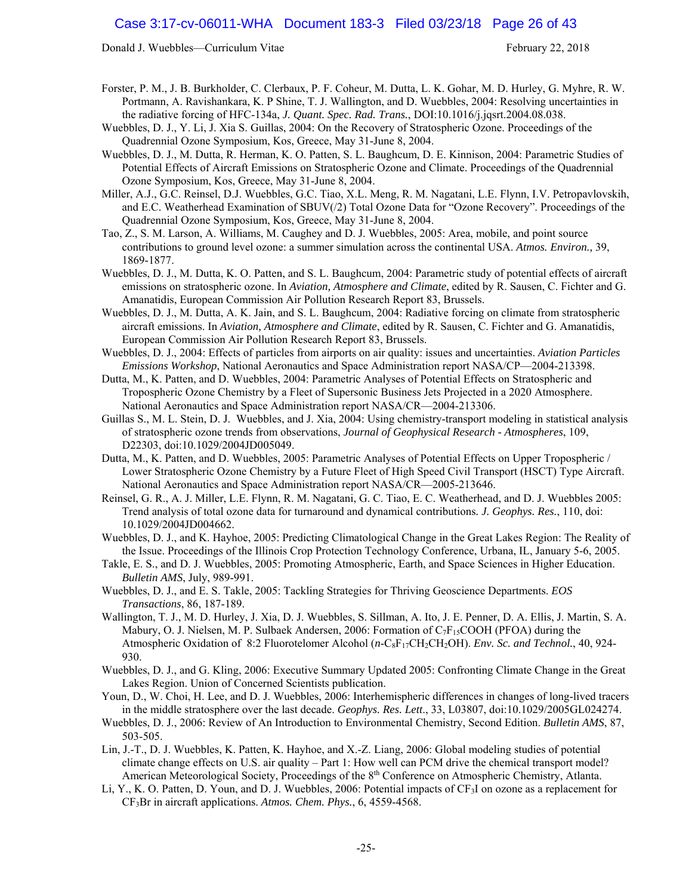- Forster, P. M., J. B. Burkholder, C. Clerbaux, P. F. Coheur, M. Dutta, L. K. Gohar, M. D. Hurley, G. Myhre, R. W. Portmann, A. Ravishankara, K. P Shine, T. J. Wallington, and D. Wuebbles, 2004: Resolving uncertainties in the radiative forcing of HFC-134a, *J. Quant. Spec. Rad. Trans.*, DOI:10.1016/j.jqsrt.2004.08.038.
- Wuebbles, D. J., Y. Li, J. Xia S. Guillas, 2004: On the Recovery of Stratospheric Ozone. Proceedings of the Quadrennial Ozone Symposium, Kos, Greece, May 31-June 8, 2004.
- Wuebbles, D. J., M. Dutta, R. Herman, K. O. Patten, S. L. Baughcum, D. E. Kinnison, 2004: Parametric Studies of Potential Effects of Aircraft Emissions on Stratospheric Ozone and Climate. Proceedings of the Quadrennial Ozone Symposium, Kos, Greece, May 31-June 8, 2004.
- Miller, A.J., G.C. Reinsel, D.J. Wuebbles, G.C. Tiao, X.L. Meng, R. M. Nagatani, L.E. Flynn, I.V. Petropavlovskih, and E.C. Weatherhead Examination of SBUV(/2) Total Ozone Data for "Ozone Recovery". Proceedings of the Quadrennial Ozone Symposium, Kos, Greece, May 31-June 8, 2004.
- Tao, Z., S. M. Larson, A. Williams, M. Caughey and D. J. Wuebbles, 2005: Area, mobile, and point source contributions to ground level ozone: a summer simulation across the continental USA. *Atmos. Environ.,* 39, 1869-1877.
- Wuebbles, D. J., M. Dutta, K. O. Patten, and S. L. Baughcum, 2004: Parametric study of potential effects of aircraft emissions on stratospheric ozone. In *Aviation, Atmosphere and Climate*, edited by R. Sausen, C. Fichter and G. Amanatidis, European Commission Air Pollution Research Report 83, Brussels.
- Wuebbles, D. J., M. Dutta, A. K. Jain, and S. L. Baughcum, 2004: Radiative forcing on climate from stratospheric aircraft emissions. In *Aviation, Atmosphere and Climate*, edited by R. Sausen, C. Fichter and G. Amanatidis, European Commission Air Pollution Research Report 83, Brussels.
- Wuebbles, D. J., 2004: Effects of particles from airports on air quality: issues and uncertainties. *Aviation Particles Emissions Workshop*, National Aeronautics and Space Administration report NASA/CP—2004-213398.
- Dutta, M., K. Patten, and D. Wuebbles, 2004: Parametric Analyses of Potential Effects on Stratospheric and Tropospheric Ozone Chemistry by a Fleet of Supersonic Business Jets Projected in a 2020 Atmosphere. National Aeronautics and Space Administration report NASA/CR—2004-213306.
- Guillas S., M. L. Stein, D. J. Wuebbles, and J. Xia, 2004: Using chemistry-transport modeling in statistical analysis of stratospheric ozone trends from observations, *Journal of Geophysical Research - Atmospheres*, 109, D22303, doi:10.1029/2004JD005049.
- Dutta, M., K. Patten, and D. Wuebbles, 2005: Parametric Analyses of Potential Effects on Upper Tropospheric / Lower Stratospheric Ozone Chemistry by a Future Fleet of High Speed Civil Transport (HSCT) Type Aircraft. National Aeronautics and Space Administration report NASA/CR—2005-213646.
- Reinsel, G. R., A. J. Miller, L.E. Flynn, R. M. Nagatani, G. C. Tiao, E. C. Weatherhead, and D. J. Wuebbles 2005: Trend analysis of total ozone data for turnaround and dynamical contributions*. J. Geophys. Res.*, 110, doi: 10.1029/2004JD004662.
- Wuebbles, D. J., and K. Hayhoe, 2005: Predicting Climatological Change in the Great Lakes Region: The Reality of the Issue. Proceedings of the Illinois Crop Protection Technology Conference, Urbana, IL, January 5-6, 2005.
- Takle, E. S., and D. J. Wuebbles, 2005: Promoting Atmospheric, Earth, and Space Sciences in Higher Education. *Bulletin AMS*, July, 989-991.
- Wuebbles, D. J., and E. S. Takle, 2005: Tackling Strategies for Thriving Geoscience Departments. *EOS Transactions*, 86, 187-189.
- Wallington, T. J., M. D. Hurley, J. Xia, D. J. Wuebbles, S. Sillman, A. Ito, J. E. Penner, D. A. Ellis, J. Martin, S. A. Mabury, O. J. Nielsen, M. P. Sulbaek Andersen, 2006: Formation of  $C_7F_{15}COOH$  (PFOA) during the Atmospheric Oxidation of 8:2 Fluorotelomer Alcohol (*n*-C<sub>8</sub>F<sub>17</sub>CH<sub>2</sub>CH<sub>2</sub>CH<sub>1</sub>). *Env. Sc. and Technol.*, 40, 924-930.
- Wuebbles, D. J., and G. Kling, 2006: Executive Summary Updated 2005: Confronting Climate Change in the Great Lakes Region. Union of Concerned Scientists publication.
- Youn, D., W. Choi, H. Lee, and D. J. Wuebbles, 2006: Interhemispheric differences in changes of long-lived tracers in the middle stratosphere over the last decade. *Geophys. Res. Lett*., 33, L03807, doi:10.1029/2005GL024274.
- Wuebbles, D. J., 2006: Review of An Introduction to Environmental Chemistry, Second Edition. *Bulletin AMS*, 87, 503-505.
- Lin, J.-T., D. J. Wuebbles, K. Patten, K. Hayhoe, and X.-Z. Liang, 2006: Global modeling studies of potential climate change effects on U.S. air quality – Part 1: How well can PCM drive the chemical transport model? American Meteorological Society, Proceedings of the 8<sup>th</sup> Conference on Atmospheric Chemistry, Atlanta.
- Li, Y., K. O. Patten, D. Youn, and D. J. Wuebbles, 2006: Potential impacts of CF<sub>3</sub>I on ozone as a replacement for CF3Br in aircraft applications. *Atmos. Chem. Phys.*, 6, 4559-4568.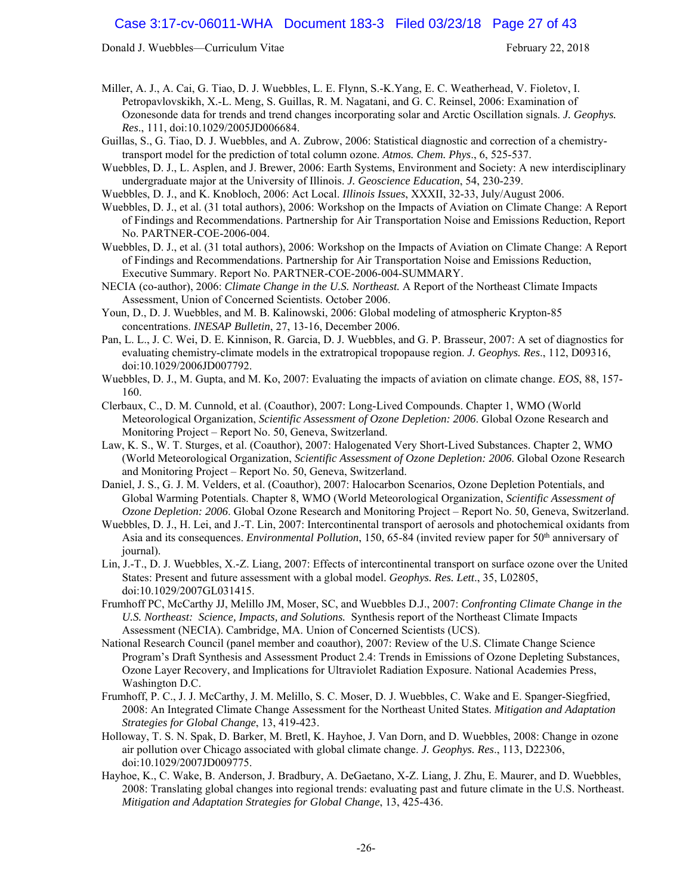- Miller, A. J., A. Cai, G. Tiao, D. J. Wuebbles, L. E. Flynn, S.-K.Yang, E. C. Weatherhead, V. Fioletov, I. Petropavlovskikh, X.-L. Meng, S. Guillas, R. M. Nagatani, and G. C. Reinsel, 2006: Examination of Ozonesonde data for trends and trend changes incorporating solar and Arctic Oscillation signals. *J. Geophys. Res*., 111, doi:10.1029/2005JD006684.
- Guillas, S., G. Tiao, D. J. Wuebbles, and A. Zubrow, 2006: Statistical diagnostic and correction of a chemistrytransport model for the prediction of total column ozone. *Atmos. Chem. Phys*., 6, 525-537.
- Wuebbles, D. J., L. Asplen, and J. Brewer, 2006: Earth Systems, Environment and Society: A new interdisciplinary undergraduate major at the University of Illinois. *J. Geoscience Education*, 54, 230-239.
- Wuebbles, D. J., and K. Knobloch, 2006: Act Local. *Illinois Issues*, XXXII, 32-33, July/August 2006.
- Wuebbles, D. J., et al. (31 total authors), 2006: Workshop on the Impacts of Aviation on Climate Change: A Report of Findings and Recommendations. Partnership for Air Transportation Noise and Emissions Reduction, Report No. PARTNER-COE-2006-004.
- Wuebbles, D. J., et al. (31 total authors), 2006: Workshop on the Impacts of Aviation on Climate Change: A Report of Findings and Recommendations. Partnership for Air Transportation Noise and Emissions Reduction, Executive Summary. Report No. PARTNER-COE-2006-004-SUMMARY.
- NECIA (co-author), 2006: *Climate Change in the U.S. Northeast.* A Report of the Northeast Climate Impacts Assessment, Union of Concerned Scientists. October 2006.
- Youn, D., D. J. Wuebbles, and M. B. Kalinowski, 2006: Global modeling of atmospheric Krypton-85 concentrations. *INESAP Bulletin*, 27, 13-16, December 2006.
- Pan, L. L., J. C. Wei, D. E. Kinnison, R. Garcia, D. J. Wuebbles, and G. P. Brasseur, 2007: A set of diagnostics for evaluating chemistry-climate models in the extratropical tropopause region. *J. Geophys. Res*., 112, D09316, doi:10.1029/2006JD007792.
- Wuebbles, D. J., M. Gupta, and M. Ko, 2007: Evaluating the impacts of aviation on climate change. *EOS*, 88, 157- 160.
- Clerbaux, C., D. M. Cunnold, et al. (Coauthor), 2007: Long-Lived Compounds. Chapter 1, WMO (World Meteorological Organization, *Scientific Assessment of Ozone Depletion: 2006*. Global Ozone Research and Monitoring Project – Report No. 50, Geneva, Switzerland.
- Law, K. S., W. T. Sturges, et al. (Coauthor), 2007: Halogenated Very Short-Lived Substances. Chapter 2, WMO (World Meteorological Organization, *Scientific Assessment of Ozone Depletion: 2006*. Global Ozone Research and Monitoring Project – Report No. 50, Geneva, Switzerland.
- Daniel, J. S., G. J. M. Velders, et al. (Coauthor), 2007: Halocarbon Scenarios, Ozone Depletion Potentials, and Global Warming Potentials. Chapter 8, WMO (World Meteorological Organization, *Scientific Assessment of Ozone Depletion: 2006*. Global Ozone Research and Monitoring Project – Report No. 50, Geneva, Switzerland.
- Wuebbles, D. J., H. Lei, and J.-T. Lin, 2007: Intercontinental transport of aerosols and photochemical oxidants from Asia and its consequences. *Environmental Pollution*, 150, 65-84 (invited review paper for 50<sup>th</sup> anniversary of journal).
- Lin, J.-T., D. J. Wuebbles, X.-Z. Liang, 2007: Effects of intercontinental transport on surface ozone over the United States: Present and future assessment with a global model. *Geophys. Res. Lett*., 35, L02805, doi:10.1029/2007GL031415.
- Frumhoff PC, McCarthy JJ, Melillo JM, Moser, SC, and Wuebbles D.J., 2007: *Confronting Climate Change in the U.S. Northeast: Science, Impacts, and Solutions.* Synthesis report of the Northeast Climate Impacts Assessment (NECIA). Cambridge, MA. Union of Concerned Scientists (UCS).
- National Research Council (panel member and coauthor), 2007: Review of the U.S. Climate Change Science Program's Draft Synthesis and Assessment Product 2.4: Trends in Emissions of Ozone Depleting Substances, Ozone Layer Recovery, and Implications for Ultraviolet Radiation Exposure. National Academies Press, Washington D.C.
- Frumhoff, P. C., J. J. McCarthy, J. M. Melillo, S. C. Moser, D. J. Wuebbles, C. Wake and E. Spanger-Siegfried, 2008: An Integrated Climate Change Assessment for the Northeast United States. *Mitigation and Adaptation Strategies for Global Change*, 13, 419-423.
- Holloway, T. S. N. Spak, D. Barker, M. Bretl, K. Hayhoe, J. Van Dorn, and D. Wuebbles, 2008: Change in ozone air pollution over Chicago associated with global climate change. *J. Geophys. Res*., 113, D22306, doi:10.1029/2007JD009775.
- Hayhoe, K., C. Wake, B. Anderson, J. Bradbury, A. DeGaetano, X-Z. Liang, J. Zhu, E. Maurer, and D. Wuebbles, 2008: Translating global changes into regional trends: evaluating past and future climate in the U.S. Northeast. *Mitigation and Adaptation Strategies for Global Change*, 13, 425-436.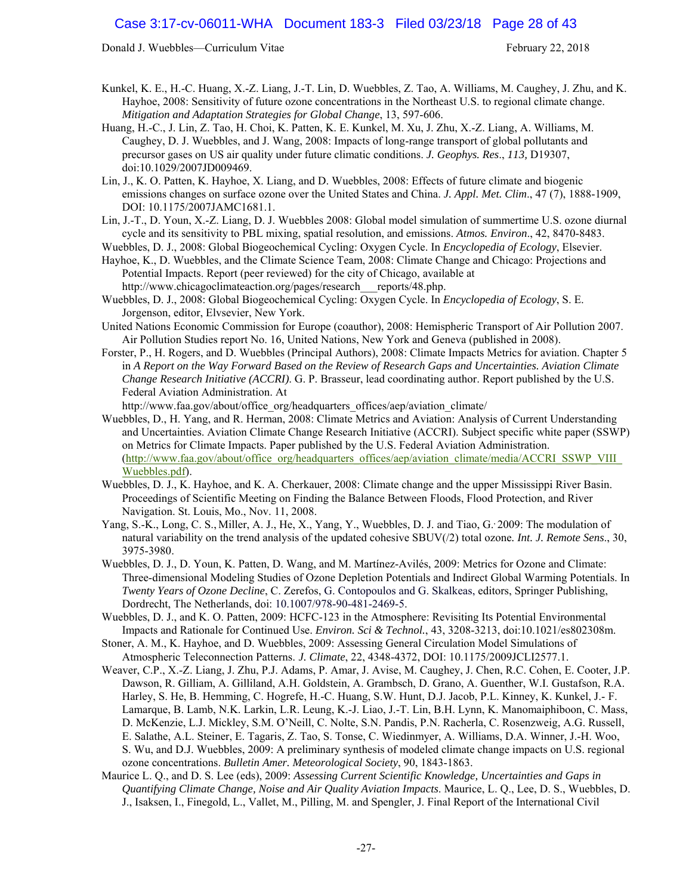- Kunkel, K. E., H.-C. Huang, X.-Z. Liang, J.-T. Lin, D. Wuebbles, Z. Tao, A. Williams, M. Caughey, J. Zhu, and K. Hayhoe, 2008: Sensitivity of future ozone concentrations in the Northeast U.S. to regional climate change. *Mitigation and Adaptation Strategies for Global Change*, 13, 597-606.
- Huang, H.-C., J. Lin, Z. Tao, H. Choi, K. Patten, K. E. Kunkel, M. Xu, J. Zhu, X.-Z. Liang, A. Williams, M. Caughey, D. J. Wuebbles, and J. Wang, 2008: Impacts of long-range transport of global pollutants and precursor gases on US air quality under future climatic conditions. *J. Geophys. Res*., *113,* D19307, doi:10.1029/2007JD009469.
- Lin, J., K. O. Patten, K. Hayhoe, X. Liang, and D. Wuebbles, 2008: Effects of future climate and biogenic emissions changes on surface ozone over the United States and China. *J. Appl. Met. Clim*., 47 (7), 1888-1909, DOI: 10.1175/2007JAMC1681.1.
- Lin, J.-T., D. Youn, X.-Z. Liang, D. J. Wuebbles 2008: Global model simulation of summertime U.S. ozone diurnal cycle and its sensitivity to PBL mixing, spatial resolution, and emissions. *Atmos. Environ*., 42, 8470-8483.

Wuebbles, D. J., 2008: Global Biogeochemical Cycling: Oxygen Cycle. In *Encyclopedia of Ecology*, Elsevier.

- Hayhoe, K., D. Wuebbles, and the Climate Science Team, 2008: Climate Change and Chicago: Projections and Potential Impacts. Report (peer reviewed) for the city of Chicago, available at http://www.chicagoclimateaction.org/pages/research\_\_\_reports/48.php.
- Wuebbles, D. J., 2008: Global Biogeochemical Cycling: Oxygen Cycle. In *Encyclopedia of Ecology*, S. E. Jorgenson, editor, Elvsevier, New York.
- United Nations Economic Commission for Europe (coauthor), 2008: Hemispheric Transport of Air Pollution 2007. Air Pollution Studies report No. 16, United Nations, New York and Geneva (published in 2008).
- Forster, P., H. Rogers, and D. Wuebbles (Principal Authors), 2008: Climate Impacts Metrics for aviation. Chapter 5 in *A Report on the Way Forward Based on the Review of Research Gaps and Uncertainties. Aviation Climate Change Research Initiative (ACCRI)*. G. P. Brasseur, lead coordinating author. Report published by the U.S. Federal Aviation Administration. At

http://www.faa.gov/about/office\_org/headquarters\_offices/aep/aviation\_climate/

- Wuebbles, D., H. Yang, and R. Herman, 2008: Climate Metrics and Aviation: Analysis of Current Understanding and Uncertainties. Aviation Climate Change Research Initiative (ACCRI). Subject specific white paper (SSWP) on Metrics for Climate Impacts. Paper published by the U.S. Federal Aviation Administration. (http://www.faa.gov/about/office\_org/headquarters\_offices/aep/aviation\_climate/media/ACCRI\_SSWP\_VIII Wuebbles.pdf).
- Wuebbles, D. J., K. Hayhoe, and K. A. Cherkauer, 2008: Climate change and the upper Mississippi River Basin. Proceedings of Scientific Meeting on Finding the Balance Between Floods, Flood Protection, and River Navigation. St. Louis, Mo., Nov. 11, 2008.
- Yang, S.-K., Long, C. S., Miller, A. J., He, X., Yang, Y., Wuebbles, D. J. and Tiao, G. 2009: The modulation of natural variability on the trend analysis of the updated cohesive SBUV(/2) total ozone*. Int. J. Remote Sens*., 30, 3975-3980.
- Wuebbles, D. J., D. Youn, K. Patten, D. Wang, and M. Martínez-Avilés, 2009: Metrics for Ozone and Climate: Three-dimensional Modeling Studies of Ozone Depletion Potentials and Indirect Global Warming Potentials. In *Twenty Years of Ozone Decline*, C. Zerefos, G. Contopoulos and G. Skalkeas, editors, Springer Publishing, Dordrecht, The Netherlands, doi: 10.1007/978-90-481-2469-5.
- Wuebbles, D. J., and K. O. Patten, 2009: HCFC-123 in the Atmosphere: Revisiting Its Potential Environmental Impacts and Rationale for Continued Use. *Environ. Sci & Technol.*, 43, 3208-3213, doi:10.1021/es802308m.
- Stoner, A. M., K. Hayhoe, and D. Wuebbles, 2009: Assessing General Circulation Model Simulations of Atmospheric Teleconnection Patterns. *J. Climate*, 22, 4348-4372, DOI: 10.1175/2009JCLI2577.1.
- Weaver, C.P., X.-Z. Liang, J. Zhu, P.J. Adams, P. Amar, J. Avise, M. Caughey, J. Chen, R.C. Cohen, E. Cooter, J.P. Dawson, R. Gilliam, A. Gilliland, A.H. Goldstein, A. Grambsch, D. Grano, A. Guenther, W.I. Gustafson, R.A. Harley, S. He, B. Hemming, C. Hogrefe, H.-C. Huang, S.W. Hunt, D.J. Jacob, P.L. Kinney, K. Kunkel, J.- F. Lamarque, B. Lamb, N.K. Larkin, L.R. Leung, K.-J. Liao, J.-T. Lin, B.H. Lynn, K. Manomaiphiboon, C. Mass, D. McKenzie, L.J. Mickley, S.M. O'Neill, C. Nolte, S.N. Pandis, P.N. Racherla, C. Rosenzweig, A.G. Russell, E. Salathe, A.L. Steiner, E. Tagaris, Z. Tao, S. Tonse, C. Wiedinmyer, A. Williams, D.A. Winner, J.-H. Woo, S. Wu, and D.J. Wuebbles, 2009: A preliminary synthesis of modeled climate change impacts on U.S. regional ozone concentrations. *Bulletin Amer. Meteorological Society*, 90, 1843-1863.
- Maurice L. Q., and D. S. Lee (eds), 2009: *Assessing Current Scientific Knowledge, Uncertainties and Gaps in Quantifying Climate Change, Noise and Air Quality Aviation Impacts*. Maurice, L. Q., Lee, D. S., Wuebbles, D. J., Isaksen, I., Finegold, L., Vallet, M., Pilling, M. and Spengler, J. Final Report of the International Civil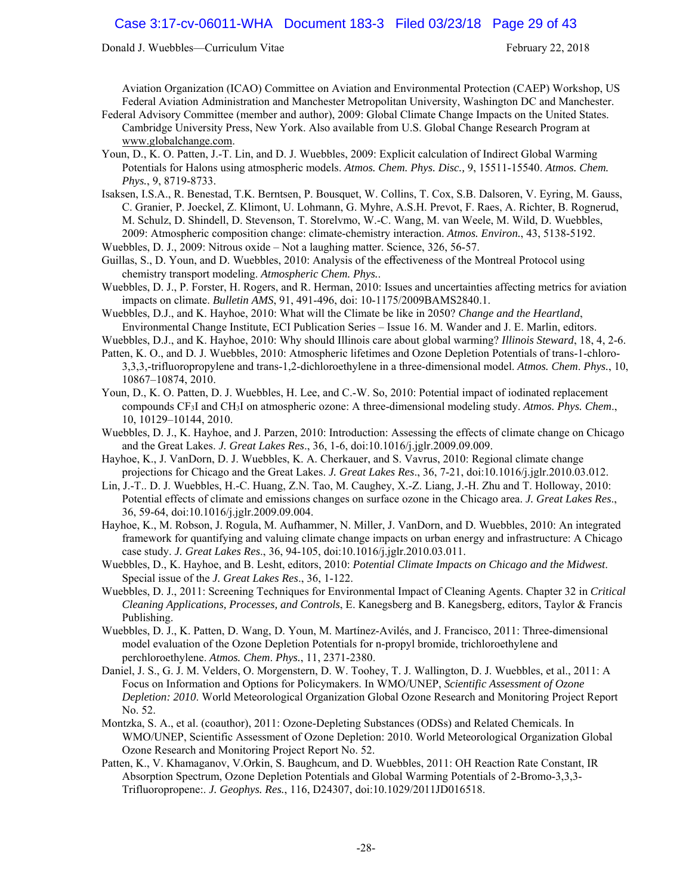Aviation Organization (ICAO) Committee on Aviation and Environmental Protection (CAEP) Workshop, US Federal Aviation Administration and Manchester Metropolitan University, Washington DC and Manchester.

- Federal Advisory Committee (member and author), 2009: Global Climate Change Impacts on the United States. Cambridge University Press, New York. Also available from U.S. Global Change Research Program at www.globalchange.com.
- Youn, D., K. O. Patten, J.-T. Lin, and D. J. Wuebbles, 2009: Explicit calculation of Indirect Global Warming Potentials for Halons using atmospheric models. *Atmos. Chem. Phys. Disc.,* 9, 15511-15540. *Atmos. Chem. Phys.*, 9, 8719-8733.
- Isaksen, I.S.A., R. Benestad, T.K. Berntsen, P. Bousquet, W. Collins, T. Cox, S.B. Dalsoren, V. Eyring, M. Gauss, C. Granier, P. Joeckel, Z. Klimont, U. Lohmann, G. Myhre, A.S.H. Prevot, F. Raes, A. Richter, B. Rognerud, M. Schulz, D. Shindell, D. Stevenson, T. Storelvmo, W.-C. Wang, M. van Weele, M. Wild, D. Wuebbles, 2009: Atmospheric composition change: climate-chemistry interaction. *Atmos. Environ.*, 43, 5138-5192.

Wuebbles, D. J., 2009: Nitrous oxide – Not a laughing matter. Science, 326, 56-57.

- Guillas, S., D. Youn, and D. Wuebbles, 2010: Analysis of the effectiveness of the Montreal Protocol using chemistry transport modeling. *Atmospheric Chem. Phys.*.
- Wuebbles, D. J., P. Forster, H. Rogers, and R. Herman, 2010: Issues and uncertainties affecting metrics for aviation impacts on climate. *Bulletin AMS*, 91, 491-496, doi: 10-1175/2009BAMS2840.1.
- Wuebbles, D.J., and K. Hayhoe, 2010: What will the Climate be like in 2050? *Change and the Heartland*, Environmental Change Institute, ECI Publication Series – Issue 16. M. Wander and J. E. Marlin, editors.
- Wuebbles, D.J., and K. Hayhoe, 2010: Why should Illinois care about global warming? *Illinois Steward*, 18, 4, 2-6.
- Patten, K. O., and D. J. Wuebbles, 2010: Atmospheric lifetimes and Ozone Depletion Potentials of trans-1-chloro-3,3,3,-trifluoropropylene and trans-1,2-dichloroethylene in a three-dimensional model. *Atmos. Chem*. *Phys.*, 10, 10867–10874, 2010.
- Youn, D., K. O. Patten, D. J. Wuebbles, H. Lee, and C.-W. So, 2010: Potential impact of iodinated replacement compounds CF3I and CH3I on atmospheric ozone: A three-dimensional modeling study. *Atmos. Phys. Chem*., 10, 10129–10144, 2010.
- Wuebbles, D. J., K. Hayhoe, and J. Parzen, 2010: Introduction: Assessing the effects of climate change on Chicago and the Great Lakes. *J. Great Lakes Res*., 36, 1-6, doi:10.1016/j.jglr.2009.09.009.
- Hayhoe, K., J. VanDorn, D. J. Wuebbles, K. A. Cherkauer, and S. Vavrus, 2010: Regional climate change projections for Chicago and the Great Lakes. *J. Great Lakes Res*., 36, 7-21, doi:10.1016/j.jglr.2010.03.012.
- Lin, J.-T.. D. J. Wuebbles, H.-C. Huang, Z.N. Tao, M. Caughey, X.-Z. Liang, J.-H. Zhu and T. Holloway, 2010: Potential effects of climate and emissions changes on surface ozone in the Chicago area. *J. Great Lakes Res*., 36, 59-64, doi:10.1016/j.jglr.2009.09.004.
- Hayhoe, K., M. Robson, J. Rogula, M. Aufhammer, N. Miller, J. VanDorn, and D. Wuebbles, 2010: An integrated framework for quantifying and valuing climate change impacts on urban energy and infrastructure: A Chicago case study. *J. Great Lakes Res*., 36, 94-105, doi:10.1016/j.jglr.2010.03.011.
- Wuebbles, D., K. Hayhoe, and B. Lesht, editors, 2010: *Potential Climate Impacts on Chicago and the Midwest*. Special issue of the *J. Great Lakes Res*., 36, 1-122.
- Wuebbles, D. J., 2011: Screening Techniques for Environmental Impact of Cleaning Agents. Chapter 32 in *Critical Cleaning Applications, Processes, and Controls*, E. Kanegsberg and B. Kanegsberg, editors, Taylor & Francis Publishing.
- Wuebbles, D. J., K. Patten, D. Wang, D. Youn, M. Martínez-Avilés, and J. Francisco, 2011: Three-dimensional model evaluation of the Ozone Depletion Potentials for n-propyl bromide, trichloroethylene and perchloroethylene. *Atmos. Chem*. *Phys.*, 11, 2371-2380.
- Daniel, J. S., G. J. M. Velders, O. Morgenstern, D. W. Toohey, T. J. Wallington, D. J. Wuebbles, et al., 2011: A Focus on Information and Options for Policymakers. In WMO/UNEP, *Scientific Assessment of Ozone Depletion: 2010*. World Meteorological Organization Global Ozone Research and Monitoring Project Report No. 52.
- Montzka, S. A., et al. (coauthor), 2011: Ozone-Depleting Substances (ODSs) and Related Chemicals. In WMO/UNEP, Scientific Assessment of Ozone Depletion: 2010. World Meteorological Organization Global Ozone Research and Monitoring Project Report No. 52.
- Patten, K., V. Khamaganov, V.Orkin, S. Baughcum, and D. Wuebbles, 2011: OH Reaction Rate Constant, IR Absorption Spectrum, Ozone Depletion Potentials and Global Warming Potentials of 2-Bromo-3,3,3- Trifluoropropene:. *J. Geophys. Res.*, 116, D24307, doi:10.1029/2011JD016518.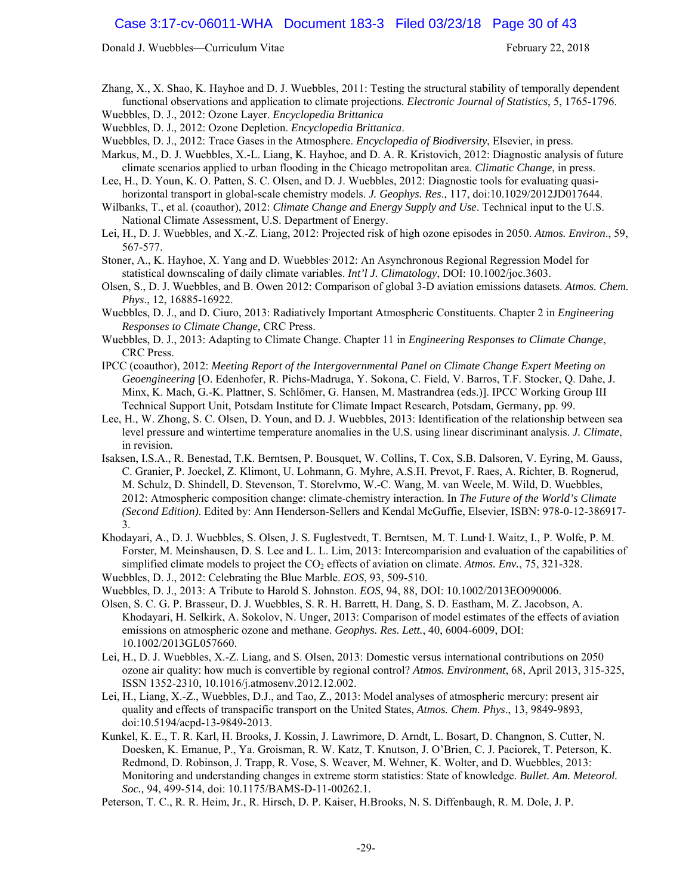Zhang, X., X. Shao, K. Hayhoe and D. J. Wuebbles, 2011: Testing the structural stability of temporally dependent functional observations and application to climate projections. *Electronic Journal of Statistics*, 5, 1765-1796.

- Wuebbles, D. J., 2012: Ozone Layer. *Encyclopedia Brittanica*
- Wuebbles, D. J., 2012: Ozone Depletion. *Encyclopedia Brittanica*.

Wuebbles, D. J., 2012: Trace Gases in the Atmosphere. *Encyclopedia of Biodiversity*, Elsevier, in press.

Markus, M., D. J. Wuebbles, X.-L. Liang, K. Hayhoe, and D. A. R. Kristovich, 2012: Diagnostic analysis of future climate scenarios applied to urban flooding in the Chicago metropolitan area. *Climatic Change*, in press.

Lee, H., D. Youn, K. O. Patten, S. C. Olsen, and D. J. Wuebbles, 2012: Diagnostic tools for evaluating quasihorizontal transport in global-scale chemistry models. *J. Geophys. Res*., 117, doi:10.1029/2012JD017644.

Wilbanks, T., et al. (coauthor), 2012: *Climate Change and Energy Supply and Use*. Technical input to the U.S. National Climate Assessment, U.S. Department of Energy.

Lei, H., D. J. Wuebbles, and X.-Z. Liang, 2012: Projected risk of high ozone episodes in 2050. *Atmos. Environ*., 59, 567-577.

Stoner, A., K. Hayhoe, X. Yang and D. Wuebbles<sup>,</sup> 2012: An Asynchronous Regional Regression Model for statistical downscaling of daily climate variables. *Int'l J. Climatology*, DOI: 10.1002/joc.3603.

- Olsen, S., D. J. Wuebbles, and B. Owen 2012: Comparison of global 3-D aviation emissions datasets. *Atmos. Chem. Phys*., 12, 16885-16922.
- Wuebbles, D. J., and D. Ciuro, 2013: Radiatively Important Atmospheric Constituents. Chapter 2 in *Engineering Responses to Climate Change*, CRC Press.
- Wuebbles, D. J., 2013: Adapting to Climate Change. Chapter 11 in *Engineering Responses to Climate Change*, CRC Press.
- IPCC (coauthor), 2012: *Meeting Report of the Intergovernmental Panel on Climate Change Expert Meeting on Geoengineering* [O. Edenhofer, R. Pichs-Madruga, Y. Sokona, C. Field, V. Barros, T.F. Stocker, Q. Dahe, J. Minx, K. Mach, G.-K. Plattner, S. Schlömer, G. Hansen, M. Mastrandrea (eds.)]. IPCC Working Group III Technical Support Unit, Potsdam Institute for Climate Impact Research, Potsdam, Germany, pp. 99.
- Lee, H., W. Zhong, S. C. Olsen, D. Youn, and D. J. Wuebbles, 2013: Identification of the relationship between sea level pressure and wintertime temperature anomalies in the U.S. using linear discriminant analysis. *J. Climate*, in revision.
- Isaksen, I.S.A., R. Benestad, T.K. Berntsen, P. Bousquet, W. Collins, T. Cox, S.B. Dalsoren, V. Eyring, M. Gauss, C. Granier, P. Joeckel, Z. Klimont, U. Lohmann, G. Myhre, A.S.H. Prevot, F. Raes, A. Richter, B. Rognerud, M. Schulz, D. Shindell, D. Stevenson, T. Storelvmo, W.-C. Wang, M. van Weele, M. Wild, D. Wuebbles, 2012: Atmospheric composition change: climate-chemistry interaction. In *The Future of the World's Climate (Second Edition)*. Edited by: Ann Henderson-Sellers and Kendal McGuffie, Elsevier, ISBN: 978-0-12-386917- 3.
- Khodayari, A., D. J. Wuebbles, S. Olsen, J. S. Fuglestvedt, T. Berntsen, M. T. Lund, I. Waitz, I., P. Wolfe, P. M. Forster, M. Meinshausen, D. S. Lee and L. L. Lim, 2013: Intercomparision and evaluation of the capabilities of simplified climate models to project the CO<sub>2</sub> effects of aviation on climate. *Atmos. Env.*, 75, 321-328.

Wuebbles, D. J., 2012: Celebrating the Blue Marble. *EOS*, 93, 509-510.

- Wuebbles, D. J., 2013: A Tribute to Harold S. Johnston. *EOS*, 94, 88, DOI: 10.1002/2013EO090006.
- Olsen, S. C. G. P. Brasseur, D. J. Wuebbles, S. R. H. Barrett, H. Dang, S. D. Eastham, M. Z. Jacobson, A. Khodayari, H. Selkirk, A. Sokolov, N. Unger, 2013: Comparison of model estimates of the effects of aviation emissions on atmospheric ozone and methane. *Geophys. Res. Lett.*, 40, 6004-6009, DOI: 10.1002/2013GL057660.
- Lei, H., D. J. Wuebbles, X.-Z. Liang, and S. Olsen, 2013: Domestic versus international contributions on 2050 ozone air quality: how much is convertible by regional control? *Atmos. Environment*, 68, April 2013, 315-325, ISSN 1352-2310, 10.1016/j.atmosenv.2012.12.002.
- Lei, H., Liang, X.-Z., Wuebbles, D.J., and Tao, Z., 2013: Model analyses of atmospheric mercury: present air quality and effects of transpacific transport on the United States, *Atmos. Chem. Phys*., 13, 9849-9893, doi:10.5194/acpd-13-9849-2013.
- Kunkel, K. E., T. R. Karl, H. Brooks, J. Kossin, J. Lawrimore, D. Arndt, L. Bosart, D. Changnon, S. Cutter, N. Doesken, K. Emanue, P., Ya. Groisman, R. W. Katz, T. Knutson, J. O'Brien, C. J. Paciorek, T. Peterson, K. Redmond, D. Robinson, J. Trapp, R. Vose, S. Weaver, M. Wehner, K. Wolter, and D. Wuebbles, 2013: Monitoring and understanding changes in extreme storm statistics: State of knowledge. *Bullet. Am. Meteorol. Soc.,* 94, 499-514, doi: 10.1175/BAMS-D-11-00262.1.

Peterson, T. C., R. R. Heim, Jr., R. Hirsch, D. P. Kaiser, H.Brooks, N. S. Diffenbaugh, R. M. Dole, J. P.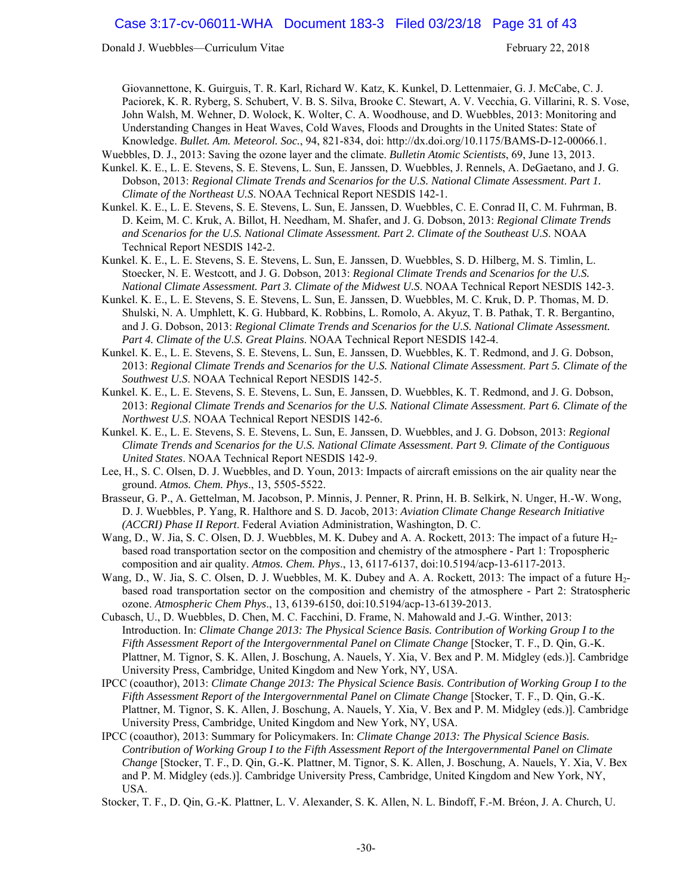Case 3:17-cv-06011-WHA Document 183-3 Filed 03/23/18 Page 31 of 43

Donald J. Wuebbles—Curriculum Vitae February 22, 2018

Giovannettone, K. Guirguis, T. R. Karl, Richard W. Katz, K. Kunkel, D. Lettenmaier, G. J. McCabe, C. J. Paciorek, K. R. Ryberg, S. Schubert, V. B. S. Silva, Brooke C. Stewart, A. V. Vecchia, G. Villarini, R. S. Vose, John Walsh, M. Wehner, D. Wolock, K. Wolter, C. A. Woodhouse, and D. Wuebbles, 2013: Monitoring and Understanding Changes in Heat Waves, Cold Waves, Floods and Droughts in the United States: State of Knowledge. *Bullet. Am. Meteorol. Soc.*, 94, 821-834, doi: http://dx.doi.org/10.1175/BAMS-D-12-00066.1.

Wuebbles, D. J., 2013: Saving the ozone layer and the climate. *Bulletin Atomic Scientists*, 69, June 13, 2013.

- Kunkel. K. E., L. E. Stevens, S. E. Stevens, L. Sun, E. Janssen, D. Wuebbles, J. Rennels, A. DeGaetano, and J. G. Dobson, 2013: *Regional Climate Trends and Scenarios for the U.S. National Climate Assessment*. *Part 1. Climate of the Northeast U.S*. NOAA Technical Report NESDIS 142-1.
- Kunkel. K. E., L. E. Stevens, S. E. Stevens, L. Sun, E. Janssen, D. Wuebbles, C. E. Conrad II, C. M. Fuhrman, B. D. Keim, M. C. Kruk, A. Billot, H. Needham, M. Shafer, and J. G. Dobson, 2013: *Regional Climate Trends and Scenarios for the U.S. National Climate Assessment. Part 2. Climate of the Southeast U.S*. NOAA Technical Report NESDIS 142-2.
- Kunkel. K. E., L. E. Stevens, S. E. Stevens, L. Sun, E. Janssen, D. Wuebbles, S. D. Hilberg, M. S. Timlin, L. Stoecker, N. E. Westcott, and J. G. Dobson, 2013: *Regional Climate Trends and Scenarios for the U.S. National Climate Assessment. Part 3. Climate of the Midwest U.S*. NOAA Technical Report NESDIS 142-3.
- Kunkel. K. E., L. E. Stevens, S. E. Stevens, L. Sun, E. Janssen, D. Wuebbles, M. C. Kruk, D. P. Thomas, M. D. Shulski, N. A. Umphlett, K. G. Hubbard, K. Robbins, L. Romolo, A. Akyuz, T. B. Pathak, T. R. Bergantino, and J. G. Dobson, 2013: *Regional Climate Trends and Scenarios for the U.S. National Climate Assessment. Part 4. Climate of the U.S. Great Plains*. NOAA Technical Report NESDIS 142-4.
- Kunkel. K. E., L. E. Stevens, S. E. Stevens, L. Sun, E. Janssen, D. Wuebbles, K. T. Redmond, and J. G. Dobson, 2013: *Regional Climate Trends and Scenarios for the U.S. National Climate Assessment*. *Part 5. Climate of the Southwest U.S*. NOAA Technical Report NESDIS 142-5.
- Kunkel. K. E., L. E. Stevens, S. E. Stevens, L. Sun, E. Janssen, D. Wuebbles, K. T. Redmond, and J. G. Dobson, 2013: *Regional Climate Trends and Scenarios for the U.S. National Climate Assessment*. *Part 6. Climate of the Northwest U.S*. NOAA Technical Report NESDIS 142-6.
- Kunkel. K. E., L. E. Stevens, S. E. Stevens, L. Sun, E. Janssen, D. Wuebbles, and J. G. Dobson, 2013: *Regional Climate Trends and Scenarios for the U.S. National Climate Assessment*. *Part 9. Climate of the Contiguous United States*. NOAA Technical Report NESDIS 142-9.
- Lee, H., S. C. Olsen, D. J. Wuebbles, and D. Youn, 2013: Impacts of aircraft emissions on the air quality near the ground. *Atmos. Chem. Phys*., 13, 5505-5522.
- Brasseur, G. P., A. Gettelman, M. Jacobson, P. Minnis, J. Penner, R. Prinn, H. B. Selkirk, N. Unger, H.-W. Wong, D. J. Wuebbles, P. Yang, R. Halthore and S. D. Jacob, 2013: *Aviation Climate Change Research Initiative (ACCRI) Phase II Report*. Federal Aviation Administration, Washington, D. C.
- Wang, D., W. Jia, S. C. Olsen, D. J. Wuebbles, M. K. Dubey and A. A. Rockett, 2013: The impact of a future H<sub>2</sub>based road transportation sector on the composition and chemistry of the atmosphere - Part 1: Tropospheric composition and air quality. *Atmos. Chem. Phys*., 13, 6117-6137, doi:10.5194/acp-13-6117-2013.
- Wang, D., W. Jia, S. C. Olsen, D. J. Wuebbles, M. K. Dubey and A. A. Rockett, 2013: The impact of a future H<sub>2</sub>based road transportation sector on the composition and chemistry of the atmosphere - Part 2: Stratospheric ozone. *Atmospheric Chem Phys*., 13, 6139-6150, doi:10.5194/acp-13-6139-2013.
- Cubasch, U., D. Wuebbles, D. Chen, M. C. Facchini, D. Frame, N. Mahowald and J.-G. Winther, 2013: Introduction. In: *Climate Change 2013: The Physical Science Basis. Contribution of Working Group I to the Fifth Assessment Report of the Intergovernmental Panel on Climate Change* [Stocker, T. F., D. Qin, G.-K. Plattner, M. Tignor, S. K. Allen, J. Boschung, A. Nauels, Y. Xia, V. Bex and P. M. Midgley (eds.)]. Cambridge University Press, Cambridge, United Kingdom and New York, NY, USA.
- IPCC (coauthor), 2013: *Climate Change 2013: The Physical Science Basis. Contribution of Working Group I to the Fifth Assessment Report of the Intergovernmental Panel on Climate Change* [Stocker, T. F., D. Qin, G.-K. Plattner, M. Tignor, S. K. Allen, J. Boschung, A. Nauels, Y. Xia, V. Bex and P. M. Midgley (eds.)]. Cambridge University Press, Cambridge, United Kingdom and New York, NY, USA.
- IPCC (coauthor), 2013: Summary for Policymakers. In: *Climate Change 2013: The Physical Science Basis. Contribution of Working Group I to the Fifth Assessment Report of the Intergovernmental Panel on Climate Change* [Stocker, T. F., D. Qin, G.-K. Plattner, M. Tignor, S. K. Allen, J. Boschung, A. Nauels, Y. Xia, V. Bex and P. M. Midgley (eds.)]. Cambridge University Press, Cambridge, United Kingdom and New York, NY, USA.
- Stocker, T. F., D. Qin, G.-K. Plattner, L. V. Alexander, S. K. Allen, N. L. Bindoff, F.-M. Bréon, J. A. Church, U.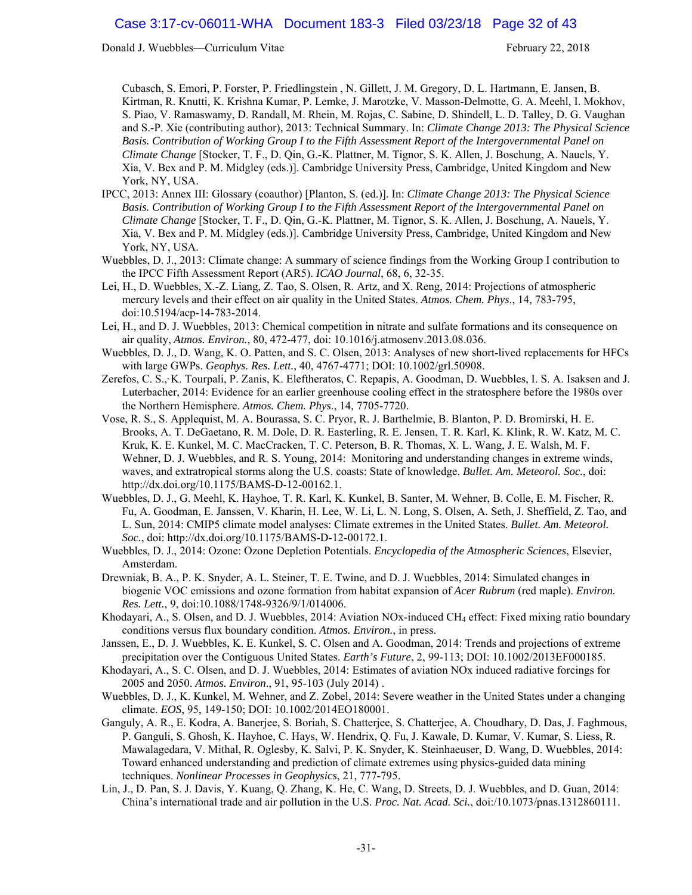Cubasch, S. Emori, P. Forster, P. Friedlingstein , N. Gillett, J. M. Gregory, D. L. Hartmann, E. Jansen, B. Kirtman, R. Knutti, K. Krishna Kumar, P. Lemke, J. Marotzke, V. Masson-Delmotte, G. A. Meehl, I. Mokhov, S. Piao, V. Ramaswamy, D. Randall, M. Rhein, M. Rojas, C. Sabine, D. Shindell, L. D. Talley, D. G. Vaughan and S.-P. Xie (contributing author), 2013: Technical Summary. In: *Climate Change 2013: The Physical Science Basis. Contribution of Working Group I to the Fifth Assessment Report of the Intergovernmental Panel on Climate Change* [Stocker, T. F., D. Qin, G.-K. Plattner, M. Tignor, S. K. Allen, J. Boschung, A. Nauels, Y. Xia, V. Bex and P. M. Midgley (eds.)]. Cambridge University Press, Cambridge, United Kingdom and New York, NY, USA.

- IPCC, 2013: Annex III: Glossary (coauthor) [Planton, S. (ed.)]. In: *Climate Change 2013: The Physical Science Basis. Contribution of Working Group I to the Fifth Assessment Report of the Intergovernmental Panel on Climate Change* [Stocker, T. F., D. Qin, G.-K. Plattner, M. Tignor, S. K. Allen, J. Boschung, A. Nauels, Y. Xia, V. Bex and P. M. Midgley (eds.)]. Cambridge University Press, Cambridge, United Kingdom and New York, NY, USA.
- Wuebbles, D. J., 2013: Climate change: A summary of science findings from the Working Group I contribution to the IPCC Fifth Assessment Report (AR5). *ICAO Journal*, 68, 6, 32-35.
- Lei, H., D. Wuebbles, X.-Z. Liang, Z. Tao, S. Olsen, R. Artz, and X. Reng, 2014: Projections of atmospheric mercury levels and their effect on air quality in the United States. *Atmos. Chem. Phys*., 14, 783-795, doi:10.5194/acp-14-783-2014.
- Lei, H., and D. J. Wuebbles, 2013: Chemical competition in nitrate and sulfate formations and its consequence on air quality, *Atmos. Environ.*, 80, 472-477, doi: 10.1016/j.atmosenv.2013.08.036.
- Wuebbles, D. J., D. Wang, K. O. Patten, and S. C. Olsen, 2013: Analyses of new short-lived replacements for HFCs with large GWPs. *Geophys. Res. Lett.*, 40, 4767-4771; DOI: 10.1002/grl.50908.
- Zerefos, C. S.,, K. Tourpali, P. Zanis, K. Eleftheratos, C. Repapis, A. Goodman, D. Wuebbles, I. S. A. Isaksen and J. Luterbacher, 2014: Evidence for an earlier greenhouse cooling effect in the stratosphere before the 1980s over the Northern Hemisphere. *Atmos. Chem. Phys*., 14, 7705-7720.
- Vose, R. S., S. Applequist, M. A. Bourassa, S. C. Pryor, R. J. Barthelmie, B. Blanton, P. D. Bromirski, H. E. Brooks, A. T. DeGaetano, R. M. Dole, D. R. Easterling, R. E. Jensen, T. R. Karl, K. Klink, R. W. Katz, M. C. Kruk, K. E. Kunkel, M. C. MacCracken, T. C. Peterson, B. R. Thomas, X. L. Wang, J. E. Walsh, M. F. Wehner, D. J. Wuebbles, and R. S. Young, 2014: Monitoring and understanding changes in extreme winds, waves, and extratropical storms along the U.S. coasts: State of knowledge. *Bullet. Am. Meteorol. Soc.*, doi: http://dx.doi.org/10.1175/BAMS-D-12-00162.1.
- Wuebbles, D. J., G. Meehl, K. Hayhoe, T. R. Karl, K. Kunkel, B. Santer, M. Wehner, B. Colle, E. M. Fischer, R. Fu, A. Goodman, E. Janssen, V. Kharin, H. Lee, W. Li, L. N. Long, S. Olsen, A. Seth, J. Sheffield, Z. Tao, and L. Sun, 2014: CMIP5 climate model analyses: Climate extremes in the United States. *Bullet. Am. Meteorol. Soc.*, doi: http://dx.doi.org/10.1175/BAMS-D-12-00172.1.
- Wuebbles, D. J., 2014: Ozone: Ozone Depletion Potentials. *Encyclopedia of the Atmospheric Sciences*, Elsevier, Amsterdam.
- Drewniak, B. A., P. K. Snyder, A. L. Steiner, T. E. Twine, and D. J. Wuebbles, 2014: Simulated changes in biogenic VOC emissions and ozone formation from habitat expansion of *Acer Rubrum* (red maple). *Environ. Res. Lett.*, 9, doi:10.1088/1748-9326/9/1/014006.
- Khodayari, A., S. Olsen, and D. J. Wuebbles, 2014: Aviation NOx-induced CH4 effect: Fixed mixing ratio boundary conditions versus flux boundary condition. *Atmos. Environ.*, in press.
- Janssen, E., D. J. Wuebbles, K. E. Kunkel, S. C. Olsen and A. Goodman, 2014: Trends and projections of extreme precipitation over the Contiguous United States. *Earth's Future*, 2, 99-113; DOI: 10.1002/2013EF000185.
- Khodayari, A., S. C. Olsen, and D. J. Wuebbles, 2014: Estimates of aviation NOx induced radiative forcings for 2005 and 2050. *Atmos. Environ*., 91, 95-103 (July 2014) .
- Wuebbles, D. J., K. Kunkel, M. Wehner, and Z. Zobel, 2014: Severe weather in the United States under a changing climate. *EOS*, 95, 149-150; DOI: 10.1002/2014EO180001.
- Ganguly, A. R., E. Kodra, A. Banerjee, S. Boriah, S. Chatterjee, S. Chatterjee, A. Choudhary, D. Das, J. Faghmous, P. Ganguli, S. Ghosh, K. Hayhoe, C. Hays, W. Hendrix, Q. Fu, J. Kawale, D. Kumar, V. Kumar, S. Liess, R. Mawalagedara, V. Mithal, R. Oglesby, K. Salvi, P. K. Snyder, K. Steinhaeuser, D. Wang, D. Wuebbles, 2014: Toward enhanced understanding and prediction of climate extremes using physics-guided data mining techniques. *Nonlinear Processes in Geophysics*, 21, 777-795.
- Lin, J., D. Pan, S. J. Davis, Y. Kuang, Q. Zhang, K. He, C. Wang, D. Streets, D. J. Wuebbles, and D. Guan, 2014: China's international trade and air pollution in the U.S. *Proc. Nat. Acad. Sci.*, doi:/10.1073/pnas.1312860111.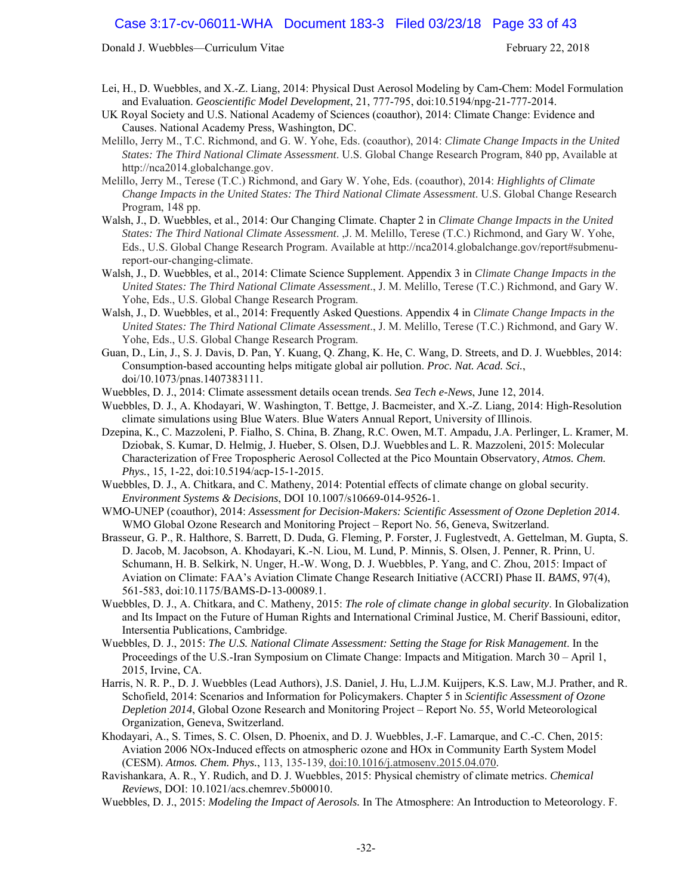- Lei, H., D. Wuebbles, and X.-Z. Liang, 2014: Physical Dust Aerosol Modeling by Cam-Chem: Model Formulation and Evaluation. *Geoscientific Model Development*, 21, 777-795, doi:10.5194/npg-21-777-2014.
- UK Royal Society and U.S. National Academy of Sciences (coauthor), 2014: Climate Change: Evidence and Causes. National Academy Press, Washington, DC.
- Melillo, Jerry M., T.C. Richmond, and G. W. Yohe, Eds. (coauthor), 2014: *Climate Change Impacts in the United States: The Third National Climate Assessment*. U.S. Global Change Research Program, 840 pp, Available at http://nca2014.globalchange.gov.
- Melillo, Jerry M., Terese (T.C.) Richmond, and Gary W. Yohe, Eds. (coauthor), 2014: *Highlights of Climate Change Impacts in the United States: The Third National Climate Assessment*. U.S. Global Change Research Program, 148 pp.
- Walsh, J., D. Wuebbles, et al., 2014: Our Changing Climate. Chapter 2 in *Climate Change Impacts in the United States: The Third National Climate Assessment*. ,J. M. Melillo, Terese (T.C.) Richmond, and Gary W. Yohe, Eds., U.S. Global Change Research Program. Available at http://nca2014.globalchange.gov/report#submenureport-our-changing-climate.
- Walsh, J., D. Wuebbles, et al., 2014: Climate Science Supplement. Appendix 3 in *Climate Change Impacts in the United States: The Third National Climate Assessment*., J. M. Melillo, Terese (T.C.) Richmond, and Gary W. Yohe, Eds., U.S. Global Change Research Program.
- Walsh, J., D. Wuebbles, et al., 2014: Frequently Asked Questions. Appendix 4 in *Climate Change Impacts in the United States: The Third National Climate Assessment*., J. M. Melillo, Terese (T.C.) Richmond, and Gary W. Yohe, Eds., U.S. Global Change Research Program.
- Guan, D., Lin, J., S. J. Davis, D. Pan, Y. Kuang, Q. Zhang, K. He, C. Wang, D. Streets, and D. J. Wuebbles, 2014: Consumption-based accounting helps mitigate global air pollution. *Proc. Nat. Acad. Sci.*, doi/10.1073/pnas.1407383111.
- Wuebbles, D. J., 2014: Climate assessment details ocean trends. *Sea Tech e-News*, June 12, 2014.
- Wuebbles, D. J., A. Khodayari, W. Washington, T. Bettge, J. Bacmeister, and X.-Z. Liang, 2014: High-Resolution climate simulations using Blue Waters. Blue Waters Annual Report, University of Illinois.
- Dzepina, K., C. Mazzoleni, P. Fialho, S. China, B. Zhang, R.C. Owen, M.T. Ampadu, J.A. Perlinger, L. Kramer, M. Dziobak, S. Kumar, D. Helmig, J. Hueber, S. Olsen, D.J. Wuebbles and L. R. Mazzoleni, 2015: Molecular Characterization of Free Tropospheric Aerosol Collected at the Pico Mountain Observatory, *Atmos. Chem. Phys.*, 15, 1-22, doi:10.5194/acp-15-1-2015.
- Wuebbles, D. J., A. Chitkara, and C. Matheny, 2014: Potential effects of climate change on global security. *Environment Systems & Decisions*, DOI 10.1007/s10669-014-9526-1.
- WMO-UNEP (coauthor), 2014: *Assessment for Decision-Makers: Scientific Assessment of Ozone Depletion 2014*. WMO Global Ozone Research and Monitoring Project – Report No. 56, Geneva, Switzerland.
- Brasseur, G. P., R. Halthore, S. Barrett, D. Duda, G. Fleming, P. Forster, J. Fuglestvedt, A. Gettelman, M. Gupta, S. D. Jacob, M. Jacobson, A. Khodayari, K.-N. Liou, M. Lund, P. Minnis, S. Olsen, J. Penner, R. Prinn, U. Schumann, H. B. Selkirk, N. Unger, H.-W. Wong, D. J. Wuebbles, P. Yang, and C. Zhou, 2015: Impact of Aviation on Climate: FAA's Aviation Climate Change Research Initiative (ACCRI) Phase II. *BAMS*, 97(4), 561-583, doi:10.1175/BAMS-D-13-00089.1.
- Wuebbles, D. J., A. Chitkara, and C. Matheny, 2015: *The role of climate change in global security*. In Globalization and Its Impact on the Future of Human Rights and International Criminal Justice, M. Cherif Bassiouni, editor, Intersentia Publications, Cambridge.
- Wuebbles, D. J., 2015: *The U.S. National Climate Assessment: Setting the Stage for Risk Management*. In the Proceedings of the U.S.-Iran Symposium on Climate Change: Impacts and Mitigation. March 30 – April 1, 2015, Irvine, CA.
- Harris, N. R. P., D. J. Wuebbles (Lead Authors), J.S. Daniel, J. Hu, L.J.M. Kuijpers, K.S. Law, M.J. Prather, and R. Schofield, 2014: Scenarios and Information for Policymakers. Chapter 5 in *Scientific Assessment of Ozone Depletion 2014*, Global Ozone Research and Monitoring Project – Report No. 55, World Meteorological Organization, Geneva, Switzerland.
- Khodayari, A., S. Times, S. C. Olsen, D. Phoenix, and D. J. Wuebbles, J.-F. Lamarque, and C.-C. Chen, 2015: Aviation 2006 NOx-Induced effects on atmospheric ozone and HOx in Community Earth System Model (CESM). *Atmos. Chem. Phys.*, 113, 135-139, doi:10.1016/j.atmosenv.2015.04.070.
- Ravishankara, A. R., Y. Rudich, and D. J. Wuebbles, 2015: Physical chemistry of climate metrics. *Chemical Reviews*, DOI: 10.1021/acs.chemrev.5b00010.
- Wuebbles, D. J., 2015: *Modeling the Impact of Aerosols.* In The Atmosphere: An Introduction to Meteorology. F.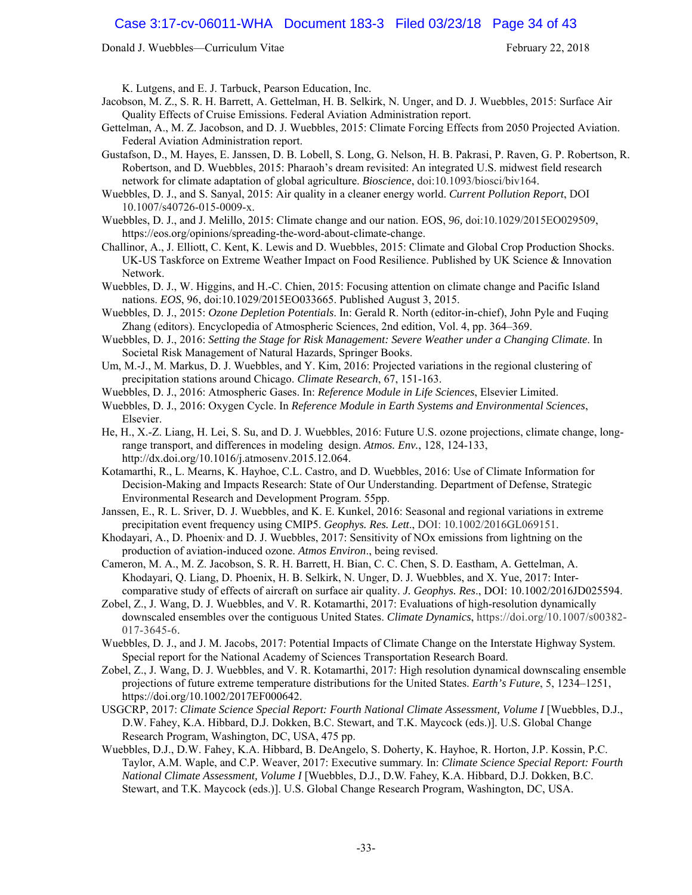K. Lutgens, and E. J. Tarbuck, Pearson Education, Inc.

- Jacobson, M. Z., S. R. H. Barrett, A. Gettelman, H. B. Selkirk, N. Unger, and D. J. Wuebbles, 2015: Surface Air Quality Effects of Cruise Emissions. Federal Aviation Administration report.
- Gettelman, A., M. Z. Jacobson, and D. J. Wuebbles, 2015: Climate Forcing Effects from 2050 Projected Aviation. Federal Aviation Administration report.
- Gustafson, D., M. Hayes, E. Janssen, D. B. Lobell, S. Long, G. Nelson, H. B. Pakrasi, P. Raven, G. P. Robertson, R. Robertson, and D. Wuebbles, 2015: Pharaoh's dream revisited: An integrated U.S. midwest field research network for climate adaptation of global agriculture. *Bioscience*, doi:10.1093/biosci/biv164.
- Wuebbles, D. J., and S. Sanyal, 2015: Air quality in a cleaner energy world. *Current Pollution Report*, DOI 10.1007/s40726-015-0009-x.
- Wuebbles, D. J., and J. Melillo, 2015: Climate change and our nation. EOS, *96,* doi:10.1029/2015EO029509, https://eos.org/opinions/spreading-the-word-about-climate-change.
- Challinor, A., J. Elliott, C. Kent, K. Lewis and D. Wuebbles, 2015: Climate and Global Crop Production Shocks. UK-US Taskforce on Extreme Weather Impact on Food Resilience. Published by UK Science & Innovation Network.
- Wuebbles, D. J., W. Higgins, and H.-C. Chien, 2015: Focusing attention on climate change and Pacific Island nations. *EOS*, 96, doi:10.1029/2015EO033665. Published August 3, 2015.
- Wuebbles, D. J., 2015: *Ozone Depletion Potentials*. In: Gerald R. North (editor-in-chief), John Pyle and Fuqing Zhang (editors). Encyclopedia of Atmospheric Sciences, 2nd edition, Vol. 4, pp. 364–369.
- Wuebbles, D. J., 2016: *Setting the Stage for Risk Management: Severe Weather under a Changing Climate*. In Societal Risk Management of Natural Hazards, Springer Books.
- Um, M.-J., M. Markus, D. J. Wuebbles, and Y. Kim, 2016: Projected variations in the regional clustering of precipitation stations around Chicago. *Climate Research*, 67, 151-163.
- Wuebbles, D. J., 2016: Atmospheric Gases. In: *Reference Module in Life Sciences*, Elsevier Limited.
- Wuebbles, D. J., 2016: Oxygen Cycle. In *Reference Module in Earth Systems and Environmental Sciences*, Elsevier.
- He, H., X.-Z. Liang, H. Lei, S. Su, and D. J. Wuebbles, 2016: Future U.S. ozone projections, climate change, longrange transport, and differences in modeling design. *Atmos. Env.*, 128, 124-133, http://dx.doi.org/10.1016/j.atmosenv.2015.12.064.
- Kotamarthi, R., L. Mearns, K. Hayhoe, C.L. Castro, and D. Wuebbles, 2016: Use of Climate Information for Decision-Making and Impacts Research: State of Our Understanding. Department of Defense, Strategic Environmental Research and Development Program. 55pp.
- Janssen, E., R. L. Sriver, D. J. Wuebbles, and K. E. Kunkel, 2016: Seasonal and regional variations in extreme precipitation event frequency using CMIP5. *Geophys. Res. Lett*., DOI: 10.1002/2016GL069151.
- Khodayari, A., D. Phoenix, and D. J. Wuebbles, 2017: Sensitivity of NOx emissions from lightning on the production of aviation-induced ozone. *Atmos Environ*., being revised.
- Cameron, M. A., M. Z. Jacobson, S. R. H. Barrett, H. Bian, C. C. Chen, S. D. Eastham, A. Gettelman, A. Khodayari, Q. Liang, D. Phoenix, H. B. Selkirk, N. Unger, D. J. Wuebbles, and X. Yue, 2017: Intercomparative study of effects of aircraft on surface air quality. *J. Geophys. Res*., DOI: 10.1002/2016JD025594.
- Zobel, Z., J. Wang, D. J. Wuebbles, and V. R. Kotamarthi, 2017: Evaluations of high-resolution dynamically downscaled ensembles over the contiguous United States. *Climate Dynamics*, https://doi.org/10.1007/s00382- 017-3645-6.
- Wuebbles, D. J., and J. M. Jacobs, 2017: Potential Impacts of Climate Change on the Interstate Highway System. Special report for the National Academy of Sciences Transportation Research Board.
- Zobel, Z., J. Wang, D. J. Wuebbles, and V. R. Kotamarthi, 2017: High resolution dynamical downscaling ensemble projections of future extreme temperature distributions for the United States. *Earth's Future*, 5, 1234–1251, https://doi.org/10.1002/2017EF000642.
- USGCRP, 2017: *Climate Science Special Report: Fourth National Climate Assessment, Volume I* [Wuebbles, D.J., D.W. Fahey, K.A. Hibbard, D.J. Dokken, B.C. Stewart, and T.K. Maycock (eds.)]. U.S. Global Change Research Program, Washington, DC, USA, 475 pp.
- Wuebbles, D.J., D.W. Fahey, K.A. Hibbard, B. DeAngelo, S. Doherty, K. Hayhoe, R. Horton, J.P. Kossin, P.C. Taylor, A.M. Waple, and C.P. Weaver, 2017: Executive summary. In: *Climate Science Special Report: Fourth National Climate Assessment, Volume I* [Wuebbles, D.J., D.W. Fahey, K.A. Hibbard, D.J. Dokken, B.C. Stewart, and T.K. Maycock (eds.)]. U.S. Global Change Research Program, Washington, DC, USA.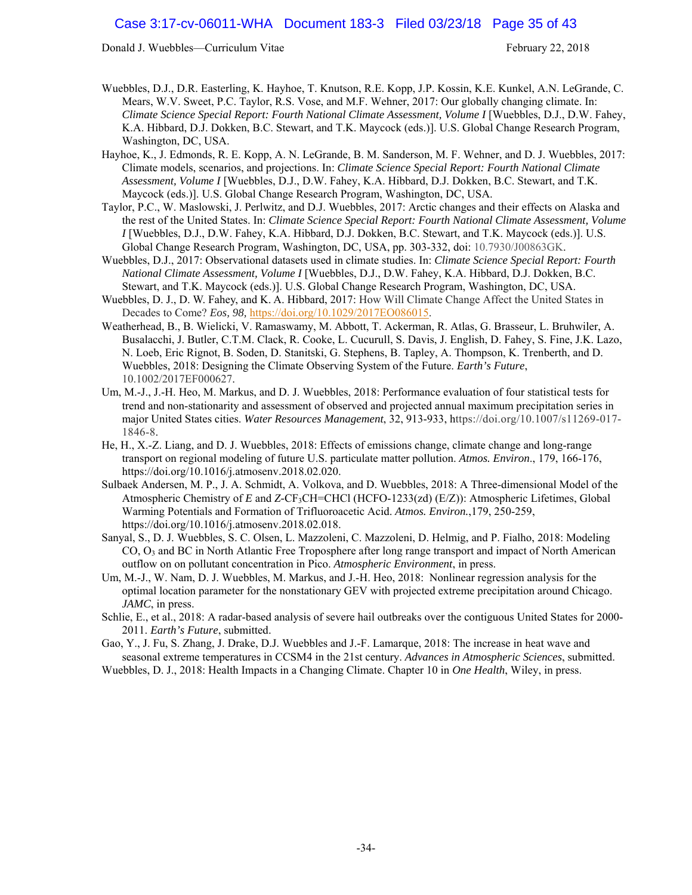- Wuebbles, D.J., D.R. Easterling, K. Hayhoe, T. Knutson, R.E. Kopp, J.P. Kossin, K.E. Kunkel, A.N. LeGrande, C. Mears, W.V. Sweet, P.C. Taylor, R.S. Vose, and M.F. Wehner, 2017: Our globally changing climate. In: *Climate Science Special Report: Fourth National Climate Assessment, Volume I* [Wuebbles, D.J., D.W. Fahey, K.A. Hibbard, D.J. Dokken, B.C. Stewart, and T.K. Maycock (eds.)]. U.S. Global Change Research Program, Washington, DC, USA.
- Hayhoe, K., J. Edmonds, R. E. Kopp, A. N. LeGrande, B. M. Sanderson, M. F. Wehner, and D. J. Wuebbles, 2017: Climate models, scenarios, and projections. In: *Climate Science Special Report: Fourth National Climate Assessment, Volume I* [Wuebbles, D.J., D.W. Fahey, K.A. Hibbard, D.J. Dokken, B.C. Stewart, and T.K. Maycock (eds.)]. U.S. Global Change Research Program, Washington, DC, USA.
- Taylor, P.C., W. Maslowski, J. Perlwitz, and D.J. Wuebbles, 2017: Arctic changes and their effects on Alaska and the rest of the United States. In: *Climate Science Special Report: Fourth National Climate Assessment, Volume I* [Wuebbles, D.J., D.W. Fahey, K.A. Hibbard, D.J. Dokken, B.C. Stewart, and T.K. Maycock (eds.)]. U.S. Global Change Research Program, Washington, DC, USA, pp. 303-332, doi: 10.7930/J00863GK.
- Wuebbles, D.J., 2017: Observational datasets used in climate studies. In: *Climate Science Special Report: Fourth National Climate Assessment, Volume I* [Wuebbles, D.J., D.W. Fahey, K.A. Hibbard, D.J. Dokken, B.C. Stewart, and T.K. Maycock (eds.)]. U.S. Global Change Research Program, Washington, DC, USA.
- Wuebbles, D. J., D. W. Fahey, and K. A. Hibbard, 2017: How Will Climate Change Affect the United States in Decades to Come? *Eos, 98,* https://doi.org/10.1029/2017EO086015.
- Weatherhead, B., B. Wielicki, V. Ramaswamy, M. Abbott, T. Ackerman, R. Atlas, G. Brasseur, L. Bruhwiler, A. Busalacchi, J. Butler, C.T.M. Clack, R. Cooke, L. Cucurull, S. Davis, J. English, D. Fahey, S. Fine, J.K. Lazo, N. Loeb, Eric Rignot, B. Soden, D. Stanitski, G. Stephens, B. Tapley, A. Thompson, K. Trenberth, and D. Wuebbles, 2018: Designing the Climate Observing System of the Future. *Earth's Future*, 10.1002/2017EF000627.
- Um, M.-J., J.-H. Heo, M. Markus, and D. J. Wuebbles, 2018: Performance evaluation of four statistical tests for trend and non-stationarity and assessment of observed and projected annual maximum precipitation series in major United States cities. *Water Resources Management*, 32, 913-933, https://doi.org/10.1007/s11269-017- 1846-8.
- He, H., X.-Z. Liang, and D. J. Wuebbles, 2018: Effects of emissions change, climate change and long-range transport on regional modeling of future U.S. particulate matter pollution. *Atmos. Environ*., 179, 166-176, https://doi.org/10.1016/j.atmosenv.2018.02.020.
- Sulbaek Andersen, M. P., J. A. Schmidt, A. Volkova, and D. Wuebbles, 2018: A Three-dimensional Model of the Atmospheric Chemistry of *E* and *Z-*CF3CH=CHCl (HCFO-1233(zd) (E/Z)): Atmospheric Lifetimes, Global Warming Potentials and Formation of Trifluoroacetic Acid. *Atmos. Environ.*,179, 250-259, https://doi.org/10.1016/j.atmosenv.2018.02.018.
- Sanyal, S., D. J. Wuebbles, S. C. Olsen, L. Mazzoleni, C. Mazzoleni, D. Helmig, and P. Fialho, 2018: Modeling  $CO$ ,  $O<sub>3</sub>$  and BC in North Atlantic Free Troposphere after long range transport and impact of North American outflow on on pollutant concentration in Pico. *Atmospheric Environment*, in press.
- Um, M.-J., W. Nam, D. J. Wuebbles, M. Markus, and J.-H. Heo, 2018: Nonlinear regression analysis for the optimal location parameter for the nonstationary GEV with projected extreme precipitation around Chicago. *JAMC*, in press.
- Schlie, E., et al., 2018: A radar-based analysis of severe hail outbreaks over the contiguous United States for 2000- 2011. *Earth's Future*, submitted.
- Gao, Y., J. Fu, S. Zhang, J. Drake, D.J. Wuebbles and J.-F. Lamarque, 2018: The increase in heat wave and seasonal extreme temperatures in CCSM4 in the 21st century. *Advances in Atmospheric Sciences*, submitted.
- Wuebbles, D. J., 2018: Health Impacts in a Changing Climate. Chapter 10 in *One Health*, Wiley, in press.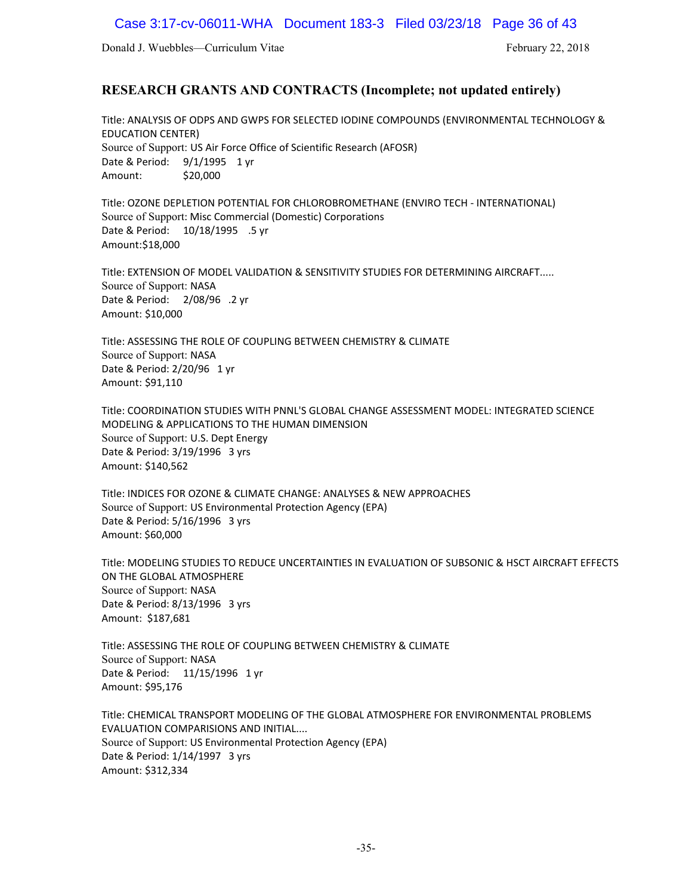## Case 3:17-cv-06011-WHA Document 183-3 Filed 03/23/18 Page 36 of 43

Donald J. Wuebbles—Curriculum Vitae February 22, 2018

## **RESEARCH GRANTS AND CONTRACTS (Incomplete; not updated entirely)**

Title: ANALYSIS OF ODPS AND GWPS FOR SELECTED IODINE COMPOUNDS (ENVIRONMENTAL TECHNOLOGY & EDUCATION CENTER) Source of Support: US Air Force Office of Scientific Research (AFOSR) Date & Period: 9/1/1995 1 yr Amount: \$20,000

Title: OZONE DEPLETION POTENTIAL FOR CHLOROBROMETHANE (ENVIRO TECH ‐ INTERNATIONAL) Source of Support: Misc Commercial (Domestic) Corporations Date & Period: 10/18/1995 .5 yr Amount: \$18,000

Title: EXTENSION OF MODEL VALIDATION & SENSITIVITY STUDIES FOR DETERMINING AIRCRAFT..... Source of Support: NASA Date & Period: 2/08/96 .2 yr Amount: \$10,000

Title: ASSESSING THE ROLE OF COUPLING BETWEEN CHEMISTRY & CLIMATE Source of Support: NASA Date & Period: 2/20/96 1 yr Amount: \$91,110

Title: COORDINATION STUDIES WITH PNNL'S GLOBAL CHANGE ASSESSMENT MODEL: INTEGRATED SCIENCE MODELING & APPLICATIONS TO THE HUMAN DIMENSION Source of Support: U.S. Dept Energy Date & Period: 3/19/1996 3 yrs Amount: \$140,562

Title: INDICES FOR OZONE & CLIMATE CHANGE: ANALYSES & NEW APPROACHES Source of Support: US Environmental Protection Agency (EPA) Date & Period: 5/16/1996 3 yrs Amount: \$60,000

Title: MODELING STUDIES TO REDUCE UNCERTAINTIES IN EVALUATION OF SUBSONIC & HSCT AIRCRAFT EFFECTS ON THE GLOBAL ATMOSPHERE Source of Support: NASA Date & Period: 8/13/1996 3 yrs Amount: \$187,681

Title: ASSESSING THE ROLE OF COUPLING BETWEEN CHEMISTRY & CLIMATE Source of Support: NASA Date & Period: 11/15/1996 1 yr Amount: \$95,176

Title: CHEMICAL TRANSPORT MODELING OF THE GLOBAL ATMOSPHERE FOR ENVIRONMENTAL PROBLEMS EVALUATION COMPARISIONS AND INITIAL.... Source of Support: US Environmental Protection Agency (EPA) Date & Period: 1/14/1997 3 yrs Amount: \$312,334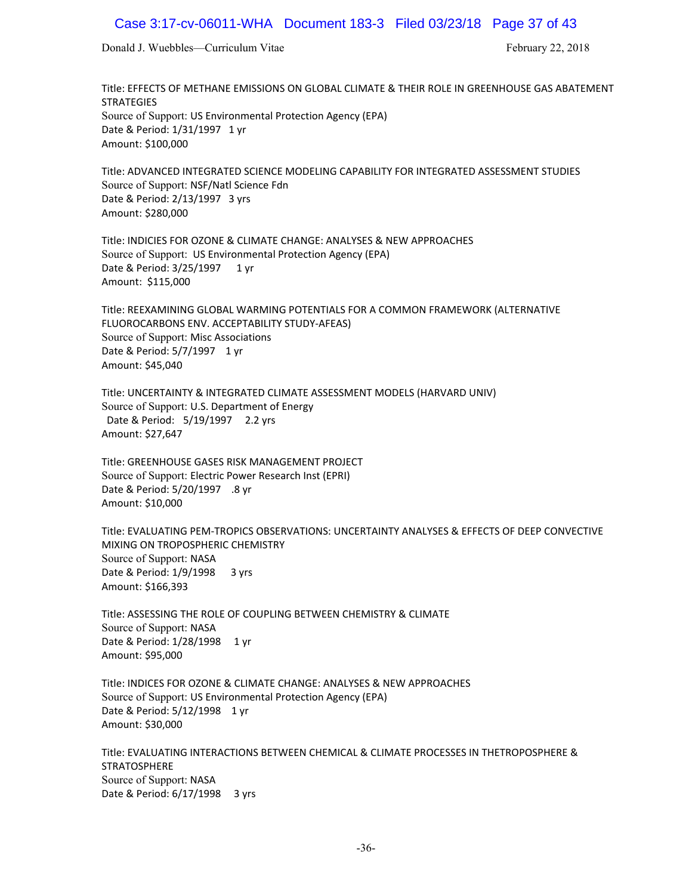Case 3:17-cv-06011-WHA Document 183-3 Filed 03/23/18 Page 37 of 43

Donald J. Wuebbles—Curriculum Vitae February 22, 2018

Title: EFFECTS OF METHANE EMISSIONS ON GLOBAL CLIMATE & THEIR ROLE IN GREENHOUSE GAS ABATEMENT **STRATEGIES** Source of Support: US Environmental Protection Agency (EPA) Date & Period: 1/31/1997 1 yr Amount: \$100,000

Title: ADVANCED INTEGRATED SCIENCE MODELING CAPABILITY FOR INTEGRATED ASSESSMENT STUDIES Source of Support: NSF/Natl Science Fdn Date & Period: 2/13/1997 3 yrs Amount: \$280,000

Title: INDICIES FOR OZONE & CLIMATE CHANGE: ANALYSES & NEW APPROACHES Source of Support: US Environmental Protection Agency (EPA) Date & Period: 3/25/1997 1 yr Amount: \$115,000

Title: REEXAMINING GLOBAL WARMING POTENTIALS FOR A COMMON FRAMEWORK (ALTERNATIVE FLUOROCARBONS ENV. ACCEPTABILITY STUDY‐AFEAS) Source of Support: Misc Associations Date & Period: 5/7/1997 1 yr Amount: \$45,040

Title: UNCERTAINTY & INTEGRATED CLIMATE ASSESSMENT MODELS (HARVARD UNIV) Source of Support: U.S. Department of Energy Date & Period: 5/19/1997 2.2 yrs Amount: \$27,647

Title: GREENHOUSE GASES RISK MANAGEMENT PROJECT Source of Support: Electric Power Research Inst (EPRI) Date & Period: 5/20/1997 .8 yr Amount: \$10,000

Title: EVALUATING PEM‐TROPICS OBSERVATIONS: UNCERTAINTY ANALYSES & EFFECTS OF DEEP CONVECTIVE MIXING ON TROPOSPHERIC CHEMISTRY Source of Support: NASA Date & Period: 1/9/1998 3 yrs Amount: \$166,393

Title: ASSESSING THE ROLE OF COUPLING BETWEEN CHEMISTRY & CLIMATE Source of Support: NASA Date & Period: 1/28/1998 1 yr Amount: \$95,000

Title: INDICES FOR OZONE & CLIMATE CHANGE: ANALYSES & NEW APPROACHES Source of Support: US Environmental Protection Agency (EPA) Date & Period: 5/12/1998 1 yr Amount: \$30,000

Title: EVALUATING INTERACTIONS BETWEEN CHEMICAL & CLIMATE PROCESSES IN THETROPOSPHERE & **STRATOSPHERE** Source of Support: NASA Date & Period: 6/17/1998 3 yrs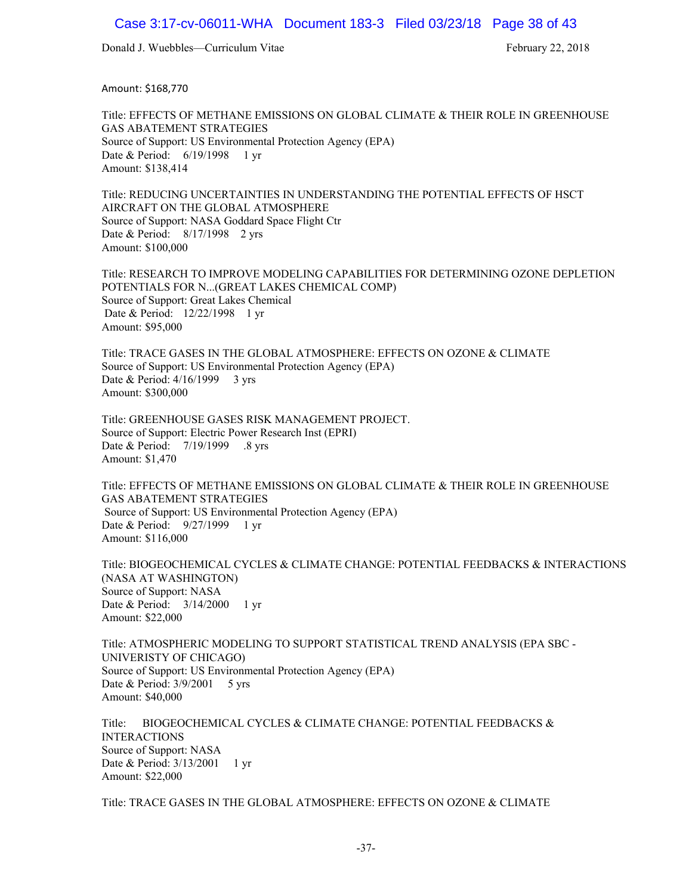Amount: \$168,770

Title: EFFECTS OF METHANE EMISSIONS ON GLOBAL CLIMATE & THEIR ROLE IN GREENHOUSE GAS ABATEMENT STRATEGIES Source of Support: US Environmental Protection Agency (EPA) Date & Period: 6/19/1998 1 yr Amount: \$138,414

Title: REDUCING UNCERTAINTIES IN UNDERSTANDING THE POTENTIAL EFFECTS OF HSCT AIRCRAFT ON THE GLOBAL ATMOSPHERE Source of Support: NASA Goddard Space Flight Ctr Date & Period: 8/17/1998 2 yrs Amount: \$100,000

Title: RESEARCH TO IMPROVE MODELING CAPABILITIES FOR DETERMINING OZONE DEPLETION POTENTIALS FOR N...(GREAT LAKES CHEMICAL COMP) Source of Support: Great Lakes Chemical Date & Period: 12/22/1998 1 yr Amount: \$95,000

Title: TRACE GASES IN THE GLOBAL ATMOSPHERE: EFFECTS ON OZONE & CLIMATE Source of Support: US Environmental Protection Agency (EPA) Date & Period: 4/16/1999 3 yrs Amount: \$300,000

Title: GREENHOUSE GASES RISK MANAGEMENT PROJECT. Source of Support: Electric Power Research Inst (EPRI) Date & Period: 7/19/1999 .8 yrs Amount: \$1,470

Title: EFFECTS OF METHANE EMISSIONS ON GLOBAL CLIMATE & THEIR ROLE IN GREENHOUSE GAS ABATEMENT STRATEGIES Source of Support: US Environmental Protection Agency (EPA) Date & Period: 9/27/1999 1 yr Amount: \$116,000

Title: BIOGEOCHEMICAL CYCLES & CLIMATE CHANGE: POTENTIAL FEEDBACKS & INTERACTIONS (NASA AT WASHINGTON) Source of Support: NASA Date & Period: 3/14/2000 1 yr Amount: \$22,000

Title: ATMOSPHERIC MODELING TO SUPPORT STATISTICAL TREND ANALYSIS (EPA SBC - UNIVERISTY OF CHICAGO) Source of Support: US Environmental Protection Agency (EPA) Date & Period: 3/9/2001 5 yrs Amount: \$40,000

Title: BIOGEOCHEMICAL CYCLES & CLIMATE CHANGE: POTENTIAL FEEDBACKS & INTERACTIONS Source of Support: NASA Date & Period: 3/13/2001 1 yr Amount: \$22,000

Title: TRACE GASES IN THE GLOBAL ATMOSPHERE: EFFECTS ON OZONE & CLIMATE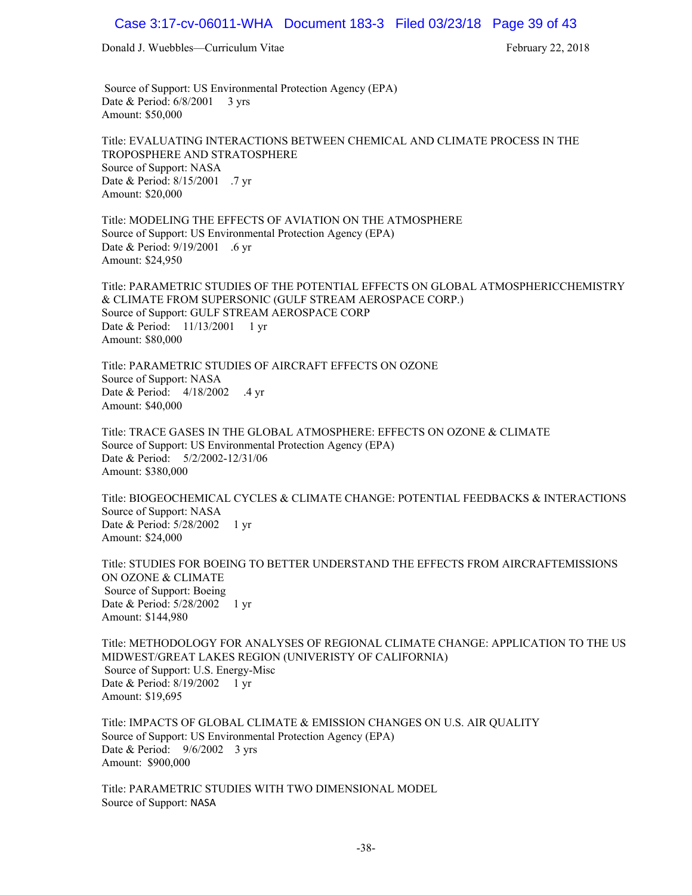Source of Support: US Environmental Protection Agency (EPA) Date & Period: 6/8/2001 3 yrs Amount: \$50,000

Title: EVALUATING INTERACTIONS BETWEEN CHEMICAL AND CLIMATE PROCESS IN THE TROPOSPHERE AND STRATOSPHERE Source of Support: NASA Date & Period: 8/15/2001 .7 yr Amount: \$20,000

Title: MODELING THE EFFECTS OF AVIATION ON THE ATMOSPHERE Source of Support: US Environmental Protection Agency (EPA) Date & Period: 9/19/2001 .6 yr Amount: \$24,950

Title: PARAMETRIC STUDIES OF THE POTENTIAL EFFECTS ON GLOBAL ATMOSPHERICCHEMISTRY & CLIMATE FROM SUPERSONIC (GULF STREAM AEROSPACE CORP.) Source of Support: GULF STREAM AEROSPACE CORP Date & Period: 11/13/2001 1 yr Amount: \$80,000

Title: PARAMETRIC STUDIES OF AIRCRAFT EFFECTS ON OZONE Source of Support: NASA Date & Period: 4/18/2002 .4 yr Amount: \$40,000

Title: TRACE GASES IN THE GLOBAL ATMOSPHERE: EFFECTS ON OZONE & CLIMATE Source of Support: US Environmental Protection Agency (EPA) Date & Period: 5/2/2002-12/31/06 Amount: \$380,000

Title: BIOGEOCHEMICAL CYCLES & CLIMATE CHANGE: POTENTIAL FEEDBACKS & INTERACTIONS Source of Support: NASA Date & Period: 5/28/2002 1 yr Amount: \$24,000

Title: STUDIES FOR BOEING TO BETTER UNDERSTAND THE EFFECTS FROM AIRCRAFTEMISSIONS ON OZONE & CLIMATE Source of Support: Boeing Date & Period: 5/28/2002 1 yr Amount: \$144,980

Title: METHODOLOGY FOR ANALYSES OF REGIONAL CLIMATE CHANGE: APPLICATION TO THE US MIDWEST/GREAT LAKES REGION (UNIVERISTY OF CALIFORNIA) Source of Support: U.S. Energy-Misc Date & Period: 8/19/2002 1 yr Amount: \$19,695

Title: IMPACTS OF GLOBAL CLIMATE & EMISSION CHANGES ON U.S. AIR QUALITY Source of Support: US Environmental Protection Agency (EPA) Date & Period: 9/6/2002 3 yrs Amount: \$900,000

Title: PARAMETRIC STUDIES WITH TWO DIMENSIONAL MODEL Source of Support: NASA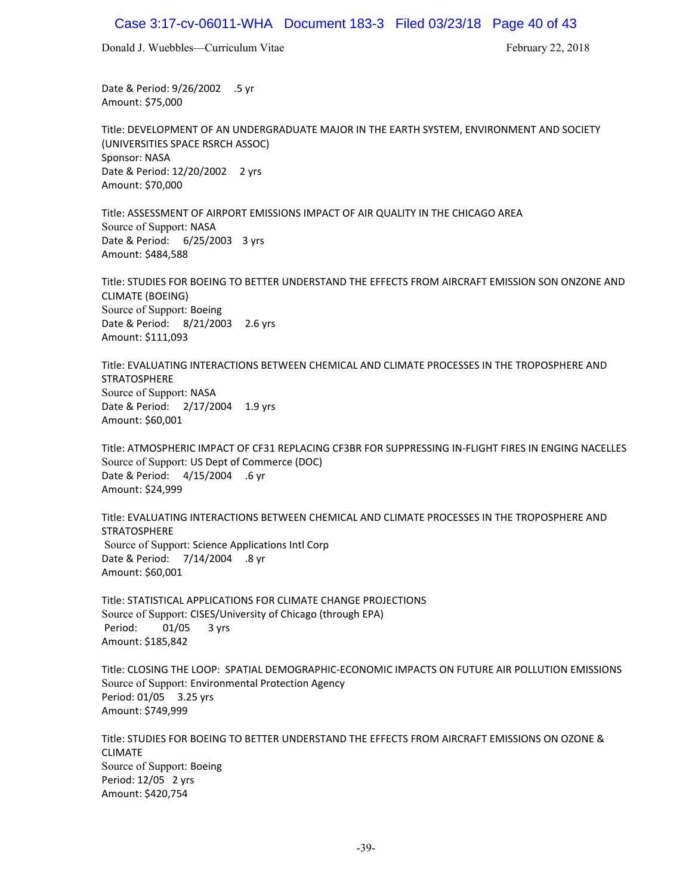Date & Period: 9/26/2002 .5 yr Amount: \$75,000

Title: DEVELOPMENT OF AN UNDERGRADUATE MAJOR IN THE EARTH SYSTEM, ENVIRONMENT AND SOCIETY (UNIVERSITIES SPACE RSRCH ASSOC) Sponsor: NASA Date & Period: 12/20/2002 2 yrs Amount: \$70,000

Title: ASSESSMENT OF AIRPORT EMISSIONS IMPACT OF AIR QUALITY IN THE CHICAGO AREA Source of Support: NASA Date & Period: 6/25/2003 3 yrs Amount: \$484,588

Title: STUDIES FOR BOEING TO BETTER UNDERSTAND THE EFFECTS FROM AIRCRAFT EMISSION SON ONZONE AND CLIMATE (BOEING) Source of Support: Boeing Date & Period: 8/21/2003 2.6 yrs Amount: \$111,093

Title: EVALUATING INTERACTIONS BETWEEN CHEMICAL AND CLIMATE PROCESSES IN THE TROPOSPHERE AND **STRATOSPHERE** Source of Support: NASA Date & Period: 2/17/2004 1.9 yrs Amount: \$60,001

Title: ATMOSPHERIC IMPACT OF CF31 REPLACING CF3BR FOR SUPPRESSING IN‐FLIGHT FIRES IN ENGING NACELLES Source of Support: US Dept of Commerce (DOC) Date & Period: 4/15/2004 .6 yr Amount: \$24,999

Title: EVALUATING INTERACTIONS BETWEEN CHEMICAL AND CLIMATE PROCESSES IN THE TROPOSPHERE AND **STRATOSPHERE** Source of Support: Science Applications Intl Corp Date & Period: 7/14/2004 .8 yr Amount: \$60,001

Title: STATISTICAL APPLICATIONS FOR CLIMATE CHANGE PROJECTIONS Source of Support: CISES/University of Chicago (through EPA) Period: 01/05 3 yrs Amount: \$185,842

Title: CLOSING THE LOOP: SPATIAL DEMOGRAPHIC‐ECONOMIC IMPACTS ON FUTURE AIR POLLUTION EMISSIONS Source of Support: Environmental Protection Agency Period: 01/05 3.25 yrs Amount: \$749,999

Title: STUDIES FOR BOEING TO BETTER UNDERSTAND THE EFFECTS FROM AIRCRAFT EMISSIONS ON OZONE & CLIMATE Source of Support: Boeing Period: 12/05 2 yrs Amount: \$420,754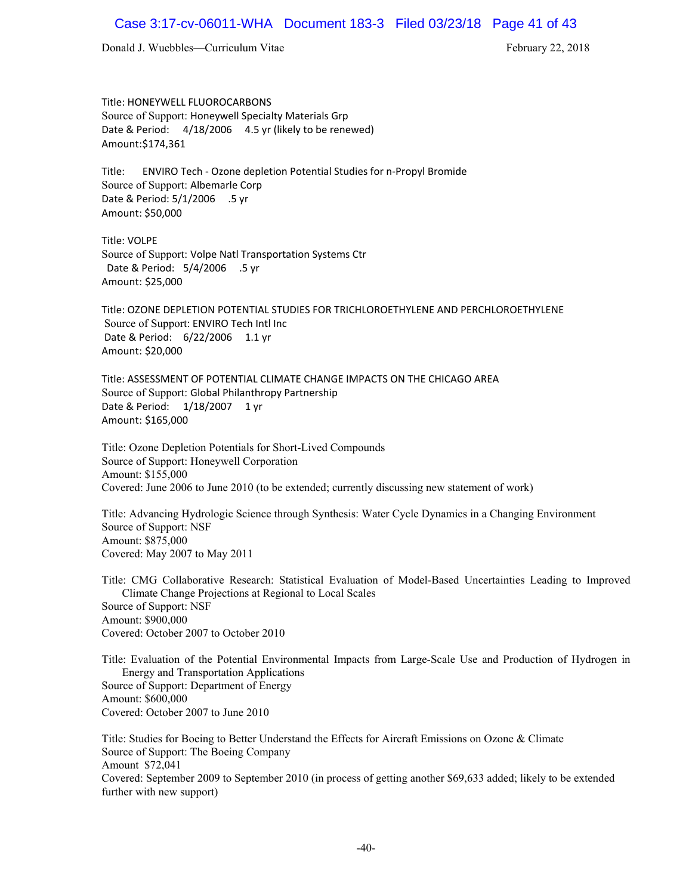Title: HONEYWELL FLUOROCARBONS Source of Support: Honeywell Specialty Materials Grp Date & Period: 4/18/2006 4.5 yr (likely to be renewed) Amount: \$174,361

Title: ENVIRO Tech ‐ Ozone depletion Potential Studies for n‐Propyl Bromide Source of Support: Albemarle Corp Date & Period: 5/1/2006 .5 yr Amount: \$50,000

Title: VOLPE Source of Support: Volpe Natl Transportation Systems Ctr Date & Period: 5/4/2006 .5 yr Amount: \$25,000

Title: OZONE DEPLETION POTENTIAL STUDIES FOR TRICHLOROETHYLENE AND PERCHLOROETHYLENE Source of Support: ENVIRO Tech Intl Inc Date & Period: 6/22/2006 1.1 yr Amount: \$20,000

Title: ASSESSMENT OF POTENTIAL CLIMATE CHANGE IMPACTS ON THE CHICAGO AREA Source of Support: Global Philanthropy Partnership Date & Period: 1/18/2007 1 yr Amount: \$165,000

Title: Ozone Depletion Potentials for Short-Lived Compounds Source of Support: Honeywell Corporation Amount: \$155,000 Covered: June 2006 to June 2010 (to be extended; currently discussing new statement of work)

Title: Advancing Hydrologic Science through Synthesis: Water Cycle Dynamics in a Changing Environment Source of Support: NSF Amount: \$875,000 Covered: May 2007 to May 2011

Title: CMG Collaborative Research: Statistical Evaluation of Model-Based Uncertainties Leading to Improved Climate Change Projections at Regional to Local Scales Source of Support: NSF Amount: \$900,000 Covered: October 2007 to October 2010

Title: Evaluation of the Potential Environmental Impacts from Large-Scale Use and Production of Hydrogen in Energy and Transportation Applications Source of Support: Department of Energy Amount: \$600,000 Covered: October 2007 to June 2010

Title: Studies for Boeing to Better Understand the Effects for Aircraft Emissions on Ozone & Climate Source of Support: The Boeing Company Amount \$72,041 Covered: September 2009 to September 2010 (in process of getting another \$69,633 added; likely to be extended further with new support)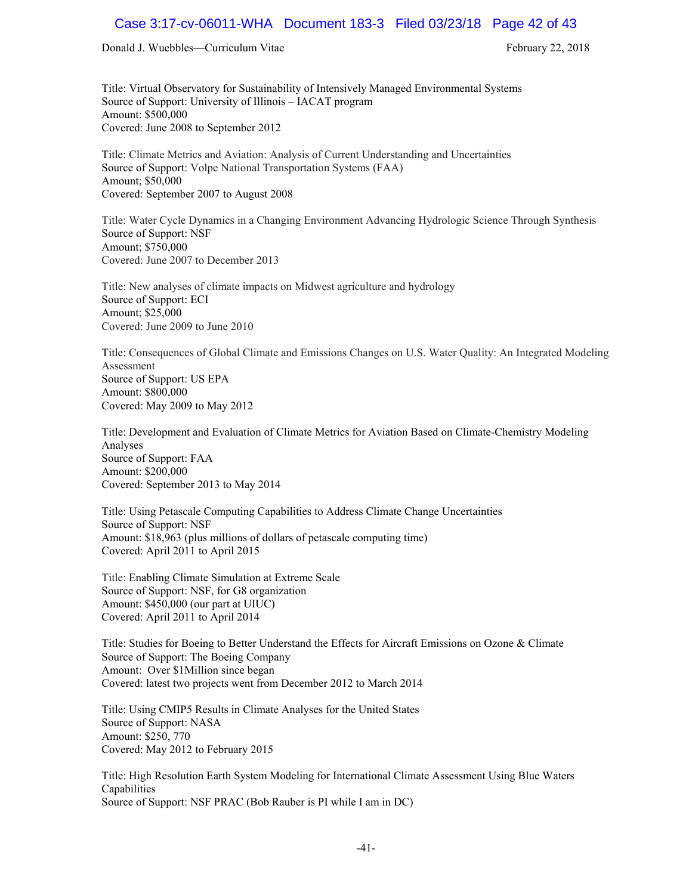## Case 3:17-cv-06011-WHA Document 183-3 Filed 03/23/18 Page 42 of 43

Donald J. Wuebbles—Curriculum Vitae **February 22, 2018** February 22, 2018

Title: Virtual Observatory for Sustainability of Intensively Managed Environmental Systems Source of Support: University of Illinois – IACAT program Amount: \$500,000 Covered: June 2008 to September 2012

Title: Climate Metrics and Aviation: Analysis of Current Understanding and Uncertainties Source of Support: Volpe National Transportation Systems (FAA) Amount; \$50,000 Covered: September 2007 to August 2008

Title: Water Cycle Dynamics in a Changing Environment Advancing Hydrologic Science Through Synthesis Source of Support: NSF Amount; \$750,000 Covered: June 2007 to December 2013

Title: New analyses of climate impacts on Midwest agriculture and hydrology Source of Support: ECI Amount; \$25,000 Covered: June 2009 to June 2010

Title: Consequences of Global Climate and Emissions Changes on U.S. Water Quality: An Integrated Modeling Assessment Source of Support: US EPA Amount: \$800,000 Covered: May 2009 to May 2012

Title: Development and Evaluation of Climate Metrics for Aviation Based on Climate-Chemistry Modeling Analyses Source of Support: FAA Amount: \$200,000 Covered: September 2013 to May 2014

Title: Using Petascale Computing Capabilities to Address Climate Change Uncertainties Source of Support: NSF Amount: \$18,963 (plus millions of dollars of petascale computing time) Covered: April 2011 to April 2015

Title: Enabling Climate Simulation at Extreme Scale Source of Support: NSF, for G8 organization Amount: \$450,000 (our part at UIUC) Covered: April 2011 to April 2014

Title: Studies for Boeing to Better Understand the Effects for Aircraft Emissions on Ozone & Climate Source of Support: The Boeing Company Amount: Over \$1Million since began Covered: latest two projects went from December 2012 to March 2014

Title: Using CMIP5 Results in Climate Analyses for the United States Source of Support: NASA Amount: \$250, 770 Covered: May 2012 to February 2015

Title: High Resolution Earth System Modeling for International Climate Assessment Using Blue Waters Capabilities Source of Support: NSF PRAC (Bob Rauber is PI while I am in DC)